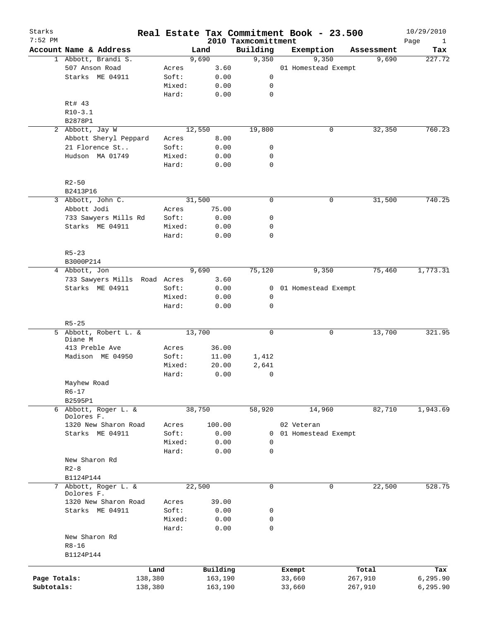| Starks<br>7:52 PM |                              |         |        |        |          | 2010 Taxmcomittment |              | Real Estate Tax Commitment Book - 23.500 |            | 10/29/2010<br>Page<br>$\mathbf{1}$ |
|-------------------|------------------------------|---------|--------|--------|----------|---------------------|--------------|------------------------------------------|------------|------------------------------------|
|                   | Account Name & Address       |         |        | Land   |          | Building            |              | Exemption                                | Assessment | Tax                                |
|                   | 1 Abbott, Brandi S.          |         |        | 9,690  |          | 9,350               |              | 9,350                                    | 9,690      | 227.72                             |
|                   | 507 Anson Road               |         | Acres  |        | 3.60     |                     |              | 01 Homestead Exempt                      |            |                                    |
|                   | Starks ME 04911              |         | Soft:  |        | 0.00     |                     | 0            |                                          |            |                                    |
|                   |                              |         | Mixed: |        | 0.00     |                     | 0            |                                          |            |                                    |
|                   |                              |         | Hard:  |        | 0.00     |                     | 0            |                                          |            |                                    |
|                   | Rt# 43                       |         |        |        |          |                     |              |                                          |            |                                    |
|                   | $R10-3.1$                    |         |        |        |          |                     |              |                                          |            |                                    |
|                   | B2878P1                      |         |        |        |          |                     |              |                                          |            |                                    |
|                   | 2 Abbott, Jay W              |         |        | 12,550 |          | 19,800              |              | 0                                        | 32,350     | 760.23                             |
|                   | Abbott Sheryl Peppard        |         | Acres  |        | 8.00     |                     |              |                                          |            |                                    |
|                   | 21 Florence St               |         | Soft:  |        | 0.00     |                     | 0            |                                          |            |                                    |
|                   | Hudson MA 01749              |         | Mixed: |        | 0.00     |                     | 0            |                                          |            |                                    |
|                   |                              |         | Hard:  |        | 0.00     |                     | $\mathbf 0$  |                                          |            |                                    |
|                   |                              |         |        |        |          |                     |              |                                          |            |                                    |
|                   | $R2 - 50$                    |         |        |        |          |                     |              |                                          |            |                                    |
|                   | B2413P16                     |         |        |        |          |                     |              |                                          |            |                                    |
| 3                 | Abbott, John C.              |         |        | 31,500 |          |                     | $\mathbf 0$  | 0                                        | 31,500     | 740.25                             |
|                   | Abbott Jodi                  |         | Acres  |        | 75.00    |                     |              |                                          |            |                                    |
|                   | 733 Sawyers Mills Rd         |         | Soft:  |        | 0.00     |                     | 0            |                                          |            |                                    |
|                   | Starks ME 04911              |         |        |        |          |                     | 0            |                                          |            |                                    |
|                   |                              |         | Mixed: |        | 0.00     |                     |              |                                          |            |                                    |
|                   |                              |         | Hard:  |        | 0.00     |                     | 0            |                                          |            |                                    |
|                   | $R5 - 23$                    |         |        |        |          |                     |              |                                          |            |                                    |
|                   | B3000P214                    |         |        |        |          |                     |              |                                          |            |                                    |
|                   | 4 Abbott, Jon                |         |        | 9,690  |          | 75,120              |              | 9,350                                    | 75,460     | 1,773.31                           |
|                   |                              |         |        |        |          |                     |              |                                          |            |                                    |
|                   | 733 Sawyers Mills Road Acres |         |        |        | 3.60     |                     |              |                                          |            |                                    |
|                   | Starks ME 04911              |         | Soft:  |        | 0.00     |                     | 0            | 01 Homestead Exempt                      |            |                                    |
|                   |                              |         | Mixed: |        | 0.00     |                     | 0            |                                          |            |                                    |
|                   |                              |         | Hard:  |        | 0.00     |                     | $\mathbf 0$  |                                          |            |                                    |
|                   | $R5 - 25$                    |         |        |        |          |                     |              |                                          |            |                                    |
|                   | 5 Abbott, Robert L. &        |         |        | 13,700 |          |                     | $\mathbf 0$  | 0                                        | 13,700     | 321.95                             |
|                   | Diane M                      |         |        |        |          |                     |              |                                          |            |                                    |
|                   | 413 Preble Ave               |         | Acres  |        | 36.00    |                     |              |                                          |            |                                    |
|                   | Madison ME 04950             |         | Soft:  |        | 11.00    | 1,412               |              |                                          |            |                                    |
|                   |                              |         | Mixed: |        | 20.00    | 2,641               |              |                                          |            |                                    |
|                   |                              |         | Hard:  |        | 0.00     |                     | 0            |                                          |            |                                    |
|                   | Mayhew Road                  |         |        |        |          |                     |              |                                          |            |                                    |
|                   | $R6 - 17$                    |         |        |        |          |                     |              |                                          |            |                                    |
|                   | B2595P1                      |         |        |        |          |                     |              |                                          |            |                                    |
|                   | 6 Abbott, Roger L. &         |         |        | 38,750 |          | 58,920              |              | 14,960                                   | 82,710     | 1,943.69                           |
|                   | Dolores F.                   |         |        |        |          |                     |              |                                          |            |                                    |
|                   | 1320 New Sharon Road         |         | Acres  |        | 100.00   |                     |              | 02 Veteran                               |            |                                    |
|                   | Starks ME 04911              |         | Soft:  |        | 0.00     |                     | 0            | 01 Homestead Exempt                      |            |                                    |
|                   |                              |         | Mixed: |        | 0.00     |                     | 0            |                                          |            |                                    |
|                   |                              |         | Hard:  |        | 0.00     |                     | $\mathbf 0$  |                                          |            |                                    |
|                   | New Sharon Rd                |         |        |        |          |                     |              |                                          |            |                                    |
|                   | $R2-8$                       |         |        |        |          |                     |              |                                          |            |                                    |
|                   | B1124P144                    |         |        |        |          |                     |              |                                          |            |                                    |
| 7                 | Abbott, Roger L. &           |         |        | 22,500 |          |                     | $\mathsf{O}$ | 0                                        | 22,500     | 528.75                             |
|                   | Dolores F.                   |         |        |        |          |                     |              |                                          |            |                                    |
|                   | 1320 New Sharon Road         |         | Acres  |        | 39.00    |                     |              |                                          |            |                                    |
|                   | Starks ME 04911              |         | Soft:  |        | 0.00     |                     | 0            |                                          |            |                                    |
|                   |                              |         | Mixed: |        | 0.00     |                     | 0            |                                          |            |                                    |
|                   |                              |         | Hard:  |        | 0.00     |                     | $\mathbf 0$  |                                          |            |                                    |
|                   | New Sharon Rd                |         |        |        |          |                     |              |                                          |            |                                    |
|                   | $R8 - 16$                    |         |        |        |          |                     |              |                                          |            |                                    |
|                   | B1124P144                    |         |        |        |          |                     |              |                                          |            |                                    |
|                   |                              |         |        |        |          |                     |              |                                          |            |                                    |
|                   |                              | Land    |        |        | Building |                     |              | Exempt                                   | Total      | Tax                                |
| Page Totals:      |                              | 138,380 |        |        | 163,190  |                     |              | 33,660                                   | 267,910    | 6, 295.90                          |
| Subtotals:        |                              | 138,380 |        |        | 163,190  |                     |              | 33,660                                   | 267,910    | 6,295.90                           |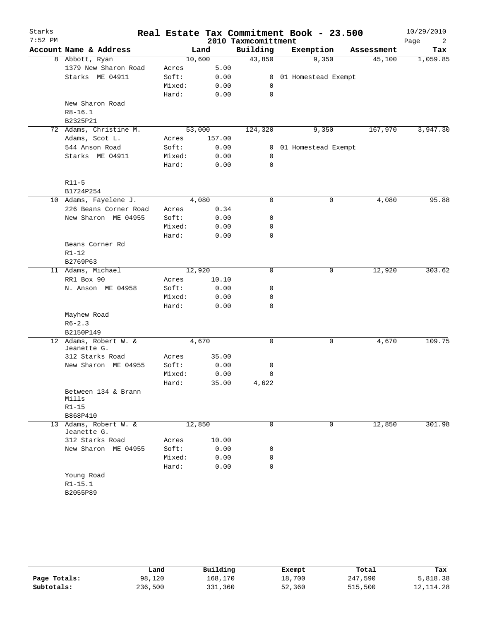| Starks<br>$7:52$ PM |                                      |        |        | 2010 Taxmcomittment | Real Estate Tax Commitment Book - 23.500 |            | 10/29/2010<br>Page<br>2 |
|---------------------|--------------------------------------|--------|--------|---------------------|------------------------------------------|------------|-------------------------|
|                     | Account Name & Address               |        | Land   | Building            | Exemption                                | Assessment | Tax                     |
|                     | 8 Abbott, Ryan                       |        | 10,600 | 43,850              | 9,350                                    | 45,100     | 1,059.85                |
|                     | 1379 New Sharon Road                 | Acres  | 5.00   |                     |                                          |            |                         |
|                     | Starks ME 04911                      | Soft:  | 0.00   | $\mathbf{0}$        | 01 Homestead Exempt                      |            |                         |
|                     |                                      | Mixed: | 0.00   | 0                   |                                          |            |                         |
|                     |                                      | Hard:  | 0.00   | 0                   |                                          |            |                         |
|                     | New Sharon Road                      |        |        |                     |                                          |            |                         |
|                     | $R8 - 16.1$                          |        |        |                     |                                          |            |                         |
|                     | B2325P21                             |        |        |                     |                                          |            |                         |
|                     | 72 Adams, Christine M.               |        | 53,000 | 124,320             | 9,350                                    | 167,970    | 3,947.30                |
|                     | Adams, Scot L.                       | Acres  | 157.00 |                     |                                          |            |                         |
|                     | 544 Anson Road                       | Soft:  | 0.00   | 0                   | 01 Homestead Exempt                      |            |                         |
|                     | Starks ME 04911                      | Mixed: | 0.00   | 0                   |                                          |            |                         |
|                     |                                      | Hard:  | 0.00   | 0                   |                                          |            |                         |
|                     | $R11 - 5$                            |        |        |                     |                                          |            |                         |
|                     | B1724P254                            |        |        |                     |                                          |            |                         |
|                     | 10 Adams, Fayelene J.                |        | 4,080  | 0                   | 0                                        | 4,080      | 95.88                   |
|                     | 226 Beans Corner Road                | Acres  | 0.34   |                     |                                          |            |                         |
|                     | New Sharon ME 04955                  | Soft:  | 0.00   | 0                   |                                          |            |                         |
|                     |                                      | Mixed: | 0.00   | 0                   |                                          |            |                         |
|                     |                                      | Hard:  | 0.00   | 0                   |                                          |            |                         |
|                     | Beans Corner Rd                      |        |        |                     |                                          |            |                         |
|                     | $R1 - 12$                            |        |        |                     |                                          |            |                         |
|                     | B2769P63                             |        |        |                     |                                          |            |                         |
|                     | 11 Adams, Michael                    |        | 12,920 | 0                   | 0                                        | 12,920     | 303.62                  |
|                     | RR1 Box 90                           | Acres  | 10.10  |                     |                                          |            |                         |
|                     | N. Anson ME 04958                    | Soft:  | 0.00   | 0                   |                                          |            |                         |
|                     |                                      | Mixed: | 0.00   | 0                   |                                          |            |                         |
|                     |                                      | Hard:  | 0.00   | 0                   |                                          |            |                         |
|                     | Mayhew Road                          |        |        |                     |                                          |            |                         |
|                     | $R6 - 2.3$                           |        |        |                     |                                          |            |                         |
|                     | B2150P149                            |        |        |                     |                                          |            |                         |
|                     | 12 Adams, Robert W. &<br>Jeanette G. |        | 4,670  | 0                   | 0                                        | 4,670      | 109.75                  |
|                     | 312 Starks Road                      | Acres  | 35.00  |                     |                                          |            |                         |
|                     | New Sharon ME 04955                  | Soft:  | 0.00   | 0                   |                                          |            |                         |
|                     |                                      | Mixed: | 0.00   | 0                   |                                          |            |                         |
|                     |                                      | Hard:  | 35.00  | 4,622               |                                          |            |                         |
|                     | Between 134 & Brann<br>Mills         |        |        |                     |                                          |            |                         |
|                     | $R1 - 15$                            |        |        |                     |                                          |            |                         |
|                     | B868P410                             |        |        |                     |                                          |            |                         |
|                     | 13 Adams, Robert W. &                |        | 12,850 | 0                   | 0                                        | 12,850     | 301.98                  |
|                     | Jeanette G.                          |        |        |                     |                                          |            |                         |
|                     | 312 Starks Road                      | Acres  | 10.00  |                     |                                          |            |                         |
|                     | New Sharon ME 04955                  | Soft:  | 0.00   | 0                   |                                          |            |                         |
|                     |                                      | Mixed: | 0.00   | 0                   |                                          |            |                         |
|                     |                                      | Hard:  | 0.00   | 0                   |                                          |            |                         |
|                     | Young Road                           |        |        |                     |                                          |            |                         |
|                     | $R1 - 15.1$                          |        |        |                     |                                          |            |                         |
|                     | B2055P89                             |        |        |                     |                                          |            |                         |

|              | Land    | Building | Exempt | Total   | Tax        |
|--------------|---------|----------|--------|---------|------------|
| Page Totals: | 98,120  | 168,170  | 18,700 | 247,590 | 5,818.38   |
| Subtotals:   | 236,500 | 331,360  | 52,360 | 515,500 | 12, 114.28 |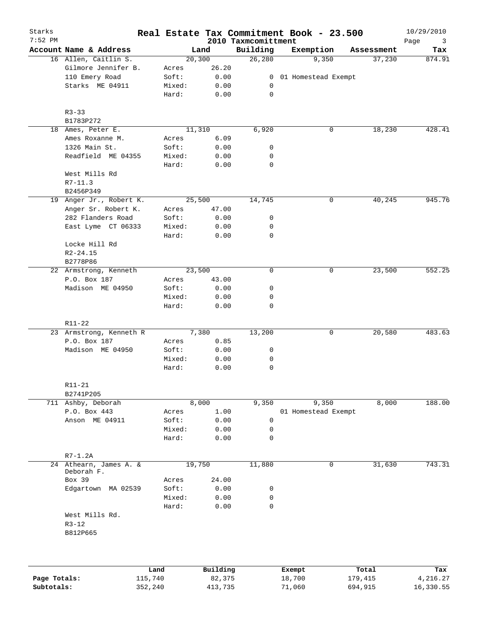| Starks<br>7:52 PM |                         |        |          | 2010 Taxmcomittment | Real Estate Tax Commitment Book - 23.500 |            | 10/29/2010<br>Page<br>3 |
|-------------------|-------------------------|--------|----------|---------------------|------------------------------------------|------------|-------------------------|
|                   | Account Name & Address  |        | Land     | Building            | Exemption                                | Assessment | Tax                     |
|                   | 16 Allen, Caitlin S.    |        | 20,300   | 26,280              | 9,350                                    | 37,230     | 874.91                  |
|                   | Gilmore Jennifer B.     | Acres  | 26.20    |                     |                                          |            |                         |
|                   | 110 Emery Road          | Soft:  | 0.00     |                     | 0 01 Homestead Exempt                    |            |                         |
|                   | Starks ME 04911         | Mixed: | 0.00     | 0                   |                                          |            |                         |
|                   |                         | Hard:  | 0.00     | 0                   |                                          |            |                         |
|                   | $R3 - 33$               |        |          |                     |                                          |            |                         |
|                   | B1783P272               |        |          |                     |                                          |            |                         |
|                   | 18 Ames, Peter E.       |        | 11,310   | 6,920               | 0                                        | 18,230     | 428.41                  |
|                   | Ames Roxanne M.         | Acres  | 6.09     |                     |                                          |            |                         |
|                   | 1326 Main St.           | Soft:  | 0.00     | 0                   |                                          |            |                         |
|                   | Readfield ME 04355      | Mixed: | 0.00     | 0                   |                                          |            |                         |
|                   |                         | Hard:  | 0.00     | 0                   |                                          |            |                         |
|                   | West Mills Rd           |        |          |                     |                                          |            |                         |
|                   | $R7-11.3$               |        |          |                     |                                          |            |                         |
|                   | B2456P349               |        |          |                     |                                          |            |                         |
|                   | 19 Anger Jr., Robert K. |        | 25,500   | 14,745              | 0                                        | 40,245     | 945.76                  |
|                   | Anger Sr. Robert K.     | Acres  | 47.00    |                     |                                          |            |                         |
|                   | 282 Flanders Road       | Soft:  | 0.00     | 0                   |                                          |            |                         |
|                   | East Lyme CT 06333      | Mixed: | 0.00     | 0                   |                                          |            |                         |
|                   |                         | Hard:  | 0.00     | 0                   |                                          |            |                         |
|                   |                         |        |          |                     |                                          |            |                         |
|                   | Locke Hill Rd           |        |          |                     |                                          |            |                         |
|                   | $R2 - 24.15$            |        |          |                     |                                          |            |                         |
|                   | B2778P86                |        |          |                     |                                          |            |                         |
|                   | 22 Armstrong, Kenneth   |        | 23,500   | $\mathbf 0$         | 0                                        | 23,500     | 552.25                  |
|                   | P.O. Box 187            | Acres  | 43.00    |                     |                                          |            |                         |
|                   | Madison ME 04950        | Soft:  | 0.00     | 0                   |                                          |            |                         |
|                   |                         | Mixed: | 0.00     | 0                   |                                          |            |                         |
|                   |                         | Hard:  | 0.00     | $\mathbf 0$         |                                          |            |                         |
|                   | R11-22                  |        |          |                     |                                          |            |                         |
|                   | 23 Armstrong, Kenneth R |        | 7,380    | 13,200              | 0                                        | 20,580     | 483.63                  |
|                   | P.O. Box 187            | Acres  | 0.85     |                     |                                          |            |                         |
|                   | Madison ME 04950        | Soft:  | 0.00     | 0                   |                                          |            |                         |
|                   |                         | Mixed: | 0.00     | 0                   |                                          |            |                         |
|                   |                         | Hard:  | 0.00     | 0                   |                                          |            |                         |
|                   | $R11 - 21$              |        |          |                     |                                          |            |                         |
|                   | B2741P205               |        |          |                     |                                          |            |                         |
|                   | 711 Ashby, Deborah      |        | 8,000    | 9,350               | 9,350                                    | 8,000      | 188.00                  |
|                   | P.O. Box 443            | Acres  | 1.00     |                     | 01 Homestead Exempt                      |            |                         |
|                   | Anson ME 04911          | Soft:  | 0.00     | $\mathbf 0$         |                                          |            |                         |
|                   |                         | Mixed: | 0.00     | 0                   |                                          |            |                         |
|                   |                         | Hard:  | 0.00     | $\mathsf{O}$        |                                          |            |                         |
|                   | $R7-1.2A$               |        |          |                     |                                          |            |                         |
|                   | 24 Athearn, James A. &  |        | 19,750   | 11,880              | 0                                        | 31,630     | 743.31                  |
|                   | Deborah F.              |        |          |                     |                                          |            |                         |
|                   | Box 39                  | Acres  | 24.00    |                     |                                          |            |                         |
|                   | Edgartown MA 02539      | Soft:  | 0.00     | 0                   |                                          |            |                         |
|                   |                         | Mixed: | 0.00     | 0                   |                                          |            |                         |
|                   |                         | Hard:  | 0.00     | $\mathbf 0$         |                                          |            |                         |
|                   | West Mills Rd.          |        |          |                     |                                          |            |                         |
|                   | $R3 - 12$               |        |          |                     |                                          |            |                         |
|                   | B812P665                |        |          |                     |                                          |            |                         |
|                   |                         |        |          |                     |                                          |            |                         |
|                   |                         |        |          |                     |                                          |            |                         |
|                   | Land                    |        | Building |                     | Exempt                                   | Total      | Tax                     |
| Page Totals:      | 115,740                 |        | 82,375   |                     | 18,700                                   | 179,415    | 4,216.27                |

**Subtotals:** 352,240 413,735 71,060 694,915 16,330.55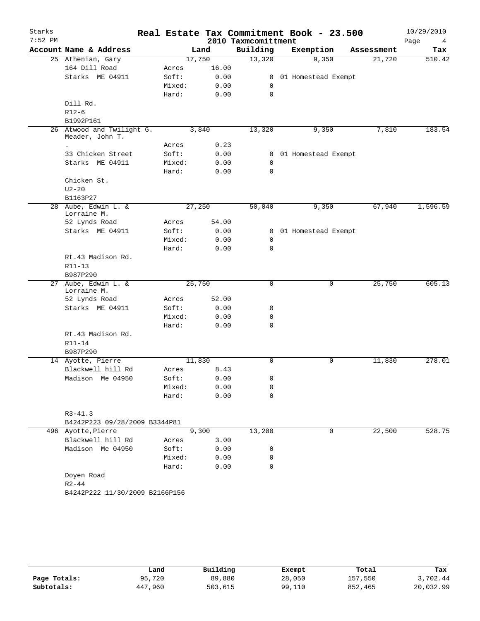| Starks<br>$7:52$ PM |                                              |                 |              | Real Estate Tax Commitment Book - 23.500<br>2010 Taxmcomittment |                       |   |            | 10/29/2010<br>Page<br>4 |
|---------------------|----------------------------------------------|-----------------|--------------|-----------------------------------------------------------------|-----------------------|---|------------|-------------------------|
|                     | Account Name & Address                       |                 | Land         | Building                                                        | Exemption             |   | Assessment | Tax                     |
|                     | 25 Athenian, Gary                            | 17,750          |              | 13,320                                                          | 9,350                 |   | 21,720     | 510.42                  |
|                     | 164 Dill Road                                | Acres           | 16.00        |                                                                 |                       |   |            |                         |
|                     | Starks ME 04911                              | Soft:           | 0.00         | $\mathbf{0}$                                                    | 01 Homestead Exempt   |   |            |                         |
|                     |                                              | Mixed:          | 0.00         | 0                                                               |                       |   |            |                         |
|                     |                                              | Hard:           | 0.00         | $\Omega$                                                        |                       |   |            |                         |
|                     | Dill Rd.                                     |                 |              |                                                                 |                       |   |            |                         |
|                     | $R12-6$                                      |                 |              |                                                                 |                       |   |            |                         |
|                     | B1992P161                                    |                 |              |                                                                 |                       |   |            |                         |
|                     | 26 Atwood and Twilight G.<br>Meader, John T. | 3,840           |              | 13,320                                                          | 9,350                 |   | 7,810      | 183.54                  |
|                     |                                              | Acres           | 0.23         |                                                                 |                       |   |            |                         |
|                     | 33 Chicken Street                            | Soft:           | 0.00         |                                                                 | 0 01 Homestead Exempt |   |            |                         |
|                     | Starks ME 04911                              | Mixed:<br>Hard: | 0.00<br>0.00 | $\mathbf 0$<br>$\Omega$                                         |                       |   |            |                         |
|                     | Chicken St.                                  |                 |              |                                                                 |                       |   |            |                         |
|                     | $U2 - 20$                                    |                 |              |                                                                 |                       |   |            |                         |
|                     | B1163P27                                     |                 |              |                                                                 |                       |   |            |                         |
|                     | 28 Aube, Edwin L. &<br>Lorraine M.           | 27,250          |              | 50,040                                                          | 9,350                 |   | 67,940     | 1,596.59                |
|                     | 52 Lynds Road                                | Acres           | 54.00        |                                                                 |                       |   |            |                         |
|                     | Starks ME 04911                              | Soft:           | 0.00         |                                                                 | 0 01 Homestead Exempt |   |            |                         |
|                     |                                              | Mixed:          | 0.00         | $\mathbf 0$                                                     |                       |   |            |                         |
|                     |                                              | Hard:           | 0.00         | 0                                                               |                       |   |            |                         |
|                     | Rt.43 Madison Rd.                            |                 |              |                                                                 |                       |   |            |                         |
|                     | $R11 - 13$                                   |                 |              |                                                                 |                       |   |            |                         |
|                     | B987P290                                     |                 |              |                                                                 |                       |   |            |                         |
| 27                  | Aube, Edwin L. &<br>Lorraine M.              | 25,750          |              | 0                                                               |                       | 0 | 25,750     | 605.13                  |
|                     | 52 Lynds Road                                | Acres           | 52.00        |                                                                 |                       |   |            |                         |
|                     | Starks ME 04911                              | Soft:           | 0.00         | 0                                                               |                       |   |            |                         |
|                     |                                              | Mixed:          | 0.00         | 0                                                               |                       |   |            |                         |
|                     |                                              | Hard:           | 0.00         | 0                                                               |                       |   |            |                         |
|                     | Rt.43 Madison Rd.                            |                 |              |                                                                 |                       |   |            |                         |
|                     | $R11 - 14$                                   |                 |              |                                                                 |                       |   |            |                         |
|                     | B987P290                                     |                 |              |                                                                 |                       |   |            |                         |
|                     | 14 Ayotte, Pierre                            | 11,830          |              | $\Omega$                                                        |                       | 0 | 11,830     | 278.01                  |
|                     | Blackwell hill Rd                            | Acres           | 8.43         |                                                                 |                       |   |            |                         |
|                     | Madison Me 04950                             | Soft:           | 0.00         | 0                                                               |                       |   |            |                         |
|                     |                                              | Mixed:          | 0.00         | 0                                                               |                       |   |            |                         |
|                     |                                              | Hard:           | 0.00         | $\Omega$                                                        |                       |   |            |                         |
|                     | $R3 - 41.3$                                  |                 |              |                                                                 |                       |   |            |                         |
|                     | B4242P223 09/28/2009 B3344P81                |                 |              |                                                                 |                       |   |            |                         |
|                     | 496 Ayotte, Pierre                           |                 | 9,300        | 13,200                                                          |                       | 0 | 22,500     | 528.75                  |
|                     | Blackwell hill Rd                            | Acres           | 3.00         |                                                                 |                       |   |            |                         |
|                     | Madison Me 04950                             | Soft:           | 0.00         | 0                                                               |                       |   |            |                         |
|                     |                                              | Mixed:          | 0.00         | 0                                                               |                       |   |            |                         |
|                     |                                              | Hard:           | 0.00         | 0                                                               |                       |   |            |                         |
|                     | Doyen Road                                   |                 |              |                                                                 |                       |   |            |                         |
|                     | $R2 - 44$                                    |                 |              |                                                                 |                       |   |            |                         |
|                     | B4242P222 11/30/2009 B2166P156               |                 |              |                                                                 |                       |   |            |                         |
|                     |                                              |                 |              |                                                                 |                       |   |            |                         |
|                     |                                              |                 |              |                                                                 |                       |   |            |                         |

|              | Land    | Building | Exempt | Total   | Tax       |
|--------------|---------|----------|--------|---------|-----------|
| Page Totals: | 95,720  | 89,880   | 28,050 | 157,550 | 3,702.44  |
| Subtotals:   | 447,960 | 503,615  | 99,110 | 852,465 | 20,032.99 |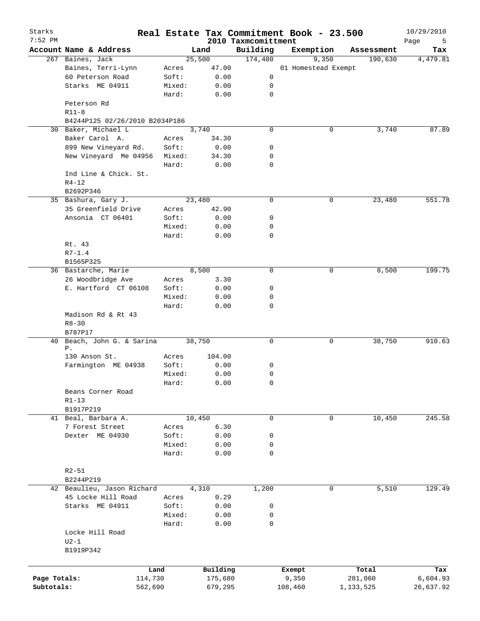| Starks<br>$7:52$ PM |                                        |         |          |                                 | Real Estate Tax Commitment Book - 23.500 |            | 10/29/2010       |
|---------------------|----------------------------------------|---------|----------|---------------------------------|------------------------------------------|------------|------------------|
|                     | Account Name & Address                 |         | Land     | 2010 Taxmcomittment<br>Building | Exemption                                | Assessment | Page<br>5<br>Tax |
|                     | 267 Baines, Jack                       |         | 25,500   | 174,480                         | 9,350                                    | 190,630    | 4,479.81         |
|                     | Baines, Terri-Lynn                     | Acres   | 47.00    |                                 | 01 Homestead Exempt                      |            |                  |
|                     | 60 Peterson Road                       | Soft:   | 0.00     | 0                               |                                          |            |                  |
|                     | Starks ME 04911                        | Mixed:  | 0.00     | 0                               |                                          |            |                  |
|                     |                                        | Hard:   | 0.00     | 0                               |                                          |            |                  |
|                     | Peterson Rd                            |         |          |                                 |                                          |            |                  |
|                     |                                        |         |          |                                 |                                          |            |                  |
|                     | $R11 - 8$                              |         |          |                                 |                                          |            |                  |
|                     | B4244P125 02/26/2010 B2034P186         |         |          |                                 |                                          |            |                  |
|                     | 30 Baker, Michael L                    |         | 3,740    | 0                               | 0                                        | 3,740      | 87.89            |
|                     | Baker Carol A.                         | Acres   | 34.30    |                                 |                                          |            |                  |
|                     | 899 New Vineyard Rd.                   | Soft:   | 0.00     | 0                               |                                          |            |                  |
|                     | New Vineyard Me 04956                  | Mixed:  | 34.30    | 0                               |                                          |            |                  |
|                     |                                        | Hard:   | 0.00     | 0                               |                                          |            |                  |
|                     | Ind Line & Chick. St.                  |         |          |                                 |                                          |            |                  |
|                     | $R4 - 12$                              |         |          |                                 |                                          |            |                  |
|                     | B2692P346                              |         |          |                                 |                                          |            |                  |
|                     | 35 Bashura, Gary J.                    |         | 23,480   | 0                               | 0                                        | 23,480     | 551.78           |
|                     | 35 Greenfield Drive                    | Acres   | 42.90    |                                 |                                          |            |                  |
|                     | Ansonia CT 06401                       | Soft:   | 0.00     | 0                               |                                          |            |                  |
|                     |                                        | Mixed:  | 0.00     | 0                               |                                          |            |                  |
|                     |                                        | Hard:   | 0.00     | 0                               |                                          |            |                  |
|                     | Rt. 43                                 |         |          |                                 |                                          |            |                  |
|                     | $R7 - 1.4$                             |         |          |                                 |                                          |            |                  |
|                     | B1565P325                              |         |          |                                 |                                          |            |                  |
|                     | 36 Bastarche, Marie                    |         | 8,500    | 0                               | 0                                        | 8,500      | 199.75           |
|                     | 26 Woodbridge Ave                      | Acres   | 3.30     |                                 |                                          |            |                  |
|                     | E. Hartford CT 06108                   | Soft:   | 0.00     | 0                               |                                          |            |                  |
|                     |                                        |         |          | 0                               |                                          |            |                  |
|                     |                                        | Mixed:  | 0.00     | 0                               |                                          |            |                  |
|                     | Madison Rd & Rt 43<br>$R8 - 30$        | Hard:   | 0.00     |                                 |                                          |            |                  |
|                     | B787P17                                |         |          |                                 |                                          |            |                  |
|                     | 40 Beach, John G. & Sarina             |         | 38,750   | 0                               | 0                                        | 38,750     | 910.63           |
|                     | Ρ.                                     |         |          |                                 |                                          |            |                  |
|                     | 130 Anson St.                          | Acres   | 104.00   |                                 |                                          |            |                  |
|                     | Farmington ME 04938                    | Soft:   | 0.00     | 0                               |                                          |            |                  |
|                     |                                        | Mixed:  | 0.00     | 0                               |                                          |            |                  |
|                     |                                        | Hard:   | 0.00     | 0                               |                                          |            |                  |
|                     | Beans Corner Road<br>$R1 - 13$         |         |          |                                 |                                          |            |                  |
|                     | B1917P219                              |         |          |                                 |                                          |            |                  |
|                     | 41 Beal, Barbara A.                    |         | 10,450   | 0                               | $\mathbf 0$                              | 10,450     | 245.58           |
|                     | 7 Forest Street                        | Acres   | 6.30     |                                 |                                          |            |                  |
|                     | Dexter ME 04930                        | Soft:   | 0.00     | 0                               |                                          |            |                  |
|                     |                                        | Mixed:  | 0.00     | 0                               |                                          |            |                  |
|                     |                                        | Hard:   | 0.00     | $\mathbf 0$                     |                                          |            |                  |
|                     |                                        |         |          |                                 |                                          |            |                  |
|                     | $R2 - 51$                              |         |          |                                 |                                          |            |                  |
|                     | B2244P219                              |         |          |                                 |                                          |            |                  |
|                     | 42 Beaulieu, Jason Richard             |         | 4,310    | 1,200                           | $\mathbf 0$                              | 5,510      | 129.49           |
|                     | 45 Locke Hill Road                     | Acres   | 0.29     |                                 |                                          |            |                  |
|                     | Starks ME 04911                        | Soft:   | 0.00     | 0                               |                                          |            |                  |
|                     |                                        | Mixed:  | 0.00     | 0                               |                                          |            |                  |
|                     |                                        | Hard:   | 0.00     | $\mathbf 0$                     |                                          |            |                  |
|                     | Locke Hill Road<br>$U2-1$<br>B1919P342 |         |          |                                 |                                          |            |                  |
|                     |                                        |         |          |                                 |                                          |            |                  |
|                     |                                        | Land    | Building |                                 | Exempt                                   | Total      | Tax              |
| Page Totals:        |                                        | 114,730 | 175,680  |                                 | 9,350                                    | 281,060    | 6,604.93         |
| Subtotals:          |                                        | 562,690 | 679,295  |                                 | 108,460                                  | 1,133,525  | 26,637.92        |
|                     |                                        |         |          |                                 |                                          |            |                  |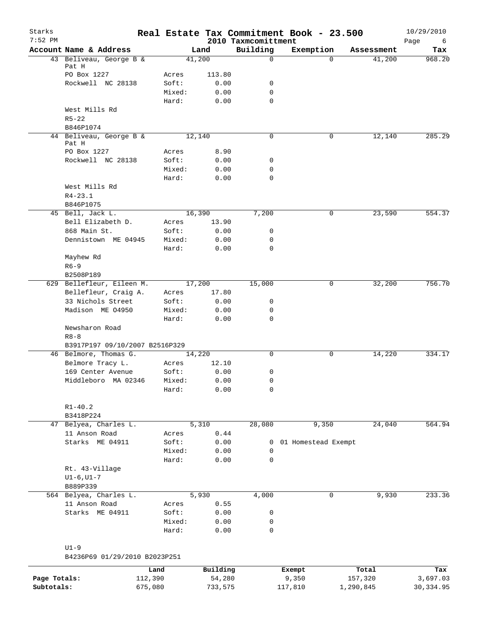| Starks<br>$7:52$ PM |                                            |                 |              | 2010 Taxmcomittment | Real Estate Tax Commitment Book - 23.500 |            | 10/29/2010<br>Page<br>6 |
|---------------------|--------------------------------------------|-----------------|--------------|---------------------|------------------------------------------|------------|-------------------------|
|                     | Account Name & Address                     |                 | Land         | Building            | Exemption                                | Assessment | Tax                     |
|                     | 43 Beliveau, George B &                    |                 | 41,200       | $\mathbf 0$         | $\Omega$                                 | 41,200     | 968.20                  |
|                     | Pat H                                      |                 |              |                     |                                          |            |                         |
|                     | PO Box 1227                                | Acres           | 113.80       |                     |                                          |            |                         |
|                     | Rockwell NC 28138                          | Soft:<br>Mixed: | 0.00<br>0.00 | 0<br>0              |                                          |            |                         |
|                     |                                            | Hard:           | 0.00         | 0                   |                                          |            |                         |
|                     | West Mills Rd                              |                 |              |                     |                                          |            |                         |
|                     | $R5 - 22$                                  |                 |              |                     |                                          |            |                         |
|                     | B846P1074                                  |                 |              |                     |                                          |            |                         |
|                     | 44 Beliveau, George B &                    |                 | 12,140       | 0                   | 0                                        | 12,140     | 285.29                  |
|                     | Pat H                                      |                 |              |                     |                                          |            |                         |
|                     | PO Box 1227                                | Acres           | 8.90         |                     |                                          |            |                         |
|                     | Rockwell NC 28138                          | Soft:           | 0.00         | 0                   |                                          |            |                         |
|                     |                                            | Mixed:          | 0.00         | 0                   |                                          |            |                         |
|                     |                                            | Hard:           | 0.00         | 0                   |                                          |            |                         |
|                     | West Mills Rd                              |                 |              |                     |                                          |            |                         |
|                     | $R4 - 23.1$                                |                 |              |                     |                                          |            |                         |
|                     | B846P1075                                  |                 |              |                     |                                          |            |                         |
|                     | 45 Bell, Jack L.                           |                 | 16,390       | 7,200               | 0                                        | 23,590     | 554.37                  |
|                     | Bell Elizabeth D.                          | Acres           | 13.90        |                     |                                          |            |                         |
|                     | 868 Main St.                               | Soft:           | 0.00         | 0                   |                                          |            |                         |
|                     | Dennistown ME 04945                        | Mixed:          | 0.00         | 0                   |                                          |            |                         |
|                     |                                            | Hard:           | 0.00         | $\mathbf 0$         |                                          |            |                         |
|                     | Mayhew Rd                                  |                 |              |                     |                                          |            |                         |
|                     | $R6 - 9$                                   |                 |              |                     |                                          |            |                         |
|                     | B2508P189                                  |                 |              |                     |                                          |            |                         |
|                     | 629 Bellefleur, Eileen M.                  |                 | 17,200       | 15,000              | 0                                        | 32,200     | 756.70                  |
|                     | Bellefleur, Craig A.                       | Acres           | 17.80        |                     |                                          |            |                         |
|                     | 33 Nichols Street                          | Soft:           | 0.00         | 0                   |                                          |            |                         |
|                     | Madison ME 04950                           | Mixed:          | 0.00         | 0                   |                                          |            |                         |
|                     |                                            | Hard:           | 0.00         | 0                   |                                          |            |                         |
|                     | Newsharon Road                             |                 |              |                     |                                          |            |                         |
|                     | $R8 - 8$<br>B3917P197 09/10/2007 B2516P329 |                 |              |                     |                                          |            |                         |
|                     | 46 Belmore, Thomas G.                      |                 | 14,220       | 0                   | 0                                        | 14,220     | 334.17                  |
|                     | Belmore Tracy L.                           | Acres           | 12.10        |                     |                                          |            |                         |
|                     | 169 Center Avenue                          | Soft:           | 0.00         | 0                   |                                          |            |                         |
|                     | Middleboro MA 02346                        | Mixed:          | 0.00         | 0                   |                                          |            |                         |
|                     |                                            | Hard:           | 0.00         | 0                   |                                          |            |                         |
|                     |                                            |                 |              |                     |                                          |            |                         |
|                     | $R1 - 40.2$                                |                 |              |                     |                                          |            |                         |
|                     | B3418P224                                  |                 |              |                     |                                          |            |                         |
| 47                  | Belyea, Charles L.                         |                 | 5,310        | 28,080              | 9,350                                    | 24,040     | 564.94                  |
|                     | 11 Anson Road                              | Acres           | 0.44         |                     |                                          |            |                         |
|                     | Starks ME 04911                            | Soft:           | 0.00         | 0                   | 01 Homestead Exempt                      |            |                         |
|                     |                                            | Mixed:          | 0.00         | 0                   |                                          |            |                         |
|                     |                                            | Hard:           | 0.00         | $\mathbf 0$         |                                          |            |                         |
|                     | Rt. 43-Village                             |                 |              |                     |                                          |            |                         |
|                     | $UI-6, UI-7$                               |                 |              |                     |                                          |            |                         |
|                     | B889P339                                   |                 |              |                     |                                          |            |                         |
|                     | 564 Belyea, Charles L.                     |                 | 5,930        | 4,000               | 0                                        | 9,930      | 233.36                  |
|                     | 11 Anson Road                              | Acres           | 0.55         |                     |                                          |            |                         |
|                     | Starks ME 04911                            | Soft:           | 0.00         | 0                   |                                          |            |                         |
|                     |                                            | Mixed:          | 0.00         | 0                   |                                          |            |                         |
|                     |                                            | Hard:           | 0.00         | 0                   |                                          |            |                         |
|                     |                                            |                 |              |                     |                                          |            |                         |
|                     | $U1-9$                                     |                 |              |                     |                                          |            |                         |
|                     | B4236P69 01/29/2010 B2023P251              |                 |              |                     |                                          |            |                         |
|                     |                                            | Land            | Building     |                     | Exempt                                   | Total      | Tax                     |
| Page Totals:        | 112,390                                    |                 | 54,280       |                     | 9,350                                    | 157,320    | 3,697.03                |

**Subtotals:** 675,080 733,575 117,810 1,290,845 30,334.95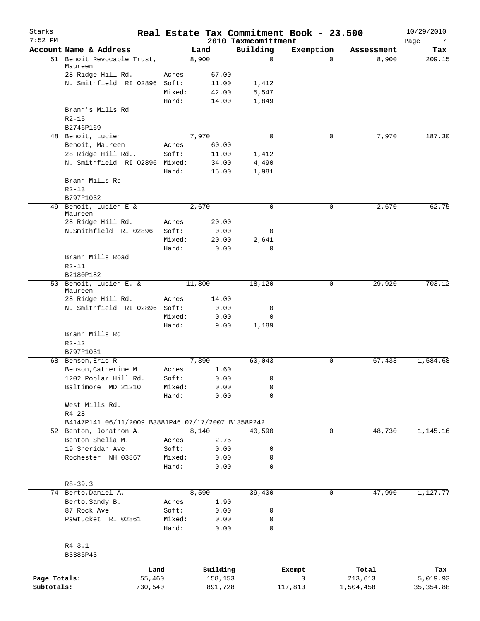| Starks<br>$7:52$ PM |                                                    |        |          | 2010 Taxmcomittment | Real Estate Tax Commitment Book - 23.500 |            | 10/29/2010<br>Page<br>7 |
|---------------------|----------------------------------------------------|--------|----------|---------------------|------------------------------------------|------------|-------------------------|
|                     | Account Name & Address                             |        | Land     | Building            | Exemption                                | Assessment | Tax                     |
|                     | 51 Benoit Revocable Trust,<br>Maureen              |        | 8,900    | $\mathbf 0$         | $\Omega$                                 | 8,900      | 209.15                  |
|                     | 28 Ridge Hill Rd.                                  | Acres  | 67.00    |                     |                                          |            |                         |
|                     | N. Smithfield RI 02896 Soft:                       |        | 11.00    | 1,412               |                                          |            |                         |
|                     |                                                    | Mixed: | 42.00    | 5,547               |                                          |            |                         |
|                     |                                                    | Hard:  | 14.00    | 1,849               |                                          |            |                         |
|                     | Brann's Mills Rd                                   |        |          |                     |                                          |            |                         |
|                     | $R2 - 15$                                          |        |          |                     |                                          |            |                         |
|                     | B2746P169                                          |        |          |                     |                                          |            |                         |
|                     | 48 Benoit, Lucien                                  |        | 7,970    | 0                   | 0                                        | 7,970      | 187.30                  |
|                     | Benoit, Maureen                                    | Acres  | 60.00    |                     |                                          |            |                         |
|                     | 28 Ridge Hill Rd                                   | Soft:  | 11.00    | 1,412               |                                          |            |                         |
|                     | N. Smithfield RI 02896                             | Mixed: | 34.00    | 4,490               |                                          |            |                         |
|                     |                                                    | Hard:  | 15.00    | 1,981               |                                          |            |                         |
|                     | Brann Mills Rd<br>$R2 - 13$                        |        |          |                     |                                          |            |                         |
|                     | B797P1032                                          |        |          |                     |                                          |            |                         |
| 49                  | Benoit, Lucien E &                                 |        | 2,670    | $\mathbf 0$         | 0                                        | 2,670      | 62.75                   |
|                     | Maureen                                            |        |          |                     |                                          |            |                         |
|                     | 28 Ridge Hill Rd.                                  | Acres  | 20.00    |                     |                                          |            |                         |
|                     | N.Smithfield RI 02896                              | Soft:  | 0.00     | 0                   |                                          |            |                         |
|                     |                                                    | Mixed: | 20.00    | 2,641               |                                          |            |                         |
|                     |                                                    | Hard:  | 0.00     | $\mathbf 0$         |                                          |            |                         |
|                     | Brann Mills Road                                   |        |          |                     |                                          |            |                         |
|                     | $R2 - 11$                                          |        |          |                     |                                          |            |                         |
|                     | B2180P182                                          |        |          |                     |                                          |            |                         |
|                     | 50 Benoit, Lucien E. &                             |        | 11,800   | 18,120              | 0                                        | 29,920     | 703.12                  |
|                     | Maureen<br>28 Ridge Hill Rd.                       | Acres  | 14.00    |                     |                                          |            |                         |
|                     | N. Smithfield RI 02896                             | Soft:  | 0.00     | 0                   |                                          |            |                         |
|                     |                                                    | Mixed: | 0.00     | 0                   |                                          |            |                         |
|                     |                                                    | Hard:  | 9.00     | 1,189               |                                          |            |                         |
|                     | Brann Mills Rd                                     |        |          |                     |                                          |            |                         |
|                     | $R2 - 12$                                          |        |          |                     |                                          |            |                         |
|                     | B797P1031                                          |        |          |                     |                                          |            |                         |
|                     | 68 Benson, Eric R                                  |        | 7,390    | 60,043              | 0                                        | 67,433     | 1,584.68                |
|                     | Benson, Catherine M                                | Acres  | 1.60     |                     |                                          |            |                         |
|                     | 1202 Poplar Hill Rd.                               | Soft:  | 0.00     | 0                   |                                          |            |                         |
|                     | Baltimore MD 21210                                 | Mixed: | 0.00     | 0                   |                                          |            |                         |
|                     |                                                    | Hard:  | 0.00     | 0                   |                                          |            |                         |
|                     | West Mills Rd.                                     |        |          |                     |                                          |            |                         |
|                     | $R4 - 28$                                          |        |          |                     |                                          |            |                         |
|                     | B4147P141 06/11/2009 B3881P46 07/17/2007 B1358P242 |        |          |                     |                                          |            |                         |
|                     | 52 Benton, Jonathon A.                             |        | 8,140    | 40,590              | 0                                        | 48,730     | 1,145.16                |
|                     | Benton Shelia M.                                   | Acres  | 2.75     |                     |                                          |            |                         |
|                     | 19 Sheridan Ave.                                   | Soft:  | 0.00     | 0                   |                                          |            |                         |
|                     | Rochester NH 03867                                 | Mixed: | 0.00     | 0                   |                                          |            |                         |
|                     |                                                    | Hard:  | 0.00     | 0                   |                                          |            |                         |
|                     |                                                    |        |          |                     |                                          |            |                         |
|                     | $R8 - 39.3$                                        |        |          |                     |                                          |            |                         |
|                     | 74 Berto, Daniel A.                                |        | 8,590    | 39,400              | 0                                        | 47,990     | 1,127.77                |
|                     | Berto, Sandy B.                                    | Acres  | 1.90     |                     |                                          |            |                         |
|                     | 87 Rock Ave                                        | Soft:  | 0.00     | 0                   |                                          |            |                         |
|                     | Pawtucket RI 02861                                 | Mixed: | 0.00     | 0                   |                                          |            |                         |
|                     |                                                    | Hard:  | 0.00     | $\mathbf 0$         |                                          |            |                         |
|                     |                                                    |        |          |                     |                                          |            |                         |
|                     | $R4 - 3.1$                                         |        |          |                     |                                          |            |                         |
|                     | B3385P43                                           |        |          |                     |                                          |            |                         |
|                     | Land                                               |        | Building |                     | Exempt                                   | Total      | Tax                     |
| Page Totals:        | 55,460                                             |        | 158,153  |                     | 0                                        | 213,613    | 5,019.93                |
| Subtotals:          | 730,540                                            |        | 891,728  |                     | 117,810                                  | 1,504,458  | 35, 354.88              |
|                     |                                                    |        |          |                     |                                          |            |                         |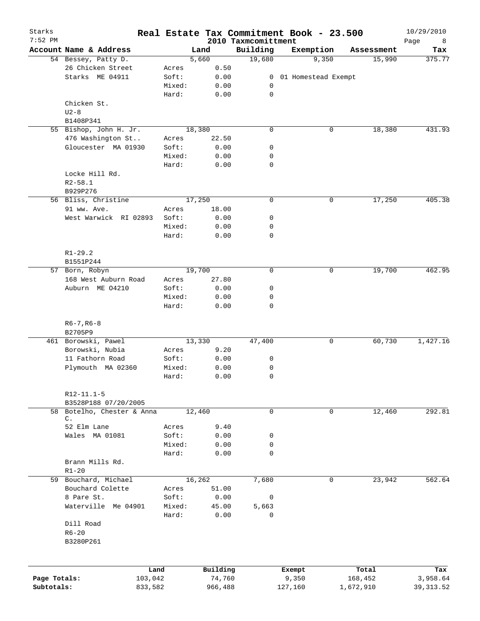| Starks<br>$7:52$ PM |                             |        |          | 2010 Taxmcomittment | Real Estate Tax Commitment Book - 23.500 |            | 10/29/2010<br>Page<br>8 |
|---------------------|-----------------------------|--------|----------|---------------------|------------------------------------------|------------|-------------------------|
|                     | Account Name & Address      |        | Land     | Building            | Exemption                                | Assessment | Tax                     |
|                     | 54 Bessey, Patty D.         |        | 5,660    | 19,680              | 9,350                                    | 15,990     | 375.77                  |
|                     | 26 Chicken Street           | Acres  | 0.50     |                     |                                          |            |                         |
|                     | Starks ME 04911             | Soft:  | 0.00     | $\overline{0}$      | 01 Homestead Exempt                      |            |                         |
|                     |                             | Mixed: | 0.00     | 0                   |                                          |            |                         |
|                     |                             | Hard:  | 0.00     | 0                   |                                          |            |                         |
|                     | Chicken St.                 |        |          |                     |                                          |            |                         |
|                     | $U2-8$                      |        |          |                     |                                          |            |                         |
|                     | B1408P341                   |        |          |                     |                                          |            |                         |
|                     | 55 Bishop, John H. Jr.      |        | 18,380   | 0                   | 0                                        | 18,380     | 431.93                  |
|                     | 476 Washington St           | Acres  | 22.50    |                     |                                          |            |                         |
|                     | Gloucester MA 01930         | Soft:  | 0.00     | 0                   |                                          |            |                         |
|                     |                             | Mixed: | 0.00     | 0                   |                                          |            |                         |
|                     |                             | Hard:  | 0.00     | $\mathbf 0$         |                                          |            |                         |
|                     | Locke Hill Rd.              |        |          |                     |                                          |            |                         |
|                     | $R2 - 58.1$                 |        |          |                     |                                          |            |                         |
|                     | B929P276                    |        |          |                     |                                          |            |                         |
|                     | 56 Bliss, Christine         |        | 17,250   | $\mathbf 0$         | 0                                        | 17,250     | 405.38                  |
|                     | 91 ww. Ave.                 | Acres  | 18.00    |                     |                                          |            |                         |
|                     | West Warwick RI 02893       | Soft:  | 0.00     | 0                   |                                          |            |                         |
|                     |                             | Mixed: | 0.00     | 0                   |                                          |            |                         |
|                     |                             | Hard:  | 0.00     | $\mathbf 0$         |                                          |            |                         |
|                     |                             |        |          |                     |                                          |            |                         |
|                     | $R1 - 29.2$                 |        |          |                     |                                          |            |                         |
|                     | B1551P244                   |        |          |                     |                                          |            |                         |
|                     | 57 Born, Robyn              |        | 19,700   | 0                   | 0                                        | 19,700     | 462.95                  |
|                     | 168 West Auburn Road        | Acres  | 27.80    |                     |                                          |            |                         |
|                     | Auburn ME 04210             | Soft:  | 0.00     | 0                   |                                          |            |                         |
|                     |                             | Mixed: | 0.00     | 0                   |                                          |            |                         |
|                     |                             | Hard:  | 0.00     | $\mathbf 0$         |                                          |            |                         |
|                     | $R6 - 7, R6 - 8$<br>B2705P9 |        |          |                     |                                          |            |                         |
|                     | 461 Borowski, Pawel         |        | 13,330   | 47,400              | 0                                        | 60,730     | 1,427.16                |
|                     | Borowski, Nubia             | Acres  | 9.20     |                     |                                          |            |                         |
|                     | 11 Fathorn Road             | Soft:  | 0.00     | 0                   |                                          |            |                         |
|                     | Plymouth MA 02360           | Mixed: | 0.00     | 0                   |                                          |            |                         |
|                     |                             | Hard:  | 0.00     | 0                   |                                          |            |                         |
|                     |                             |        |          |                     |                                          |            |                         |
|                     | R12-11.1-5                  |        |          |                     |                                          |            |                         |
|                     | B3528P188 07/20/2005        |        |          |                     |                                          |            |                         |
|                     | 58 Botelho, Chester & Anna  |        | 12,460   | 0                   | 0                                        | 12,460     | 292.81                  |
|                     | $\mathsf{C}$ .              |        |          |                     |                                          |            |                         |
|                     | 52 Elm Lane                 | Acres  | 9.40     |                     |                                          |            |                         |
|                     | Wales MA 01081              | Soft:  | 0.00     | 0                   |                                          |            |                         |
|                     |                             | Mixed: | 0.00     | 0                   |                                          |            |                         |
|                     |                             | Hard:  | 0.00     | $\mathbf 0$         |                                          |            |                         |
|                     | Brann Mills Rd.             |        |          |                     |                                          |            |                         |
|                     | $R1 - 20$                   |        |          |                     |                                          |            |                         |
|                     | 59 Bouchard, Michael        |        | 16,262   | 7,680               | 0                                        | 23,942     | 562.64                  |
|                     | Bouchard Colette            | Acres  | 51.00    |                     |                                          |            |                         |
|                     | 8 Pare St.                  | Soft:  | 0.00     | 0                   |                                          |            |                         |
|                     | Waterville Me 04901         | Mixed: | 45.00    | 5,663               |                                          |            |                         |
|                     |                             | Hard:  | 0.00     | 0                   |                                          |            |                         |
|                     | Dill Road                   |        |          |                     |                                          |            |                         |
|                     | $R6 - 20$                   |        |          |                     |                                          |            |                         |
|                     | B3280P261                   |        |          |                     |                                          |            |                         |
|                     |                             |        |          |                     |                                          |            |                         |
|                     |                             |        |          |                     |                                          |            |                         |
|                     | Land                        |        | Building |                     | Exempt                                   | Total      | Tax                     |
| Page Totals:        | 103,042                     |        | 74,760   |                     | 9,350                                    | 168,452    | 3,958.64                |
| Subtotals:          | 833,582                     |        | 966,488  |                     | 127,160                                  | 1,672,910  | 39, 313.52              |
|                     |                             |        |          |                     |                                          |            |                         |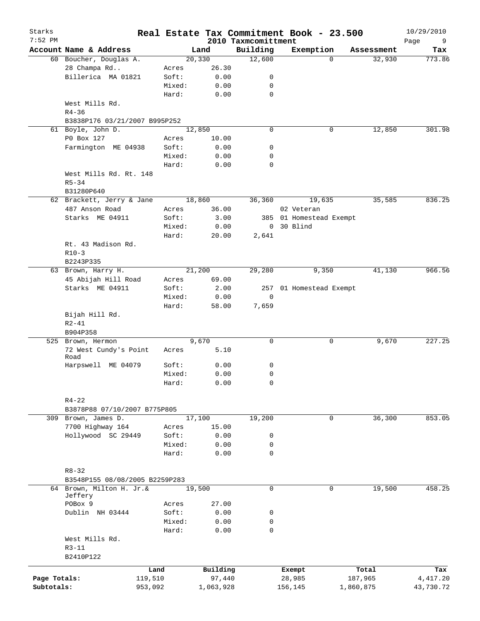| Starks<br>$7:52$ PM |                                     |        | Real Estate Tax Commitment Book - 23.500 | 2010 Taxmcomittment |                         |           |            | 10/29/2010<br>9 |
|---------------------|-------------------------------------|--------|------------------------------------------|---------------------|-------------------------|-----------|------------|-----------------|
|                     | Account Name & Address              |        | Land                                     | Building            | Exemption               |           | Assessment | Page<br>Tax     |
|                     | 60 Boucher, Douglas A.              |        | 20,330                                   | 12,600              |                         | $\Omega$  | 32,930     | 773.86          |
|                     | 28 Champa Rd                        | Acres  | 26.30                                    |                     |                         |           |            |                 |
|                     | Billerica MA 01821                  | Soft:  | 0.00                                     | 0                   |                         |           |            |                 |
|                     |                                     | Mixed: | 0.00                                     | 0                   |                         |           |            |                 |
|                     |                                     | Hard:  | 0.00                                     | $\mathbf 0$         |                         |           |            |                 |
|                     | West Mills Rd.                      |        |                                          |                     |                         |           |            |                 |
|                     | $R4 - 36$                           |        |                                          |                     |                         |           |            |                 |
|                     | B3838P176 03/21/2007 B995P252       |        |                                          |                     |                         |           |            |                 |
|                     | 61 Boyle, John D.                   |        | 12,850                                   | $\mathbf 0$         |                         | 0         | 12,850     | 301.98          |
|                     | P0 Box 127                          | Acres  | 10.00                                    |                     |                         |           |            |                 |
|                     | Farmington ME 04938                 | Soft:  | 0.00                                     | 0                   |                         |           |            |                 |
|                     |                                     | Mixed: | 0.00                                     | 0                   |                         |           |            |                 |
|                     |                                     | Hard:  | 0.00                                     | $\mathbf 0$         |                         |           |            |                 |
|                     | West Mills Rd. Rt. 148              |        |                                          |                     |                         |           |            |                 |
|                     | $R5 - 34$                           |        |                                          |                     |                         |           |            |                 |
|                     | B31280P640                          |        |                                          |                     |                         |           |            |                 |
|                     | 62 Brackett, Jerry & Jane           |        | 18,860                                   | 36,360              | 19,635                  |           | 35,585     | 836.25          |
|                     | 487 Anson Road                      | Acres  | 36.00                                    |                     | 02 Veteran              |           |            |                 |
|                     | Starks ME 04911                     | Soft:  | 3.00                                     |                     | 385 01 Homestead Exempt |           |            |                 |
|                     |                                     | Mixed: | 0.00                                     |                     | 0 30 Blind              |           |            |                 |
|                     |                                     | Hard:  | 20.00                                    | 2,641               |                         |           |            |                 |
|                     | Rt. 43 Madison Rd.                  |        |                                          |                     |                         |           |            |                 |
|                     | $R10-3$                             |        |                                          |                     |                         |           |            |                 |
|                     | B2243P335                           |        |                                          |                     |                         |           |            |                 |
|                     | 63 Brown, Harry H.                  |        | 21,200                                   | 29,280              | 9,350                   |           | 41,130     | 966.56          |
|                     |                                     |        |                                          |                     |                         |           |            |                 |
|                     | 45 Abijah Hill Road                 | Acres  | 69.00                                    |                     |                         |           |            |                 |
|                     | Starks ME 04911                     | Soft:  | 2.00                                     |                     | 257 01 Homestead Exempt |           |            |                 |
|                     |                                     | Mixed: | 0.00                                     | 0                   |                         |           |            |                 |
|                     |                                     | Hard:  | 58.00                                    | 7,659               |                         |           |            |                 |
|                     | Bijah Hill Rd.                      |        |                                          |                     |                         |           |            |                 |
|                     | $R2 - 41$                           |        |                                          |                     |                         |           |            |                 |
|                     | B904P358                            |        |                                          | $\mathbf 0$         |                         |           |            | 227.25          |
|                     | 525 Brown, Hermon                   |        | 9,670                                    |                     |                         | 0         | 9,670      |                 |
|                     | 72 West Cundy's Point<br>Road       | Acres  | 5.10                                     |                     |                         |           |            |                 |
|                     | Harpswell ME 04079                  | Soft:  | 0.00                                     | 0                   |                         |           |            |                 |
|                     |                                     | Mixed: | 0.00                                     | $\mathbf 0$         |                         |           |            |                 |
|                     |                                     | Hard:  | 0.00                                     | 0                   |                         |           |            |                 |
|                     |                                     |        |                                          |                     |                         |           |            |                 |
|                     | $R4 - 22$                           |        |                                          |                     |                         |           |            |                 |
|                     | B3878P88 07/10/2007 B775P805        |        |                                          |                     |                         |           |            |                 |
|                     | 309 Brown, James D.                 |        | 17,100                                   | 19,200              |                         | 0         | 36,300     | 853.05          |
|                     | 7700 Highway 164                    | Acres  | 15.00                                    |                     |                         |           |            |                 |
|                     | Hollywood SC 29449                  | Soft:  | 0.00                                     | 0                   |                         |           |            |                 |
|                     |                                     | Mixed: |                                          | 0                   |                         |           |            |                 |
|                     |                                     | Hard:  | 0.00                                     | $\mathbf 0$         |                         |           |            |                 |
|                     |                                     |        | 0.00                                     |                     |                         |           |            |                 |
|                     |                                     |        |                                          |                     |                         |           |            |                 |
|                     | $R8 - 32$                           |        |                                          |                     |                         |           |            |                 |
|                     | B3548P155 08/08/2005 B2259P283      |        |                                          |                     |                         |           |            |                 |
|                     | 64 Brown, Milton H. Jr.&<br>Jeffery |        | 19,500                                   | $\mathbf 0$         |                         | 0         | 19,500     | 458.25          |
|                     | POBox 9                             | Acres  | 27.00                                    |                     |                         |           |            |                 |
|                     | Dublin NH 03444                     | Soft:  | 0.00                                     | 0                   |                         |           |            |                 |
|                     |                                     | Mixed: | 0.00                                     | 0                   |                         |           |            |                 |
|                     |                                     | Hard:  | 0.00                                     | $\mathbf 0$         |                         |           |            |                 |
|                     | West Mills Rd.                      |        |                                          |                     |                         |           |            |                 |
|                     | $R3 - 11$                           |        |                                          |                     |                         |           |            |                 |
|                     | B2410P122                           |        |                                          |                     |                         |           |            |                 |
|                     |                                     |        |                                          |                     |                         |           |            |                 |
|                     |                                     | Land   | Building                                 |                     | Exempt                  |           | Total      | Tax             |
| Page Totals:        | 119,510                             |        | 97,440                                   |                     | 28,985                  |           | 187,965    | 4, 417.20       |
| Subtotals:          | 953,092                             |        | 1,063,928                                |                     | 156,145                 | 1,860,875 |            | 43,730.72       |
|                     |                                     |        |                                          |                     |                         |           |            |                 |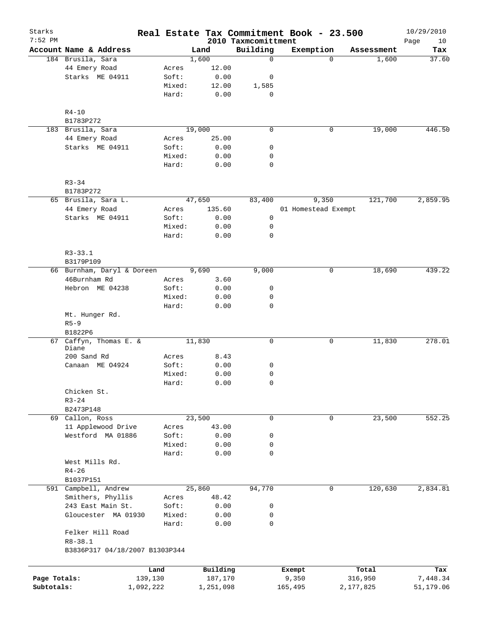| Starks<br>7:52 PM |                                |           |           | 2010 Taxmcomittment | Real Estate Tax Commitment Book - 23.500 |                   | 10/29/2010<br>Page<br>10 |
|-------------------|--------------------------------|-----------|-----------|---------------------|------------------------------------------|-------------------|--------------------------|
|                   | Account Name & Address         |           | Land      | Building            | Exemption                                | Assessment        | Tax                      |
|                   | 184 Brusila, Sara              |           | 1,600     | $\mathbf 0$         |                                          | $\Omega$<br>1,600 | 37.60                    |
|                   | 44 Emery Road                  | Acres     | 12.00     |                     |                                          |                   |                          |
|                   | Starks ME 04911                | Soft:     | 0.00      | 0                   |                                          |                   |                          |
|                   |                                | Mixed:    | 12.00     | 1,585               |                                          |                   |                          |
|                   |                                | Hard:     | 0.00      | 0                   |                                          |                   |                          |
|                   | $R4 - 10$                      |           |           |                     |                                          |                   |                          |
|                   | B1783P272                      |           |           |                     |                                          |                   |                          |
|                   | 183 Brusila, Sara              |           | 19,000    | $\mathbf 0$         |                                          | 19,000<br>0       | 446.50                   |
|                   | 44 Emery Road                  | Acres     | 25.00     |                     |                                          |                   |                          |
|                   | Starks ME 04911                | Soft:     | 0.00      | 0                   |                                          |                   |                          |
|                   |                                | Mixed:    | 0.00      | 0                   |                                          |                   |                          |
|                   |                                | Hard:     | 0.00      | $\mathbf 0$         |                                          |                   |                          |
|                   | $R3 - 34$                      |           |           |                     |                                          |                   |                          |
|                   | B1783P272                      |           |           |                     |                                          |                   |                          |
|                   | 65 Brusila, Sara L.            |           | 47,650    | 83,400              | 9,350                                    | 121,700           | 2,859.95                 |
|                   | 44 Emery Road                  | Acres     | 135.60    |                     | 01 Homestead Exempt                      |                   |                          |
|                   | Starks ME 04911                | Soft:     | 0.00      | 0                   |                                          |                   |                          |
|                   |                                | Mixed:    | 0.00      | 0                   |                                          |                   |                          |
|                   |                                | Hard:     | 0.00      | 0                   |                                          |                   |                          |
|                   | $R3 - 33.1$                    |           |           |                     |                                          |                   |                          |
|                   | B3179P109                      |           |           |                     |                                          |                   |                          |
|                   | 66 Burnham, Daryl & Doreen     |           | 9,690     | 9,000               |                                          | 0<br>18,690       | 439.22                   |
|                   | 46Burnham Rd                   | Acres     | 3.60      |                     |                                          |                   |                          |
|                   | Hebron ME 04238                | Soft:     | 0.00      | 0                   |                                          |                   |                          |
|                   |                                | Mixed:    | 0.00      | 0                   |                                          |                   |                          |
|                   |                                | Hard:     | 0.00      | $\mathbf 0$         |                                          |                   |                          |
|                   | Mt. Hunger Rd.                 |           |           |                     |                                          |                   |                          |
|                   | $R5 - 9$<br>B1822P6            |           |           |                     |                                          |                   |                          |
|                   | 67 Caffyn, Thomas E. &         |           | 11,830    | $\mathbf 0$         |                                          | 11,830<br>0       | 278.01                   |
|                   | Diane                          |           |           |                     |                                          |                   |                          |
|                   | 200 Sand Rd                    | Acres     | 8.43      |                     |                                          |                   |                          |
|                   | Canaan ME 04924                | Soft:     | 0.00      | 0                   |                                          |                   |                          |
|                   |                                | Mixed:    | 0.00      | 0                   |                                          |                   |                          |
|                   |                                | Hard:     | 0.00      | 0                   |                                          |                   |                          |
|                   | Chicken St.                    |           |           |                     |                                          |                   |                          |
|                   | $R3 - 24$                      |           |           |                     |                                          |                   |                          |
|                   | B2473P148                      |           |           |                     |                                          |                   |                          |
|                   | 69 Callon, Ross                |           | 23,500    | 0                   |                                          | 23,500<br>0       | 552.25                   |
|                   | 11 Applewood Drive             | Acres     | 43.00     |                     |                                          |                   |                          |
|                   | Westford MA 01886              | Soft:     | 0.00      | 0                   |                                          |                   |                          |
|                   |                                | Mixed:    | 0.00      | 0                   |                                          |                   |                          |
|                   |                                | Hard:     | 0.00      | 0                   |                                          |                   |                          |
|                   | West Mills Rd.                 |           |           |                     |                                          |                   |                          |
|                   | $R4 - 26$                      |           |           |                     |                                          |                   |                          |
|                   | B1037P151                      |           |           |                     |                                          |                   |                          |
|                   | 591 Campbell, Andrew           |           | 25,860    | 94,770              |                                          | 120,630<br>0      | 2,834.81                 |
|                   | Smithers, Phyllis              | Acres     | 48.42     |                     |                                          |                   |                          |
|                   | 243 East Main St.              | Soft:     | 0.00      | 0                   |                                          |                   |                          |
|                   | Gloucester MA 01930            | Mixed:    | 0.00      | 0                   |                                          |                   |                          |
|                   |                                | Hard:     | 0.00      | 0                   |                                          |                   |                          |
|                   | Felker Hill Road               |           |           |                     |                                          |                   |                          |
|                   | $R8 - 38.1$                    |           |           |                     |                                          |                   |                          |
|                   | B3836P317 04/18/2007 B1303P344 |           |           |                     |                                          |                   |                          |
|                   |                                | Land      | Building  |                     | Exempt                                   | Total             | Tax                      |
| Page Totals:      |                                | 139,130   | 187,170   |                     | 9,350                                    | 316,950           | 7,448.34                 |
| Subtotals:        |                                | 1,092,222 | 1,251,098 |                     | 165,495                                  | 2,177,825         | 51,179.06                |
|                   |                                |           |           |                     |                                          |                   |                          |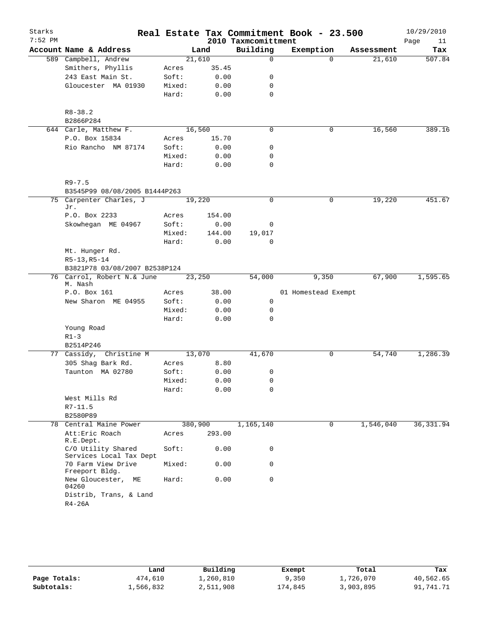| Starks<br>$7:52$ PM |                                               |         |        | 2010 Taxmcomittment | Real Estate Tax Commitment Book - 23.500 |            | 10/29/2010<br>Page<br>11 |
|---------------------|-----------------------------------------------|---------|--------|---------------------|------------------------------------------|------------|--------------------------|
|                     | Account Name & Address                        |         | Land   | Building            | Exemption                                | Assessment | Tax                      |
|                     | 589 Campbell, Andrew                          | 21,610  |        | $\mathbf 0$         | $\Omega$                                 | 21,610     | 507.84                   |
|                     | Smithers, Phyllis                             | Acres   | 35.45  |                     |                                          |            |                          |
|                     | 243 East Main St.                             | Soft:   | 0.00   | 0                   |                                          |            |                          |
|                     | Gloucester MA 01930                           | Mixed:  | 0.00   | 0                   |                                          |            |                          |
|                     |                                               | Hard:   | 0.00   | $\mathbf 0$         |                                          |            |                          |
|                     | $R8 - 38.2$<br>B2866P284                      |         |        |                     |                                          |            |                          |
|                     | 644 Carle, Matthew F.                         | 16,560  |        | $\mathbf 0$         | 0                                        | 16,560     | 389.16                   |
|                     | P.O. Box 15834                                | Acres   | 15.70  |                     |                                          |            |                          |
|                     | Rio Rancho NM 87174                           | Soft:   | 0.00   | 0                   |                                          |            |                          |
|                     |                                               | Mixed:  | 0.00   | 0                   |                                          |            |                          |
|                     |                                               | Hard:   | 0.00   | 0                   |                                          |            |                          |
|                     | $R9 - 7.5$                                    |         |        |                     |                                          |            |                          |
|                     | B3545P99 08/08/2005 B1444P263                 |         |        |                     |                                          |            |                          |
|                     | 75 Carpenter Charles, J<br>Jr.                | 19,220  |        | 0                   | $\mathbf 0$                              | 19,220     | 451.67                   |
|                     | P.O. Box 2233                                 | Acres   | 154.00 |                     |                                          |            |                          |
|                     | Skowhegan ME 04967                            | Soft:   | 0.00   | 0                   |                                          |            |                          |
|                     |                                               | Mixed:  | 144.00 | 19,017              |                                          |            |                          |
|                     |                                               | Hard:   | 0.00   | 0                   |                                          |            |                          |
|                     | Mt. Hunger Rd.                                |         |        |                     |                                          |            |                          |
|                     | $R5-13, R5-14$                                |         |        |                     |                                          |            |                          |
|                     | B3821P78 03/08/2007 B2538P124                 |         |        |                     |                                          |            |                          |
|                     | 76 Carrol, Robert N.& June                    | 23,250  |        | 54,000              | 9,350                                    | 67,900     | 1,595.65                 |
|                     | M. Nash                                       |         |        |                     |                                          |            |                          |
|                     | P.O. Box 161                                  | Acres   | 38.00  |                     | 01 Homestead Exempt                      |            |                          |
|                     | New Sharon ME 04955                           | Soft:   | 0.00   | 0                   |                                          |            |                          |
|                     |                                               | Mixed:  | 0.00   | 0<br>$\Omega$       |                                          |            |                          |
|                     |                                               | Hard:   | 0.00   |                     |                                          |            |                          |
|                     | Young Road                                    |         |        |                     |                                          |            |                          |
|                     | $R1 - 3$<br>B2514P246                         |         |        |                     |                                          |            |                          |
|                     | 77 Cassidy, Christine M                       | 13,070  |        | 41,670              | 0                                        | 54,740     | 1,286.39                 |
|                     | 305 Shag Bark Rd.                             | Acres   | 8.80   |                     |                                          |            |                          |
|                     | Taunton MA 02780                              | Soft:   | 0.00   | 0                   |                                          |            |                          |
|                     |                                               | Mixed:  | 0.00   | 0                   |                                          |            |                          |
|                     |                                               | Hard:   | 0.00   | 0                   |                                          |            |                          |
|                     | West Mills Rd                                 |         |        |                     |                                          |            |                          |
|                     | $R7 - 11.5$                                   |         |        |                     |                                          |            |                          |
|                     | B2580P89                                      |         |        |                     |                                          |            |                          |
|                     | 78 Central Maine Power                        | 380,900 |        | 1,165,140           | 0                                        | 1,546,040  | 36, 331.94               |
|                     | Att: Eric Roach<br>R.E.Dept.                  | Acres   | 293.00 |                     |                                          |            |                          |
|                     | C/O Utility Shared<br>Services Local Tax Dept | Soft:   | 0.00   | 0                   |                                          |            |                          |
|                     | 70 Farm View Drive<br>Freeport Bldg.          | Mixed:  | 0.00   | 0                   |                                          |            |                          |
|                     | New Gloucester, ME<br>04260                   | Hard:   | 0.00   | $\mathbf 0$         |                                          |            |                          |
|                     | Distrib, Trans, & Land                        |         |        |                     |                                          |            |                          |

|              | Land      | Building  | Exempt  | Total     | Tax       |
|--------------|-----------|-----------|---------|-----------|-----------|
| Page Totals: | 474,610   | 1,260,810 | 9,350   | 1,726,070 | 40,562.65 |
| Subtotals:   | 1,566,832 | 2,511,908 | 174,845 | 3,903,895 | 91,741.71 |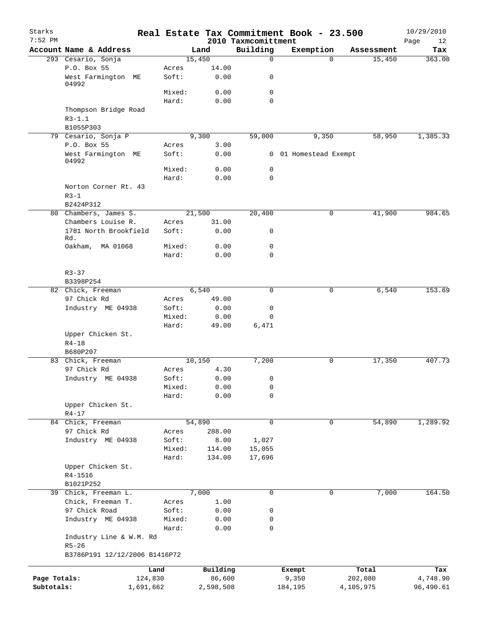| Starks<br>$7:52$ PM |                                      |        |               | 2010 Taxmcomittment | Real Estate Tax Commitment Book - 23.500 |          |            | 10/29/2010<br>Page<br>12 |
|---------------------|--------------------------------------|--------|---------------|---------------------|------------------------------------------|----------|------------|--------------------------|
|                     | Account Name & Address               |        | Land          | Building            | Exemption                                |          | Assessment | Tax                      |
|                     | 293 Cesario, Sonja                   |        | 15,450        | $\mathbf 0$         |                                          | $\Omega$ | 15,450     | 363.08                   |
|                     | P.O. Box 55                          | Acres  | 14.00         |                     |                                          |          |            |                          |
|                     | West Farmington<br>МE<br>04992       | Soft:  | 0.00          | 0                   |                                          |          |            |                          |
|                     |                                      | Mixed: | 0.00          | $\mathbf 0$         |                                          |          |            |                          |
|                     |                                      | Hard:  | 0.00          | $\Omega$            |                                          |          |            |                          |
|                     | Thompson Bridge Road                 |        |               |                     |                                          |          |            |                          |
|                     | $R3 - 1.1$                           |        |               |                     |                                          |          |            |                          |
|                     | B1055P303                            |        |               |                     |                                          | 9,350    | 58,950     | 1,385.33                 |
|                     | 79 Cesario, Sonja P<br>P.O. Box 55   | Acres  | 9,300<br>3.00 | 59,000              |                                          |          |            |                          |
|                     | West Farmington ME<br>04992          | Soft:  | 0.00          |                     | 0 01 Homestead Exempt                    |          |            |                          |
|                     |                                      | Mixed: | 0.00          | 0                   |                                          |          |            |                          |
|                     |                                      | Hard:  | 0.00          | $\mathbf 0$         |                                          |          |            |                          |
|                     | Norton Corner Rt. 43                 |        |               |                     |                                          |          |            |                          |
|                     | $R3-1$                               |        |               |                     |                                          |          |            |                          |
|                     | B2424P312                            |        |               |                     |                                          |          |            |                          |
|                     | 80 Chambers, James S.                |        | 21,500        | 20,400              |                                          | 0        | 41,900     | 984.65                   |
|                     | Chambers Louise R.                   | Acres  | 31.00         |                     |                                          |          |            |                          |
|                     | 1781 North Brookfield<br>Rd.         | Soft:  | 0.00          | 0                   |                                          |          |            |                          |
|                     | Oakham, MA 01068                     | Mixed: | 0.00          | $\mathbf 0$         |                                          |          |            |                          |
|                     |                                      | Hard:  | 0.00          | $\mathbf 0$         |                                          |          |            |                          |
|                     |                                      |        |               |                     |                                          |          |            |                          |
|                     | $R3 - 37$                            |        |               |                     |                                          |          |            |                          |
|                     | B3398P254                            |        |               |                     |                                          |          |            |                          |
|                     | 82 Chick, Freeman                    |        | 6,540         | $\mathbf 0$         |                                          | 0        | 6,540      | 153.69                   |
|                     | 97 Chick Rd                          | Acres  | 49.00         |                     |                                          |          |            |                          |
|                     | Industry ME 04938                    | Soft:  | 0.00          | 0                   |                                          |          |            |                          |
|                     |                                      | Mixed: | 0.00          | $\mathbf 0$         |                                          |          |            |                          |
|                     |                                      | Hard:  | 49.00         | 6,471               |                                          |          |            |                          |
|                     | Upper Chicken St.<br>$R4 - 18$       |        |               |                     |                                          |          |            |                          |
|                     | B680P207                             |        |               |                     |                                          |          |            |                          |
|                     | 83 Chick, Freeman                    |        | 10,150        | 7,200               |                                          | 0        | 17,350     | 407.73                   |
|                     | 97 Chick Rd                          | Acres  | 4.30          |                     |                                          |          |            |                          |
|                     | Industry ME 04938                    | Soft:  | 0.00          | 0                   |                                          |          |            |                          |
|                     |                                      | Mixed: | 0.00          | 0                   |                                          |          |            |                          |
|                     |                                      | Hard:  | 0.00          | 0                   |                                          |          |            |                          |
|                     | Upper Chicken St.                    |        |               |                     |                                          |          |            |                          |
|                     | $R4 - 17$                            |        |               |                     |                                          |          |            |                          |
|                     | 84 Chick, Freeman                    |        | 54,890        | $\mathbf 0$         |                                          | 0        | 54,890     | 1,289.92                 |
|                     | 97 Chick Rd                          | Acres  | 288.00        |                     |                                          |          |            |                          |
|                     | Industry ME 04938                    | Soft:  | 8.00          | 1,027               |                                          |          |            |                          |
|                     |                                      | Mixed: | 114.00        | 15,055              |                                          |          |            |                          |
|                     |                                      | Hard:  | 134.00        | 17,696              |                                          |          |            |                          |
|                     | Upper Chicken St.                    |        |               |                     |                                          |          |            |                          |
|                     | R4-1516                              |        |               |                     |                                          |          |            |                          |
|                     | B1021P252                            |        |               |                     |                                          |          |            |                          |
|                     | 39 Chick, Freeman L.                 |        | 7,000         | 0                   |                                          | 0        | 7,000      | 164.50                   |
|                     | Chick, Freeman T.                    | Acres  | 1.00          |                     |                                          |          |            |                          |
|                     | 97 Chick Road                        | Soft:  | 0.00          | 0                   |                                          |          |            |                          |
|                     | Industry ME 04938                    | Mixed: | 0.00          | 0                   |                                          |          |            |                          |
|                     |                                      | Hard:  | 0.00          | $\mathbf 0$         |                                          |          |            |                          |
|                     | Industry Line & W.M. Rd<br>$R5 - 26$ |        |               |                     |                                          |          |            |                          |
|                     | B3786P191 12/12/2006 B1416P72        |        |               |                     |                                          |          |            |                          |
|                     |                                      |        |               |                     |                                          |          |            |                          |
|                     |                                      | Land   | Building      |                     | Exempt                                   |          | Total      | Tax                      |
| Page Totals:        | 124,830                              |        | 86,600        |                     | 9,350                                    |          | 202,080    | 4,748.90                 |
| Subtotals:          | 1,691,662                            |        | 2,598,508     |                     | 184,195                                  |          | 4,105,975  | 96,490.61                |
|                     |                                      |        |               |                     |                                          |          |            |                          |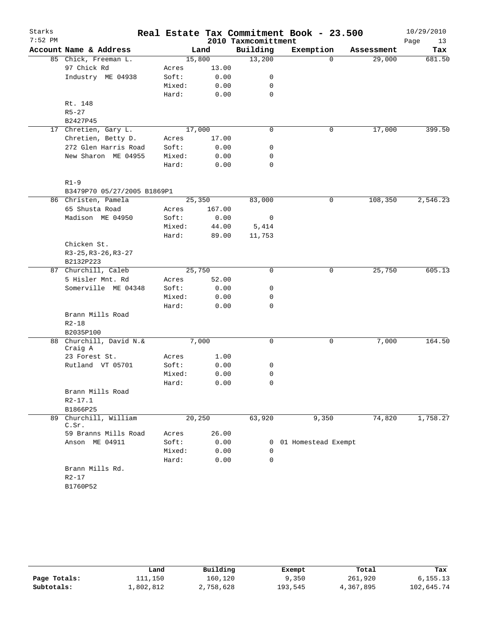| Starks    |                             |        |        |                     | Real Estate Tax Commitment Book - 23.500 |            | 10/29/2010 |
|-----------|-----------------------------|--------|--------|---------------------|------------------------------------------|------------|------------|
| $7:52$ PM |                             |        |        | 2010 Taxmcomittment |                                          |            | Page<br>13 |
|           | Account Name & Address      |        | Land   | Building            | Exemption                                | Assessment | Tax        |
|           | 85 Chick, Freeman L.        | 15,800 |        | 13,200              | $\Omega$                                 | 29,000     | 681.50     |
|           | 97 Chick Rd                 | Acres  | 13.00  |                     |                                          |            |            |
|           | Industry ME 04938           | Soft:  | 0.00   | 0                   |                                          |            |            |
|           |                             | Mixed: | 0.00   | 0                   |                                          |            |            |
|           |                             | Hard:  | 0.00   | 0                   |                                          |            |            |
|           | Rt. 148                     |        |        |                     |                                          |            |            |
|           | $R5 - 27$                   |        |        |                     |                                          |            |            |
|           | B2427P45                    |        |        |                     |                                          |            |            |
|           | 17 Chretien, Gary L.        | 17,000 |        | 0                   | 0                                        | 17,000     | 399.50     |
|           | Chretien, Betty D.          | Acres  | 17.00  |                     |                                          |            |            |
|           | 272 Glen Harris Road        | Soft:  | 0.00   | 0                   |                                          |            |            |
|           | New Sharon ME 04955         | Mixed: | 0.00   | 0                   |                                          |            |            |
|           |                             | Hard:  | 0.00   | 0                   |                                          |            |            |
|           | $R1 - 9$                    |        |        |                     |                                          |            |            |
|           | B3479P70 05/27/2005 B1869P1 |        |        |                     |                                          |            |            |
|           | 86 Christen, Pamela         |        | 25,350 | 83,000              | 0                                        | 108,350    | 2,546.23   |
|           | 65 Shusta Road              | Acres  | 167.00 |                     |                                          |            |            |
|           | Madison ME 04950            | Soft:  | 0.00   | 0                   |                                          |            |            |
|           |                             | Mixed: | 44.00  | 5,414               |                                          |            |            |
|           |                             | Hard:  | 89.00  | 11,753              |                                          |            |            |
|           | Chicken St.                 |        |        |                     |                                          |            |            |
|           | $R3-25, R3-26, R3-27$       |        |        |                     |                                          |            |            |
|           | B2132P223                   |        |        |                     |                                          |            |            |
|           | 87 Churchill, Caleb         |        | 25,750 | 0                   | 0                                        | 25,750     | 605.13     |
|           | 5 Hisler Mnt. Rd            | Acres  | 52.00  |                     |                                          |            |            |
|           | Somerville ME 04348         | Soft:  | 0.00   | 0                   |                                          |            |            |
|           |                             | Mixed: | 0.00   | 0                   |                                          |            |            |
|           |                             | Hard:  | 0.00   | 0                   |                                          |            |            |
|           | Brann Mills Road            |        |        |                     |                                          |            |            |
|           | $R2 - 18$                   |        |        |                     |                                          |            |            |
|           | B2035P100                   |        |        |                     |                                          |            |            |
|           | 88 Churchill, David N.&     |        | 7,000  | 0                   | 0                                        | 7,000      | 164.50     |
|           | Craig A<br>23 Forest St.    | Acres  | 1.00   |                     |                                          |            |            |
|           | Rutland VT 05701            | Soft:  | 0.00   | 0                   |                                          |            |            |
|           |                             | Mixed: | 0.00   | 0                   |                                          |            |            |
|           |                             | Hard:  | 0.00   | 0                   |                                          |            |            |
|           | Brann Mills Road            |        |        |                     |                                          |            |            |
|           | $R2 - 17.1$                 |        |        |                     |                                          |            |            |
|           | B1866P25                    |        |        |                     |                                          |            |            |
| 89        | Churchill, William          |        | 20,250 | 63,920              | 9,350                                    | 74,820     | 1,758.27   |
|           | C.Sr.                       |        |        |                     |                                          |            |            |
|           | 59 Branns Mills Road        | Acres  | 26.00  |                     |                                          |            |            |
|           | Anson ME 04911              | Soft:  | 0.00   | 0                   | 01 Homestead Exempt                      |            |            |
|           |                             | Mixed: | 0.00   | $\mathbf 0$         |                                          |            |            |
|           |                             | Hard:  | 0.00   | $\Omega$            |                                          |            |            |
|           | Brann Mills Rd.             |        |        |                     |                                          |            |            |
|           | $R2 - 17$                   |        |        |                     |                                          |            |            |
|           | B1760P52                    |        |        |                     |                                          |            |            |

|              | Land      | Building  | Exempt  | Total     | Tax        |
|--------------|-----------|-----------|---------|-----------|------------|
| Page Totals: | 111,150   | 160,120   | 9,350   | 261,920   | 6, 155.13  |
| Subtotals:   | ⊥,802,812 | 2,758,628 | 193,545 | 4,367,895 | 102,645.74 |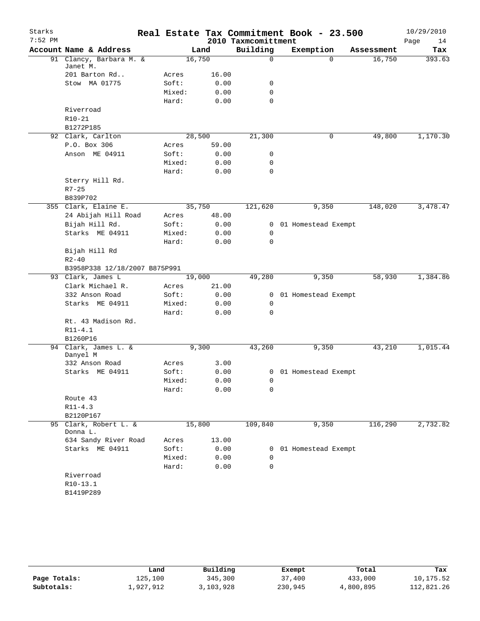| Starks<br>$7:52$ PM |                               | Real Estate Tax Commitment Book - 23.500 |        | 2010 Taxmcomittment |                       |            | 10/29/2010        |
|---------------------|-------------------------------|------------------------------------------|--------|---------------------|-----------------------|------------|-------------------|
|                     | Account Name & Address        |                                          | Land   | Building            | Exemption             | Assessment | Page<br>14<br>Tax |
|                     | 91 Clancy, Barbara M. &       |                                          | 16,750 | $\mathbf 0$         | $\Omega$              | 16,750     | 393.63            |
|                     | Janet M.                      |                                          |        |                     |                       |            |                   |
|                     | 201 Barton Rd                 | Acres                                    | 16.00  |                     |                       |            |                   |
|                     | Stow MA 01775                 | Soft:                                    | 0.00   | 0                   |                       |            |                   |
|                     |                               | Mixed:                                   | 0.00   | 0                   |                       |            |                   |
|                     |                               | Hard:                                    | 0.00   | $\mathbf 0$         |                       |            |                   |
|                     | Riverroad                     |                                          |        |                     |                       |            |                   |
|                     | $R10-21$                      |                                          |        |                     |                       |            |                   |
|                     | B1272P185                     |                                          |        |                     |                       |            |                   |
|                     | 92 Clark, Carlton             |                                          | 28,500 | 21,300              | 0                     | 49,800     | 1,170.30          |
|                     | P.O. Box 306                  | Acres                                    | 59.00  |                     |                       |            |                   |
|                     | Anson ME 04911                | Soft:                                    | 0.00   | 0                   |                       |            |                   |
|                     |                               | Mixed:                                   | 0.00   | 0                   |                       |            |                   |
|                     |                               | Hard:                                    | 0.00   | $\mathbf 0$         |                       |            |                   |
|                     | Sterry Hill Rd.               |                                          |        |                     |                       |            |                   |
|                     | $R7 - 25$                     |                                          |        |                     |                       |            |                   |
|                     | B839P702                      |                                          |        |                     |                       |            |                   |
|                     | 355 Clark, Elaine E.          |                                          | 35,750 | 121,620             | 9,350                 | 148,020    | 3,478.47          |
|                     | 24 Abijah Hill Road           | Acres                                    | 48.00  |                     |                       |            |                   |
|                     | Bijah Hill Rd.                | Soft:                                    | 0.00   | $\overline{0}$      | 01 Homestead Exempt   |            |                   |
|                     | Starks ME 04911               | Mixed:                                   | 0.00   | 0                   |                       |            |                   |
|                     |                               | Hard:                                    | 0.00   | 0                   |                       |            |                   |
|                     | Bijah Hill Rd                 |                                          |        |                     |                       |            |                   |
|                     | $R2 - 40$                     |                                          |        |                     |                       |            |                   |
|                     | B3958P338 12/18/2007 B875P991 |                                          |        |                     |                       |            |                   |
|                     | 93 Clark, James L             |                                          | 19,000 | 49,280              | 9,350                 | 58,930     | 1,384.86          |
|                     | Clark Michael R.              | Acres                                    | 21.00  |                     |                       |            |                   |
|                     | 332 Anson Road                | Soft:                                    | 0.00   | 0                   | 01 Homestead Exempt   |            |                   |
|                     | Starks ME 04911               | Mixed:                                   | 0.00   | 0                   |                       |            |                   |
|                     |                               | Hard:                                    | 0.00   | 0                   |                       |            |                   |
|                     | Rt. 43 Madison Rd.            |                                          |        |                     |                       |            |                   |
|                     | $R11 - 4.1$                   |                                          |        |                     |                       |            |                   |
|                     | B1260P16                      |                                          |        |                     |                       |            |                   |
|                     | 94 Clark, James L. &          |                                          | 9,300  | 43,260              | 9,350                 | 43,210     | 1,015.44          |
|                     | Danyel M                      |                                          |        |                     |                       |            |                   |
|                     | 332 Anson Road                | Acres                                    | 3.00   |                     |                       |            |                   |
|                     | Starks ME 04911               | Soft:                                    | 0.00   |                     | 0 01 Homestead Exempt |            |                   |
|                     |                               | Mixed:                                   | 0.00   | $\mathbf 0$         |                       |            |                   |
|                     |                               | Hard:                                    | 0.00   | 0                   |                       |            |                   |
|                     | Route 43                      |                                          |        |                     |                       |            |                   |
|                     | $R11 - 4.3$                   |                                          |        |                     |                       |            |                   |
|                     | B2120P167                     |                                          |        |                     |                       |            |                   |
|                     | 95 Clark, Robert L. &         |                                          | 15,800 | 109,840             | 9,350                 | 116,290    | 2,732.82          |
|                     | Donna L.                      |                                          |        |                     |                       |            |                   |
|                     | 634 Sandy River Road          | Acres                                    | 13.00  |                     |                       |            |                   |
|                     | Starks ME 04911               | Soft:                                    | 0.00   | 0                   | 01 Homestead Exempt   |            |                   |
|                     |                               | Mixed:                                   | 0.00   | 0                   |                       |            |                   |
|                     |                               | Hard:                                    | 0.00   | 0                   |                       |            |                   |
|                     | Riverroad                     |                                          |        |                     |                       |            |                   |
|                     | $R10-13.1$                    |                                          |        |                     |                       |            |                   |
|                     | B1419P289                     |                                          |        |                     |                       |            |                   |

|              | Land      | Building  | Exempt  | Total     | Tax        |
|--------------|-----------|-----------|---------|-----------|------------|
| Page Totals: | 125,100   | 345,300   | 37,400  | 433,000   | 10,175.52  |
| Subtotals:   | 1,927,912 | 3,103,928 | 230,945 | 4,800,895 | 112,821.26 |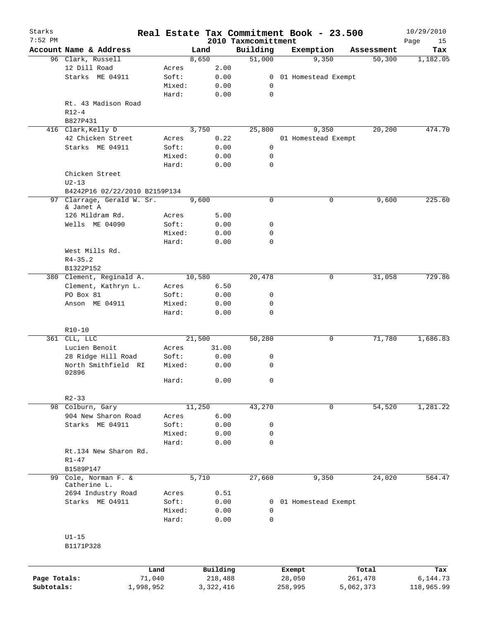| Starks<br>$7:52$ PM |                               |                |                     | 2010 Taxmcomittment | Real Estate Tax Commitment Book - 23.500 |                  | 10/29/2010<br>Page<br>15 |
|---------------------|-------------------------------|----------------|---------------------|---------------------|------------------------------------------|------------------|--------------------------|
|                     | Account Name & Address        |                | Land                | Building            | Exemption                                | Assessment       | Tax                      |
|                     | 96 Clark, Russell             |                | 8,650               | 51,000              | 9,350                                    | 50,300           | 1,182.05                 |
|                     | 12 Dill Road                  | Acres          | 2.00                |                     |                                          |                  |                          |
|                     | Starks ME 04911               | Soft:          | 0.00                | $\overline{0}$      | 01 Homestead Exempt                      |                  |                          |
|                     |                               | Mixed:         | 0.00                | 0                   |                                          |                  |                          |
|                     |                               | Hard:          | 0.00                | 0                   |                                          |                  |                          |
|                     | Rt. 43 Madison Road           |                |                     |                     |                                          |                  |                          |
|                     | $R12-4$                       |                |                     |                     |                                          |                  |                          |
|                     | B827P431                      |                |                     |                     |                                          |                  |                          |
|                     | 416 Clark, Kelly D            |                | 3,750               | 25,800              | 9,350                                    | 20,200           | 474.70                   |
|                     | 42 Chicken Street             | Acres          | 0.22                |                     | 01 Homestead Exempt                      |                  |                          |
|                     | Starks ME 04911               | Soft:          | 0.00                | 0                   |                                          |                  |                          |
|                     |                               | Mixed:         | 0.00                | 0                   |                                          |                  |                          |
|                     |                               | Hard:          | 0.00                | $\mathbf 0$         |                                          |                  |                          |
|                     | Chicken Street                |                |                     |                     |                                          |                  |                          |
|                     | $U2-13$                       |                |                     |                     |                                          |                  |                          |
|                     | B4242P16 02/22/2010 B2159P134 |                |                     |                     |                                          |                  |                          |
| 97                  | Clarrage, Gerald W. Sr.       |                | 9,600               | $\mathbf 0$         | $\mathbf 0$                              | 9,600            | 225.60                   |
|                     | & Janet A                     |                |                     |                     |                                          |                  |                          |
|                     | 126 Mildram Rd.               | Acres          | 5.00                |                     |                                          |                  |                          |
|                     | Wells ME 04090                | Soft:          | 0.00                | 0                   |                                          |                  |                          |
|                     |                               | Mixed:         | 0.00                | 0                   |                                          |                  |                          |
|                     |                               | Hard:          | 0.00                | $\mathbf 0$         |                                          |                  |                          |
|                     | West Mills Rd.                |                |                     |                     |                                          |                  |                          |
|                     | $R4 - 35.2$                   |                |                     |                     |                                          |                  |                          |
|                     | B1322P152                     |                |                     |                     |                                          |                  |                          |
|                     | 380 Clement, Reginald A.      |                | 10,580              | 20,478              | 0                                        | 31,058           | 729.86                   |
|                     | Clement, Kathryn L.           | Acres          | 6.50                |                     |                                          |                  |                          |
|                     | PO Box 81                     | Soft:          | 0.00                | 0                   |                                          |                  |                          |
|                     | Anson ME 04911                | Mixed:         | 0.00                | $\mathbf 0$         |                                          |                  |                          |
|                     |                               | Hard:          | 0.00                | $\mathbf 0$         |                                          |                  |                          |
|                     |                               |                |                     |                     |                                          |                  |                          |
|                     | $R10-10$                      |                |                     |                     |                                          |                  |                          |
|                     | 361 CLL, LLC                  |                | 21,500              | 50,280              | 0                                        | 71,780           | 1,686.83                 |
|                     | Lucien Benoit                 | Acres          | 31.00               |                     |                                          |                  |                          |
|                     | 28 Ridge Hill Road            | Soft:          | 0.00                | 0                   |                                          |                  |                          |
|                     | North Smithfield RI<br>02896  | Mixed:         | 0.00                | $\mathbf 0$         |                                          |                  |                          |
|                     |                               | Hard:          | 0.00                | 0                   |                                          |                  |                          |
|                     |                               |                |                     |                     |                                          |                  |                          |
|                     | $R2 - 33$                     |                |                     |                     |                                          |                  |                          |
| 98                  | Colburn, Gary                 |                | 11,250              | 43,270              | 0                                        | 54,520           | 1,281.22                 |
|                     | 904 New Sharon Road           | Acres          | 6.00                |                     |                                          |                  |                          |
|                     | Starks ME 04911               | Soft:          | 0.00                | 0                   |                                          |                  |                          |
|                     |                               | Mixed:         | 0.00                | 0                   |                                          |                  |                          |
|                     |                               | Hard:          | 0.00                | $\mathbf 0$         |                                          |                  |                          |
|                     | Rt.134 New Sharon Rd.         |                |                     |                     |                                          |                  |                          |
|                     | $R1 - 47$                     |                |                     |                     |                                          |                  |                          |
|                     | B1589P147                     |                |                     |                     |                                          |                  |                          |
| 99                  | Cole, Norman F. &             |                | 5,710               | 27,660              | 9,350                                    | 24,020           | 564.47                   |
|                     | Catherine L.                  |                |                     |                     |                                          |                  |                          |
|                     | 2694 Industry Road            | Acres          | 0.51                |                     |                                          |                  |                          |
|                     | Starks ME 04911               | Soft:          | 0.00                | 0                   | 01 Homestead Exempt                      |                  |                          |
|                     |                               | Mixed:         | 0.00                | $\mathbf 0$         |                                          |                  |                          |
|                     |                               | Hard:          | 0.00                | $\mathbf 0$         |                                          |                  |                          |
|                     |                               |                |                     |                     |                                          |                  |                          |
|                     | $U1-15$                       |                |                     |                     |                                          |                  |                          |
|                     | B1171P328                     |                |                     |                     |                                          |                  |                          |
|                     |                               |                |                     |                     |                                          |                  |                          |
|                     |                               |                |                     |                     |                                          |                  |                          |
| Page Totals:        |                               | Land<br>71,040 | Building<br>218,488 |                     | Exempt<br>28,050                         | Total<br>261,478 | Tax<br>6,144.73          |
| Subtotals:          | 1,998,952                     |                | 3, 322, 416         |                     | 258,995                                  | 5,062,373        | 118,965.99               |
|                     |                               |                |                     |                     |                                          |                  |                          |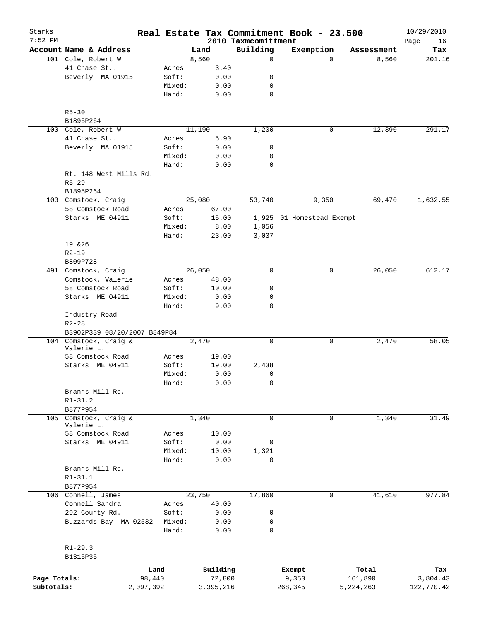| Starks<br>$7:52$ PM |                                 |           |                |        |           | 2010 Taxmcomittment | Real Estate Tax Commitment Book - 23.500 |             |             | 10/29/2010        |
|---------------------|---------------------------------|-----------|----------------|--------|-----------|---------------------|------------------------------------------|-------------|-------------|-------------------|
|                     | Account Name & Address          |           |                | Land   |           | Building            | Exemption                                |             | Assessment  | Page<br>16<br>Tax |
|                     | 101 Cole, Robert W              |           |                | 8,560  |           | $\mathbf 0$         |                                          | $\Omega$    | 8,560       | 201.16            |
|                     | 41 Chase St                     |           | Acres          |        | 3.40      |                     |                                          |             |             |                   |
|                     | Beverly MA 01915                |           | Soft:          |        | 0.00      | 0                   |                                          |             |             |                   |
|                     |                                 |           | Mixed:         |        | 0.00      | 0                   |                                          |             |             |                   |
|                     |                                 |           | Hard:          |        | 0.00      | $\mathbf 0$         |                                          |             |             |                   |
|                     |                                 |           |                |        |           |                     |                                          |             |             |                   |
|                     | $R5 - 30$<br>B1895P264          |           |                |        |           |                     |                                          |             |             |                   |
|                     | 100 Cole, Robert W              |           |                | 11,190 |           | 1,200               |                                          | 0           | 12,390      | 291.17            |
|                     | 41 Chase St                     |           |                |        | 5.90      |                     |                                          |             |             |                   |
|                     | Beverly MA 01915                |           | Acres<br>Soft: |        |           | 0                   |                                          |             |             |                   |
|                     |                                 |           |                |        | 0.00      |                     |                                          |             |             |                   |
|                     |                                 |           | Mixed:         |        | 0.00      | 0                   |                                          |             |             |                   |
|                     |                                 |           | Hard:          |        | 0.00      | $\mathbf 0$         |                                          |             |             |                   |
|                     | Rt. 148 West Mills Rd.          |           |                |        |           |                     |                                          |             |             |                   |
|                     | $R5 - 29$                       |           |                |        |           |                     |                                          |             |             |                   |
|                     | B1895P264                       |           |                |        |           |                     |                                          |             |             |                   |
|                     | 103 Comstock, Craig             |           |                | 25,080 |           | 53,740              |                                          | 9,350       | 69,470      | 1,632.55          |
|                     | 58 Comstock Road                |           | Acres          |        | 67.00     |                     |                                          |             |             |                   |
|                     | Starks ME 04911                 |           | Soft:          |        | 15.00     |                     | 1,925 01 Homestead Exempt                |             |             |                   |
|                     |                                 |           | Mixed:         |        | 8.00      | 1,056               |                                          |             |             |                   |
|                     |                                 |           | Hard:          |        | 23.00     | 3,037               |                                          |             |             |                   |
|                     | 19 & 26                         |           |                |        |           |                     |                                          |             |             |                   |
|                     | $R2 - 19$                       |           |                |        |           |                     |                                          |             |             |                   |
|                     | B809P728                        |           |                |        |           |                     |                                          |             |             |                   |
|                     | 491 Comstock, Craig             |           |                | 26,050 |           | $\mathbf 0$         |                                          | 0           | 26,050      | 612.17            |
|                     | Comstock, Valerie               |           | Acres          |        | 48.00     |                     |                                          |             |             |                   |
|                     | 58 Comstock Road                |           | Soft:          |        | 10.00     | 0                   |                                          |             |             |                   |
|                     | Starks ME 04911                 |           | Mixed:         |        | 0.00      | 0                   |                                          |             |             |                   |
|                     |                                 |           | Hard:          |        | 9.00      | $\mathbf 0$         |                                          |             |             |                   |
|                     | Industry Road<br>$R2 - 28$      |           |                |        |           |                     |                                          |             |             |                   |
|                     | B3902P339 08/20/2007 B849P84    |           |                |        |           |                     |                                          |             |             |                   |
|                     | 104 Comstock, Craig &           |           |                | 2,470  |           | $\mathbf 0$         |                                          | 0           | 2,470       | 58.05             |
|                     | Valerie L.                      |           |                |        |           |                     |                                          |             |             |                   |
|                     | 58 Comstock Road                |           | Acres          |        | 19.00     |                     |                                          |             |             |                   |
|                     | Starks ME 04911                 |           | Soft:          |        | 19.00     | 2,438               |                                          |             |             |                   |
|                     |                                 |           | Mixed:         |        | 0.00      | 0                   |                                          |             |             |                   |
|                     |                                 |           | Hard:          |        | 0.00      | 0                   |                                          |             |             |                   |
|                     | Branns Mill Rd.<br>$R1 - 31.2$  |           |                |        |           |                     |                                          |             |             |                   |
|                     | B877P954                        |           |                |        |           |                     |                                          |             |             |                   |
| 105                 | Comstock, Craig &<br>Valerie L. |           |                | 1,340  |           | $\mathbf 0$         |                                          | $\mathbf 0$ | 1,340       | 31.49             |
|                     | 58 Comstock Road                |           | Acres          |        | 10.00     |                     |                                          |             |             |                   |
|                     | Starks ME 04911                 |           | Soft:          |        | 0.00      | 0                   |                                          |             |             |                   |
|                     |                                 |           | Mixed:         |        | 10.00     | 1,321               |                                          |             |             |                   |
|                     |                                 |           |                |        |           |                     |                                          |             |             |                   |
|                     |                                 |           | Hard:          |        | 0.00      | $\mathbf 0$         |                                          |             |             |                   |
|                     | Branns Mill Rd.                 |           |                |        |           |                     |                                          |             |             |                   |
|                     | $R1 - 31.1$                     |           |                |        |           |                     |                                          |             |             |                   |
|                     | B877P954                        |           |                |        |           |                     |                                          |             |             |                   |
|                     | 106 Connell, James              |           |                | 23,750 |           | 17,860              |                                          | 0           | 41,610      | 977.84            |
|                     | Connell Sandra                  |           | Acres          |        | 40.00     |                     |                                          |             |             |                   |
|                     | 292 County Rd.                  |           | Soft:          |        | 0.00      | 0                   |                                          |             |             |                   |
|                     | Buzzards Bay MA 02532           |           | Mixed:         |        | 0.00      | 0                   |                                          |             |             |                   |
|                     |                                 |           | Hard:          |        | 0.00      | $\mathbf 0$         |                                          |             |             |                   |
|                     |                                 |           |                |        |           |                     |                                          |             |             |                   |
|                     | $R1 - 29.3$                     |           |                |        |           |                     |                                          |             |             |                   |
|                     | B1315P35                        |           |                |        |           |                     |                                          |             |             |                   |
|                     |                                 | Land      |                |        | Building  |                     | Exempt                                   |             | Total       | Tax               |
| Page Totals:        |                                 | 98,440    |                |        | 72,800    |                     | 9,350                                    |             | 161,890     | 3,804.43          |
| Subtotals:          |                                 | 2,097,392 |                |        | 3,395,216 |                     | 268,345                                  |             | 5, 224, 263 | 122,770.42        |
|                     |                                 |           |                |        |           |                     |                                          |             |             |                   |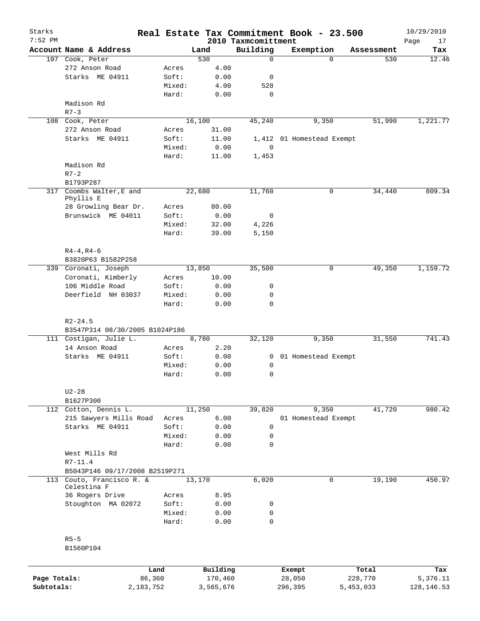| Starks<br>$7:52$ PM |                                                                         |        |           |                                 | Real Estate Tax Commitment Book - 23.500 |            | 10/29/2010        |
|---------------------|-------------------------------------------------------------------------|--------|-----------|---------------------------------|------------------------------------------|------------|-------------------|
|                     | Account Name & Address                                                  |        | Land      | 2010 Taxmcomittment<br>Building | Exemption                                | Assessment | Page<br>17<br>Tax |
|                     | 107 Cook, Peter                                                         |        | 530       | $\mathbf 0$                     | $\Omega$                                 | 530        | 12.46             |
|                     | 272 Anson Road                                                          | Acres  | 4.00      |                                 |                                          |            |                   |
|                     | Starks ME 04911                                                         | Soft:  | 0.00      | 0                               |                                          |            |                   |
|                     |                                                                         | Mixed: | 4.00      | 528                             |                                          |            |                   |
|                     |                                                                         | Hard:  | 0.00      | $\mathbf 0$                     |                                          |            |                   |
|                     | Madison Rd                                                              |        |           |                                 |                                          |            |                   |
|                     | $R7 - 3$                                                                |        |           |                                 |                                          |            |                   |
|                     | 108 Cook, Peter                                                         |        | 16,100    | 45,240                          | 9,350                                    | 51,990     | 1,221.77          |
|                     | 272 Anson Road                                                          | Acres  | 31.00     |                                 |                                          |            |                   |
|                     | Starks ME 04911                                                         | Soft:  | 11.00     |                                 | 1,412 01 Homestead Exempt                |            |                   |
|                     |                                                                         | Mixed: | 0.00      | $\mathbf 0$                     |                                          |            |                   |
|                     |                                                                         | Hard:  | 11.00     | 1,453                           |                                          |            |                   |
|                     | Madison Rd                                                              |        |           |                                 |                                          |            |                   |
|                     | $R7-2$                                                                  |        |           |                                 |                                          |            |                   |
|                     | B1793P287                                                               |        |           |                                 |                                          |            |                   |
| 317                 | Coombs Walter, E and                                                    |        | 22,680    | 11,760                          | $\mathbf 0$                              | 34,440     | 809.34            |
|                     | Phyllis E<br>28 Growling Bear Dr.                                       | Acres  | 80.00     |                                 |                                          |            |                   |
|                     | Brunswick ME 04011                                                      | Soft:  | 0.00      | 0                               |                                          |            |                   |
|                     |                                                                         | Mixed: | 32.00     | 4,226                           |                                          |            |                   |
|                     |                                                                         | Hard:  | 39.00     | 5,150                           |                                          |            |                   |
|                     |                                                                         |        |           |                                 |                                          |            |                   |
|                     | $R4 - 4, R4 - 6$                                                        |        |           |                                 |                                          |            |                   |
|                     | B3820P63 B1582P258                                                      |        |           |                                 |                                          |            |                   |
|                     | 339 Coronati, Joseph                                                    |        | 13,850    | 35,500                          | 0                                        | 49,350     | 1,159.72          |
|                     | Coronati, Kimberly                                                      | Acres  | 10.00     |                                 |                                          |            |                   |
|                     | 106 Middle Road                                                         | Soft:  | 0.00      | 0                               |                                          |            |                   |
|                     | Deerfield NH 03037                                                      | Mixed: | 0.00      | 0                               |                                          |            |                   |
|                     |                                                                         | Hard:  | 0.00      | $\mathbf 0$                     |                                          |            |                   |
|                     | $R2 - 24.5$<br>B3547P314 08/30/2005 B1024P186<br>111 Costigan, Julie L. |        | 8,780     | 32,120                          | 9,350                                    | 31,550     | 741.43            |
|                     | 14 Anson Road                                                           | Acres  | 2.20      |                                 |                                          |            |                   |
|                     | Starks ME 04911                                                         | Soft:  | 0.00      | 0                               | 01 Homestead Exempt                      |            |                   |
|                     |                                                                         | Mixed: | 0.00      | 0                               |                                          |            |                   |
|                     |                                                                         | Hard:  | 0.00      | 0                               |                                          |            |                   |
|                     | $U2-28$                                                                 |        |           |                                 |                                          |            |                   |
|                     | B1627P300                                                               |        |           |                                 |                                          |            |                   |
|                     | 112 Cotton, Dennis L.                                                   |        | 11,250    | 39,820                          | 9,350                                    | 41,720     | 980.42            |
|                     | 215 Sawyers Mills Road                                                  | Acres  | 6.00      |                                 | 01 Homestead Exempt                      |            |                   |
|                     | Starks ME 04911                                                         | Soft:  | 0.00      | $\mathbf 0$                     |                                          |            |                   |
|                     |                                                                         | Mixed: | 0.00      | 0                               |                                          |            |                   |
|                     |                                                                         | Hard:  | 0.00      | $\mathbf 0$                     |                                          |            |                   |
|                     | West Mills Rd                                                           |        |           |                                 |                                          |            |                   |
|                     | $R7 - 11.4$                                                             |        |           |                                 |                                          |            |                   |
|                     | B5043P146 09/17/2008 B2519P271                                          |        |           |                                 |                                          |            |                   |
|                     | 113 Couto, Francisco R. &<br>Celestina F                                |        | 13,170    | 6,020                           | 0                                        | 19,190     | 450.97            |
|                     | 36 Rogers Drive                                                         | Acres  | 8.95      |                                 |                                          |            |                   |
|                     | Stoughton MA 02072                                                      | Soft:  | 0.00      | 0                               |                                          |            |                   |
|                     |                                                                         | Mixed: | 0.00      | 0                               |                                          |            |                   |
|                     |                                                                         | Hard:  | 0.00      | 0                               |                                          |            |                   |
|                     | $R5-5$                                                                  |        |           |                                 |                                          |            |                   |
|                     | B1560P104                                                               |        |           |                                 |                                          |            |                   |
|                     |                                                                         |        |           |                                 |                                          |            |                   |
|                     |                                                                         | Land   | Building  |                                 | Exempt                                   | Total      | Tax               |
| Page Totals:        | 86,360                                                                  |        | 170,460   |                                 | 28,050                                   | 228,770    | 5,376.11          |
| Subtotals:          | 2,183,752                                                               |        | 3,565,676 |                                 | 296,395                                  | 5,453,033  | 128, 146.53       |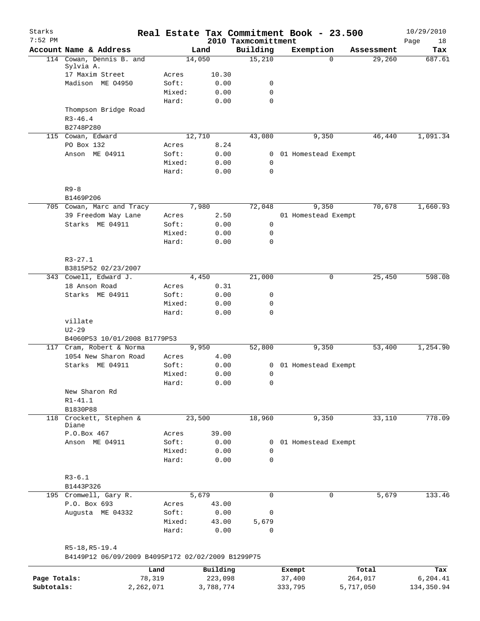| Starks<br>$7:52$ PM |                                                   |                 |               |                                 | Real Estate Tax Commitment Book - 23.500 |                    | 10/29/2010        |
|---------------------|---------------------------------------------------|-----------------|---------------|---------------------------------|------------------------------------------|--------------------|-------------------|
|                     | Account Name & Address                            |                 | Land          | 2010 Taxmcomittment<br>Building | Exemption                                | Assessment         | Page<br>18<br>Tax |
|                     | 114 Cowan, Dennis B. and                          |                 | 14,050        | 15,210                          |                                          | 29,260<br>$\Omega$ | 687.61            |
|                     | Sylvia A.                                         |                 |               |                                 |                                          |                    |                   |
|                     | 17 Maxim Street                                   | Acres           | 10.30         |                                 |                                          |                    |                   |
|                     | Madison ME 04950                                  | Soft:           | 0.00          | 0                               |                                          |                    |                   |
|                     |                                                   | Mixed:          | 0.00          | $\mathbf 0$                     |                                          |                    |                   |
|                     |                                                   | Hard:           | 0.00          | 0                               |                                          |                    |                   |
|                     | Thompson Bridge Road<br>$R3 - 46.4$               |                 |               |                                 |                                          |                    |                   |
|                     | B2748P280                                         |                 |               |                                 |                                          |                    |                   |
|                     | 115 Cowan, Edward                                 |                 | 12,710        | 43,080                          | 9,350                                    | 46,440             | 1,091.34          |
|                     | PO Box 132                                        | Acres           | 8.24          |                                 |                                          |                    |                   |
|                     | Anson ME 04911                                    | Soft:           | 0.00          | $\mathbf{0}$                    | 01 Homestead Exempt                      |                    |                   |
|                     |                                                   | Mixed:          | 0.00          | $\mathbf 0$                     |                                          |                    |                   |
|                     |                                                   | Hard:           | 0.00          | 0                               |                                          |                    |                   |
|                     | $R9 - 8$                                          |                 |               |                                 |                                          |                    |                   |
|                     | B1469P206                                         |                 |               |                                 |                                          |                    |                   |
|                     | 705 Cowan, Marc and Tracy                         |                 | 7,980         | 72,048                          | 9,350                                    | 70,678             | 1,660.93          |
|                     | 39 Freedom Way Lane                               | Acres           | 2.50          |                                 | 01 Homestead Exempt                      |                    |                   |
|                     | Starks ME 04911                                   | Soft:           | 0.00          | $\mathsf{O}$                    |                                          |                    |                   |
|                     |                                                   | Mixed:          | 0.00          | $\mathsf{O}$                    |                                          |                    |                   |
|                     |                                                   | Hard:           | 0.00          | 0                               |                                          |                    |                   |
|                     | $R3 - 27.1$                                       |                 |               |                                 |                                          |                    |                   |
|                     | B3815P52 02/23/2007                               |                 |               |                                 |                                          |                    |                   |
|                     | 343 Cowell, Edward J.                             |                 | 4,450         | 21,000                          |                                          | 25,450<br>0        | 598.08            |
|                     | 18 Anson Road                                     | Acres           | 0.31          |                                 |                                          |                    |                   |
|                     | Starks ME 04911                                   | Soft:           | 0.00<br>0.00  | 0<br>0                          |                                          |                    |                   |
|                     |                                                   | Mixed:<br>Hard: | 0.00          | 0                               |                                          |                    |                   |
|                     | villate                                           |                 |               |                                 |                                          |                    |                   |
|                     | $U2 - 29$                                         |                 |               |                                 |                                          |                    |                   |
|                     | B4060P53 10/01/2008 B1779P53                      |                 |               |                                 |                                          |                    |                   |
|                     | 117 Cram, Robert & Norma                          |                 | 9,950         | 52,800                          | 9,350                                    | 53,400             | 1,254.90          |
|                     | 1054 New Sharon Road                              | Acres           | 4.00          |                                 |                                          |                    |                   |
|                     | Starks ME 04911                                   | Soft:           | 0.00          | 0                               | 01 Homestead Exempt                      |                    |                   |
|                     |                                                   | Mixed:          | 0.00          | 0                               |                                          |                    |                   |
|                     |                                                   | Hard:           | 0.00          | 0                               |                                          |                    |                   |
|                     | New Sharon Rd                                     |                 |               |                                 |                                          |                    |                   |
|                     | $R1 - 41.1$                                       |                 |               |                                 |                                          |                    |                   |
|                     | B1830P88                                          |                 |               |                                 |                                          |                    |                   |
|                     | 118 Crockett, Stephen &<br>Diane                  |                 | 23,500        | 18,960                          | 9,350                                    | 33,110             | 778.09            |
|                     | P.O.Box 467                                       | Acres           | 39.00         |                                 |                                          |                    |                   |
|                     | Anson ME 04911                                    | Soft:           | 0.00          | $\mathbf{0}$                    | 01 Homestead Exempt                      |                    |                   |
|                     |                                                   | Mixed:          | 0.00          | $\mathbf 0$                     |                                          |                    |                   |
|                     |                                                   | Hard:           | 0.00          | $\mathbf 0$                     |                                          |                    |                   |
|                     | $R3 - 6.1$                                        |                 |               |                                 |                                          |                    |                   |
|                     | B1443P326                                         |                 |               |                                 |                                          |                    |                   |
|                     | 195 Cromwell, Gary R.                             |                 | 5,679         | 0                               |                                          | 0<br>5,679         | 133.46            |
|                     | P.O. Box 693                                      | Acres           | 43.00         |                                 |                                          |                    |                   |
|                     | Augusta ME 04332                                  | Soft:<br>Mixed: | 0.00<br>43.00 | 0<br>5,679                      |                                          |                    |                   |
|                     |                                                   | Hard:           | 0.00          | 0                               |                                          |                    |                   |
|                     | R5-18, R5-19.4                                    |                 |               |                                 |                                          |                    |                   |
|                     | B4149P12 06/09/2009 B4095P172 02/02/2009 B1299P75 |                 |               |                                 |                                          |                    |                   |
|                     | Land                                              |                 | Building      |                                 | Exempt                                   | Total              | Tax               |
| Page Totals:        | 78,319                                            |                 | 223,098       |                                 | 37,400                                   | 264,017            | 6,204.41          |
| Subtotals:          | 2,262,071                                         |                 | 3,788,774     |                                 | 333,795                                  | 5,717,050          | 134,350.94        |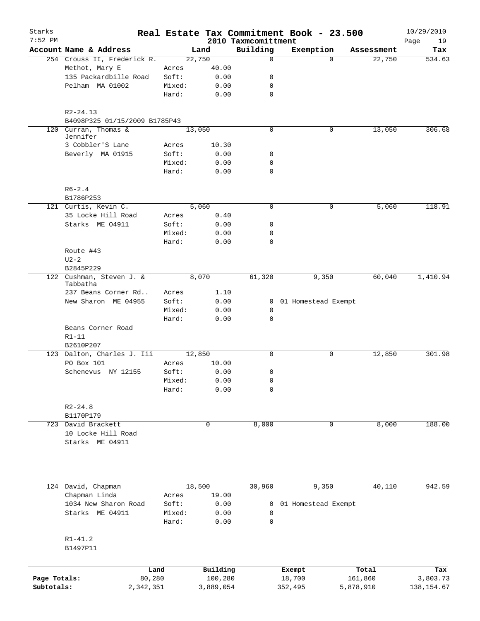| Starks<br>$7:52$ PM |                                                   |        |           | 2010 Taxmcomittment | Real Estate Tax Commitment Book - 23.500 |                    | 10/29/2010<br>Page<br>19 |
|---------------------|---------------------------------------------------|--------|-----------|---------------------|------------------------------------------|--------------------|--------------------------|
|                     | Account Name & Address                            |        | Land      | Building            | Exemption                                | Assessment         | Tax                      |
|                     | 254 Crouss II, Frederick R.                       |        | 22,750    | $\mathbf 0$         |                                          | 22,750<br>$\Omega$ | 534.63                   |
|                     | Methot, Mary E                                    | Acres  | 40.00     |                     |                                          |                    |                          |
|                     | 135 Packardbille Road                             | Soft:  | 0.00      | 0                   |                                          |                    |                          |
|                     | Pelham MA 01002                                   | Mixed: | 0.00      | 0                   |                                          |                    |                          |
|                     |                                                   | Hard:  | 0.00      | $\mathbf 0$         |                                          |                    |                          |
|                     | $R2 - 24.13$                                      |        |           |                     |                                          |                    |                          |
| 120                 | B4098P325 01/15/2009 B1785P43<br>Curran, Thomas & |        | 13,050    | 0                   |                                          | 13,050<br>0        | 306.68                   |
|                     | Jennifer<br>3 Cobbler'S Lane                      | Acres  | 10.30     |                     |                                          |                    |                          |
|                     | Beverly MA 01915                                  | Soft:  | 0.00      | 0                   |                                          |                    |                          |
|                     |                                                   | Mixed: | 0.00      | 0                   |                                          |                    |                          |
|                     |                                                   | Hard:  | 0.00      | $\mathbf 0$         |                                          |                    |                          |
|                     | $R6 - 2.4$                                        |        |           |                     |                                          |                    |                          |
|                     | B1786P253                                         |        |           |                     |                                          |                    |                          |
|                     | 121 Curtis, Kevin C.                              |        | 5,060     | $\mathbf 0$         |                                          | 0<br>5,060         | 118.91                   |
|                     | 35 Locke Hill Road                                | Acres  | 0.40      |                     |                                          |                    |                          |
|                     | Starks ME 04911                                   | Soft:  | 0.00      | 0                   |                                          |                    |                          |
|                     |                                                   | Mixed: | 0.00      | 0                   |                                          |                    |                          |
|                     |                                                   | Hard:  | 0.00      | $\mathbf 0$         |                                          |                    |                          |
|                     | Route #43                                         |        |           |                     |                                          |                    |                          |
|                     | $U2-2$                                            |        |           |                     |                                          |                    |                          |
|                     | B2845P229                                         |        |           |                     |                                          |                    |                          |
|                     | 122 Cushman, Steven J. &<br>Tabbatha              |        | 8,070     | 61,320              | 9,350                                    | 60,040             | 1,410.94                 |
|                     | 237 Beans Corner Rd                               | Acres  | 1.10      |                     |                                          |                    |                          |
|                     | New Sharon ME 04955                               | Soft:  | 0.00      |                     | 0 01 Homestead Exempt                    |                    |                          |
|                     |                                                   | Mixed: | 0.00      | 0                   |                                          |                    |                          |
|                     |                                                   | Hard:  | 0.00      | $\mathbf 0$         |                                          |                    |                          |
|                     | Beans Corner Road                                 |        |           |                     |                                          |                    |                          |
|                     | $R1 - 11$                                         |        |           |                     |                                          |                    |                          |
|                     | B2610P207                                         |        |           |                     |                                          |                    |                          |
|                     | 123 Dalton, Charles J. Iii                        |        | 12,850    | 0                   |                                          | 12,850<br>0        | 301.98                   |
|                     | PO Box 101                                        | Acres  | 10.00     |                     |                                          |                    |                          |
|                     | Schenevus NY 12155                                | Soft:  | 0.00      | 0                   |                                          |                    |                          |
|                     |                                                   | Mixed: | 0.00      | 0                   |                                          |                    |                          |
|                     |                                                   | Hard:  | 0.00      | $\mathsf{O}\xspace$ |                                          |                    |                          |
|                     | $R2 - 24.8$                                       |        |           |                     |                                          |                    |                          |
|                     | B1170P179                                         |        |           |                     |                                          |                    |                          |
|                     | 723 David Brackett                                |        | 0         | 8,000               | 0                                        | 8,000              | 188.00                   |
|                     | 10 Locke Hill Road                                |        |           |                     |                                          |                    |                          |
|                     | Starks ME 04911                                   |        |           |                     |                                          |                    |                          |
|                     |                                                   |        |           |                     |                                          |                    |                          |
|                     | 124 David, Chapman                                |        | 18,500    | 30,960              | 9,350                                    | 40,110             | 942.59                   |
|                     | Chapman Linda                                     | Acres  | 19.00     |                     |                                          |                    |                          |
|                     | 1034 New Sharon Road                              | Soft:  | 0.00      | 0                   | 01 Homestead Exempt                      |                    |                          |
|                     | Starks ME 04911                                   | Mixed: | 0.00      | 0                   |                                          |                    |                          |
|                     |                                                   | Hard:  | 0.00      | 0                   |                                          |                    |                          |
|                     | $R1 - 41.2$<br>B1497P11                           |        |           |                     |                                          |                    |                          |
|                     |                                                   |        |           |                     |                                          |                    |                          |
|                     |                                                   | Land   | Building  |                     | Exempt                                   | Total              | Tax                      |
| Page Totals:        |                                                   | 80,280 | 100,280   |                     | 18,700                                   | 161,860            | 3,803.73                 |
| Subtotals:          | 2,342,351                                         |        | 3,889,054 |                     | 352,495                                  | 5,878,910          | 138, 154.67              |
|                     |                                                   |        |           |                     |                                          |                    |                          |
|                     |                                                   |        |           |                     |                                          |                    |                          |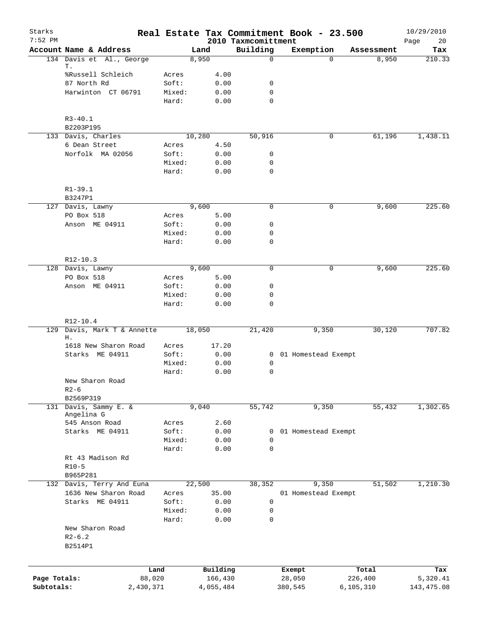| Starks<br>$7:52$ PM |                                         |                 |           | 2010 Taxmcomittment | Real Estate Tax Commitment Book - 23.500 |             |            | 10/29/2010<br>20<br>Page |
|---------------------|-----------------------------------------|-----------------|-----------|---------------------|------------------------------------------|-------------|------------|--------------------------|
|                     | Account Name & Address                  |                 | Land      | Building            | Exemption                                |             | Assessment | Tax                      |
|                     | 134 Davis et Al., George                |                 | 8,950     |                     | $\mathsf{O}$                             | $\Omega$    | 8,950      | 210.33                   |
|                     | Т.                                      |                 |           |                     |                                          |             |            |                          |
|                     | %Russell Schleich                       | Acres           | 4.00      |                     |                                          |             |            |                          |
|                     | 87 North Rd                             | Soft:           |           | 0.00<br>0           |                                          |             |            |                          |
|                     | Harwinton CT 06791                      | Mixed:          |           | $\mathbf 0$<br>0.00 |                                          |             |            |                          |
|                     |                                         | Hard:           |           | $\mathbf 0$<br>0.00 |                                          |             |            |                          |
|                     | $R3 - 40.1$                             |                 |           |                     |                                          |             |            |                          |
|                     | B2203P195                               |                 |           |                     |                                          |             |            |                          |
|                     | 133 Davis, Charles                      |                 | 10,280    | 50,916              |                                          | 0           | 61,196     | 1,438.11                 |
|                     | 6 Dean Street                           | Acres           | 4.50      |                     |                                          |             |            |                          |
|                     | Norfolk MA 02056                        | Soft:           |           | 0.00<br>0           |                                          |             |            |                          |
|                     |                                         | Mixed:          | 0.00      | 0                   |                                          |             |            |                          |
|                     |                                         | Hard:           | 0.00      | $\mathbf 0$         |                                          |             |            |                          |
|                     | $R1 - 39.1$                             |                 |           |                     |                                          |             |            |                          |
|                     | B3247P1                                 |                 |           |                     |                                          |             |            |                          |
|                     | 127 Davis, Lawny                        |                 | 9,600     |                     | $\mathbf 0$                              | 0           | 9,600      | 225.60                   |
|                     | PO Box 518                              | Acres           | 5.00      |                     |                                          |             |            |                          |
|                     | Anson ME 04911                          | Soft:           |           | 0<br>0.00           |                                          |             |            |                          |
|                     |                                         | Mixed:          |           | 0.00<br>0           |                                          |             |            |                          |
|                     |                                         | Hard:           | 0.00      | 0                   |                                          |             |            |                          |
|                     |                                         |                 |           |                     |                                          |             |            |                          |
|                     | R12-10.3                                |                 | 9,600     |                     | $\mathbf 0$                              | $\mathbf 0$ | 9,600      | 225.60                   |
|                     | 128 Davis, Lawny                        |                 |           |                     |                                          |             |            |                          |
|                     | PO Box 518<br>Anson ME 04911            | Acres<br>Soft:  | 5.00      | $\mathbf 0$         |                                          |             |            |                          |
|                     |                                         |                 |           | 0.00<br>$\mathbf 0$ |                                          |             |            |                          |
|                     |                                         | Mixed:<br>Hard: | 0.00      | $\mathbf 0$         |                                          |             |            |                          |
|                     |                                         |                 | 0.00      |                     |                                          |             |            |                          |
|                     | R12-10.4                                |                 |           |                     |                                          |             |            |                          |
| 129                 | Davis, Mark T & Annette                 |                 | 18,050    | 21,420              | 9,350                                    |             | 30,120     | 707.82                   |
|                     | Η.                                      |                 |           |                     |                                          |             |            |                          |
|                     | 1618 New Sharon Road<br>Starks ME 04911 | Acres<br>Soft:  | 17.20     |                     |                                          |             |            |                          |
|                     |                                         |                 | 0.00      |                     | 0 01 Homestead Exempt                    |             |            |                          |
|                     |                                         | Mixed:          | 0.00      | 0                   |                                          |             |            |                          |
|                     |                                         | Hard:           | 0.00      | 0                   |                                          |             |            |                          |
|                     | New Sharon Road                         |                 |           |                     |                                          |             |            |                          |
|                     | $R2 - 6$<br>B2569P319                   |                 |           |                     |                                          |             |            |                          |
| 131                 | Davis, Sammy E. &                       |                 | 9,040     | 55,742              | 9,350                                    |             | 55,432     | 1,302.65                 |
|                     | Angelina G                              |                 |           |                     |                                          |             |            |                          |
|                     | 545 Anson Road                          | Acres           |           | 2.60                |                                          |             |            |                          |
|                     | Starks ME 04911                         | Soft:           |           | 0.00<br>0           | 01 Homestead Exempt                      |             |            |                          |
|                     |                                         | Mixed:          | 0.00      | $\mathbf 0$         |                                          |             |            |                          |
|                     |                                         | Hard:           | 0.00      | $\mathbf 0$         |                                          |             |            |                          |
|                     | Rt 43 Madison Rd                        |                 |           |                     |                                          |             |            |                          |
|                     | $R10-5$                                 |                 |           |                     |                                          |             |            |                          |
|                     | B965P281                                |                 |           |                     |                                          |             |            |                          |
|                     | 132 Davis, Terry And Euna               |                 | 22,500    | 38,352              | 9,350                                    |             | 51,502     | 1,210.30                 |
|                     | 1636 New Sharon Road                    | Acres           | 35.00     |                     | 01 Homestead Exempt                      |             |            |                          |
|                     | Starks ME 04911                         | Soft:           | 0.00      | $\mathbf 0$         |                                          |             |            |                          |
|                     |                                         | Mixed:          | 0.00      | 0                   |                                          |             |            |                          |
|                     |                                         | Hard:           | 0.00      | $\mathbf 0$         |                                          |             |            |                          |
|                     | New Sharon Road                         |                 |           |                     |                                          |             |            |                          |
|                     | $R2 - 6.2$                              |                 |           |                     |                                          |             |            |                          |
|                     | B2514P1                                 |                 |           |                     |                                          |             |            |                          |
|                     |                                         |                 |           |                     |                                          |             |            |                          |
|                     |                                         | Land            | Building  |                     | Exempt                                   |             | Total      | Tax                      |
| Page Totals:        | 88,020                                  |                 | 166,430   |                     | 28,050                                   | 226,400     |            | 5,320.41                 |
| Subtotals:          | 2,430,371                               |                 | 4,055,484 |                     | 380,545                                  | 6, 105, 310 |            | 143, 475.08              |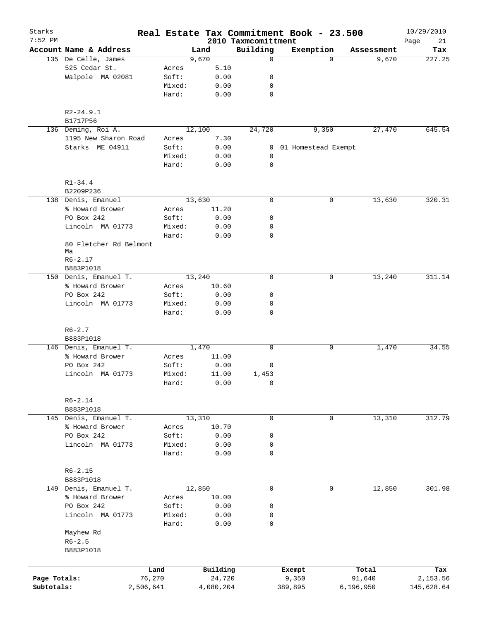| Starks<br>$7:52$ PM |                        |        |        |           |                                 | Real Estate Tax Commitment Book - 23.500 |            | 10/29/2010        |
|---------------------|------------------------|--------|--------|-----------|---------------------------------|------------------------------------------|------------|-------------------|
|                     | Account Name & Address |        | Land   |           | 2010 Taxmcomittment<br>Building | Exemption                                | Assessment | Page<br>21<br>Tax |
|                     | 135 De Celle, James    |        | 9,670  |           | $\mathbf 0$                     | $\Omega$                                 | 9,670      | 227.25            |
|                     | 525 Cedar St.          | Acres  |        | 5.10      |                                 |                                          |            |                   |
|                     | Walpole MA 02081       | Soft:  |        | 0.00      | 0                               |                                          |            |                   |
|                     |                        | Mixed: |        | 0.00      | 0                               |                                          |            |                   |
|                     |                        | Hard:  |        | 0.00      | 0                               |                                          |            |                   |
|                     |                        |        |        |           |                                 |                                          |            |                   |
|                     | $R2 - 24.9.1$          |        |        |           |                                 |                                          |            |                   |
|                     | B1717P56               |        |        |           |                                 |                                          |            |                   |
|                     | 136 Deming, Roi A.     |        | 12,100 |           | 24,720                          | 9,350                                    | 27,470     | 645.54            |
|                     | 1195 New Sharon Road   | Acres  |        | 7.30      |                                 |                                          |            |                   |
|                     | Starks ME 04911        | Soft:  |        | 0.00      |                                 | 0 01 Homestead Exempt                    |            |                   |
|                     |                        | Mixed: |        | 0.00      | 0                               |                                          |            |                   |
|                     |                        | Hard:  |        | 0.00      | 0                               |                                          |            |                   |
|                     |                        |        |        |           |                                 |                                          |            |                   |
|                     | $R1 - 34.4$            |        |        |           |                                 |                                          |            |                   |
|                     | B2209P236              |        |        |           |                                 |                                          |            |                   |
|                     | 138 Denis, Emanuel     |        | 13,630 |           | 0                               | $\mathsf{O}$                             | 13,630     | 320.31            |
|                     | % Howard Brower        | Acres  |        | 11.20     |                                 |                                          |            |                   |
|                     | PO Box 242             | Soft:  |        | 0.00      | 0                               |                                          |            |                   |
|                     | Lincoln MA 01773       | Mixed: |        | 0.00      | 0                               |                                          |            |                   |
|                     |                        | Hard:  |        | 0.00      | 0                               |                                          |            |                   |
|                     | 80 Fletcher Rd Belmont |        |        |           |                                 |                                          |            |                   |
|                     | Мa                     |        |        |           |                                 |                                          |            |                   |
|                     | $R6 - 2.17$            |        |        |           |                                 |                                          |            |                   |
|                     | B883P1018              |        |        |           |                                 |                                          |            |                   |
|                     | 150 Denis, Emanuel T.  |        | 13,240 |           | $\mathbf 0$                     | 0                                        | 13,240     | 311.14            |
|                     | % Howard Brower        | Acres  |        | 10.60     |                                 |                                          |            |                   |
|                     | PO Box 242             | Soft:  |        | 0.00      | 0                               |                                          |            |                   |
|                     | Lincoln MA 01773       | Mixed: |        | 0.00      | 0                               |                                          |            |                   |
|                     |                        | Hard:  |        | 0.00      | $\mathbf 0$                     |                                          |            |                   |
|                     |                        |        |        |           |                                 |                                          |            |                   |
|                     | $R6 - 2.7$             |        |        |           |                                 |                                          |            |                   |
|                     | B883P1018              |        |        |           |                                 |                                          |            |                   |
|                     | 146 Denis, Emanuel T.  |        | 1,470  |           | 0                               | 0                                        | 1,470      | 34.55             |
|                     | % Howard Brower        | Acres  |        | 11.00     |                                 |                                          |            |                   |
|                     | PO Box 242             | Soft:  |        | 0.00      | 0                               |                                          |            |                   |
|                     | Lincoln MA 01773       | Mixed: |        | 11.00     | 1,453                           |                                          |            |                   |
|                     |                        | Hard:  |        | 0.00      | 0                               |                                          |            |                   |
|                     |                        |        |        |           |                                 |                                          |            |                   |
|                     | $R6 - 2.14$            |        |        |           |                                 |                                          |            |                   |
|                     | B883P1018              |        |        |           |                                 |                                          |            |                   |
|                     | 145 Denis, Emanuel T.  |        | 13,310 |           | 0                               | 0                                        | 13,310     | 312.79            |
|                     | % Howard Brower        | Acres  |        | 10.70     |                                 |                                          |            |                   |
|                     | PO Box 242             | Soft:  |        | 0.00      | 0                               |                                          |            |                   |
|                     | Lincoln MA 01773       | Mixed: |        | 0.00      | 0                               |                                          |            |                   |
|                     |                        | Hard:  |        | 0.00      | $\mathbf 0$                     |                                          |            |                   |
|                     |                        |        |        |           |                                 |                                          |            |                   |
|                     | $R6 - 2.15$            |        |        |           |                                 |                                          |            |                   |
|                     | B883P1018              |        |        |           | $\mathbf 0$                     | $\mathbf 0$                              |            |                   |
|                     | 149 Denis, Emanuel T.  |        | 12,850 |           |                                 |                                          | 12,850     | 301.98            |
|                     | % Howard Brower        | Acres  |        | 10.00     |                                 |                                          |            |                   |
|                     | PO Box 242             | Soft:  |        | 0.00      | 0                               |                                          |            |                   |
|                     | Lincoln MA 01773       | Mixed: |        | 0.00      | 0                               |                                          |            |                   |
|                     |                        | Hard:  |        | 0.00      | 0                               |                                          |            |                   |
|                     | Mayhew Rd              |        |        |           |                                 |                                          |            |                   |
|                     | $R6 - 2.5$             |        |        |           |                                 |                                          |            |                   |
|                     | B883P1018              |        |        |           |                                 |                                          |            |                   |
|                     |                        |        |        |           |                                 |                                          |            |                   |
|                     | Land                   |        |        | Building  |                                 | Exempt                                   | Total      | Tax               |
| Page Totals:        | 76,270                 |        |        | 24,720    |                                 | 9,350                                    | 91,640     | 2,153.56          |
| Subtotals:          | 2,506,641              |        |        | 4,080,204 |                                 | 389,895                                  | 6,196,950  | 145,628.64        |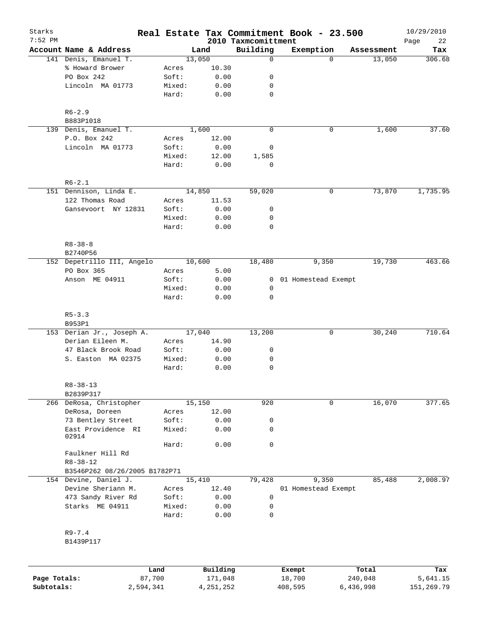| Starks<br>$7:52$ PM |                               |                 |               |                                 | Real Estate Tax Commitment Book - 23.500 |            | 10/29/2010        |
|---------------------|-------------------------------|-----------------|---------------|---------------------------------|------------------------------------------|------------|-------------------|
|                     | Account Name & Address        |                 | Land          | 2010 Taxmcomittment<br>Building | Exemption                                | Assessment | Page<br>22<br>Tax |
|                     | 141 Denis, Emanuel T.         |                 | 13,050        | $\mathbf 0$                     | $\Omega$                                 | 13,050     | 306.68            |
|                     | % Howard Brower               | Acres           | 10.30         |                                 |                                          |            |                   |
|                     | PO Box 242                    | Soft:           | 0.00          | 0                               |                                          |            |                   |
|                     | Lincoln MA 01773              | Mixed:          | 0.00          | 0                               |                                          |            |                   |
|                     |                               | Hard:           | 0.00          | $\mathbf 0$                     |                                          |            |                   |
|                     | $R6 - 2.9$                    |                 |               |                                 |                                          |            |                   |
|                     | B883P1018                     |                 |               |                                 |                                          |            |                   |
|                     | 139 Denis, Emanuel T.         |                 | 1,600         | $\mathbf 0$                     | 0                                        | 1,600      | 37.60             |
|                     | P.O. Box 242                  | Acres           | 12.00         |                                 |                                          |            |                   |
|                     | Lincoln MA 01773              | Soft:           | 0.00          | 0                               |                                          |            |                   |
|                     |                               | Mixed:<br>Hard: | 12.00<br>0.00 | 1,585<br>0                      |                                          |            |                   |
|                     |                               |                 |               |                                 |                                          |            |                   |
|                     | $R6 - 2.1$                    |                 |               |                                 |                                          |            |                   |
|                     | 151 Dennison, Linda E.        |                 | 14,850        | 59,020                          | 0                                        | 73,870     | 1,735.95          |
|                     | 122 Thomas Road               | Acres           | 11.53         |                                 |                                          |            |                   |
|                     | Gansevoort NY 12831           | Soft:           | 0.00          | 0                               |                                          |            |                   |
|                     |                               | Mixed:          | 0.00          | 0                               |                                          |            |                   |
|                     |                               | Hard:           | 0.00          | $\mathbf 0$                     |                                          |            |                   |
|                     | $R8 - 38 - 8$                 |                 |               |                                 |                                          |            |                   |
|                     | B2740P56                      |                 |               |                                 |                                          |            |                   |
|                     | 152 Depetrillo III, Angelo    |                 | 10,600        | 18,480                          | 9,350                                    | 19,730     | 463.66            |
|                     | PO Box 365                    | Acres           | 5.00          |                                 |                                          |            |                   |
|                     | Anson ME 04911                | Soft:           | 0.00          | 0                               | 01 Homestead Exempt                      |            |                   |
|                     |                               | Mixed:<br>Hard: | 0.00<br>0.00  | 0<br>$\mathbf 0$                |                                          |            |                   |
|                     | $R5 - 3.3$                    |                 |               |                                 |                                          |            |                   |
|                     | B953P1                        |                 |               |                                 |                                          |            |                   |
|                     | 153 Derian Jr., Joseph A.     |                 | 17,040        | 13,200                          | 0                                        | 30,240     | 710.64            |
|                     | Derian Eileen M.              | Acres           | 14.90         |                                 |                                          |            |                   |
|                     | 47 Black Brook Road           | Soft:           | 0.00          | 0                               |                                          |            |                   |
|                     | S. Easton MA 02375            | Mixed:          | 0.00          | 0                               |                                          |            |                   |
|                     |                               | Hard:           | 0.00          | 0                               |                                          |            |                   |
|                     | $R8 - 38 - 13$                |                 |               |                                 |                                          |            |                   |
|                     | B2839P317                     |                 |               |                                 |                                          |            |                   |
|                     | 266 DeRosa, Christopher       |                 | 15,150        | 920                             | 0                                        | 16,070     | 377.65            |
|                     | DeRosa, Doreen                | Acres           | 12.00         |                                 |                                          |            |                   |
|                     | 73 Bentley Street             | Soft:           | 0.00          | 0                               |                                          |            |                   |
|                     | East Providence RI<br>02914   | Mixed:          | 0.00          | 0                               |                                          |            |                   |
|                     |                               | Hard:           | 0.00          | $\mathbf 0$                     |                                          |            |                   |
|                     | Faulkner Hill Rd              |                 |               |                                 |                                          |            |                   |
|                     | $R8 - 38 - 12$                |                 |               |                                 |                                          |            |                   |
|                     | B3546P262 08/26/2005 B1782P71 |                 |               |                                 |                                          |            |                   |
|                     | 154 Devine, Daniel J.         |                 | 15,410        | 79,428                          | 9,350                                    | 85,488     | 2,008.97          |
|                     | Devine Sheriann M.            | Acres           | 12.40         |                                 | 01 Homestead Exempt                      |            |                   |
|                     | 473 Sandy River Rd            | Soft:           | 0.00          | 0                               |                                          |            |                   |
|                     | Starks ME 04911               | Mixed:          | 0.00          | 0                               |                                          |            |                   |
|                     |                               | Hard:           | 0.00          | 0                               |                                          |            |                   |
|                     | $R9 - 7.4$                    |                 |               |                                 |                                          |            |                   |
|                     | B1439P117                     |                 |               |                                 |                                          |            |                   |
|                     |                               |                 |               |                                 |                                          |            |                   |
|                     |                               | Land            | Building      |                                 | <b>Exempt</b>                            | Total      | Tax               |

|              | Land      | Building  | Exempt  | Total     | Tax        |
|--------------|-----------|-----------|---------|-----------|------------|
| Page Totals: | 87,700    | 171,048   | 18,700  | 240,048   | 5,641.15   |
| Subtotals:   | 2,594,341 | 4,251,252 | 408,595 | 6,436,998 | 151,269.79 |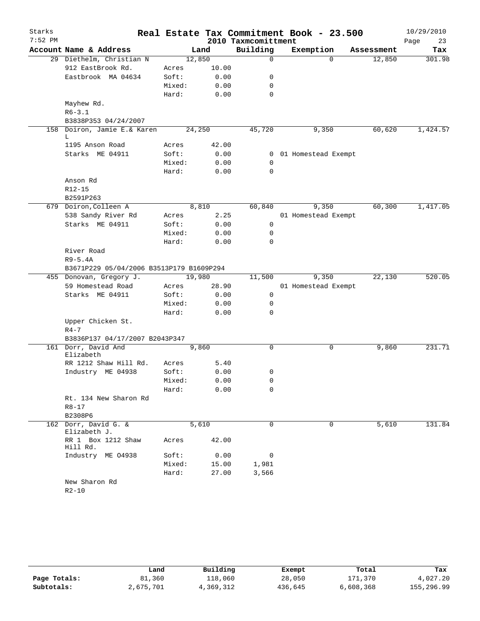| Starks    |                                                                     |                 |       |                     | Real Estate Tax Commitment Book - 23.500 |            | 10/29/2010 |
|-----------|---------------------------------------------------------------------|-----------------|-------|---------------------|------------------------------------------|------------|------------|
| $7:52$ PM |                                                                     |                 |       | 2010 Taxmcomittment |                                          |            | 23<br>Page |
|           | Account Name & Address                                              |                 | Land  | Building            | Exemption                                | Assessment | Tax        |
|           | 29 Diethelm, Christian N                                            | 12,850          |       | $\mathbf 0$         | $\Omega$                                 | 12,850     | 301.98     |
|           | 912 EastBrook Rd.                                                   | Acres           | 10.00 |                     |                                          |            |            |
|           | Eastbrook MA 04634                                                  | Soft:           | 0.00  | 0                   |                                          |            |            |
|           |                                                                     | Mixed:<br>Hard: | 0.00  | 0<br>$\mathbf 0$    |                                          |            |            |
|           |                                                                     |                 | 0.00  |                     |                                          |            |            |
|           | Mayhew Rd.<br>$R6 - 3.1$                                            |                 |       |                     |                                          |            |            |
|           | B3838P353 04/24/2007                                                |                 |       |                     |                                          |            |            |
| 158       | Doiron, Jamie E.& Karen                                             | 24,250          |       | 45,720              | 9,350                                    | 60,620     | 1,424.57   |
|           | L                                                                   |                 |       |                     |                                          |            |            |
|           | 1195 Anson Road                                                     | Acres           | 42.00 |                     |                                          |            |            |
|           | Starks ME 04911                                                     | Soft:           | 0.00  |                     | 0 01 Homestead Exempt                    |            |            |
|           |                                                                     | Mixed:          | 0.00  | $\mathbf 0$         |                                          |            |            |
|           |                                                                     | Hard:           | 0.00  | $\mathbf 0$         |                                          |            |            |
|           | Anson Rd                                                            |                 |       |                     |                                          |            |            |
|           | R12-15                                                              |                 |       |                     |                                          |            |            |
|           | B2591P263                                                           |                 |       |                     |                                          |            |            |
|           | 679 Doiron, Colleen A                                               | 8,810           |       | 60,840              | 9,350                                    | 60,300     | 1,417.05   |
|           | 538 Sandy River Rd                                                  | Acres           | 2.25  |                     | 01 Homestead Exempt                      |            |            |
|           | Starks ME 04911                                                     | Soft:           | 0.00  | 0                   |                                          |            |            |
|           |                                                                     | Mixed:          | 0.00  | 0                   |                                          |            |            |
|           |                                                                     | Hard:           | 0.00  | 0                   |                                          |            |            |
|           | River Road                                                          |                 |       |                     |                                          |            |            |
|           | $R9-5.4A$                                                           |                 |       |                     |                                          |            |            |
|           | B3671P229 05/04/2006 B3513P179 B1609P294<br>455 Donovan, Gregory J. | 19,980          |       | 11,500              | 9,350                                    | 22,130     | 520.05     |
|           | 59 Homestead Road                                                   | Acres           | 28.90 |                     | 01 Homestead Exempt                      |            |            |
|           | Starks ME 04911                                                     | Soft:           | 0.00  | $\mathbf 0$         |                                          |            |            |
|           |                                                                     | Mixed:          | 0.00  | 0                   |                                          |            |            |
|           |                                                                     | Hard:           | 0.00  | 0                   |                                          |            |            |
|           | Upper Chicken St.                                                   |                 |       |                     |                                          |            |            |
|           | $R4 - 7$                                                            |                 |       |                     |                                          |            |            |
|           | B3836P137 04/17/2007 B2043P347                                      |                 |       |                     |                                          |            |            |
|           | 161 Dorr, David And                                                 | 9,860           |       | $\mathbf 0$         | 0                                        | 9,860      | 231.71     |
|           | Elizabeth                                                           |                 |       |                     |                                          |            |            |
|           | RR 1212 Shaw Hill Rd.                                               | Acres           | 5.40  |                     |                                          |            |            |
|           | Industry ME 04938                                                   | Soft:           | 0.00  | 0                   |                                          |            |            |
|           |                                                                     | Mixed:          | 0.00  | 0                   |                                          |            |            |
|           |                                                                     | Hard:           | 0.00  | 0                   |                                          |            |            |
|           | Rt. 134 New Sharon Rd                                               |                 |       |                     |                                          |            |            |
|           | $R8 - 17$                                                           |                 |       |                     |                                          |            |            |
|           | B2308P6                                                             |                 |       |                     |                                          |            |            |
| 162       | Dorr, David G. &<br>Elizabeth J.                                    | 5,610           |       | 0                   | 0                                        | 5,610      | 131.84     |
|           | RR 1 Box 1212 Shaw<br>Hill Rd.                                      | Acres           | 42.00 |                     |                                          |            |            |
|           | Industry ME 04938                                                   | Soft:           | 0.00  | 0                   |                                          |            |            |
|           |                                                                     | Mixed:          | 15.00 | 1,981               |                                          |            |            |
|           |                                                                     | Hard:           | 27.00 | 3,566               |                                          |            |            |
|           | New Sharon Rd<br>$R2 - 10$                                          |                 |       |                     |                                          |            |            |

|              | Land      | Building  | Exempt  | Total     | Tax        |
|--------------|-----------|-----------|---------|-----------|------------|
| Page Totals: | 81,360    | 118,060   | 28,050  | 171,370   | 4,027.20   |
| Subtotals:   | 2,675,701 | 4,369,312 | 436,645 | 6,608,368 | 155,296.99 |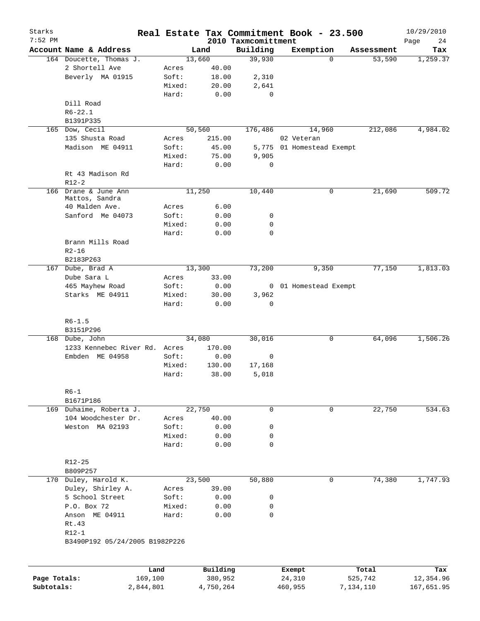| Starks<br>$7:52$ PM |                                                 |           |                |           | 2010 Taxmcomittment | Real Estate Tax Commitment Book - 23.500 |            | 10/29/2010<br>Page<br>24 |
|---------------------|-------------------------------------------------|-----------|----------------|-----------|---------------------|------------------------------------------|------------|--------------------------|
|                     | Account Name & Address                          |           |                | Land      | Building            | Exemption                                | Assessment | Tax                      |
|                     | 164 Doucette, Thomas J.                         |           | 13,660         |           | 39,930              | 0                                        | 53,590     | 1,259.37                 |
|                     | 2 Shortell Ave                                  |           | Acres          | 40.00     |                     |                                          |            |                          |
|                     | Beverly MA 01915                                |           | Soft:          | 18.00     | 2,310               |                                          |            |                          |
|                     |                                                 |           | Mixed:         | 20.00     | 2,641               |                                          |            |                          |
|                     |                                                 |           | Hard:          | 0.00      | $\mathbf 0$         |                                          |            |                          |
|                     | Dill Road                                       |           |                |           |                     |                                          |            |                          |
|                     | $R6 - 22.1$                                     |           |                |           |                     |                                          |            |                          |
|                     | B1391P335                                       |           |                |           |                     |                                          |            |                          |
|                     | 165 Dow, Cecil                                  |           | 50,560         |           | 176,486             | 14,960                                   | 212,086    | 4,984.02                 |
|                     | 135 Shusta Road                                 |           | Acres          | 215.00    |                     | 02 Veteran                               |            |                          |
|                     | Madison ME 04911                                |           | Soft:          | 45.00     |                     | 5,775 01 Homestead Exempt                |            |                          |
|                     |                                                 |           | Mixed:         | 75.00     | 9,905               |                                          |            |                          |
|                     |                                                 |           | Hard:          | 0.00      | 0                   |                                          |            |                          |
|                     | Rt 43 Madison Rd                                |           |                |           |                     |                                          |            |                          |
|                     | $R12-2$                                         |           |                |           |                     |                                          |            |                          |
| 166                 | Drane & June Ann                                |           | 11,250         |           | 10,440              | 0                                        | 21,690     | 509.72                   |
|                     | Mattos, Sandra                                  |           |                |           |                     |                                          |            |                          |
|                     | 40 Malden Ave.                                  |           | Acres          | 6.00      |                     |                                          |            |                          |
|                     | Sanford Me 04073                                |           | Soft:          | 0.00      | 0                   |                                          |            |                          |
|                     |                                                 |           | Mixed:         | 0.00      | 0                   |                                          |            |                          |
|                     |                                                 |           | Hard:          | 0.00      | 0                   |                                          |            |                          |
|                     | Brann Mills Road                                |           |                |           |                     |                                          |            |                          |
|                     | $R2 - 16$                                       |           |                |           |                     |                                          |            |                          |
|                     | B2183P263                                       |           |                |           |                     |                                          |            |                          |
|                     | 167 Dube, Brad A                                |           | 13,300         |           | 73,200              | 9,350                                    | 77,150     | 1,813.03                 |
|                     | Dube Sara L                                     |           | Acres          | 33.00     |                     |                                          |            |                          |
|                     | 465 Mayhew Road                                 |           | Soft:          | 0.00      |                     | 0 01 Homestead Exempt                    |            |                          |
|                     | Starks ME 04911                                 |           | Mixed:         | 30.00     | 3,962               |                                          |            |                          |
|                     |                                                 |           | Hard:          | 0.00      | 0                   |                                          |            |                          |
|                     |                                                 |           |                |           |                     |                                          |            |                          |
|                     | $R6 - 1.5$                                      |           |                |           |                     |                                          |            |                          |
|                     | B3151P296                                       |           |                |           |                     |                                          |            |                          |
|                     | 168 Dube, John<br>1233 Kennebec River Rd. Acres |           | 34,080         |           | 30,016              | 0                                        | 64,096     | 1,506.26                 |
|                     |                                                 |           |                | 170.00    | 0                   |                                          |            |                          |
|                     | Embden ME 04958                                 |           | Soft:          | 0.00      |                     |                                          |            |                          |
|                     |                                                 |           | Mixed:         | 130.00    | 17,168              |                                          |            |                          |
|                     |                                                 |           | Hard:          | 38.00     | 5,018               |                                          |            |                          |
|                     | $R6 - 1$                                        |           |                |           |                     |                                          |            |                          |
|                     | B1671P186                                       |           |                |           |                     |                                          |            |                          |
|                     | 169 Duhaime, Roberta J.                         |           | 22,750         |           | 0                   | 0                                        | 22,750     | 534.63                   |
|                     | 104 Woodchester Dr.                             |           | Acres          | 40.00     |                     |                                          |            |                          |
|                     | Weston MA 02193                                 |           | Soft:          | 0.00      | 0                   |                                          |            |                          |
|                     |                                                 |           | Mixed:         | 0.00      | 0                   |                                          |            |                          |
|                     |                                                 |           | Hard:          | 0.00      | $\mathbf 0$         |                                          |            |                          |
|                     |                                                 |           |                |           |                     |                                          |            |                          |
|                     | R12-25                                          |           |                |           |                     |                                          |            |                          |
|                     | B809P257                                        |           |                |           |                     |                                          |            |                          |
|                     | 170 Duley, Harold K.                            |           | 23,500         |           | 50,880              | $\mathbf 0$                              | 74,380     | 1,747.93                 |
|                     |                                                 |           |                | 39.00     |                     |                                          |            |                          |
|                     | Duley, Shirley A.<br>5 School Street            |           | Acres<br>Soft: | 0.00      | 0                   |                                          |            |                          |
|                     | P.O. Box 72                                     |           | Mixed:         | 0.00      | 0                   |                                          |            |                          |
|                     | Anson ME 04911                                  |           | Hard:          | 0.00      | $\mathbf 0$         |                                          |            |                          |
|                     | Rt.43                                           |           |                |           |                     |                                          |            |                          |
|                     | $R12-1$                                         |           |                |           |                     |                                          |            |                          |
|                     | B3490P192 05/24/2005 B1982P226                  |           |                |           |                     |                                          |            |                          |
|                     |                                                 |           |                |           |                     |                                          |            |                          |
|                     |                                                 |           |                |           |                     |                                          |            |                          |
|                     |                                                 | Land      |                | Building  |                     | Exempt                                   | Total      | Tax                      |
| Page Totals:        |                                                 | 169,100   |                | 380,952   |                     | 24,310                                   | 525,742    | 12,354.96                |
| Subtotals:          |                                                 | 2,844,801 |                | 4,750,264 |                     | 460,955                                  | 7,134,110  | 167,651.95               |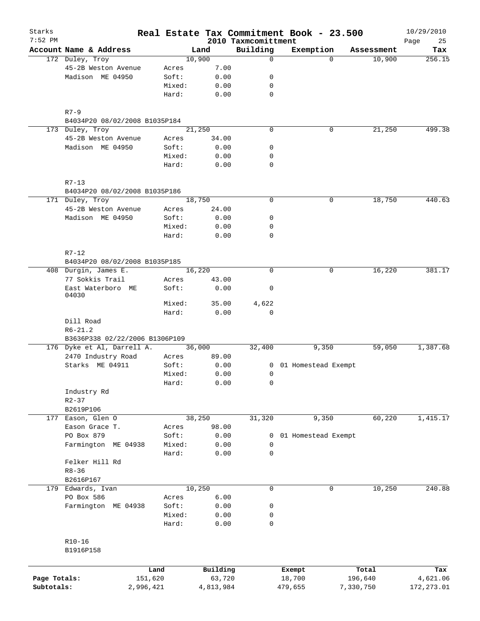| Starks<br>$7:52$ PM |                                                  |           |        |           | 2010 Taxmcomittment | Real Estate Tax Commitment Book - 23.500 |             |            | 10/29/2010        |
|---------------------|--------------------------------------------------|-----------|--------|-----------|---------------------|------------------------------------------|-------------|------------|-------------------|
|                     | Account Name & Address                           |           |        | Land      | Building            | Exemption                                |             | Assessment | Page<br>25<br>Tax |
|                     | 172 Duley, Troy                                  |           |        | 10,900    | $\mathbf 0$         |                                          | $\Omega$    | 10,900     | 256.15            |
|                     | 45-2B Weston Avenue                              |           | Acres  | 7.00      |                     |                                          |             |            |                   |
|                     | Madison ME 04950                                 |           | Soft:  | 0.00      | $\mathbf 0$         |                                          |             |            |                   |
|                     |                                                  |           | Mixed: | 0.00      | 0                   |                                          |             |            |                   |
|                     |                                                  |           | Hard:  | 0.00      | $\mathbf 0$         |                                          |             |            |                   |
|                     | $R7 - 9$                                         |           |        |           |                     |                                          |             |            |                   |
|                     | B4034P20 08/02/2008 B1035P184                    |           |        |           |                     |                                          |             |            |                   |
|                     | 173 Duley, Troy                                  |           |        | 21,250    | $\Omega$            |                                          | 0           | 21,250     | 499.38            |
|                     | 45-2B Weston Avenue                              |           | Acres  | 34.00     |                     |                                          |             |            |                   |
|                     | Madison ME 04950                                 |           | Soft:  | 0.00      | 0                   |                                          |             |            |                   |
|                     |                                                  |           | Mixed: | 0.00      | 0                   |                                          |             |            |                   |
|                     |                                                  |           | Hard:  | 0.00      | $\mathbf 0$         |                                          |             |            |                   |
|                     | $R7 - 13$                                        |           |        |           |                     |                                          |             |            |                   |
|                     | B4034P20 08/02/2008 B1035P186<br>171 Duley, Troy |           |        | 18,750    | $\mathbf 0$         |                                          | 0           |            | 440.63            |
|                     |                                                  |           |        |           |                     |                                          |             | 18,750     |                   |
|                     | 45-2B Weston Avenue<br>Madison ME 04950          |           | Acres  | 24.00     | $\mathbf 0$         |                                          |             |            |                   |
|                     |                                                  |           | Soft:  | 0.00      |                     |                                          |             |            |                   |
|                     |                                                  |           | Mixed: | 0.00      | 0<br>$\mathbf 0$    |                                          |             |            |                   |
|                     |                                                  |           | Hard:  | 0.00      |                     |                                          |             |            |                   |
|                     | $R7 - 12$<br>B4034P20 08/02/2008 B1035P185       |           |        |           |                     |                                          |             |            |                   |
|                     | 408 Durgin, James E.                             |           |        | 16,220    | $\mathbf 0$         |                                          | 0           | 16,220     | 381.17            |
|                     | 77 Sokkis Trail                                  |           | Acres  | 43.00     |                     |                                          |             |            |                   |
|                     | East Waterboro ME<br>04030                       |           | Soft:  | 0.00      | 0                   |                                          |             |            |                   |
|                     |                                                  |           | Mixed: | 35.00     | 4,622               |                                          |             |            |                   |
|                     |                                                  |           | Hard:  | 0.00      | $\mathbf 0$         |                                          |             |            |                   |
|                     | Dill Road                                        |           |        |           |                     |                                          |             |            |                   |
|                     | $R6 - 21.2$                                      |           |        |           |                     |                                          |             |            |                   |
|                     | B3636P338 02/22/2006 B1306P109                   |           |        |           |                     |                                          |             |            |                   |
|                     | 176 Dyke et Al, Darrell A.                       |           |        | 36,000    | 32,400              | 9,350                                    |             | 59,050     | 1,387.68          |
|                     | 2470 Industry Road                               |           | Acres  | 89.00     |                     |                                          |             |            |                   |
|                     | Starks ME 04911                                  |           | Soft:  | 0.00      |                     | 01 Homestead Exempt<br>$\mathbf{0}$      |             |            |                   |
|                     |                                                  |           | Mixed: | 0.00      | $\mathbf 0$         |                                          |             |            |                   |
|                     |                                                  |           | Hard:  | 0.00      | 0                   |                                          |             |            |                   |
|                     | Industry Rd                                      |           |        |           |                     |                                          |             |            |                   |
|                     | $R2 - 37$                                        |           |        |           |                     |                                          |             |            |                   |
|                     | B2619P106                                        |           |        |           |                     |                                          |             |            |                   |
| 177                 | Eason, Glen O                                    |           |        | 38,250    | 31,320              | 9,350                                    |             | 60,220     | 1,415.17          |
|                     | Eason Grace T.                                   |           | Acres  | 98.00     |                     |                                          |             |            |                   |
|                     | PO Box 879                                       |           | Soft:  | 0.00      | 0                   | 01 Homestead Exempt                      |             |            |                   |
|                     | Farmington ME 04938                              |           | Mixed: | 0.00      | 0                   |                                          |             |            |                   |
|                     |                                                  |           | Hard:  | 0.00      | $\mathbf 0$         |                                          |             |            |                   |
|                     | Felker Hill Rd                                   |           |        |           |                     |                                          |             |            |                   |
|                     | $R8 - 36$                                        |           |        |           |                     |                                          |             |            |                   |
|                     | B2616P167                                        |           |        |           |                     |                                          |             |            |                   |
|                     | 179 Edwards, Ivan                                |           |        | 10,250    | $\mathbf 0$         |                                          | $\mathbf 0$ | 10,250     | 240.88            |
|                     | PO Box 586                                       |           | Acres  | 6.00      |                     |                                          |             |            |                   |
|                     | Farmington ME 04938                              |           | Soft:  | 0.00      | 0                   |                                          |             |            |                   |
|                     |                                                  |           | Mixed: | 0.00      | 0                   |                                          |             |            |                   |
|                     |                                                  |           | Hard:  | 0.00      | 0                   |                                          |             |            |                   |
|                     | $R10-16$                                         |           |        |           |                     |                                          |             |            |                   |
|                     | B1916P158                                        |           |        |           |                     |                                          |             |            |                   |
|                     |                                                  | Land      |        | Building  |                     | Exempt                                   |             | Total      | Tax               |
| Page Totals:        |                                                  | 151,620   |        | 63,720    |                     | 18,700                                   |             | 196,640    | 4,621.06          |
| Subtotals:          |                                                  | 2,996,421 |        | 4,813,984 |                     | 479,655                                  |             | 7,330,750  | 172, 273.01       |
|                     |                                                  |           |        |           |                     |                                          |             |            |                   |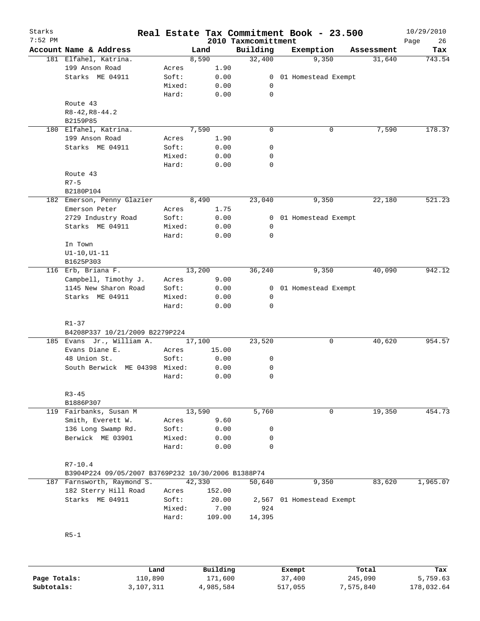| Starks<br>$7:52$ PM |                                                    |        |        | 2010 Taxmcomittment | Real Estate Tax Commitment Book - 23.500 |             | 10/29/2010<br>26<br>Page |
|---------------------|----------------------------------------------------|--------|--------|---------------------|------------------------------------------|-------------|--------------------------|
|                     | Account Name & Address                             |        | Land   | Building            | Exemption                                | Assessment  | Tax                      |
|                     | 181 Elfahel, Katrina.                              |        | 8,590  | 32,400              | 9,350                                    | 31,640      | 743.54                   |
|                     | 199 Anson Road                                     | Acres  | 1.90   |                     |                                          |             |                          |
|                     | Starks ME 04911                                    | Soft:  | 0.00   |                     | 0 01 Homestead Exempt                    |             |                          |
|                     |                                                    | Mixed: | 0.00   | 0                   |                                          |             |                          |
|                     |                                                    | Hard:  | 0.00   | $\mathbf 0$         |                                          |             |                          |
|                     | Route 43                                           |        |        |                     |                                          |             |                          |
|                     | $R8 - 42, R8 - 44.2$                               |        |        |                     |                                          |             |                          |
|                     | B2159P85                                           |        |        |                     |                                          |             |                          |
|                     | 180 Elfahel, Katrina.                              |        | 7,590  | $\mathbf 0$         | 0                                        | 7,590       | 178.37                   |
|                     | 199 Anson Road                                     | Acres  | 1.90   |                     |                                          |             |                          |
|                     | Starks ME 04911                                    | Soft:  | 0.00   | 0                   |                                          |             |                          |
|                     |                                                    | Mixed: | 0.00   | 0                   |                                          |             |                          |
|                     |                                                    | Hard:  | 0.00   | 0                   |                                          |             |                          |
|                     | Route 43                                           |        |        |                     |                                          |             |                          |
|                     | $R7 - 5$                                           |        |        |                     |                                          |             |                          |
|                     | B2180P104                                          |        |        |                     |                                          |             |                          |
|                     | 182 Emerson, Penny Glazier                         |        | 8,490  | 23,040              | 9,350                                    | 22,180      | 521.23                   |
|                     | Emerson Peter                                      | Acres  | 1.75   |                     |                                          |             |                          |
|                     | 2729 Industry Road                                 | Soft:  | 0.00   |                     | 0 01 Homestead Exempt                    |             |                          |
|                     | Starks ME 04911                                    | Mixed: | 0.00   | 0                   |                                          |             |                          |
|                     |                                                    | Hard:  | 0.00   | 0                   |                                          |             |                          |
|                     | In Town                                            |        |        |                     |                                          |             |                          |
|                     |                                                    |        |        |                     |                                          |             |                          |
|                     | $UI-10, UI-11$                                     |        |        |                     |                                          |             |                          |
|                     | B1625P303                                          |        |        |                     |                                          |             |                          |
|                     | 116 Erb, Briana F.                                 |        | 13,200 | 36, 240             | 9,350                                    | 40,090      | 942.12                   |
|                     | Campbell, Timothy J.                               | Acres  | 9.00   |                     |                                          |             |                          |
|                     | 1145 New Sharon Road                               | Soft:  | 0.00   | $\mathbf{0}$        | 01 Homestead Exempt                      |             |                          |
|                     | Starks ME 04911                                    | Mixed: | 0.00   | 0                   |                                          |             |                          |
|                     |                                                    | Hard:  | 0.00   | 0                   |                                          |             |                          |
|                     |                                                    |        |        |                     |                                          |             |                          |
|                     | R1-37                                              |        |        |                     |                                          |             |                          |
|                     | B4208P337 10/21/2009 B2279P224                     |        |        |                     |                                          |             |                          |
|                     | 185 Evans Jr., William A.                          |        | 17,100 | 23,520              |                                          | 40,620<br>0 | 954.57                   |
|                     | Evans Diane E.                                     | Acres  | 15.00  |                     |                                          |             |                          |
|                     | 48 Union St.                                       | Soft:  | 0.00   | 0                   |                                          |             |                          |
|                     | South Berwick ME 04398 Mixed:                      |        | 0.00   | 0                   |                                          |             |                          |
|                     |                                                    | Hard:  | 0.00   | 0                   |                                          |             |                          |
|                     |                                                    |        |        |                     |                                          |             |                          |
|                     | $R3 - 45$                                          |        |        |                     |                                          |             |                          |
|                     | B1886P307                                          |        |        |                     |                                          |             |                          |
|                     | 119 Fairbanks, Susan M                             |        | 13,590 | 5,760               |                                          | 0<br>19,350 | 454.73                   |
|                     | Smith, Everett W.                                  | Acres  | 9.60   |                     |                                          |             |                          |
|                     | 136 Long Swamp Rd.                                 | Soft:  | 0.00   | 0                   |                                          |             |                          |
|                     | Berwick ME 03901                                   | Mixed: | 0.00   | 0                   |                                          |             |                          |
|                     |                                                    | Hard:  | 0.00   | 0                   |                                          |             |                          |
|                     |                                                    |        |        |                     |                                          |             |                          |
|                     | $R7 - 10.4$                                        |        |        |                     |                                          |             |                          |
|                     | B3904P224 09/05/2007 B3769P232 10/30/2006 B1388P74 |        |        |                     |                                          |             |                          |
|                     | 187 Farnsworth, Raymond S.                         |        | 42,330 | 50,640              | 9,350                                    | 83,620      | 1,965.07                 |
|                     | 182 Sterry Hill Road                               | Acres  | 152.00 |                     |                                          |             |                          |
|                     | Starks ME 04911                                    | Soft:  | 20.00  | 2,567               | 01 Homestead Exempt                      |             |                          |
|                     |                                                    | Mixed: | 7.00   | 924                 |                                          |             |                          |
|                     |                                                    | Hard:  | 109.00 | 14,395              |                                          |             |                          |
|                     |                                                    |        |        |                     |                                          |             |                          |
|                     |                                                    |        |        |                     |                                          |             |                          |
|                     | $R5-1$                                             |        |        |                     |                                          |             |                          |
|                     |                                                    |        |        |                     |                                          |             |                          |
|                     |                                                    |        |        |                     |                                          |             |                          |
|                     |                                                    |        |        |                     |                                          |             |                          |

|              | Land      | Building  | Exempt  | Total     | Tax        |
|--------------|-----------|-----------|---------|-----------|------------|
| Page Totals: | 110,890   | 171,600   | 37,400  | 245,090   | 5,759.63   |
| Subtotals:   | 3,107,311 | 4,985,584 | 517,055 | 7,575,840 | 178,032.64 |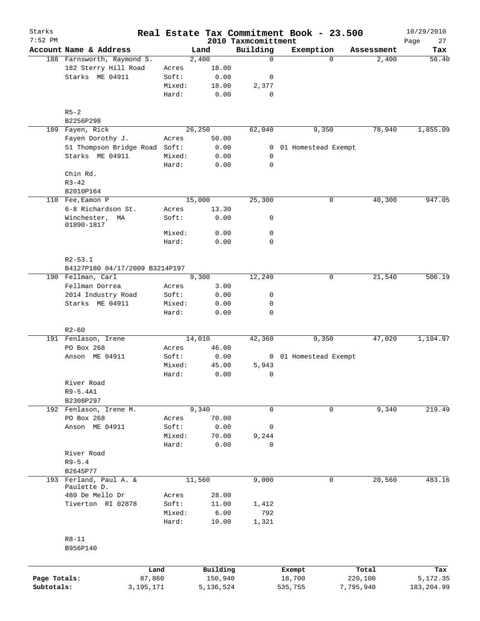| Starks       |                                                   |                 |               |                                 | Real Estate Tax Commitment Book - 23.500 |            | 10/29/2010        |
|--------------|---------------------------------------------------|-----------------|---------------|---------------------------------|------------------------------------------|------------|-------------------|
| $7:52$ PM    | Account Name & Address                            |                 | Land          | 2010 Taxmcomittment<br>Building | Exemption                                | Assessment | 27<br>Page<br>Tax |
|              | 188 Farnsworth, Raymond S.                        |                 | 2,400         | 0                               | $\Omega$                                 | 2,400      | 56.40             |
|              | 182 Sterry Hill Road                              | Acres           | 18.00         |                                 |                                          |            |                   |
|              | Starks ME 04911                                   | Soft:           | 0.00          | 0                               |                                          |            |                   |
|              |                                                   | Mixed:          | 18.00         | 2,377                           |                                          |            |                   |
|              |                                                   | Hard:           | 0.00          | 0                               |                                          |            |                   |
|              | $R5 - 2$                                          |                 |               |                                 |                                          |            |                   |
|              | B2256P298                                         |                 |               |                                 |                                          |            |                   |
|              | 189 Fayen, Rick                                   |                 | 26,250        | 62,040                          | 9,350                                    | 78,940     | 1,855.09          |
|              | Fayen Dorothy J.<br>51 Thompson Bridge Road Soft: | Acres           | 50.00<br>0.00 | 0                               | 01 Homestead Exempt                      |            |                   |
|              | Starks ME 04911                                   | Mixed:          | 0.00          | 0                               |                                          |            |                   |
|              |                                                   | Hard:           | 0.00          | $\mathbf 0$                     |                                          |            |                   |
|              | Chin Rd.                                          |                 |               |                                 |                                          |            |                   |
|              | $R3 - 42$                                         |                 |               |                                 |                                          |            |                   |
|              | B2010P164                                         |                 |               |                                 |                                          |            |                   |
|              | 110 Fee, Eamon P                                  |                 | 15,000        | 25,300                          | 0                                        | 40,300     | 947.05            |
|              | 6-8 Richardson St.                                | Acres           | 13.30         |                                 |                                          |            |                   |
|              | Winchester,<br>МA<br>01890-1817                   | Soft:           | 0.00          | 0                               |                                          |            |                   |
|              |                                                   | Mixed:          | 0.00          | 0                               |                                          |            |                   |
|              |                                                   | Hard:           | 0.00          | 0                               |                                          |            |                   |
|              | $R2 - 53.1$                                       |                 |               |                                 |                                          |            |                   |
|              | B4127P180 04/17/2009 B3214P197                    |                 |               |                                 |                                          |            |                   |
|              | 190 Fellman, Carl                                 |                 | 9,300         | 12,240                          | 0                                        | 21,540     | 506.19            |
|              | Fellman Dorrea                                    | Acres           | 3.00          |                                 |                                          |            |                   |
|              | 2014 Industry Road<br>Starks ME 04911             | Soft:<br>Mixed: | 0.00<br>0.00  | 0<br>0                          |                                          |            |                   |
|              |                                                   | Hard:           | 0.00          | $\mathbf 0$                     |                                          |            |                   |
|              | $R2 - 60$                                         |                 |               |                                 |                                          |            |                   |
|              | 191 Fenlason, Irene                               |                 | 14,010        | 42,360                          | 9,350                                    | 47,020     | 1,104.97          |
|              | PO Box 268                                        | Acres           | 46.00         |                                 |                                          |            |                   |
|              | Anson ME 04911                                    | Soft:           | 0.00          |                                 | 0 01 Homestead Exempt                    |            |                   |
|              |                                                   | Mixed:          | 45.00         | 5,943                           |                                          |            |                   |
|              |                                                   | Hard:           | 0.00          | 0                               |                                          |            |                   |
|              | River Road                                        |                 |               |                                 |                                          |            |                   |
|              | $R9 - 5.4A1$                                      |                 |               |                                 |                                          |            |                   |
|              | B2308P297                                         |                 |               |                                 |                                          |            |                   |
|              | 192 Fenlason, Irene M.                            |                 | 9,340         | 0                               | 0                                        | 9,340      | 219.49            |
|              | PO Box 268                                        | Acres           | 70.00         |                                 |                                          |            |                   |
|              | Anson ME 04911                                    | Soft:           | 0.00          | 0                               |                                          |            |                   |
|              |                                                   | Mixed:          | 70.00         | 9,244                           |                                          |            |                   |
|              | River Road                                        | Hard:           | 0.00          | 0                               |                                          |            |                   |
|              | $R9 - 5.4$                                        |                 |               |                                 |                                          |            |                   |
|              | B2645P77                                          |                 |               |                                 |                                          |            |                   |
|              | 193 Ferland, Paul A. &                            |                 | 11,560        | 9,000                           | 0                                        | 20,560     | 483.16            |
|              | Paulette D.                                       |                 |               |                                 |                                          |            |                   |
|              | 480 De Mello Dr                                   | Acres           | 28.00         |                                 |                                          |            |                   |
|              | Tiverton RI 02878                                 | Soft:           | 11.00         | 1,412                           |                                          |            |                   |
|              |                                                   | Mixed:          | 6.00          | 792                             |                                          |            |                   |
|              |                                                   | Hard:           | 10.00         | 1,321                           |                                          |            |                   |
|              | $R8 - 11$<br>B956P140                             |                 |               |                                 |                                          |            |                   |
|              | Land                                              |                 | Building      |                                 | Exempt                                   | Total      | Tax               |
| Page Totals: | 87,860                                            |                 | 150,940       |                                 | 18,700                                   | 220,100    | 5,172.35          |
| Subtotals:   | 3,195,171                                         |                 | 5,136,524     |                                 | 535,755                                  | 7,795,940  | 183,204.99        |
|              |                                                   |                 |               |                                 |                                          |            |                   |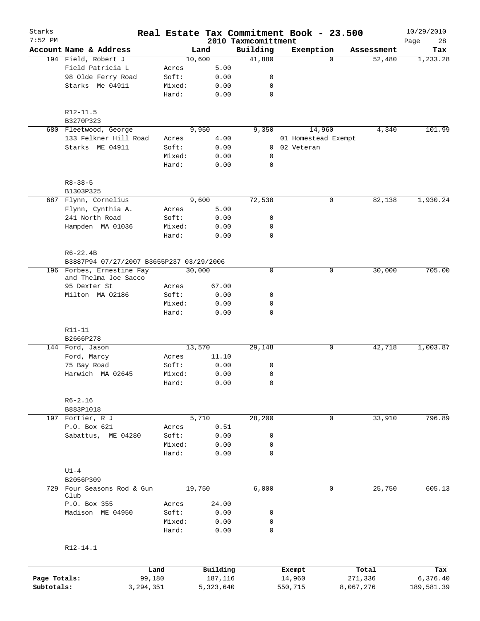| Starks<br>$7:52$ PM |                                                          |                 |              |                                 | Real Estate Tax Commitment Book - 23.500 |                    | 10/29/2010        |
|---------------------|----------------------------------------------------------|-----------------|--------------|---------------------------------|------------------------------------------|--------------------|-------------------|
|                     | Account Name & Address                                   |                 | Land         | 2010 Taxmcomittment<br>Building | Exemption                                | Assessment         | Page<br>28<br>Tax |
|                     | 194 Field, Robert J                                      |                 | 10,600       | 41,880                          |                                          | $\Omega$<br>52,480 | 1,233.28          |
|                     | Field Patricia L                                         | Acres           | 5.00         |                                 |                                          |                    |                   |
|                     | 98 Olde Ferry Road                                       | Soft:           | 0.00         | 0                               |                                          |                    |                   |
|                     | Starks Me 04911                                          | Mixed:          | 0.00         | 0                               |                                          |                    |                   |
|                     |                                                          | Hard:           | 0.00         | $\mathbf 0$                     |                                          |                    |                   |
|                     | R12-11.5                                                 |                 |              |                                 |                                          |                    |                   |
|                     | B3270P323                                                |                 |              |                                 |                                          |                    |                   |
|                     | 680 Fleetwood, George                                    |                 | 9,950        | 9,350                           | 14,960                                   | 4,340              | 101.99            |
|                     | 133 Felkner Hill Road                                    | Acres           | 4.00         |                                 | 01 Homestead Exempt                      |                    |                   |
|                     | Starks ME 04911                                          | Soft:           | 0.00         | 0                               | 02 Veteran                               |                    |                   |
|                     |                                                          | Mixed:          | 0.00         | $\mathbf 0$                     |                                          |                    |                   |
|                     |                                                          | Hard:           | 0.00         | $\mathbf 0$                     |                                          |                    |                   |
|                     | $R8 - 38 - 5$<br>B1303P325                               |                 |              |                                 |                                          |                    |                   |
|                     | 687 Flynn, Cornelius                                     |                 | 9,600        | 72,538                          | 0                                        | 82,138             | 1,930.24          |
|                     | Flynn, Cynthia A.                                        | Acres           | 5.00         |                                 |                                          |                    |                   |
|                     | 241 North Road                                           | Soft:           | 0.00         | 0                               |                                          |                    |                   |
|                     | Hampden MA 01036                                         | Mixed:          | 0.00         | 0                               |                                          |                    |                   |
|                     |                                                          | Hard:           | 0.00         | $\mathbf 0$                     |                                          |                    |                   |
|                     |                                                          |                 |              |                                 |                                          |                    |                   |
|                     | $R6 - 22.4B$<br>B3887P94 07/27/2007 B3655P237 03/29/2006 |                 |              |                                 |                                          |                    |                   |
|                     | 196 Forbes, Ernestine Fay                                |                 | 30,000       | $\mathbf 0$                     | 0                                        | 30,000             | 705.00            |
|                     | and Thelma Joe Sacco                                     |                 |              |                                 |                                          |                    |                   |
|                     | 95 Dexter St                                             | Acres           | 67.00        |                                 |                                          |                    |                   |
|                     | Milton MA 02186                                          | Soft:           | 0.00         | 0                               |                                          |                    |                   |
|                     |                                                          | Mixed:<br>Hard: | 0.00<br>0.00 | $\mathbf 0$<br>$\mathbf 0$      |                                          |                    |                   |
|                     |                                                          |                 |              |                                 |                                          |                    |                   |
|                     | R11-11<br>B2666P278                                      |                 |              |                                 |                                          |                    |                   |
|                     | 144 Ford, Jason                                          |                 | 13,570       | 29,148                          | 0                                        | 42,718             | 1,003.87          |
|                     | Ford, Marcy                                              | Acres           | 11.10        |                                 |                                          |                    |                   |
|                     | 75 Bay Road                                              | Soft:           | 0.00         | 0                               |                                          |                    |                   |
|                     | Harwich MA 02645                                         | Mixed:          | 0.00         | $\mathbf 0$                     |                                          |                    |                   |
|                     |                                                          | Hard:           | 0.00         | 0                               |                                          |                    |                   |
|                     | $R6 - 2.16$                                              |                 |              |                                 |                                          |                    |                   |
|                     | B883P1018                                                |                 |              |                                 |                                          |                    |                   |
|                     | 197 Fortier, R J                                         |                 | 5,710        | 28,200                          | 0                                        | 33,910             | 796.89            |
|                     | P.O. Box 621                                             | Acres           | 0.51         |                                 |                                          |                    |                   |
|                     | Sabattus, ME 04280                                       | Soft:           | 0.00         | 0                               |                                          |                    |                   |
|                     |                                                          | Mixed:          | 0.00         | 0                               |                                          |                    |                   |
|                     |                                                          | Hard:           | 0.00         | $\mathbf 0$                     |                                          |                    |                   |
|                     | $U1-4$                                                   |                 |              |                                 |                                          |                    |                   |
|                     | B2056P309                                                |                 |              |                                 |                                          |                    |                   |
| 729                 | Four Seasons Rod & Gun<br>Club                           |                 | 19,750       | 6,000                           |                                          | 0<br>25,750        | 605.13            |
|                     | P.O. Box 355                                             | Acres           | 24.00        |                                 |                                          |                    |                   |
|                     | Madison ME 04950                                         | Soft:           | 0.00         | 0                               |                                          |                    |                   |
|                     |                                                          | Mixed:          | 0.00         | 0                               |                                          |                    |                   |
|                     |                                                          | Hard:           | 0.00         | $\mathbf 0$                     |                                          |                    |                   |
|                     | R12-14.1                                                 |                 |              |                                 |                                          |                    |                   |
|                     |                                                          |                 |              |                                 |                                          |                    |                   |
|                     | Land                                                     |                 | Building     |                                 | Exempt                                   | Total              | Tax               |
| Page Totals:        | 99,180                                                   |                 | 187,116      |                                 | 14,960                                   | 271,336            | 6,376.40          |
| Subtotals:          | 3,294,351                                                |                 | 5,323,640    |                                 | 550,715                                  | 8,067,276          | 189,581.39        |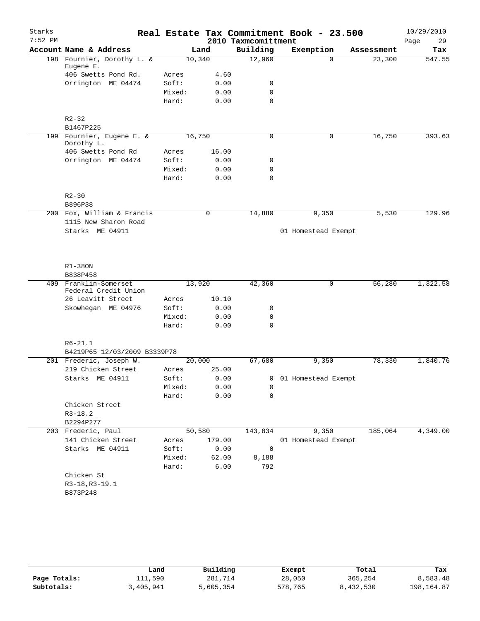| Starks    |                                                    |        |             |                     | Real Estate Tax Commitment Book - 23.500 |            | 10/29/2010 |
|-----------|----------------------------------------------------|--------|-------------|---------------------|------------------------------------------|------------|------------|
| $7:52$ PM |                                                    |        |             | 2010 Taxmcomittment |                                          |            | 29<br>Page |
|           | Account Name & Address                             |        | Land        | Building            | Exemption                                | Assessment | Tax        |
|           | 198 Fournier, Dorothy L. &<br>Eugene E.            | 10,340 |             | 12,960              | $\Omega$                                 | 23,300     | 547.55     |
|           | 406 Swetts Pond Rd.                                | Acres  | 4.60        |                     |                                          |            |            |
|           | Orrington ME 04474                                 | Soft:  | 0.00        | 0                   |                                          |            |            |
|           |                                                    | Mixed: | 0.00        | $\mathbf 0$         |                                          |            |            |
|           |                                                    | Hard:  | 0.00        | $\mathbf 0$         |                                          |            |            |
|           | $R2 - 32$                                          |        |             |                     |                                          |            |            |
|           | B1467P225                                          |        |             |                     |                                          |            |            |
|           | 199 Fournier, Eugene E. &<br>Dorothy L.            | 16,750 |             | $\mathbf 0$         | 0                                        | 16,750     | 393.63     |
|           | 406 Swetts Pond Rd                                 | Acres  | 16.00       |                     |                                          |            |            |
|           | Orrington ME 04474                                 | Soft:  | 0.00        | 0                   |                                          |            |            |
|           |                                                    | Mixed: | 0.00        | $\mathbf 0$         |                                          |            |            |
|           |                                                    | Hard:  | 0.00        | $\mathbf 0$         |                                          |            |            |
|           | $R2 - 30$                                          |        |             |                     |                                          |            |            |
|           | B896P38                                            |        |             |                     |                                          |            |            |
|           | 200 Fox, William & Francis<br>1115 New Sharon Road |        | $\mathbf 0$ | 14,880              | 9,350                                    | 5,530      | 129.96     |
|           | Starks ME 04911                                    |        |             |                     | 01 Homestead Exempt                      |            |            |
|           | $R1-380N$<br>B838P458                              |        |             |                     |                                          |            |            |
| 409       | Franklin-Somerset                                  | 13,920 |             | 42,360              | $\mathbf 0$                              | 56,280     | 1,322.58   |
|           | Federal Credit Union                               |        |             |                     |                                          |            |            |
|           | 26 Leavitt Street                                  | Acres  | 10.10       |                     |                                          |            |            |
|           | Skowhegan ME 04976                                 | Soft:  | 0.00        | 0                   |                                          |            |            |
|           |                                                    | Mixed: | 0.00        | $\mathbf 0$         |                                          |            |            |
|           |                                                    | Hard:  | 0.00        | $\Omega$            |                                          |            |            |
|           | $R6 - 21.1$                                        |        |             |                     |                                          |            |            |
|           | B4219P65 12/03/2009 B3339P78                       |        |             |                     |                                          |            |            |
|           | 201 Frederic, Joseph W.                            | 20,000 |             | 67,680              | 9,350                                    | 78,330     | 1,840.76   |
|           | 219 Chicken Street                                 | Acres  | 25.00       |                     |                                          |            |            |
|           | Starks ME 04911                                    | Soft:  | 0.00        |                     | 0 01 Homestead Exempt                    |            |            |
|           |                                                    | Mixed: | 0.00        | 0                   |                                          |            |            |
|           |                                                    | Hard:  | 0.00        | 0                   |                                          |            |            |
|           | Chicken Street                                     |        |             |                     |                                          |            |            |
|           | $R3-18.2$                                          |        |             |                     |                                          |            |            |
|           | B2294P277                                          |        |             |                     |                                          |            |            |
|           | 203 Frederic, Paul                                 |        | 50,580      | 143,834             | 9,350                                    | 185,064    | 4,349.00   |
|           | 141 Chicken Street                                 | Acres  | 179.00      |                     | 01 Homestead Exempt                      |            |            |
|           | Starks ME 04911                                    | Soft:  | 0.00        | 0                   |                                          |            |            |
|           |                                                    | Mixed: | 62.00       | 8,188               |                                          |            |            |
|           |                                                    | Hard:  | 6.00        | 792                 |                                          |            |            |
|           | Chicken St                                         |        |             |                     |                                          |            |            |
|           | R3-18, R3-19.1                                     |        |             |                     |                                          |            |            |
|           | B873P248                                           |        |             |                     |                                          |            |            |
|           |                                                    |        |             |                     |                                          |            |            |

|              | Land      | Building  | Exempt  | Total     | Tax          |
|--------------|-----------|-----------|---------|-----------|--------------|
| Page Totals: | 111,590   | 281,714   | 28,050  | 365,254   | 8,583.48     |
| Subtotals:   | 3,405,941 | 5,605,354 | 578,765 | 8,432,530 | 198, 164, 87 |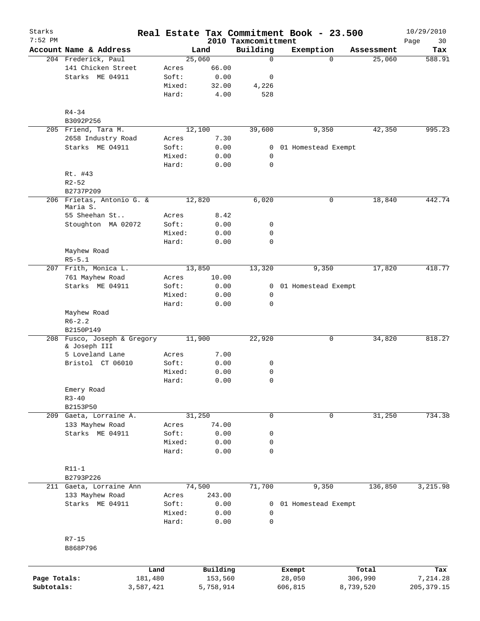| Starks<br>$7:52$ PM |                                       |                |           |                                 | Real Estate Tax Commitment Book - 23.500 |            | 10/29/2010        |
|---------------------|---------------------------------------|----------------|-----------|---------------------------------|------------------------------------------|------------|-------------------|
|                     | Account Name & Address                |                | Land      | 2010 Taxmcomittment<br>Building | Exemption                                | Assessment | Page<br>30<br>Tax |
|                     | 204 Frederick, Paul                   |                | 25,060    | $\mathbf 0$                     | 0                                        | 25,060     | 588.91            |
|                     | 141 Chicken Street                    | Acres          | 66.00     |                                 |                                          |            |                   |
|                     | Starks ME 04911                       | Soft:          | 0.00      | 0                               |                                          |            |                   |
|                     |                                       | Mixed:         | 32.00     | 4,226                           |                                          |            |                   |
|                     |                                       | Hard:          | 4.00      | 528                             |                                          |            |                   |
|                     | $R4 - 34$                             |                |           |                                 |                                          |            |                   |
|                     | B3092P256                             |                |           |                                 |                                          |            |                   |
|                     | 205 Friend, Tara M.                   |                | 12,100    | 39,600                          | 9,350                                    | 42,350     | 995.23            |
|                     | 2658 Industry Road                    | Acres          | 7.30      |                                 |                                          |            |                   |
|                     | Starks ME 04911                       | Soft:          | 0.00      | 0                               | 01 Homestead Exempt                      |            |                   |
|                     |                                       | Mixed:         | 0.00      | 0                               |                                          |            |                   |
|                     |                                       | Hard:          | 0.00      | $\mathbf 0$                     |                                          |            |                   |
|                     | Rt. #43                               |                |           |                                 |                                          |            |                   |
|                     | $R2 - 52$                             |                |           |                                 |                                          |            |                   |
|                     | B2737P209                             |                |           |                                 |                                          |            |                   |
|                     | 206 Frietas, Antonio G. &<br>Maria S. |                | 12,820    | 6,020                           | 0                                        | 18,840     | 442.74            |
|                     | 55 Sheehan St                         | Acres          | 8.42      |                                 |                                          |            |                   |
|                     | Stoughton MA 02072                    | Soft:          | 0.00      | 0                               |                                          |            |                   |
|                     |                                       | Mixed:         | 0.00      | $\mathbf 0$                     |                                          |            |                   |
|                     |                                       | Hard:          | 0.00      | $\mathbf 0$                     |                                          |            |                   |
|                     | Mayhew Road<br>$R5 - 5.1$             |                |           |                                 |                                          |            |                   |
|                     | 207 Frith, Monica L.                  |                | 13,850    | 13,320                          | 9,350                                    | 17,820     | 418.77            |
|                     | 761 Mayhew Road                       | Acres          | 10.00     |                                 |                                          |            |                   |
|                     | Starks ME 04911                       | Soft:          | 0.00      | 0                               | 01 Homestead Exempt                      |            |                   |
|                     |                                       | Mixed:         | 0.00      | 0                               |                                          |            |                   |
|                     |                                       | Hard:          | 0.00      | $\mathbf 0$                     |                                          |            |                   |
|                     | Mayhew Road                           |                |           |                                 |                                          |            |                   |
|                     | $R6 - 2.2$                            |                |           |                                 |                                          |            |                   |
|                     | B2150P149                             |                |           |                                 |                                          |            |                   |
|                     | 208 Fusco, Joseph & Gregory           |                | 11,900    | 22,920                          | 0                                        | 34,820     | 818.27            |
|                     | & Joseph III<br>5 Loveland Lane       |                | 7.00      |                                 |                                          |            |                   |
|                     | Bristol CT 06010                      | Acres<br>Soft: | 0.00      | 0                               |                                          |            |                   |
|                     |                                       | Mixed:         | 0.00      | 0                               |                                          |            |                   |
|                     |                                       | Hard:          | 0.00      | $\Omega$                        |                                          |            |                   |
|                     | Emery Road                            |                |           |                                 |                                          |            |                   |
|                     | $R3 - 40$                             |                |           |                                 |                                          |            |                   |
|                     | B2153P50                              |                |           |                                 |                                          |            |                   |
|                     | 209 Gaeta, Lorraine A.                |                | 31,250    | $\mathbf 0$                     | 0                                        | 31,250     | 734.38            |
|                     | 133 Mayhew Road                       | Acres          | 74.00     |                                 |                                          |            |                   |
|                     | Starks ME 04911                       | Soft:          | 0.00      | 0                               |                                          |            |                   |
|                     |                                       | Mixed:         | 0.00      | 0                               |                                          |            |                   |
|                     |                                       | Hard:          | 0.00      | $\mathbf 0$                     |                                          |            |                   |
|                     |                                       |                |           |                                 |                                          |            |                   |
|                     | $R11-1$                               |                |           |                                 |                                          |            |                   |
|                     | B2793P226                             |                |           |                                 |                                          |            |                   |
|                     | 211 Gaeta, Lorraine Ann               |                | 74,500    | 71,700                          | 9,350                                    | 136,850    | 3,215.98          |
|                     | 133 Mayhew Road                       | Acres          | 243.00    |                                 |                                          |            |                   |
|                     | Starks ME 04911                       | Soft:          | 0.00      | $\overline{0}$                  | 01 Homestead Exempt                      |            |                   |
|                     |                                       | Mixed:         | 0.00      | 0                               |                                          |            |                   |
|                     |                                       | Hard:          | 0.00      | $\mathbf 0$                     |                                          |            |                   |
|                     | $R7 - 15$                             |                |           |                                 |                                          |            |                   |
|                     | B868P796                              |                |           |                                 |                                          |            |                   |
|                     |                                       |                |           |                                 |                                          |            |                   |
|                     |                                       | Land           | Building  |                                 | Exempt                                   | Total      | Tax               |
| Page Totals:        | 181,480                               |                | 153,560   |                                 | 28,050                                   | 306,990    | 7,214.28          |
| Subtotals:          | 3,587,421                             |                | 5,758,914 |                                 | 606,815                                  | 8,739,520  | 205, 379.15       |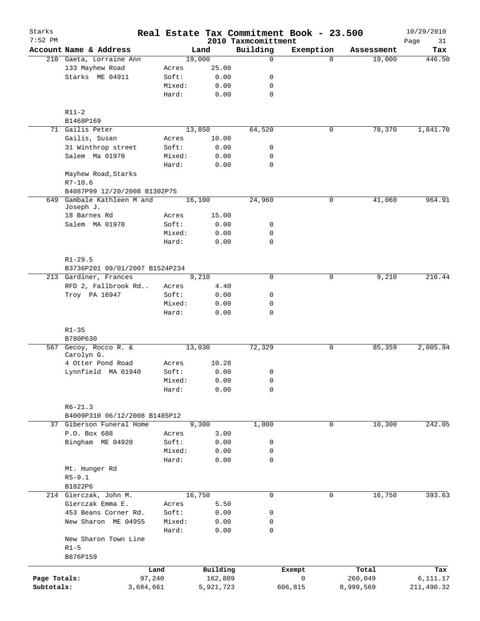| Starks<br>$7:52$ PM |                                     |           |        |           | 2010 Taxmcomittment | Real Estate Tax Commitment Book - 23.500 |             |            | 10/29/2010<br>Page<br>31 |
|---------------------|-------------------------------------|-----------|--------|-----------|---------------------|------------------------------------------|-------------|------------|--------------------------|
|                     | Account Name & Address              |           |        | Land      | Building            | Exemption                                |             | Assessment | Tax                      |
|                     | 210 Gaeta, Lorraine Ann             |           |        | 19,000    | $\mathbf 0$         |                                          | $\Omega$    | 19,000     | 446.50                   |
|                     | 133 Mayhew Road                     |           | Acres  | 25.00     |                     |                                          |             |            |                          |
|                     | Starks ME 04911                     |           | Soft:  | 0.00      | 0                   |                                          |             |            |                          |
|                     |                                     |           | Mixed: | 0.00      | 0                   |                                          |             |            |                          |
|                     |                                     |           | Hard:  | 0.00      | $\mathbf 0$         |                                          |             |            |                          |
|                     | $R11-2$                             |           |        |           |                     |                                          |             |            |                          |
|                     | B1468P169                           |           |        |           |                     |                                          |             |            |                          |
|                     | 71 Gailis Peter                     |           |        | 13,850    | 64,520              |                                          | 0           | 78,370     | 1,841.70                 |
|                     | Gailis, Susan                       |           | Acres  | 10.00     |                     |                                          |             |            |                          |
|                     | 31 Winthrop street                  |           | Soft:  | 0.00      | 0                   |                                          |             |            |                          |
|                     | Salem Ma 01970                      |           | Mixed: | 0.00      | 0                   |                                          |             |            |                          |
|                     |                                     |           | Hard:  | 0.00      | $\mathbf 0$         |                                          |             |            |                          |
|                     | Mayhew Road, Starks                 |           |        |           |                     |                                          |             |            |                          |
|                     | $R7 - 10.6$                         |           |        |           |                     |                                          |             |            |                          |
|                     | B4087P99 12/20/2008 B1302P75        |           |        |           |                     |                                          |             |            |                          |
| 649                 | Gambale Kathleen M and<br>Joseph J. |           |        | 16,100    | 24,960              |                                          | 0           | 41,060     | 964.91                   |
|                     | 18 Barnes Rd                        |           | Acres  | 15.00     |                     |                                          |             |            |                          |
|                     | Salem MA 01970                      |           | Soft:  | 0.00      | 0                   |                                          |             |            |                          |
|                     |                                     |           | Mixed: | 0.00      | $\mathbf 0$         |                                          |             |            |                          |
|                     |                                     |           | Hard:  | 0.00      | $\mathbf 0$         |                                          |             |            |                          |
|                     | $R1 - 29.5$                         |           |        |           |                     |                                          |             |            |                          |
|                     | B3736P201 09/01/2007 B1524P234      |           |        |           |                     |                                          |             |            |                          |
|                     | 213 Gardiner, Frances               |           |        | 9,210     | $\Omega$            |                                          | $\mathbf 0$ | 9,210      | 216.44                   |
|                     | RFD 2, Fallbrook Rd                 |           | Acres  | 4.40      |                     |                                          |             |            |                          |
|                     | Troy PA 16947                       |           | Soft:  | 0.00      | 0                   |                                          |             |            |                          |
|                     |                                     |           | Mixed: | 0.00      | $\mathbf 0$         |                                          |             |            |                          |
|                     |                                     |           | Hard:  | 0.00      | $\mathbf 0$         |                                          |             |            |                          |
|                     | $R1 - 35$                           |           |        |           |                     |                                          |             |            |                          |
|                     | B780P630                            |           |        |           |                     |                                          |             |            |                          |
|                     | 567 Gecoy, Rocco R. &<br>Carolyn G. |           |        | 13,030    | 72,329              |                                          | 0           | 85,359     | 2,005.94                 |
|                     | 4 Otter Pond Road                   |           | Acres  | 10.28     |                     |                                          |             |            |                          |
|                     | Lynnfield MA 01940                  |           | Soft:  | 0.00      | 0                   |                                          |             |            |                          |
|                     |                                     |           | Mixed: | 0.00      | 0                   |                                          |             |            |                          |
|                     |                                     |           | Hard:  | 0.00      | 0                   |                                          |             |            |                          |
|                     | $R6 - 21.3$                         |           |        |           |                     |                                          |             |            |                          |
|                     | B4009P310 06/12/2008 B1485P12       |           |        |           |                     |                                          |             |            |                          |
| 37                  | Giberson Funeral Home               |           |        | 9,300     | 1,000               |                                          | 0           | 10,300     | 242.05                   |
|                     | P.O. Box 688                        |           | Acres  | 3.00      |                     |                                          |             |            |                          |
|                     | Bingham ME 04920                    |           | Soft:  | 0.00      | 0                   |                                          |             |            |                          |
|                     |                                     |           | Mixed: | 0.00      | 0                   |                                          |             |            |                          |
|                     |                                     |           | Hard:  | 0.00      | $\mathbf 0$         |                                          |             |            |                          |
|                     | Mt. Hunger Rd                       |           |        |           |                     |                                          |             |            |                          |
|                     | $R5 - 9.1$                          |           |        |           |                     |                                          |             |            |                          |
|                     | B1822P6                             |           |        |           |                     |                                          |             |            |                          |
|                     | 214 Gierczak, John M.               |           |        | 16,750    | 0                   |                                          | 0           | 16,750     | 393.63                   |
|                     | Gierczak Emma E.                    |           | Acres  | 5.50      |                     |                                          |             |            |                          |
|                     | 453 Beans Corner Rd.                |           | Soft:  | 0.00      | 0                   |                                          |             |            |                          |
|                     | New Sharon ME 04955                 |           | Mixed: | 0.00      | 0                   |                                          |             |            |                          |
|                     |                                     |           | Hard:  | 0.00      | 0                   |                                          |             |            |                          |
|                     | New Sharon Town Line                |           |        |           |                     |                                          |             |            |                          |
|                     | $R1-5$                              |           |        |           |                     |                                          |             |            |                          |
|                     | B876P159                            |           |        |           |                     |                                          |             |            |                          |
|                     |                                     | Land      |        | Building  |                     | Exempt                                   |             | Total      | Tax                      |
| Page Totals:        |                                     | 97,240    |        | 162,809   |                     | 0                                        |             | 260,049    | 6,111.17                 |
| Subtotals:          |                                     | 3,684,661 |        | 5,921,723 |                     | 606,815                                  |             | 8,999,569  | 211,490.32               |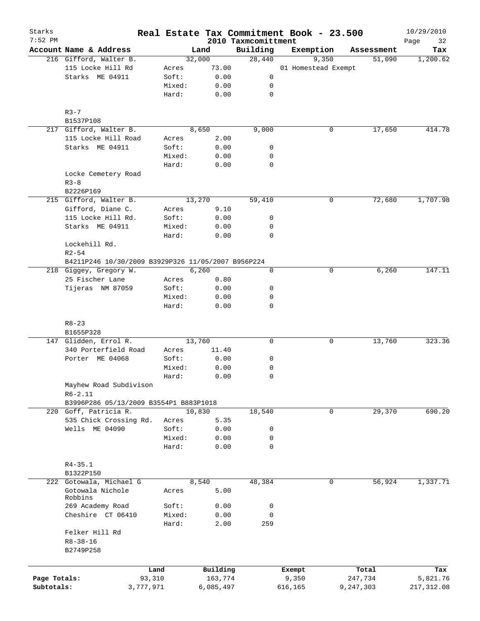| Starks<br>$7:52$ PM |                                                    |        |           | 2010 Taxmcomittment | Real Estate Tax Commitment Book - 23.500 |            | 10/29/2010<br>Page<br>32 |
|---------------------|----------------------------------------------------|--------|-----------|---------------------|------------------------------------------|------------|--------------------------|
|                     | Account Name & Address                             |        | Land      | Building            | Exemption                                | Assessment | Tax                      |
|                     | 216 Gifford, Walter B.                             |        | 32,000    | 28,440              | 9,350                                    | 51,090     | 1,200.62                 |
|                     | 115 Locke Hill Rd                                  | Acres  | 73.00     |                     | 01 Homestead Exempt                      |            |                          |
|                     | Starks ME 04911                                    | Soft:  | 0.00      | 0                   |                                          |            |                          |
|                     |                                                    | Mixed: | 0.00      | 0                   |                                          |            |                          |
|                     |                                                    | Hard:  | 0.00      | 0                   |                                          |            |                          |
|                     |                                                    |        |           |                     |                                          |            |                          |
|                     | $R3 - 7$                                           |        |           |                     |                                          |            |                          |
|                     | B1537P108                                          |        |           |                     |                                          |            |                          |
|                     | 217 Gifford, Walter B.                             |        | 8,650     | 9,000               | 0                                        | 17,650     | 414.78                   |
|                     | 115 Locke Hill Road                                | Acres  | 2.00      |                     |                                          |            |                          |
|                     | Starks ME 04911                                    | Soft:  | 0.00      | 0                   |                                          |            |                          |
|                     |                                                    | Mixed: | 0.00      | 0                   |                                          |            |                          |
|                     |                                                    | Hard:  | 0.00      | 0                   |                                          |            |                          |
|                     | Locke Cemetery Road                                |        |           |                     |                                          |            |                          |
|                     | $R3 - 8$                                           |        |           |                     |                                          |            |                          |
|                     | B2226P169                                          |        |           |                     |                                          |            |                          |
|                     | 215 Gifford, Walter B.                             |        | 13,270    | 59,410              | 0                                        | 72,680     | 1,707.98                 |
|                     | Gifford, Diane C.                                  | Acres  | 9.10      |                     |                                          |            |                          |
|                     | 115 Locke Hill Rd.                                 | Soft:  | 0.00      | 0                   |                                          |            |                          |
|                     | Starks ME 04911                                    | Mixed: | 0.00      | 0                   |                                          |            |                          |
|                     |                                                    |        |           |                     |                                          |            |                          |
|                     |                                                    | Hard:  | 0.00      | 0                   |                                          |            |                          |
|                     | Lockehill Rd.                                      |        |           |                     |                                          |            |                          |
|                     | $R2 - 54$                                          |        |           |                     |                                          |            |                          |
|                     | B4211P246 10/30/2009 B3929P326 11/05/2007 B956P224 |        |           |                     |                                          |            |                          |
|                     | 218 Giggey, Gregory W.                             |        | 6,260     | $\mathbf 0$         | 0                                        | 6,260      | 147.11                   |
|                     | 25 Fischer Lane                                    | Acres  | 0.80      |                     |                                          |            |                          |
|                     | Tijeras NM 87059                                   | Soft:  | 0.00      | 0                   |                                          |            |                          |
|                     |                                                    | Mixed: | 0.00      | 0                   |                                          |            |                          |
|                     |                                                    | Hard:  | 0.00      | $\mathbf 0$         |                                          |            |                          |
|                     |                                                    |        |           |                     |                                          |            |                          |
|                     | $R8 - 23$                                          |        |           |                     |                                          |            |                          |
|                     | B1655P328                                          |        |           |                     |                                          |            |                          |
|                     | 147 Glidden, Errol R.                              |        | 13,760    | $\mathbf 0$         | 0                                        | 13,760     | 323.36                   |
|                     | 340 Porterfield Road                               | Acres  | 11.40     |                     |                                          |            |                          |
|                     | Porter ME 04068                                    | Soft:  | 0.00      | 0                   |                                          |            |                          |
|                     |                                                    | Mixed: | 0.00      | 0                   |                                          |            |                          |
|                     |                                                    | Hard:  | 0.00      | 0                   |                                          |            |                          |
|                     | Mayhew Road Subdivison                             |        |           |                     |                                          |            |                          |
|                     | $R6 - 2.11$                                        |        |           |                     |                                          |            |                          |
|                     | B3996P286 05/13/2009 B3554P1 B883P1018             |        |           |                     |                                          |            |                          |
|                     | 220 Goff, Patricia R.                              |        | 10,830    | 18,540              | 0                                        | 29,370     | 690.20                   |
|                     | 535 Chick Crossing Rd.                             | Acres  | 5.35      |                     |                                          |            |                          |
|                     | Wells ME 04090                                     | Soft:  | 0.00      | 0                   |                                          |            |                          |
|                     |                                                    | Mixed: | 0.00      | 0                   |                                          |            |                          |
|                     |                                                    | Hard:  | 0.00      | 0                   |                                          |            |                          |
|                     |                                                    |        |           |                     |                                          |            |                          |
|                     | $R4 - 35.1$                                        |        |           |                     |                                          |            |                          |
|                     | B1322P150                                          |        |           |                     |                                          |            |                          |
| 222                 | Gotowala, Michael G                                |        | 8,540     | 48,384              | $\mathbf 0$                              | 56,924     | 1,337.71                 |
|                     | Gotowala Nichole                                   | Acres  | 5.00      |                     |                                          |            |                          |
|                     | Robbins                                            |        |           |                     |                                          |            |                          |
|                     | 269 Academy Road                                   | Soft:  | 0.00      | 0                   |                                          |            |                          |
|                     | Cheshire CT 06410                                  | Mixed: | 0.00      | 0                   |                                          |            |                          |
|                     |                                                    | Hard:  | 2.00      | 259                 |                                          |            |                          |
|                     | Felker Hill Rd                                     |        |           |                     |                                          |            |                          |
|                     | $R8 - 38 - 16$                                     |        |           |                     |                                          |            |                          |
|                     | B2749P258                                          |        |           |                     |                                          |            |                          |
|                     |                                                    |        |           |                     |                                          |            |                          |
|                     | Land                                               |        | Building  |                     | Exempt                                   | Total      | Tax                      |
| Page Totals:        | 93,310                                             |        | 163,774   |                     | 9,350                                    | 247,734    | 5,821.76                 |
| Subtotals:          | 3,777,971                                          |        | 6,085,497 |                     | 616,165                                  | 9,247,303  | 217, 312.08              |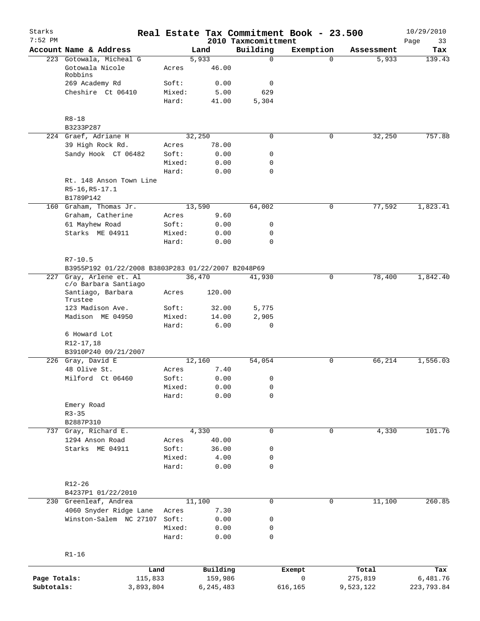| Starks<br>$7:52$ PM |                                                                               |                 |                     | 2010 Taxmcomittment | Real Estate Tax Commitment Book - 23.500 |                  | 10/29/2010<br>Page<br>33 |
|---------------------|-------------------------------------------------------------------------------|-----------------|---------------------|---------------------|------------------------------------------|------------------|--------------------------|
|                     | Account Name & Address                                                        |                 | Land                | Building            | Exemption                                | Assessment       | Tax                      |
|                     | 223 Gotowala, Micheal G                                                       |                 | 5,933               | $\Omega$            | $\Omega$                                 | 5,933            | 139.43                   |
|                     | Gotowala Nicole<br>Robbins                                                    | Acres           | 46.00               |                     |                                          |                  |                          |
|                     | 269 Academy Rd                                                                | Soft:           | 0.00                | 0                   |                                          |                  |                          |
|                     | Cheshire Ct 06410                                                             | Mixed:          | 5.00                | 629                 |                                          |                  |                          |
|                     |                                                                               | Hard:           | 41.00               | 5,304               |                                          |                  |                          |
|                     | $R8 - 18$                                                                     |                 |                     |                     |                                          |                  |                          |
|                     | B3233P287                                                                     |                 |                     |                     |                                          |                  |                          |
|                     | 224 Graef, Adriane H                                                          |                 | 32,250              | $\mathbf 0$         | 0                                        | 32,250           | 757.88                   |
|                     | 39 High Rock Rd.<br>Sandy Hook CT 06482                                       | Acres<br>Soft:  | 78.00<br>0.00       | 0                   |                                          |                  |                          |
|                     |                                                                               | Mixed:          | 0.00                | $\mathbf 0$         |                                          |                  |                          |
|                     |                                                                               | Hard:           | 0.00                | $\mathbf 0$         |                                          |                  |                          |
|                     | Rt. 148 Anson Town Line                                                       |                 |                     |                     |                                          |                  |                          |
|                     | R5-16, R5-17.1<br>B1789P142                                                   |                 |                     |                     |                                          |                  |                          |
|                     | 160 Graham, Thomas Jr.                                                        |                 | 13,590              | 64,002              | 0                                        | 77,592           | 1,823.41                 |
|                     | Graham, Catherine                                                             | Acres           | 9.60                |                     |                                          |                  |                          |
|                     | 61 Mayhew Road                                                                | Soft:           | 0.00                | 0                   |                                          |                  |                          |
|                     | Starks ME 04911                                                               | Mixed:          | 0.00                | $\mathbf 0$         |                                          |                  |                          |
|                     |                                                                               | Hard:           | 0.00                | $\mathbf 0$         |                                          |                  |                          |
|                     | $R7 - 10.5$                                                                   |                 |                     |                     |                                          |                  |                          |
|                     | B3955P192 01/22/2008 B3803P283 01/22/2007 B2048P69<br>227 Gray, Arlene et. Al |                 | 36,470              | 41,930              | 0                                        | 78,400           | 1,842.40                 |
|                     | c/o Barbara Santiago<br>Santiago, Barbara<br>Trustee                          | Acres           | 120.00              |                     |                                          |                  |                          |
|                     | 123 Madison Ave.                                                              | Soft:           | 32.00               | 5,775               |                                          |                  |                          |
|                     | Madison ME 04950                                                              | Mixed:          | 14.00               | 2,905               |                                          |                  |                          |
|                     |                                                                               | Hard:           | 6.00                | $\mathbf 0$         |                                          |                  |                          |
|                     | 6 Howard Lot<br>R12-17,18                                                     |                 |                     |                     |                                          |                  |                          |
|                     | B3910P240 09/21/2007                                                          |                 |                     |                     |                                          |                  |                          |
|                     | 226 Gray, David E                                                             |                 | 12,160              | 54,054              | 0                                        | 66,214           | 1,556.03                 |
|                     | 48 Olive St.                                                                  | Acres           | 7.40                |                     |                                          |                  |                          |
|                     | Milford Ct 06460                                                              | Soft:           | 0.00                | 0                   |                                          |                  |                          |
|                     |                                                                               | Mixed:<br>Hard: | 0.00<br>0.00        | 0<br>0              |                                          |                  |                          |
|                     | Emery Road                                                                    |                 |                     |                     |                                          |                  |                          |
|                     | $R3 - 35$                                                                     |                 |                     |                     |                                          |                  |                          |
|                     | B2887P310                                                                     |                 |                     |                     |                                          |                  |                          |
| 737                 | Gray, Richard E.                                                              |                 | 4,330               | 0                   | 0                                        | 4,330            | 101.76                   |
|                     | 1294 Anson Road                                                               | Acres           | 40.00               |                     |                                          |                  |                          |
|                     | Starks ME 04911                                                               | Soft:           | 36.00               | 0                   |                                          |                  |                          |
|                     |                                                                               | Mixed:          | 4.00                | 0                   |                                          |                  |                          |
|                     |                                                                               | Hard:           | 0.00                | 0                   |                                          |                  |                          |
|                     | R12-26                                                                        |                 |                     |                     |                                          |                  |                          |
|                     | B4237P1 01/22/2010                                                            |                 |                     |                     |                                          |                  |                          |
| 230                 | Greenleaf, Andrea                                                             |                 | 11,100              | $\mathbf 0$         | 0                                        | 11,100           | 260.85                   |
|                     | 4060 Snyder Ridge Lane                                                        | Acres           | 7.30                |                     |                                          |                  |                          |
|                     | Winston-Salem NC 27107                                                        | Soft:           | 0.00                | 0                   |                                          |                  |                          |
|                     |                                                                               | Mixed:<br>Hard: | 0.00<br>0.00        | 0<br>$\mathbf 0$    |                                          |                  |                          |
|                     | $R1 - 16$                                                                     |                 |                     |                     |                                          |                  |                          |
|                     |                                                                               |                 |                     |                     |                                          |                  |                          |
| Page Totals:        | Land<br>115,833                                                               |                 | Building<br>159,986 |                     | Exempt<br>$\mathsf{O}$                   | Total<br>275,819 | Tax<br>6,481.76          |
| Subtotals:          | 3,893,804                                                                     |                 | 6,245,483           |                     | 616,165                                  | 9,523,122        | 223,793.84               |
|                     |                                                                               |                 |                     |                     |                                          |                  |                          |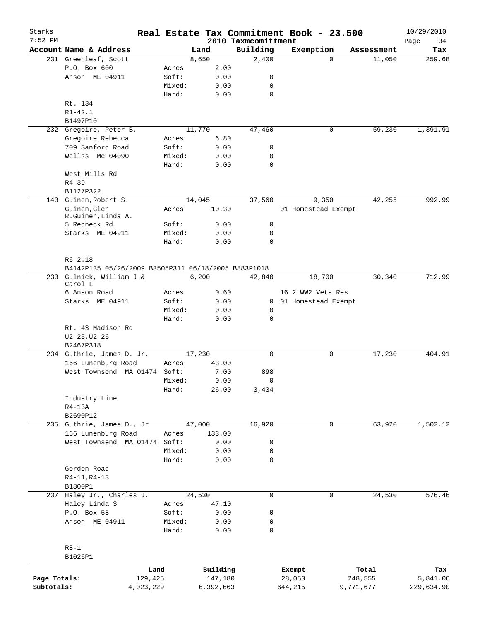| Starks<br>$7:52$ PM |                                                     |           |           |                                 | Real Estate Tax Commitment Book - 23.500 |            | 10/29/2010        |
|---------------------|-----------------------------------------------------|-----------|-----------|---------------------------------|------------------------------------------|------------|-------------------|
|                     | Account Name & Address                              |           | Land      | 2010 Taxmcomittment<br>Building | Exemption                                | Assessment | Page<br>34<br>Tax |
|                     | 231 Greenleaf, Scott                                |           | 8,650     | 2,400                           | $\Omega$                                 | 11,050     | 259.68            |
|                     | P.O. Box 600                                        | Acres     | 2.00      |                                 |                                          |            |                   |
|                     |                                                     |           |           |                                 |                                          |            |                   |
|                     | Anson ME 04911                                      | Soft:     | 0.00      | 0                               |                                          |            |                   |
|                     |                                                     | Mixed:    | 0.00      | $\mathbf 0$                     |                                          |            |                   |
|                     |                                                     | Hard:     | 0.00      | $\mathbf 0$                     |                                          |            |                   |
|                     | Rt. 134                                             |           |           |                                 |                                          |            |                   |
|                     | $R1 - 42.1$                                         |           |           |                                 |                                          |            |                   |
|                     | B1497P10                                            |           |           |                                 |                                          |            |                   |
| 232                 | Gregoire, Peter B.                                  |           | 11,770    | 47,460                          | 0                                        | 59,230     | 1,391.91          |
|                     | Gregoire Rebecca                                    | Acres     | 6.80      |                                 |                                          |            |                   |
|                     | 709 Sanford Road                                    | Soft:     | 0.00      | 0                               |                                          |            |                   |
|                     | Wellss Me 04090                                     | Mixed:    | 0.00      | 0                               |                                          |            |                   |
|                     |                                                     | Hard:     | 0.00      | $\mathbf 0$                     |                                          |            |                   |
|                     | West Mills Rd                                       |           |           |                                 |                                          |            |                   |
|                     | $R4 - 39$                                           |           |           |                                 |                                          |            |                   |
|                     | B1127P322                                           |           |           |                                 |                                          |            |                   |
| 143                 | Guinen, Robert S.                                   |           | 14,045    | 37,560                          | 9,350                                    | 42,255     | 992.99            |
|                     | Guinen, Glen                                        | Acres     | 10.30     |                                 | 01 Homestead Exempt                      |            |                   |
|                     | R.Guinen, Linda A.                                  |           |           |                                 |                                          |            |                   |
|                     | 5 Redneck Rd.                                       | Soft:     | 0.00      | 0                               |                                          |            |                   |
|                     | Starks ME 04911                                     | Mixed:    | 0.00      | $\mathbf 0$                     |                                          |            |                   |
|                     |                                                     | Hard:     | 0.00      | $\mathbf 0$                     |                                          |            |                   |
|                     |                                                     |           |           |                                 |                                          |            |                   |
|                     | $R6 - 2.18$                                         |           |           |                                 |                                          |            |                   |
|                     | B4142P135 05/26/2009 B3505P311 06/18/2005 B883P1018 |           |           |                                 |                                          |            |                   |
|                     | 233 Gulnick, William J &                            |           | 6,200     | 42,840                          | 18,700                                   | 30,340     | 712.99            |
|                     | Carol L                                             |           |           |                                 |                                          |            |                   |
|                     | 6 Anson Road                                        | Acres     | 0.60      |                                 | 16 2 WW2 Vets Res.                       |            |                   |
|                     | Starks ME 04911                                     | Soft:     | 0.00      |                                 | 0 01 Homestead Exempt                    |            |                   |
|                     |                                                     | Mixed:    | 0.00      | 0                               |                                          |            |                   |
|                     |                                                     | Hard:     | 0.00      | $\mathbf 0$                     |                                          |            |                   |
|                     | Rt. 43 Madison Rd                                   |           |           |                                 |                                          |            |                   |
|                     | $U2 - 25, U2 - 26$                                  |           |           |                                 |                                          |            |                   |
|                     | B2467P318                                           |           |           |                                 |                                          |            |                   |
|                     | 234 Guthrie, James D. Jr.                           |           | 17,230    | $\mathbf 0$                     | 0                                        | 17,230     | 404.91            |
|                     | 166 Lunenburg Road                                  | Acres     | 43.00     |                                 |                                          |            |                   |
|                     | West Townsend MA 01474 Soft:                        |           | 7.00      | 898                             |                                          |            |                   |
|                     |                                                     | Mixed:    | 0.00      | $\overline{0}$                  |                                          |            |                   |
|                     |                                                     | Hard:     | 26.00     | 3,434                           |                                          |            |                   |
|                     | Industry Line                                       |           |           |                                 |                                          |            |                   |
|                     | $R4-13A$                                            |           |           |                                 |                                          |            |                   |
|                     | B2690P12                                            |           |           |                                 |                                          |            |                   |
|                     | 235 Guthrie, James D., Jr                           |           | 47,000    | 16,920                          | 0                                        | 63,920     | 1,502.12          |
|                     | 166 Lunenburg Road                                  | Acres     | 133.00    |                                 |                                          |            |                   |
|                     | West Townsend MA 01474                              | Soft:     | 0.00      | 0                               |                                          |            |                   |
|                     |                                                     | Mixed:    | 0.00      | 0                               |                                          |            |                   |
|                     |                                                     | Hard:     | 0.00      | $\mathbf 0$                     |                                          |            |                   |
|                     | Gordon Road                                         |           |           |                                 |                                          |            |                   |
|                     | $R4-11, R4-13$                                      |           |           |                                 |                                          |            |                   |
|                     |                                                     |           |           |                                 |                                          |            |                   |
|                     | B1800P1                                             |           |           |                                 |                                          |            |                   |
|                     | 237 Haley Jr., Charles J.                           |           | 24,530    | 0                               | 0                                        | 24,530     | 576.46            |
|                     | Haley Linda S                                       | Acres     | 47.10     |                                 |                                          |            |                   |
|                     | P.O. Box 58                                         | Soft:     | 0.00      | 0                               |                                          |            |                   |
|                     | Anson ME 04911                                      | Mixed:    | 0.00      | 0                               |                                          |            |                   |
|                     |                                                     | Hard:     | 0.00      | 0                               |                                          |            |                   |
|                     |                                                     |           |           |                                 |                                          |            |                   |
|                     | $R8 - 1$                                            |           |           |                                 |                                          |            |                   |
|                     | B1026P1                                             |           |           |                                 |                                          |            |                   |
|                     |                                                     | Land      | Building  |                                 | Exempt                                   | Total      | Tax               |
| Page Totals:        |                                                     | 129,425   | 147,180   |                                 | 28,050                                   | 248,555    | 5,841.06          |
| Subtotals:          |                                                     | 4,023,229 | 6,392,663 |                                 | 644,215                                  | 9,771,677  | 229,634.90        |
|                     |                                                     |           |           |                                 |                                          |            |                   |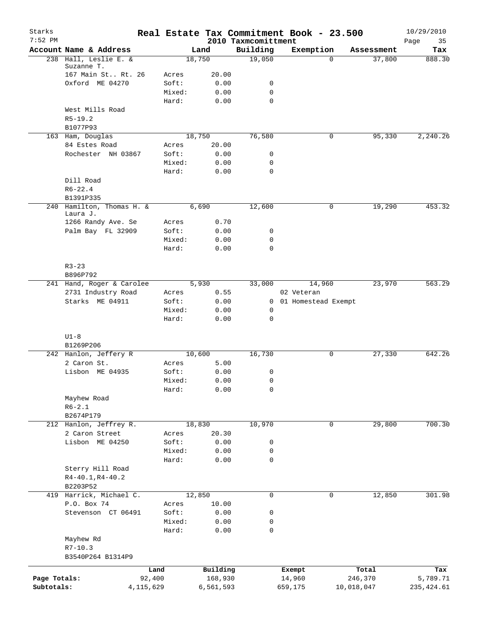| Starks<br>$7:52$ PM |                                       |        |           | 2010 Taxmcomittment | Real Estate Tax Commitment Book - 23.500 |            | 10/29/2010<br>Page<br>35 |
|---------------------|---------------------------------------|--------|-----------|---------------------|------------------------------------------|------------|--------------------------|
|                     | Account Name & Address                |        | Land      | Building            | Exemption                                | Assessment | Tax                      |
|                     | 238 Hall, Leslie E. &                 |        | 18,750    | 19,050              | $\Omega$                                 |            | 37,800<br>888.30         |
|                     | Suzanne T.                            |        |           |                     |                                          |            |                          |
|                     | 167 Main St Rt. 26                    | Acres  | 20.00     |                     |                                          |            |                          |
|                     | Oxford ME 04270                       | Soft:  | 0.00      | 0                   |                                          |            |                          |
|                     |                                       | Mixed: | 0.00      | $\mathbf 0$         |                                          |            |                          |
|                     | West Mills Road                       | Hard:  | 0.00      | $\mathbf 0$         |                                          |            |                          |
|                     | $R5 - 19.2$                           |        |           |                     |                                          |            |                          |
|                     | B1077P93                              |        |           |                     |                                          |            |                          |
|                     | 163 Ham, Douglas                      |        | 18,750    | 76,580              | 0                                        |            | 95,330<br>2,240.26       |
|                     | 84 Estes Road                         | Acres  | 20.00     |                     |                                          |            |                          |
|                     | Rochester NH 03867                    | Soft:  | 0.00      | 0                   |                                          |            |                          |
|                     |                                       | Mixed: | 0.00      | 0                   |                                          |            |                          |
|                     |                                       | Hard:  | 0.00      | $\mathbf 0$         |                                          |            |                          |
|                     | Dill Road                             |        |           |                     |                                          |            |                          |
|                     | $R6 - 22.4$                           |        |           |                     |                                          |            |                          |
|                     | B1391P335                             |        |           |                     |                                          |            |                          |
|                     | 240 Hamilton, Thomas H. &<br>Laura J. |        | 6,690     | 12,600              | 0                                        |            | 19,290<br>453.32         |
|                     | 1266 Randy Ave. Se                    | Acres  | 0.70      |                     |                                          |            |                          |
|                     | Palm Bay FL 32909                     | Soft:  | 0.00      | 0                   |                                          |            |                          |
|                     |                                       | Mixed: | 0.00      | $\mathbf 0$         |                                          |            |                          |
|                     |                                       | Hard:  | 0.00      | $\mathbf 0$         |                                          |            |                          |
|                     |                                       |        |           |                     |                                          |            |                          |
|                     | $R3 - 23$                             |        |           |                     |                                          |            |                          |
|                     | B896P792                              |        |           |                     |                                          |            |                          |
|                     | 241 Hand, Roger & Carolee             |        | 5,930     | 33,000              | 14,960                                   |            | 23,970<br>563.29         |
|                     | 2731 Industry Road                    | Acres  | 0.55      |                     | 02 Veteran                               |            |                          |
|                     | Starks ME 04911                       | Soft:  | 0.00      |                     | 0 01 Homestead Exempt                    |            |                          |
|                     |                                       | Mixed: | 0.00      | 0                   |                                          |            |                          |
|                     |                                       | Hard:  | 0.00      | $\mathbf 0$         |                                          |            |                          |
|                     |                                       |        |           |                     |                                          |            |                          |
|                     | $U1-8$<br>B1269P206                   |        |           |                     |                                          |            |                          |
|                     | 242 Hanlon, Jeffery R                 |        | 10,600    | 16,730              | 0                                        |            | 27,330<br>642.26         |
|                     | 2 Caron St.                           | Acres  | 5.00      |                     |                                          |            |                          |
|                     | Lisbon ME 04935                       | Soft:  | 0.00      | 0                   |                                          |            |                          |
|                     |                                       | Mixed: | 0.00      | $\mathsf 0$         |                                          |            |                          |
|                     |                                       | Hard:  | 0.00      | $\mathsf 0$         |                                          |            |                          |
|                     | Mayhew Road                           |        |           |                     |                                          |            |                          |
|                     | $R6 - 2.1$                            |        |           |                     |                                          |            |                          |
|                     | B2674P179                             |        |           |                     |                                          |            |                          |
|                     | 212 Hanlon, Jeffrey R.                |        | 18,830    | 10,970              | 0                                        |            | 29,800<br>700.30         |
|                     | 2 Caron Street                        | Acres  | 20.30     |                     |                                          |            |                          |
|                     | Lisbon ME 04250                       | Soft:  | 0.00      | 0                   |                                          |            |                          |
|                     |                                       | Mixed: | 0.00      | 0                   |                                          |            |                          |
|                     |                                       | Hard:  | 0.00      | $\mathbf 0$         |                                          |            |                          |
|                     | Sterry Hill Road                      |        |           |                     |                                          |            |                          |
|                     | $R4 - 40.1, R4 - 40.2$                |        |           |                     |                                          |            |                          |
|                     | B2203P52<br>419 Harrick, Michael C.   |        | 12,850    | 0                   | 0                                        |            | 12,850<br>301.98         |
|                     | P.O. Box 74                           | Acres  | 10.00     |                     |                                          |            |                          |
|                     | Stevenson CT 06491                    | Soft:  | 0.00      | $\mathsf 0$         |                                          |            |                          |
|                     |                                       | Mixed: | 0.00      | 0                   |                                          |            |                          |
|                     |                                       | Hard:  | 0.00      | $\mathbf 0$         |                                          |            |                          |
|                     | Mayhew Rd                             |        |           |                     |                                          |            |                          |
|                     | $R7 - 10.3$                           |        |           |                     |                                          |            |                          |
|                     | B3540P264 B1314P9                     |        |           |                     |                                          |            |                          |
|                     | Land                                  |        | Building  |                     |                                          | Total      | Tax                      |
| Page Totals:        | 92,400                                |        | 168,930   |                     | Exempt<br>14,960                         | 246,370    | 5,789.71                 |
| Subtotals:          | 4, 115, 629                           |        | 6,561,593 |                     | 659,175                                  | 10,018,047 | 235, 424.61              |
|                     |                                       |        |           |                     |                                          |            |                          |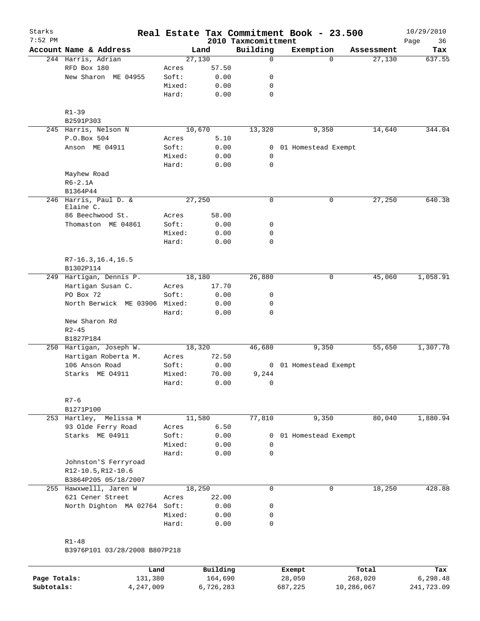| Starks<br>$7:52$ PM |                                      |        |        | 2010 Taxmcomittment | Real Estate Tax Commitment Book - 23.500 |            | 10/29/2010<br>36<br>Page |
|---------------------|--------------------------------------|--------|--------|---------------------|------------------------------------------|------------|--------------------------|
|                     | Account Name & Address               |        | Land   | Building            | Exemption                                | Assessment | Tax                      |
|                     | 244 Harris, Adrian                   | 27,130 |        | $\mathbf 0$         | $\Omega$                                 | 27,130     | 637.55                   |
|                     | RFD Box 180                          | Acres  | 57.50  |                     |                                          |            |                          |
|                     | New Sharon ME 04955                  | Soft:  | 0.00   | 0                   |                                          |            |                          |
|                     |                                      | Mixed: | 0.00   | 0                   |                                          |            |                          |
|                     |                                      | Hard:  | 0.00   | $\mathbf 0$         |                                          |            |                          |
|                     |                                      |        |        |                     |                                          |            |                          |
|                     | $R1 - 39$<br>B2591P303               |        |        |                     |                                          |            |                          |
|                     | 245 Harris, Nelson N                 |        | 10,670 | 13,320              | 9,350                                    | 14,640     | 344.04                   |
|                     | P.O.Box 504                          | Acres  | 5.10   |                     |                                          |            |                          |
|                     | Anson ME 04911                       | Soft:  | 0.00   |                     | 0 01 Homestead Exempt                    |            |                          |
|                     |                                      | Mixed: | 0.00   | 0                   |                                          |            |                          |
|                     |                                      | Hard:  | 0.00   | 0                   |                                          |            |                          |
|                     | Mayhew Road                          |        |        |                     |                                          |            |                          |
|                     | $R6 - 2.1A$                          |        |        |                     |                                          |            |                          |
|                     | B1364P44                             |        |        |                     |                                          |            |                          |
|                     | 246 Harris, Paul D. &<br>Elaine C.   | 27,250 |        | 0                   | 0                                        | 27,250     | 640.38                   |
|                     | 86 Beechwood St.                     | Acres  | 58.00  |                     |                                          |            |                          |
|                     | Thomaston ME 04861                   | Soft:  | 0.00   | 0                   |                                          |            |                          |
|                     |                                      | Mixed: | 0.00   | 0                   |                                          |            |                          |
|                     |                                      | Hard:  | 0.00   | $\mathbf 0$         |                                          |            |                          |
|                     |                                      |        |        |                     |                                          |            |                          |
|                     | $R7-16.3, 16.4, 16.5$                |        |        |                     |                                          |            |                          |
|                     | B1302P114<br>249 Hartigan, Dennis P. |        | 18,180 | 26,880              | 0                                        | 45,060     | 1,058.91                 |
|                     | Hartigan Susan C.                    | Acres  | 17.70  |                     |                                          |            |                          |
|                     | PO Box 72                            | Soft:  | 0.00   | 0                   |                                          |            |                          |
|                     | North Berwick ME 03906 Mixed:        |        | 0.00   | 0                   |                                          |            |                          |
|                     |                                      | Hard:  | 0.00   | $\mathbf 0$         |                                          |            |                          |
|                     | New Sharon Rd                        |        |        |                     |                                          |            |                          |
|                     | $R2 - 45$                            |        |        |                     |                                          |            |                          |
|                     | B1827P184                            |        |        |                     |                                          |            |                          |
|                     | 250 Hartigan, Joseph W.              |        | 18,320 | 46,680              | 9,350                                    | 55,650     | 1,307.78                 |
|                     | Hartigan Roberta M.                  | Acres  | 72.50  |                     |                                          |            |                          |
|                     | 106 Anson Road                       | Soft:  | 0.00   |                     | 0 01 Homestead Exempt                    |            |                          |
|                     | Starks ME 04911                      | Mixed: | 70.00  | 9,244               |                                          |            |                          |
|                     |                                      | Hard:  | 0.00   | 0                   |                                          |            |                          |
|                     | $R7 - 6$                             |        |        |                     |                                          |            |                          |
|                     | B1271P100                            |        |        |                     |                                          |            |                          |
|                     | 253 Hartley, Melissa M               |        | 11,580 | 77,810              | 9,350                                    | 80,040     | 1,880.94                 |
|                     | 93 Olde Ferry Road                   | Acres  | 6.50   |                     |                                          |            |                          |
|                     | Starks ME 04911                      | Soft:  | 0.00   | 0                   | 01 Homestead Exempt                      |            |                          |
|                     |                                      | Mixed: | 0.00   | 0                   |                                          |            |                          |
|                     |                                      | Hard:  | 0.00   | $\mathbf 0$         |                                          |            |                          |
|                     | Johnston'S Ferryroad                 |        |        |                     |                                          |            |                          |
|                     | R12-10.5, R12-10.6                   |        |        |                     |                                          |            |                          |
|                     | B3864P205 05/18/2007                 |        |        |                     |                                          |            |                          |
|                     | 255 Hawxwelll, Jaren W               |        | 18,250 | $\mathbf 0$         | $\mathbf 0$                              | 18,250     | 428.88                   |
|                     | 621 Cener Street                     | Acres  | 22.00  |                     |                                          |            |                          |
|                     | North Dighton MA 02764               | Soft:  | 0.00   | 0                   |                                          |            |                          |
|                     |                                      | Mixed: | 0.00   | 0                   |                                          |            |                          |
|                     |                                      | Hard:  | 0.00   | $\mathbf 0$         |                                          |            |                          |
|                     |                                      |        |        |                     |                                          |            |                          |
|                     | $R1 - 48$                            |        |        |                     |                                          |            |                          |
|                     | B3976P101 03/28/2008 B807P218        |        |        |                     |                                          |            |                          |

|              | Land      | Building  | Exempt  | Total      | Tax        |
|--------------|-----------|-----------|---------|------------|------------|
| Page Totals: | 131,380   | 164,690   | 28,050  | 268,020    | 6,298.48   |
| Subtotals:   | 4,247,009 | 6,726,283 | 687,225 | 10,286,067 | 241,723.09 |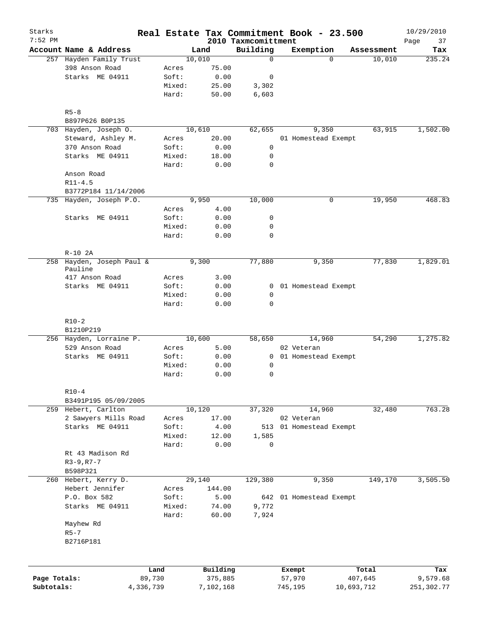| Starks<br>$7:52$ PM |                                      |           |        |              | Real Estate Tax Commitment Book - 23.500 |                     |            |            | 10/29/2010        |
|---------------------|--------------------------------------|-----------|--------|--------------|------------------------------------------|---------------------|------------|------------|-------------------|
|                     | Account Name & Address               |           |        | Land         | 2010 Taxmcomittment<br>Building          | Exemption           |            | Assessment | Page<br>37<br>Tax |
|                     | 257 Hayden Family Trust              |           |        | 10,010       | $\mathbf 0$                              | $\Omega$            |            | 10,010     | 235.24            |
|                     | 398 Anson Road                       |           | Acres  | 75.00        |                                          |                     |            |            |                   |
|                     | Starks ME 04911                      |           | Soft:  | 0.00         | $\mathbf 0$                              |                     |            |            |                   |
|                     |                                      |           | Mixed: | 25.00        | 3,302                                    |                     |            |            |                   |
|                     |                                      |           | Hard:  | 50.00        | 6,603                                    |                     |            |            |                   |
|                     |                                      |           |        |              |                                          |                     |            |            |                   |
|                     | $R5 - 8$                             |           |        |              |                                          |                     |            |            |                   |
|                     | B897P626 B0P135                      |           |        |              |                                          |                     |            |            |                   |
|                     | 703 Hayden, Joseph O.                |           |        | 10,610       | 62,655                                   | 9,350               |            | 63,915     | 1,502.00          |
|                     | Steward, Ashley M.                   |           | Acres  | 20.00        |                                          | 01 Homestead Exempt |            |            |                   |
|                     | 370 Anson Road                       |           | Soft:  | 0.00         | 0                                        |                     |            |            |                   |
|                     | Starks ME 04911                      |           | Mixed: | 18.00        | 0                                        |                     |            |            |                   |
|                     |                                      |           | Hard:  | 0.00         | $\mathbf 0$                              |                     |            |            |                   |
|                     | Anson Road                           |           |        |              |                                          |                     |            |            |                   |
|                     | $R11 - 4.5$                          |           |        |              |                                          |                     |            |            |                   |
|                     | B3772P184 11/14/2006                 |           |        |              |                                          |                     |            |            |                   |
|                     | 735 Hayden, Joseph P.O.              |           |        | 9,950        | 10,000                                   | 0                   |            | 19,950     | 468.83            |
|                     |                                      |           | Acres  | 4.00         |                                          |                     |            |            |                   |
|                     | Starks ME 04911                      |           | Soft:  | 0.00         | 0                                        |                     |            |            |                   |
|                     |                                      |           | Mixed: | 0.00         | 0                                        |                     |            |            |                   |
|                     |                                      |           | Hard:  | 0.00         | $\mathbf 0$                              |                     |            |            |                   |
|                     |                                      |           |        |              |                                          |                     |            |            |                   |
|                     | $R-10$ 2A                            |           |        |              |                                          |                     |            |            |                   |
|                     | 258 Hayden, Joseph Paul &<br>Pauline |           |        | 9,300        | 77,880                                   | 9,350               |            | 77,830     | 1,829.01          |
|                     | 417 Anson Road                       |           | Acres  | 3.00         |                                          |                     |            |            |                   |
|                     | Starks ME 04911                      |           | Soft:  |              |                                          |                     |            |            |                   |
|                     |                                      |           |        | 0.00<br>0.00 | 0<br>$\mathsf{O}$                        | 01 Homestead Exempt |            |            |                   |
|                     |                                      |           | Mixed: |              |                                          |                     |            |            |                   |
|                     |                                      |           | Hard:  | 0.00         | $\mathbf 0$                              |                     |            |            |                   |
|                     | $R10-2$                              |           |        |              |                                          |                     |            |            |                   |
|                     | B1210P219                            |           |        |              |                                          |                     |            |            |                   |
|                     | 256 Hayden, Lorraine P.              |           |        | 10,600       | 58,650                                   | 14,960              |            | 54,290     | 1,275.82          |
|                     | 529 Anson Road                       |           | Acres  | 5.00         |                                          | 02 Veteran          |            |            |                   |
|                     | Starks ME 04911                      |           | Soft:  | 0.00         | $\mathbf{0}$                             | 01 Homestead Exempt |            |            |                   |
|                     |                                      |           | Mixed: | 0.00         | $\mathbf 0$                              |                     |            |            |                   |
|                     |                                      |           | Hard:  | 0.00         | $\mathbf 0$                              |                     |            |            |                   |
|                     |                                      |           |        |              |                                          |                     |            |            |                   |
|                     | $R10-4$                              |           |        |              |                                          |                     |            |            |                   |
|                     | B3491P195 05/09/2005                 |           |        |              |                                          |                     |            |            |                   |
|                     | 259 Hebert, Carlton                  |           |        | 10,120       | 37,320                                   | 14,960              |            | 32,480     | 763.28            |
|                     | 2 Sawyers Mills Road                 |           | Acres  | 17.00        |                                          | 02 Veteran          |            |            |                   |
|                     | Starks ME 04911                      |           | Soft:  | 4.00         | 513                                      | 01 Homestead Exempt |            |            |                   |
|                     |                                      |           | Mixed: | 12.00        | 1,585                                    |                     |            |            |                   |
|                     |                                      |           | Hard:  | 0.00         | 0                                        |                     |            |            |                   |
|                     | Rt 43 Madison Rd                     |           |        |              |                                          |                     |            |            |                   |
|                     | $R3 - 9, R7 - 7$                     |           |        |              |                                          |                     |            |            |                   |
|                     | B598P321                             |           |        |              |                                          |                     |            |            |                   |
|                     | 260 Hebert, Kerry D.                 |           |        | 29,140       | 129,380                                  | 9,350               |            | 149,170    | 3,505.50          |
|                     | Hebert Jennifer                      |           | Acres  | 144.00       |                                          |                     |            |            |                   |
|                     | P.O. Box 582                         |           | Soft:  | 5.00         | 642                                      | 01 Homestead Exempt |            |            |                   |
|                     | Starks ME 04911                      |           | Mixed: | 74.00        | 9,772                                    |                     |            |            |                   |
|                     |                                      |           | Hard:  | 60.00        | 7,924                                    |                     |            |            |                   |
|                     | Mayhew Rd                            |           |        |              |                                          |                     |            |            |                   |
|                     | $R5 - 7$                             |           |        |              |                                          |                     |            |            |                   |
|                     | B2716P181                            |           |        |              |                                          |                     |            |            |                   |
|                     |                                      |           |        |              |                                          |                     |            |            |                   |
|                     |                                      | Land      |        | Building     |                                          | Exempt              |            | Total      | Tax               |
| Page Totals:        |                                      | 89,730    |        | 375,885      |                                          | 57,970              |            | 407,645    | 9,579.68          |
| Subtotals:          |                                      | 4,336,739 |        | 7,102,168    |                                          | 745,195             | 10,693,712 |            | 251,302.77        |
|                     |                                      |           |        |              |                                          |                     |            |            |                   |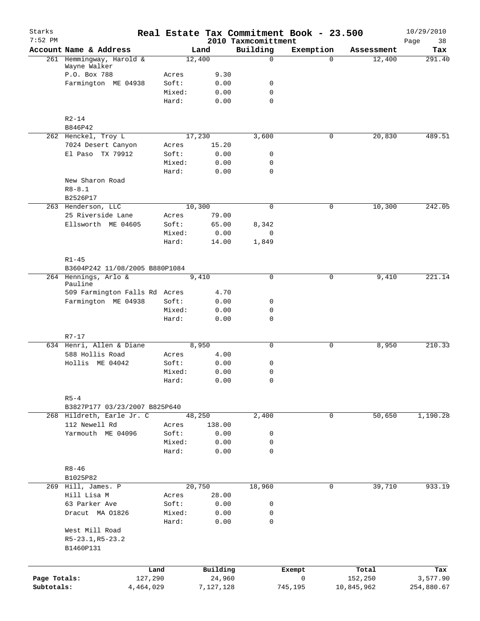| Starks<br>$7:52$ PM |                                                            |                |                   | 2010 Taxmcomittment | Real Estate Tax Commitment Book - 23.500 |            | 10/29/2010<br>38<br>Page |
|---------------------|------------------------------------------------------------|----------------|-------------------|---------------------|------------------------------------------|------------|--------------------------|
|                     | Account Name & Address                                     |                | Land              | Building            | Exemption                                | Assessment | Tax                      |
|                     | 261 Hemmingway, Harold &                                   |                | 12,400            | $\mathbf 0$         | $\Omega$                                 | 12,400     | 291.40                   |
|                     | Wayne Walker<br>P.O. Box 788                               | Acres          | 9.30              |                     |                                          |            |                          |
|                     | Farmington ME 04938                                        | Soft:          | 0.00              | 0                   |                                          |            |                          |
|                     |                                                            | Mixed:         | 0.00              | $\mathbf 0$         |                                          |            |                          |
|                     |                                                            | Hard:          | 0.00              | $\Omega$            |                                          |            |                          |
|                     | $R2 - 14$                                                  |                |                   |                     |                                          |            |                          |
|                     | B846P42                                                    |                |                   |                     |                                          |            |                          |
|                     | 262 Henckel, Troy L                                        |                | 17,230<br>15.20   | 3,600               | 0                                        | 20,830     | 489.51                   |
|                     | 7024 Desert Canyon<br>El Paso TX 79912                     | Acres<br>Soft: | 0.00              | 0                   |                                          |            |                          |
|                     |                                                            | Mixed:         | 0.00              | $\mathbf 0$         |                                          |            |                          |
|                     |                                                            | Hard:          | 0.00              | $\mathbf 0$         |                                          |            |                          |
|                     | New Sharon Road                                            |                |                   |                     |                                          |            |                          |
|                     | $R8 - 8.1$                                                 |                |                   |                     |                                          |            |                          |
|                     | B2526P17                                                   |                |                   |                     |                                          |            |                          |
|                     | 263 Henderson, LLC                                         |                | 10,300            | $\mathbf 0$         | 0                                        | 10,300     | 242.05                   |
|                     | 25 Riverside Lane                                          | Acres          | 79.00             |                     |                                          |            |                          |
|                     | Ellsworth ME 04605                                         | Soft:          | 65.00             | 8,342               |                                          |            |                          |
|                     |                                                            | Mixed:         | 0.00              | 0                   |                                          |            |                          |
|                     |                                                            | Hard:          | 14.00             | 1,849               |                                          |            |                          |
|                     | $R1 - 45$                                                  |                |                   |                     |                                          |            |                          |
|                     | B3604P242 11/08/2005 B880P1084                             |                |                   |                     |                                          |            |                          |
|                     | 264 Hennings, Arlo &<br>Pauline                            |                | $\frac{1}{9,410}$ | $\Omega$            | 0                                        | 9,410      | 221.14                   |
|                     | 509 Farmington Falls Rd Acres                              |                | 4.70              |                     |                                          |            |                          |
|                     | Farmington ME 04938                                        | Soft:          | 0.00              | 0                   |                                          |            |                          |
|                     |                                                            | Mixed:         | 0.00              | 0                   |                                          |            |                          |
|                     |                                                            | Hard:          | 0.00              | $\mathbf 0$         |                                          |            |                          |
|                     | $R7 - 17$                                                  |                |                   |                     |                                          |            |                          |
|                     | 634 Henri, Allen & Diane                                   |                | 8,950             | $\mathbf 0$         | 0                                        | 8,950      | 210.33                   |
|                     | 588 Hollis Road                                            | Acres          | 4.00              |                     |                                          |            |                          |
|                     | Hollis ME 04042                                            | Soft:          | 0.00              | 0                   |                                          |            |                          |
|                     |                                                            | Mixed:         | 0.00              | 0                   |                                          |            |                          |
|                     |                                                            | Hard:          | 0.00              | 0                   |                                          |            |                          |
|                     | $R5-4$                                                     |                |                   |                     |                                          |            |                          |
|                     | B3827P177 03/23/2007 B825P640<br>268 Hildreth, Earle Jr. C |                | 48,250            | 2,400               | 0                                        | 50,650     | 1,190.28                 |
|                     | 112 Newell Rd                                              | Acres          | 138.00            |                     |                                          |            |                          |
|                     | Yarmouth ME 04096                                          | Soft:          | 0.00              | 0                   |                                          |            |                          |
|                     |                                                            | Mixed:         | 0.00              | 0                   |                                          |            |                          |
|                     |                                                            | Hard:          | 0.00              | 0                   |                                          |            |                          |
|                     | $R8 - 46$                                                  |                |                   |                     |                                          |            |                          |
|                     | B1025P82                                                   |                |                   |                     |                                          |            |                          |
|                     | 269 Hill, James. P                                         |                | 20,750            | 18,960              | 0                                        | 39,710     | 933.19                   |
|                     | Hill Lisa M                                                | Acres          | 28.00             |                     |                                          |            |                          |
|                     | 63 Parker Ave                                              | Soft:          | 0.00              | 0                   |                                          |            |                          |
|                     | Dracut MA 01826                                            | Mixed:         | 0.00              | 0                   |                                          |            |                          |
|                     |                                                            | Hard:          | 0.00              | 0                   |                                          |            |                          |
|                     | West Mill Road<br>R5-23.1, R5-23.2<br>B1460P131            |                |                   |                     |                                          |            |                          |
|                     |                                                            |                |                   |                     |                                          |            |                          |
|                     | Land                                                       |                | Building          |                     | Exempt                                   | Total      | Tax                      |
| Page Totals:        | 127,290                                                    |                | 24,960            |                     | $\mathsf{O}\xspace$                      | 152,250    | 3,577.90                 |
| Subtotals:          | 4,464,029                                                  |                | 7,127,128         |                     | 745,195                                  | 10,845,962 | 254,880.67               |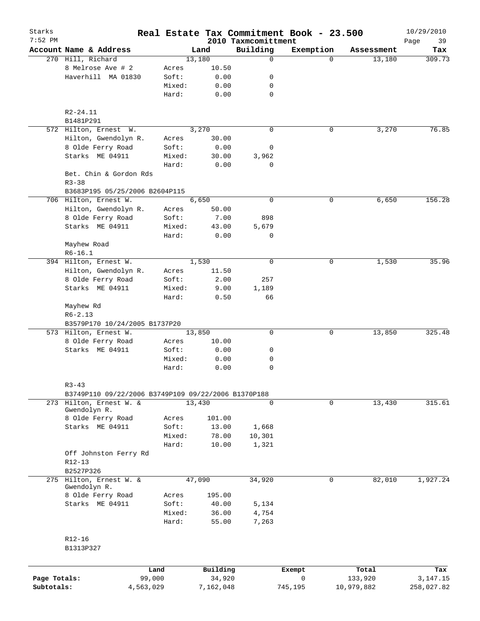| Starks<br>$7:52$ PM |                                                     |                 |                | 2010 Taxmcomittment | Real Estate Tax Commitment Book - 23.500 |            | 10/29/2010<br>Page<br>39 |
|---------------------|-----------------------------------------------------|-----------------|----------------|---------------------|------------------------------------------|------------|--------------------------|
|                     | Account Name & Address                              |                 | Land           | Building            | Exemption                                | Assessment | Tax                      |
|                     | 270 Hill, Richard                                   |                 | 13,180         | $\mathbf 0$         | $\Omega$                                 | 13,180     | 309.73                   |
|                     | 8 Melrose Ave # 2                                   | Acres           | 10.50          |                     |                                          |            |                          |
|                     | Haverhill MA 01830                                  | Soft:           | 0.00           | 0                   |                                          |            |                          |
|                     |                                                     | Mixed:          | 0.00           | 0                   |                                          |            |                          |
|                     |                                                     | Hard:           | 0.00           | 0                   |                                          |            |                          |
|                     | R2-24.11                                            |                 |                |                     |                                          |            |                          |
|                     | B1481P291                                           |                 |                |                     |                                          |            |                          |
|                     | 572 Hilton, Ernest W.                               |                 | 3,270          | $\mathbf 0$         | 0                                        | 3,270      | 76.85                    |
|                     | Hilton, Gwendolyn R.                                | Acres           | 30.00          |                     |                                          |            |                          |
|                     | 8 Olde Ferry Road                                   | Soft:           | 0.00           | 0                   |                                          |            |                          |
|                     | Starks ME 04911                                     | Mixed:          | 30.00          | 3,962               |                                          |            |                          |
|                     |                                                     | Hard:           | 0.00           | 0                   |                                          |            |                          |
|                     | Bet. Chin & Gordon Rds                              |                 |                |                     |                                          |            |                          |
|                     | $R3 - 38$                                           |                 |                |                     |                                          |            |                          |
|                     | B3683P195 05/25/2006 B2604P115                      |                 |                |                     |                                          |            |                          |
|                     | 706 Hilton, Ernest W.                               |                 | 6,650          | $\mathbf 0$         | 0                                        | 6,650      | 156.28                   |
|                     | Hilton, Gwendolyn R.                                | Acres           | 50.00          |                     |                                          |            |                          |
|                     | 8 Olde Ferry Road                                   | Soft:           | 7.00           | 898                 |                                          |            |                          |
|                     | Starks ME 04911                                     | Mixed:          | 43.00          | 5,679               |                                          |            |                          |
|                     |                                                     | Hard:           | 0.00           | 0                   |                                          |            |                          |
|                     | Mayhew Road                                         |                 |                |                     |                                          |            |                          |
|                     | $R6-16.1$                                           |                 |                |                     |                                          |            |                          |
|                     | 394 Hilton, Ernest W.                               |                 | 1,530          | $\mathbf 0$         | 0                                        | 1,530      | 35.96                    |
|                     | Hilton, Gwendolyn R.                                | Acres           | 11.50          |                     |                                          |            |                          |
|                     | 8 Olde Ferry Road                                   | Soft:           | 2.00           | 257                 |                                          |            |                          |
|                     | Starks ME 04911                                     | Mixed:          | 9.00           | 1,189               |                                          |            |                          |
|                     |                                                     | Hard:           | 0.50           | 66                  |                                          |            |                          |
|                     | Mayhew Rd                                           |                 |                |                     |                                          |            |                          |
|                     | $R6 - 2.13$                                         |                 |                |                     |                                          |            |                          |
|                     | B3579P170 10/24/2005 B1737P20                       |                 |                |                     |                                          |            |                          |
|                     | 573 Hilton, Ernest W.                               |                 | 13,850         | $\mathbf 0$         | 0                                        | 13,850     | 325.48                   |
|                     | 8 Olde Ferry Road                                   | Acres           | 10.00          |                     |                                          |            |                          |
|                     | Starks ME 04911                                     | Soft:           | 0.00           | 0                   |                                          |            |                          |
|                     |                                                     | Mixed:          | 0.00           | 0                   |                                          |            |                          |
|                     |                                                     | Hard:           | 0.00           | 0                   |                                          |            |                          |
|                     | $R3 - 43$                                           |                 |                |                     |                                          |            |                          |
|                     | B3749P110 09/22/2006 B3749P109 09/22/2006 B1370P188 |                 |                |                     |                                          |            |                          |
| 273                 | Hilton, Ernest W. &<br>Gwendolyn R.                 |                 | 13,430         | $\mathbf 0$         | $\mathbf 0$                              | 13,430     | 315.61                   |
|                     | 8 Olde Ferry Road                                   | Acres           | 101.00         |                     |                                          |            |                          |
|                     | Starks ME 04911                                     | Soft:           | 13.00          | 1,668               |                                          |            |                          |
|                     |                                                     | Mixed:          | 78.00          | 10,301              |                                          |            |                          |
|                     |                                                     | Hard:           | 10.00          | 1,321               |                                          |            |                          |
|                     | Off Johnston Ferry Rd                               |                 |                |                     |                                          |            |                          |
|                     | R12-13                                              |                 |                |                     |                                          |            |                          |
|                     | B2527P326                                           |                 |                |                     |                                          |            |                          |
|                     | 275 Hilton, Ernest W. &                             |                 | 47,090         | 34,920              | $\mathbf 0$                              | 82,010     | 1,927.24                 |
|                     | Gwendolyn R.                                        |                 |                |                     |                                          |            |                          |
|                     | 8 Olde Ferry Road                                   | Acres           | 195.00         |                     |                                          |            |                          |
|                     | Starks ME 04911                                     | Soft:           | 40.00          | 5,134               |                                          |            |                          |
|                     |                                                     | Mixed:<br>Hard: | 36.00<br>55.00 | 4,754<br>7,263      |                                          |            |                          |
|                     |                                                     |                 |                |                     |                                          |            |                          |
|                     | $R12 - 16$                                          |                 |                |                     |                                          |            |                          |
|                     | B1313P327                                           |                 |                |                     |                                          |            |                          |
|                     |                                                     |                 |                |                     |                                          |            |                          |
|                     |                                                     | Land            | Building       |                     | Exempt                                   | Total      | Tax                      |
| Page Totals:        | 99,000                                              |                 | 34,920         |                     | 0                                        | 133,920    | 3,147.15                 |
| Subtotals:          | 4,563,029                                           |                 | 7,162,048      |                     | 745,195                                  | 10,979,882 | 258,027.82               |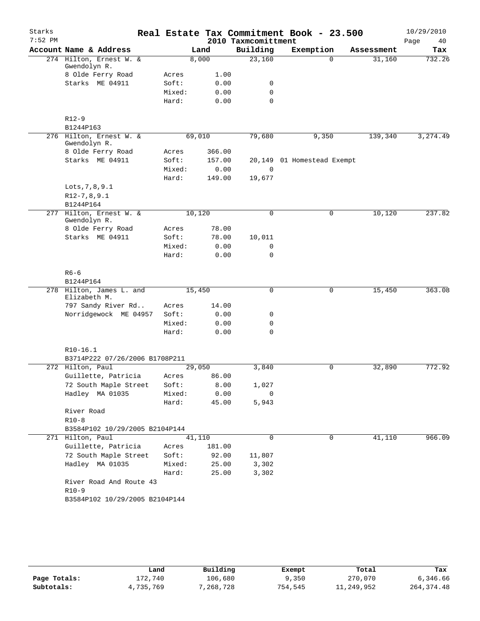| Starks    |                                         |        |        |                     | Real Estate Tax Commitment Book - 23.500 |            | 10/29/2010 |
|-----------|-----------------------------------------|--------|--------|---------------------|------------------------------------------|------------|------------|
| $7:52$ PM |                                         |        |        | 2010 Taxmcomittment |                                          |            | Page<br>40 |
|           | Account Name & Address                  |        | Land   | Building            | Exemption                                | Assessment | Tax        |
|           | 274 Hilton, Ernest W. &<br>Gwendolyn R. |        | 8,000  | 23,160              | $\Omega$                                 | 31,160     | 732.26     |
|           | 8 Olde Ferry Road                       | Acres  | 1.00   |                     |                                          |            |            |
|           | Starks ME 04911                         | Soft:  | 0.00   | 0                   |                                          |            |            |
|           |                                         | Mixed: | 0.00   | $\mathbf 0$         |                                          |            |            |
|           |                                         | Hard:  | 0.00   | $\Omega$            |                                          |            |            |
|           | $R12-9$                                 |        |        |                     |                                          |            |            |
|           | B1244P163                               |        |        |                     |                                          |            |            |
|           | 276 Hilton, Ernest W. &<br>Gwendolyn R. |        | 69,010 | 79,680              | 9,350                                    | 139,340    | 3,274.49   |
|           | 8 Olde Ferry Road                       | Acres  | 366.00 |                     |                                          |            |            |
|           | Starks ME 04911                         | Soft:  | 157.00 |                     | 20,149 01 Homestead Exempt               |            |            |
|           |                                         | Mixed: | 0.00   | $\mathbf 0$         |                                          |            |            |
|           |                                         | Hard:  | 149.00 | 19,677              |                                          |            |            |
|           | Lots, 7, 8, 9.1                         |        |        |                     |                                          |            |            |
|           | $R12-7, 8, 9.1$                         |        |        |                     |                                          |            |            |
|           | B1244P164                               |        |        |                     |                                          |            |            |
| 277       | Hilton, Ernest W. &<br>Gwendolyn R.     |        | 10,120 | $\mathbf 0$         | $\mathsf{O}$                             | 10,120     | 237.82     |
|           | 8 Olde Ferry Road                       | Acres  | 78.00  |                     |                                          |            |            |
|           | Starks ME 04911                         | Soft:  | 78.00  | 10,011              |                                          |            |            |
|           |                                         | Mixed: | 0.00   | $\mathbf 0$         |                                          |            |            |
|           |                                         | Hard:  | 0.00   | 0                   |                                          |            |            |
|           | $R6 - 6$<br>B1244P164                   |        |        |                     |                                          |            |            |
|           | 278 Hilton, James L. and                |        | 15,450 | 0                   | 0                                        | 15,450     | 363.08     |
|           | Elizabeth M.<br>797 Sandy River Rd      | Acres  | 14.00  |                     |                                          |            |            |
|           | Norridgewock ME 04957                   | Soft:  | 0.00   | 0                   |                                          |            |            |
|           |                                         | Mixed: | 0.00   | 0                   |                                          |            |            |
|           |                                         | Hard:  | 0.00   | $\Omega$            |                                          |            |            |
|           | $R10-16.1$                              |        |        |                     |                                          |            |            |
|           | B3714P222 07/26/2006 B1708P211          |        |        |                     |                                          |            |            |
|           | 272 Hilton, Paul                        |        | 29,050 | 3,840               | 0                                        | 32,890     | 772.92     |
|           | Guillette, Patricia                     | Acres  | 86.00  |                     |                                          |            |            |
|           | 72 South Maple Street                   | Soft:  | 8.00   | 1,027               |                                          |            |            |
|           | Hadley MA 01035                         | Mixed: | 0.00   | 0                   |                                          |            |            |
|           |                                         | Hard:  | 45.00  | 5,943               |                                          |            |            |
|           | River Road                              |        |        |                     |                                          |            |            |
|           | $R10-8$                                 |        |        |                     |                                          |            |            |
|           | B3584P102 10/29/2005 B2104P144          |        |        |                     |                                          |            |            |
|           | 271 Hilton, Paul                        |        | 41,110 | 0                   | 0                                        | 41,110     | 966.09     |
|           | Guillette, Patricia                     | Acres  | 181.00 |                     |                                          |            |            |
|           | 72 South Maple Street                   | Soft:  | 92.00  | 11,807              |                                          |            |            |
|           | Hadley MA 01035                         | Mixed: | 25.00  | 3,302               |                                          |            |            |
|           |                                         | Hard:  | 25.00  | 3,302               |                                          |            |            |
|           | River Road And Route 43                 |        |        |                     |                                          |            |            |
|           | $R10-9$                                 |        |        |                     |                                          |            |            |
|           | B3584P102 10/29/2005 B2104P144          |        |        |                     |                                          |            |            |

|              | Land      | Building  | Exempt  | Total      | Tax          |
|--------------|-----------|-----------|---------|------------|--------------|
| Page Totals: | 172,740   | 106,680   | 9,350   | 270,070    | 6,346.66     |
| Subtotals:   | 4,735,769 | 7,268,728 | 754,545 | 11,249,952 | 264, 374. 48 |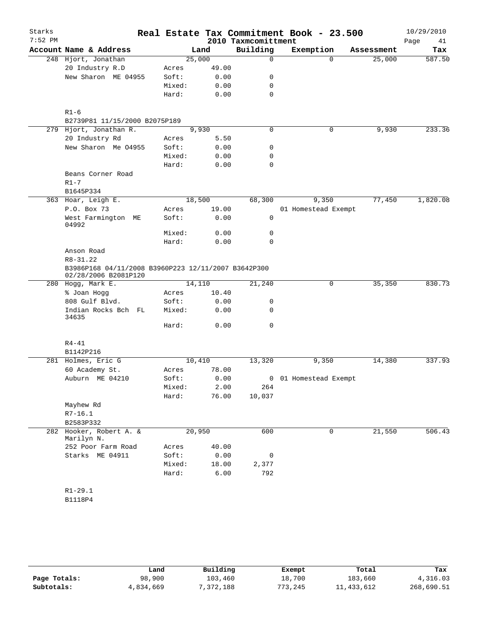| Starks    |                                                                             |                |       |                         | Real Estate Tax Commitment Book - 23.500 |            | 10/29/2010    |
|-----------|-----------------------------------------------------------------------------|----------------|-------|-------------------------|------------------------------------------|------------|---------------|
| $7:52$ PM |                                                                             |                |       | 2010 Taxmcomittment     |                                          |            | Page<br>41    |
|           | Account Name & Address<br>248 Hjort, Jonathan                               |                | Land  | Building<br>$\mathbf 0$ | Exemption<br>$\Omega$                    | Assessment | Tax<br>587.50 |
|           | 20 Industry R.D                                                             | 25,000         | 49.00 |                         |                                          | 25,000     |               |
|           | New Sharon ME 04955                                                         | Acres<br>Soft: | 0.00  | 0                       |                                          |            |               |
|           |                                                                             |                |       |                         |                                          |            |               |
|           |                                                                             | Mixed:         | 0.00  | 0<br>$\mathbf 0$        |                                          |            |               |
|           |                                                                             | Hard:          | 0.00  |                         |                                          |            |               |
|           | $R1 - 6$                                                                    |                |       |                         |                                          |            |               |
|           | B2739P81 11/15/2000 B2075P189                                               |                |       |                         |                                          |            |               |
|           | 279 Hjort, Jonathan R.                                                      | 9,930          |       | $\mathbf 0$             | 0                                        | 9,930      | 233.36        |
|           | 20 Industry Rd                                                              | Acres          | 5.50  |                         |                                          |            |               |
|           | New Sharon Me 04955                                                         | Soft:          | 0.00  | 0                       |                                          |            |               |
|           |                                                                             | Mixed:         | 0.00  | 0                       |                                          |            |               |
|           |                                                                             | Hard:          | 0.00  | 0                       |                                          |            |               |
|           | Beans Corner Road                                                           |                |       |                         |                                          |            |               |
|           | $R1 - 7$                                                                    |                |       |                         |                                          |            |               |
|           | B1645P334                                                                   |                |       |                         |                                          |            |               |
|           | 363 Hoar, Leigh E.                                                          | 18,500         |       | 68,300                  | 9,350                                    | 77,450     | 1,820.08      |
|           | P.O. Box 73                                                                 | Acres          | 19.00 |                         | 01 Homestead Exempt                      |            |               |
|           | West Farmington ME                                                          | Soft:          | 0.00  | 0                       |                                          |            |               |
|           | 04992                                                                       |                |       |                         |                                          |            |               |
|           |                                                                             | Mixed:         | 0.00  | 0                       |                                          |            |               |
|           |                                                                             | Hard:          | 0.00  | $\Omega$                |                                          |            |               |
|           | Anson Road                                                                  |                |       |                         |                                          |            |               |
|           | R8-31.22                                                                    |                |       |                         |                                          |            |               |
|           | B3986P168 04/11/2008 B3960P223 12/11/2007 B3642P300<br>02/28/2006 B2081P120 |                |       |                         |                                          |            |               |
|           | 280 Hogg, Mark E.                                                           | 14,110         |       | 21,240                  | 0                                        | 35,350     | 830.73        |
|           | % Joan Hogg                                                                 | Acres          | 10.40 |                         |                                          |            |               |
|           | 808 Gulf Blvd.                                                              | Soft:          | 0.00  | 0                       |                                          |            |               |
|           | Indian Rocks Bch FL                                                         | Mixed:         | 0.00  | 0                       |                                          |            |               |
|           | 34635                                                                       | Hard:          | 0.00  | 0                       |                                          |            |               |
|           |                                                                             |                |       |                         |                                          |            |               |
|           | $R4 - 41$                                                                   |                |       |                         |                                          |            |               |
|           | B1142P216                                                                   |                |       |                         |                                          |            |               |
|           | 281 Holmes, Eric G                                                          | 10,410         |       | 13,320                  | 9,350                                    | 14,380     | 337.93        |
|           | 60 Academy St.                                                              | Acres          | 78.00 |                         |                                          |            |               |
|           | Auburn ME 04210                                                             | Soft:          | 0.00  |                         | 0 01 Homestead Exempt                    |            |               |
|           |                                                                             | Mixed:         | 2.00  | 264                     |                                          |            |               |
|           |                                                                             | Hard:          | 76.00 | 10,037                  |                                          |            |               |
|           | Mayhew Rd                                                                   |                |       |                         |                                          |            |               |
|           | $R7-16.1$                                                                   |                |       |                         |                                          |            |               |
|           | B2583P332                                                                   |                |       |                         |                                          |            |               |
| 282       | Hooker, Robert A. &                                                         | 20,950         |       | 600                     | $\mathbf 0$                              | 21,550     | 506.43        |
|           | Marilyn N.                                                                  |                |       |                         |                                          |            |               |
|           | 252 Poor Farm Road                                                          | Acres          | 40.00 |                         |                                          |            |               |
|           | Starks ME 04911                                                             | Soft:          | 0.00  | 0                       |                                          |            |               |
|           |                                                                             | Mixed:         | 18.00 | 2,377                   |                                          |            |               |
|           |                                                                             | Hard:          | 6.00  | 792                     |                                          |            |               |
|           |                                                                             |                |       |                         |                                          |            |               |
|           | $R1 - 29.1$                                                                 |                |       |                         |                                          |            |               |
|           | B1118P4                                                                     |                |       |                         |                                          |            |               |

|              | Land      | Building  | Exempt  | Total      | Tax        |
|--------------|-----------|-----------|---------|------------|------------|
| Page Totals: | 98,900    | 103,460   | 18,700  | 183,660    | 4,316.03   |
| Subtotals:   | 4,834,669 | 7,372,188 | 773,245 | 11,433,612 | 268,690.51 |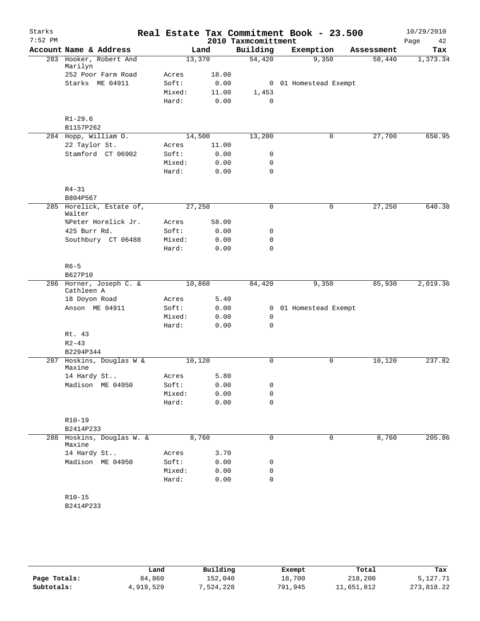| Starks    |                                       |                 |              |                     | Real Estate Tax Commitment Book - 23.500 |            | 10/29/2010 |
|-----------|---------------------------------------|-----------------|--------------|---------------------|------------------------------------------|------------|------------|
| $7:52$ PM |                                       |                 |              | 2010 Taxmcomittment |                                          |            | 42<br>Page |
|           | Account Name & Address                |                 | Land         | Building            | Exemption                                | Assessment | Tax        |
|           | 283 Hooker, Robert And<br>Marilyn     | 13,370          |              | 54,420              | 9,350                                    | 58,440     | 1,373.34   |
|           | 252 Poor Farm Road                    | Acres           | 18.00        |                     |                                          |            |            |
|           | Starks ME 04911                       | Soft:           | 0.00         |                     | 0 01 Homestead Exempt                    |            |            |
|           |                                       | Mixed:          | 11.00        | 1,453               |                                          |            |            |
|           |                                       | Hard:           | 0.00         | $\mathbf 0$         |                                          |            |            |
|           | $R1 - 29.6$                           |                 |              |                     |                                          |            |            |
|           | B1157P262                             |                 |              |                     |                                          |            |            |
|           | 284 Hopp, William O.                  | 14,500          |              | 13,200              | $\mathbf 0$                              | 27,700     | 650.95     |
|           | 22 Taylor St.                         | Acres           | 11.00        |                     |                                          |            |            |
|           | Stamford CT 06902                     | Soft:           | 0.00         | 0                   |                                          |            |            |
|           |                                       | Mixed:          | 0.00         | 0                   |                                          |            |            |
|           |                                       | Hard:           | 0.00         | $\mathbf 0$         |                                          |            |            |
|           | $R4 - 31$                             |                 |              |                     |                                          |            |            |
|           | B804P567                              |                 |              |                     |                                          |            |            |
|           | 285 Horelick, Estate of,<br>Walter    | 27,250          |              | 0                   | 0                                        | 27,250     | 640.38     |
|           | %Peter Horelick Jr.                   | Acres           | 58.00        |                     |                                          |            |            |
|           | 425 Burr Rd.                          | Soft:           | 0.00         | 0                   |                                          |            |            |
|           | Southbury CT 06488                    | Mixed:          | 0.00         | 0                   |                                          |            |            |
|           |                                       | Hard:           | 0.00         | $\mathbf 0$         |                                          |            |            |
|           | $R6 - 5$                              |                 |              |                     |                                          |            |            |
|           | B627P10                               |                 |              |                     |                                          |            |            |
|           | 286 Horner, Joseph C. &<br>Cathleen A |                 | 10,860       |                     | 9,350                                    | 85,930     | 2,019.36   |
|           | 18 Doyon Road                         | Acres           | 5.40         |                     |                                          |            |            |
|           | Anson ME 04911                        | Soft:           | 0.00         | $\mathbf{0}$        | 01 Homestead Exempt                      |            |            |
|           |                                       | Mixed:          | 0.00         | 0                   |                                          |            |            |
|           |                                       | Hard:           | 0.00         | $\mathbf 0$         |                                          |            |            |
|           | Rt. 43                                |                 |              |                     |                                          |            |            |
|           | $R2 - 43$                             |                 |              |                     |                                          |            |            |
|           | B2294P344                             |                 |              |                     |                                          |            | 237.82     |
|           | 287 Hoskins, Douglas W &<br>Maxine    | 10,120          |              | 0                   | $\mathbf 0$                              | 10,120     |            |
|           | 14 Hardy St                           | Acres           | 5.80         |                     |                                          |            |            |
|           | Madison ME 04950                      | Soft:           | 0.00         | 0                   |                                          |            |            |
|           |                                       | Mixed:<br>Hard: | 0.00<br>0.00 | 0<br>$\mathbf 0$    |                                          |            |            |
|           |                                       |                 |              |                     |                                          |            |            |
|           | R10-19<br>B2414P233                   |                 |              |                     |                                          |            |            |
| 288       | Hoskins, Douglas W. &<br>Maxine       |                 | 8,760        | 0                   | 0                                        | 8,760      | 205.86     |
|           | 14 Hardy St                           | Acres           | 3.70         |                     |                                          |            |            |
|           | Madison ME 04950                      | Soft:           | 0.00         | 0                   |                                          |            |            |
|           |                                       | Mixed:          | 0.00         | 0                   |                                          |            |            |
|           |                                       | Hard:           | 0.00         | 0                   |                                          |            |            |
|           | $R10 - 15$                            |                 |              |                     |                                          |            |            |
|           | B2414P233                             |                 |              |                     |                                          |            |            |
|           |                                       |                 |              |                     |                                          |            |            |

|              | Land      | Building | Exempt  | Total      | Tax        |
|--------------|-----------|----------|---------|------------|------------|
| Page Totals: | 84,860    | 152,040  | 18,700  | 218,200    | 5,127.71   |
| Subtotals:   | 4,919,529 | .524.228 | 791,945 | 11,651,812 | 273,818.22 |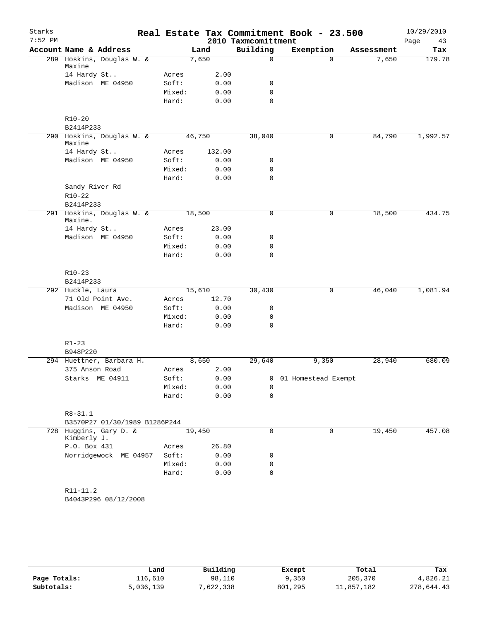| Starks<br>$7:52$ PM |                                      |        |        | 2010 Taxmcomittment | Real Estate Tax Commitment Book - 23.500 |            | 10/29/2010<br>Page<br>43 |
|---------------------|--------------------------------------|--------|--------|---------------------|------------------------------------------|------------|--------------------------|
|                     | Account Name & Address               |        | Land   | Building            | Exemption                                | Assessment | Tax                      |
|                     | 289 Hoskins, Douglas W. &            |        | 7,650  | $\mathbf 0$         | $\Omega$                                 | 7,650      | 179.78                   |
|                     | Maxine                               |        |        |                     |                                          |            |                          |
|                     | 14 Hardy St                          | Acres  | 2.00   |                     |                                          |            |                          |
|                     | Madison ME 04950                     | Soft:  | 0.00   | 0                   |                                          |            |                          |
|                     |                                      | Mixed: | 0.00   | $\mathbf 0$         |                                          |            |                          |
|                     |                                      | Hard:  | 0.00   | $\mathbf 0$         |                                          |            |                          |
|                     | $R10 - 20$                           |        |        |                     |                                          |            |                          |
|                     | B2414P233                            |        |        |                     |                                          |            |                          |
|                     | 290 Hoskins, Douglas W. &<br>Maxine  |        | 46,750 | 38,040              | 0                                        | 84,790     | 1,992.57                 |
|                     | 14 Hardy St                          | Acres  | 132.00 |                     |                                          |            |                          |
|                     | Madison ME 04950                     | Soft:  | 0.00   | 0                   |                                          |            |                          |
|                     |                                      | Mixed: | 0.00   | $\mathsf{O}$        |                                          |            |                          |
|                     |                                      | Hard:  | 0.00   | $\mathbf 0$         |                                          |            |                          |
|                     | Sandy River Rd                       |        |        |                     |                                          |            |                          |
|                     | $R10-22$                             |        |        |                     |                                          |            |                          |
|                     | B2414P233                            |        |        |                     |                                          |            |                          |
|                     | 291 Hoskins, Douglas W. &<br>Maxine. |        | 18,500 | $\mathbf 0$         | 0                                        | 18,500     | 434.75                   |
|                     | 14 Hardy St                          | Acres  | 23.00  |                     |                                          |            |                          |
|                     | Madison ME 04950                     | Soft:  | 0.00   | 0                   |                                          |            |                          |
|                     |                                      | Mixed: | 0.00   | 0                   |                                          |            |                          |
|                     |                                      | Hard:  | 0.00   | $\mathbf 0$         |                                          |            |                          |
|                     | $R10-23$                             |        |        |                     |                                          |            |                          |
|                     | B2414P233                            |        |        |                     |                                          |            |                          |
|                     | 292 Huckle, Laura                    |        | 15,610 | 30,430              | 0                                        | 46,040     | 1,081.94                 |
|                     | 71 Old Point Ave.                    | Acres  | 12.70  |                     |                                          |            |                          |
|                     | Madison ME 04950                     | Soft:  | 0.00   | 0                   |                                          |            |                          |
|                     |                                      | Mixed: | 0.00   | 0                   |                                          |            |                          |
|                     |                                      | Hard:  | 0.00   | $\mathbf 0$         |                                          |            |                          |
|                     |                                      |        |        |                     |                                          |            |                          |
|                     | $R1 - 23$                            |        |        |                     |                                          |            |                          |
|                     | B948P220                             |        |        |                     |                                          |            |                          |
|                     | 294 Huettner, Barbara H.             |        | 8,650  | 29,640              | 9,350                                    | 28,940     | 680.09                   |
|                     | 375 Anson Road                       | Acres  | 2.00   |                     |                                          |            |                          |
|                     | Starks ME 04911                      | Soft:  |        | 0.00                | 0 01 Homestead Exempt                    |            |                          |
|                     |                                      | Mixed: | 0.00   | 0                   |                                          |            |                          |
|                     |                                      | Hard:  | 0.00   | $\mathbf 0$         |                                          |            |                          |
|                     | $R8 - 31.1$                          |        |        |                     |                                          |            |                          |
|                     | B3570P27 01/30/1989 B1286P244        |        |        |                     |                                          |            |                          |
|                     | 728 Huggins, Gary D. &               |        | 19,450 | 0                   | 0                                        | 19,450     | 457.08                   |
|                     | Kimberly J.                          |        |        |                     |                                          |            |                          |
|                     | P.O. Box 431                         | Acres  | 26.80  |                     |                                          |            |                          |
|                     | Norridgewock ME 04957                | Soft:  | 0.00   | 0                   |                                          |            |                          |
|                     |                                      | Mixed: | 0.00   | 0                   |                                          |            |                          |
|                     |                                      | Hard:  | 0.00   | $\mathbf 0$         |                                          |            |                          |
|                     | $R11 - 11.2$                         |        |        |                     |                                          |            |                          |
|                     | B4043P296 08/12/2008                 |        |        |                     |                                          |            |                          |
|                     |                                      |        |        |                     |                                          |            |                          |
|                     |                                      |        |        |                     |                                          |            |                          |
|                     |                                      |        |        |                     |                                          |            |                          |

|              | Land      | Building | Exempt  | Total      | Tax        |
|--------------|-----------|----------|---------|------------|------------|
| Page Totals: | 116,610   | 98,110   | 9,350   | 205,370    | 4,826.21   |
| Subtotals:   | 5,036,139 | ,622,338 | 801,295 | 11,857,182 | 278,644.43 |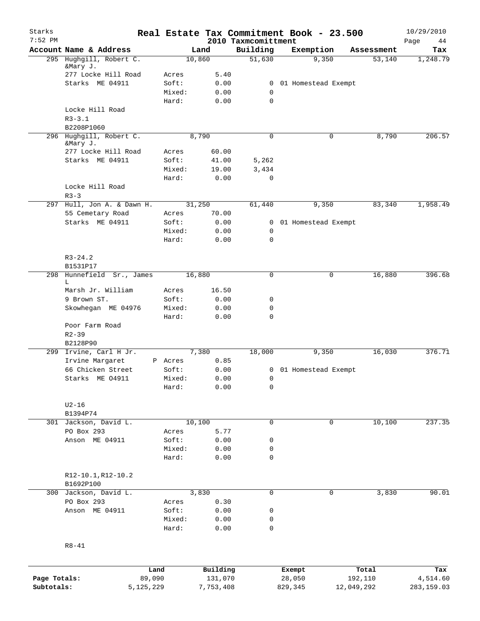| Starks<br>$7:52$ PM |                                     |                 |                     |                                 | Real Estate Tax Commitment Book - 23.500 |                  | 10/29/2010        |
|---------------------|-------------------------------------|-----------------|---------------------|---------------------------------|------------------------------------------|------------------|-------------------|
|                     | Account Name & Address              |                 | Land                | 2010 Taxmcomittment<br>Building | Exemption                                | Assessment       | Page<br>44<br>Tax |
|                     | 295 Hughgill, Robert C.<br>&Mary J. |                 | 10,860              | 51,630                          | 9,350                                    | 53,140           | 1,248.79          |
|                     | 277 Locke Hill Road                 | Acres           | 5.40                |                                 |                                          |                  |                   |
|                     | Starks ME 04911                     | Soft:           | 0.00                | 0                               | 01 Homestead Exempt                      |                  |                   |
|                     |                                     | Mixed:          | 0.00                | 0                               |                                          |                  |                   |
|                     |                                     | Hard:           | 0.00                | $\mathbf 0$                     |                                          |                  |                   |
|                     | Locke Hill Road                     |                 |                     |                                 |                                          |                  |                   |
|                     | $R3 - 3.1$                          |                 |                     |                                 |                                          |                  |                   |
|                     | B2208P1060                          |                 |                     |                                 |                                          |                  |                   |
|                     | 296 Hughgill, Robert C.<br>&Mary J. |                 | 8,790               | $\mathbf 0$                     | 0                                        | 8,790            | 206.57            |
|                     | 277 Locke Hill Road                 | Acres           | 60.00               |                                 |                                          |                  |                   |
|                     | Starks ME 04911                     | Soft:           | 41.00               | 5,262                           |                                          |                  |                   |
|                     |                                     | Mixed:          | 19.00               | 3,434                           |                                          |                  |                   |
|                     |                                     | Hard:           | 0.00                | 0                               |                                          |                  |                   |
|                     | Locke Hill Road<br>$R3 - 3$         |                 |                     |                                 |                                          |                  |                   |
| 297                 | Hull, Jon A. & Dawn H.              |                 | 31,250              | 61,440                          | 9,350                                    | 83,340           | 1,958.49          |
|                     | 55 Cemetary Road                    | Acres           | 70.00               |                                 |                                          |                  |                   |
|                     | Starks ME 04911                     | Soft:           | 0.00                | 0                               | 01 Homestead Exempt                      |                  |                   |
|                     |                                     | Mixed:          | 0.00                | 0                               |                                          |                  |                   |
|                     |                                     | Hard:           | 0.00                | $\mathbf 0$                     |                                          |                  |                   |
|                     | $R3 - 24.2$                         |                 |                     |                                 |                                          |                  |                   |
|                     | B1531P17                            |                 |                     |                                 |                                          |                  |                   |
|                     | 298 Hunnefield Sr., James<br>L      |                 | 16,880              | $\mathbf 0$                     | 0                                        | 16,880           | 396.68            |
|                     | Marsh Jr. William                   | Acres           | 16.50               |                                 |                                          |                  |                   |
|                     | 9 Brown ST.                         | Soft:           | 0.00                | 0                               |                                          |                  |                   |
|                     | Skowhegan ME 04976                  | Mixed:          | 0.00                | 0                               |                                          |                  |                   |
|                     |                                     | Hard:           | 0.00                | 0                               |                                          |                  |                   |
|                     | Poor Farm Road                      |                 |                     |                                 |                                          |                  |                   |
|                     | $R2 - 39$                           |                 |                     |                                 |                                          |                  |                   |
|                     | B2128P90                            |                 |                     |                                 |                                          |                  |                   |
|                     | 299 Irvine, Carl H Jr.              |                 | 7,380               | 18,000                          | 9,350                                    | 16,030           | 376.71            |
|                     | Irvine Margaret                     | P Acres         | 0.85                |                                 |                                          |                  |                   |
|                     | 66 Chicken Street                   | Soft:           | 0.00                |                                 | 0 01 Homestead Exempt                    |                  |                   |
|                     | Starks ME 04911                     | Mixed:          | 0.00                | 0                               |                                          |                  |                   |
|                     |                                     | Hard:           | 0.00                | 0                               |                                          |                  |                   |
|                     | $U2-16$                             |                 |                     |                                 |                                          |                  |                   |
|                     | B1394P74                            |                 |                     |                                 |                                          |                  |                   |
|                     | 301 Jackson, David L.               |                 | 10,100              | $\mathbf 0$                     | 0                                        | 10,100           | 237.35            |
|                     | PO Box 293                          | Acres           | 5.77                |                                 |                                          |                  |                   |
|                     | Anson ME 04911                      | Soft:           | 0.00                | 0                               |                                          |                  |                   |
|                     |                                     | Mixed:<br>Hard: | 0.00<br>0.00        | 0<br>0                          |                                          |                  |                   |
|                     |                                     |                 |                     |                                 |                                          |                  |                   |
|                     | R12-10.1, R12-10.2<br>B1692P100     |                 |                     |                                 |                                          |                  |                   |
|                     | 300 Jackson, David L.               |                 | 3,830               | $\mathbf 0$                     | 0                                        | 3,830            | 90.01             |
|                     | PO Box 293                          | Acres           | 0.30                |                                 |                                          |                  |                   |
|                     | Anson ME 04911                      | Soft:           | 0.00                | 0                               |                                          |                  |                   |
|                     |                                     | Mixed:          | 0.00                | 0                               |                                          |                  |                   |
|                     |                                     | Hard:           | 0.00                | $\mathbf 0$                     |                                          |                  |                   |
|                     | $R8 - 41$                           |                 |                     |                                 |                                          |                  |                   |
|                     |                                     |                 |                     |                                 |                                          |                  |                   |
| Page Totals:        | 89,090                              | Land            | Building<br>131,070 |                                 | Exempt<br>28,050                         | Total<br>192,110 | Tax<br>4,514.60   |
| Subtotals:          | 5, 125, 229                         |                 | 7,753,408           |                                 | 829,345                                  | 12,049,292       | 283,159.03        |
|                     |                                     |                 |                     |                                 |                                          |                  |                   |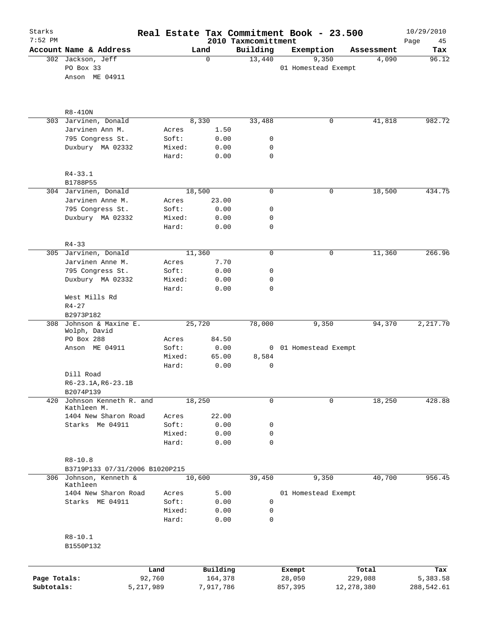| Starks<br>$7:52$ PM |                                     |                 |        |              | 2010 Taxmcomittment | Real Estate Tax Commitment Book - 23.500 |              | 10/29/2010<br>Page<br>45 |
|---------------------|-------------------------------------|-----------------|--------|--------------|---------------------|------------------------------------------|--------------|--------------------------|
|                     | Account Name & Address              |                 | Land   |              | Building            | Exemption                                | Assessment   | Tax                      |
|                     | 302 Jackson, Jeff                   |                 | 0      |              | 13,440              | 9,350                                    | 4,090        | 96.12                    |
|                     | PO Box 33                           |                 |        |              |                     | 01 Homestead Exempt                      |              |                          |
|                     | Anson ME 04911                      |                 |        |              |                     |                                          |              |                          |
|                     | $R8-410N$                           |                 |        |              |                     |                                          |              |                          |
| 303                 | Jarvinen, Donald                    |                 | 8,330  |              | 33,488              | 0                                        | 41,818       | 982.72                   |
|                     | Jarvinen Ann M.                     | Acres           |        | 1.50         |                     |                                          |              |                          |
|                     | 795 Congress St.                    | Soft:           |        | 0.00         | 0                   |                                          |              |                          |
|                     | Duxbury MA 02332                    | Mixed:<br>Hard: |        | 0.00<br>0.00 | 0<br>$\mathbf 0$    |                                          |              |                          |
|                     |                                     |                 |        |              |                     |                                          |              |                          |
|                     | $R4 - 33.1$<br>B1788P55             |                 |        |              |                     |                                          |              |                          |
|                     | 304 Jarvinen, Donald                |                 | 18,500 |              | 0                   | 0                                        | 18,500       | 434.75                   |
|                     | Jarvinen Anne M.                    | Acres           |        | 23.00        |                     |                                          |              |                          |
|                     | 795 Congress St.                    | Soft:           |        | 0.00         | 0                   |                                          |              |                          |
|                     | Duxbury MA 02332                    | Mixed:          |        | 0.00         | 0                   |                                          |              |                          |
|                     |                                     | Hard:           |        | 0.00         | 0                   |                                          |              |                          |
|                     | $R4 - 33$                           |                 |        |              |                     |                                          |              |                          |
|                     | 305 Jarvinen, Donald                |                 | 11,360 |              | $\mathsf{O}$        | 0                                        | 11,360       | 266.96                   |
|                     | Jarvinen Anne M.                    | Acres           |        | 7.70         |                     |                                          |              |                          |
|                     | 795 Congress St.                    | Soft:           |        | 0.00         | 0                   |                                          |              |                          |
|                     | Duxbury MA 02332                    | Mixed:          |        | 0.00         | 0                   |                                          |              |                          |
|                     | West Mills Rd                       | Hard:           |        | 0.00         | $\mathbf 0$         |                                          |              |                          |
|                     | $R4 - 27$                           |                 |        |              |                     |                                          |              |                          |
|                     | B2973P182                           |                 |        |              |                     |                                          |              |                          |
| 308                 | Johnson & Maxine E.<br>Wolph, David |                 | 25,720 |              | 78,000              | 9,350                                    | 94,370       | 2,217.70                 |
|                     | PO Box 288                          | Acres           |        | 84.50        |                     |                                          |              |                          |
|                     | Anson ME 04911                      | Soft:           |        | 0.00         |                     | 0 01 Homestead Exempt                    |              |                          |
|                     |                                     | Mixed:          |        | 65.00        | 8,584               |                                          |              |                          |
|                     |                                     | Hard:           |        | 0.00         | 0                   |                                          |              |                          |
|                     | Dill Road                           |                 |        |              |                     |                                          |              |                          |
|                     | R6-23.1A, R6-23.1B<br>B2074P139     |                 |        |              |                     |                                          |              |                          |
| 420                 | Johnson Kenneth R. and              |                 | 18,250 |              | 0                   | 0                                        | 18,250       | 428.88                   |
|                     | Kathleen M.                         |                 |        |              |                     |                                          |              |                          |
|                     | 1404 New Sharon Road                | Acres           |        | 22.00        |                     |                                          |              |                          |
|                     | Starks Me 04911                     | Soft:           |        | 0.00         | 0                   |                                          |              |                          |
|                     |                                     | Mixed:<br>Hard: |        | 0.00<br>0.00 | 0<br>$\mathbf 0$    |                                          |              |                          |
|                     |                                     |                 |        |              |                     |                                          |              |                          |
|                     | $R8 - 10.8$                         |                 |        |              |                     |                                          |              |                          |
|                     | B3719P133 07/31/2006 B1020P215      |                 |        |              |                     |                                          |              |                          |
|                     | 306 Johnson, Kenneth &<br>Kathleen  |                 | 10,600 |              | 39,450              | 9,350                                    | 40,700       | 956.45                   |
|                     | 1404 New Sharon Road                | Acres           |        | 5.00         |                     | 01 Homestead Exempt                      |              |                          |
|                     | Starks ME 04911                     | Soft:           |        | 0.00         | 0                   |                                          |              |                          |
|                     |                                     | Mixed:<br>Hard: |        | 0.00<br>0.00 | 0<br>$\mathbf 0$    |                                          |              |                          |
|                     |                                     |                 |        |              |                     |                                          |              |                          |
|                     | $R8 - 10.1$                         |                 |        |              |                     |                                          |              |                          |
|                     | B1550P132                           |                 |        |              |                     |                                          |              |                          |
|                     |                                     | Land            |        | Building     |                     | Exempt                                   | Total        | Tax                      |
| Page Totals:        |                                     | 92,760          |        | 164,378      |                     | 28,050                                   | 229,088      | 5,383.58                 |
| Subtotals:          |                                     | 5,217,989       |        | 7,917,786    |                     | 857,395                                  | 12, 278, 380 | 288,542.61               |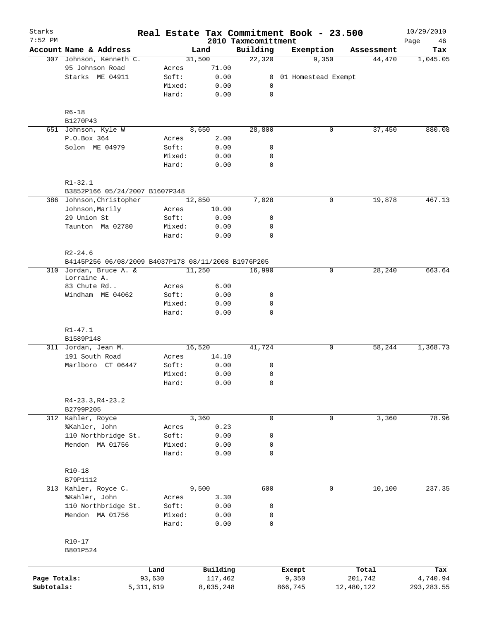| Starks       |                                                                    |             |                 |              |                                 | Real Estate Tax Commitment Book - 23.500 |                      | 10/29/2010        |
|--------------|--------------------------------------------------------------------|-------------|-----------------|--------------|---------------------------------|------------------------------------------|----------------------|-------------------|
| $7:52$ PM    | Account Name & Address                                             |             |                 | Land         | 2010 Taxmcomittment<br>Building | Exemption                                | Assessment           | Page<br>46<br>Tax |
|              | 307 Johnson, Kenneth C.                                            |             |                 | 31,500       | 22,320                          | 9,350                                    | 44,470               | 1,045.05          |
|              | 95 Johnson Road                                                    |             | Acres           | 71.00        |                                 |                                          |                      |                   |
|              | Starks ME 04911                                                    |             | Soft:           | 0.00         | 0                               | 01 Homestead Exempt                      |                      |                   |
|              |                                                                    |             | Mixed:          | 0.00         | 0                               |                                          |                      |                   |
|              |                                                                    |             | Hard:           | 0.00         | $\mathsf{O}$                    |                                          |                      |                   |
|              | $R6 - 18$                                                          |             |                 |              |                                 |                                          |                      |                   |
|              | B1270P43                                                           |             |                 |              |                                 |                                          |                      |                   |
|              | 651 Johnson, Kyle W                                                |             |                 | 8,650        | 28,800                          |                                          | 37,450<br>0          | 880.08            |
|              | P.O.Box 364                                                        |             | Acres           | 2.00         |                                 |                                          |                      |                   |
|              | Solon ME 04979                                                     |             | Soft:           | 0.00         | 0                               |                                          |                      |                   |
|              |                                                                    |             | Mixed:          | 0.00         | 0                               |                                          |                      |                   |
|              |                                                                    |             | Hard:           | 0.00         | $\mathbf 0$                     |                                          |                      |                   |
|              | $R1 - 32.1$                                                        |             |                 |              |                                 |                                          |                      |                   |
|              | B3852P166 05/24/2007 B1607P348                                     |             |                 |              |                                 |                                          |                      |                   |
|              | 386 Johnson, Christopher                                           |             |                 | 12,850       | 7,028                           |                                          | 19,878<br>0          | 467.13            |
|              | Johnson, Marily                                                    |             | Acres           | 10.00        |                                 |                                          |                      |                   |
|              | 29 Union St                                                        |             | Soft:           | 0.00         | 0                               |                                          |                      |                   |
|              | Taunton Ma 02780                                                   |             | Mixed:          | 0.00         | 0                               |                                          |                      |                   |
|              |                                                                    |             | Hard:           | 0.00         | $\mathbf 0$                     |                                          |                      |                   |
|              | $R2 - 24.6$<br>B4145P256 06/08/2009 B4037P178 08/11/2008 B1976P205 |             |                 |              |                                 |                                          |                      |                   |
|              | 310 Jordan, Bruce A. &                                             |             |                 | 11,250       | 16,990                          |                                          | 28,240<br>0          | 663.64            |
|              | Lorraine A.                                                        |             |                 |              |                                 |                                          |                      |                   |
|              | 83 Chute Rd                                                        |             | Acres           | 6.00         |                                 |                                          |                      |                   |
|              | Windham ME 04062                                                   |             | Soft:           | 0.00         | 0                               |                                          |                      |                   |
|              |                                                                    |             | Mixed:          | 0.00         | 0                               |                                          |                      |                   |
|              |                                                                    |             | Hard:           | 0.00         | 0                               |                                          |                      |                   |
|              | $R1 - 47.1$                                                        |             |                 |              |                                 |                                          |                      |                   |
|              | B1589P148                                                          |             |                 |              |                                 |                                          |                      |                   |
|              | 311 Jordan, Jean M.                                                |             |                 | 16,520       | 41,724                          |                                          | 0<br>58,244          | 1,368.73          |
|              | 191 South Road                                                     |             | Acres           | 14.10        |                                 |                                          |                      |                   |
|              | Marlboro CT 06447                                                  |             | Soft:           | 0.00         | 0                               |                                          |                      |                   |
|              |                                                                    |             | Mixed:          | 0.00         | 0                               |                                          |                      |                   |
|              |                                                                    |             | Hard:           | 0.00         | 0                               |                                          |                      |                   |
|              | $R4-23.3, R4-23.2$                                                 |             |                 |              |                                 |                                          |                      |                   |
|              | B2799P205                                                          |             |                 |              |                                 |                                          |                      |                   |
|              | 312 Kahler, Royce                                                  |             |                 | 3,360        | $\mathbf 0$                     |                                          | $\mathbf 0$<br>3,360 | 78.96             |
|              | %Kahler, John                                                      |             | Acres           | 0.23         |                                 |                                          |                      |                   |
|              | 110 Northbridge St.                                                |             | Soft:           | 0.00         | 0                               |                                          |                      |                   |
|              | Mendon MA 01756                                                    |             | Mixed:          | 0.00         | 0                               |                                          |                      |                   |
|              |                                                                    |             | Hard:           | 0.00         | 0                               |                                          |                      |                   |
|              | $R10-18$                                                           |             |                 |              |                                 |                                          |                      |                   |
|              | B79P1112                                                           |             |                 |              |                                 |                                          |                      |                   |
|              | 313 Kahler, Royce C.                                               |             |                 | 9,500        | 600                             |                                          | 10,100<br>0          | 237.35            |
|              | %Kahler, John                                                      |             | Acres           | 3.30         |                                 |                                          |                      |                   |
|              | 110 Northbridge St.                                                |             | Soft:           | 0.00         | 0                               |                                          |                      |                   |
|              | Mendon MA 01756                                                    |             | Mixed:<br>Hard: | 0.00<br>0.00 | 0<br>$\mathbf 0$                |                                          |                      |                   |
|              | $R10 - 17$                                                         |             |                 |              |                                 |                                          |                      |                   |
|              | B801P524                                                           |             |                 |              |                                 |                                          |                      |                   |
|              |                                                                    | Land        |                 | Building     |                                 | Exempt                                   | Total                | Tax               |
| Page Totals: |                                                                    | 93,630      |                 | 117,462      |                                 | 9,350                                    | 201,742              | 4,740.94          |
| Subtotals:   |                                                                    | 5, 311, 619 |                 | 8,035,248    |                                 | 866,745                                  | 12,480,122           | 293, 283.55       |
|              |                                                                    |             |                 |              |                                 |                                          |                      |                   |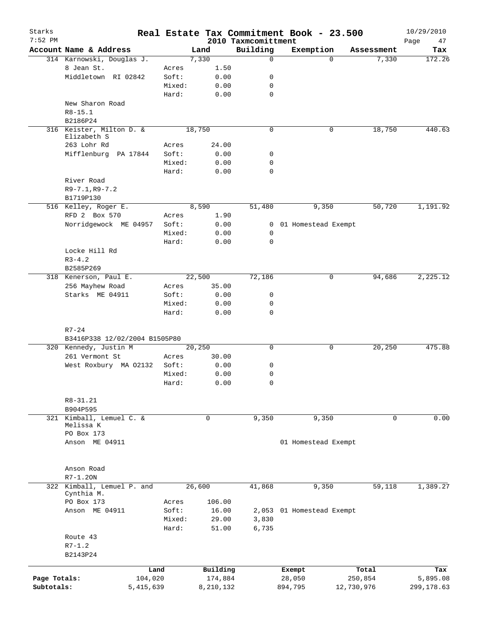| Starks<br>$7:52$ PM |                                       |                |                     | 2010 Taxmcomittment | Real Estate Tax Commitment Book - 23.500 |                  | 10/29/2010<br>Page<br>47 |
|---------------------|---------------------------------------|----------------|---------------------|---------------------|------------------------------------------|------------------|--------------------------|
|                     | Account Name & Address                |                | Land                | Building            | Exemption                                | Assessment       | Tax                      |
|                     | 314 Karnowski, Douglas J.             |                | 7,330               | $\mathbf 0$         | $\Omega$                                 | 7,330            | 172.26                   |
|                     | 8 Jean St.                            | Acres          | 1.50                |                     |                                          |                  |                          |
|                     | Middletown RI 02842                   | Soft:          | 0.00                | 0                   |                                          |                  |                          |
|                     |                                       | Mixed:         | 0.00                | 0                   |                                          |                  |                          |
|                     |                                       | Hard:          | 0.00                | $\mathbf 0$         |                                          |                  |                          |
|                     | New Sharon Road                       |                |                     |                     |                                          |                  |                          |
|                     | $R8 - 15.1$                           |                |                     |                     |                                          |                  |                          |
|                     | B2186P24                              |                |                     |                     |                                          |                  |                          |
|                     | 316 Keister, Milton D. &              |                | 18,750              | $\mathbf 0$         | 0                                        | 18,750           | 440.63                   |
|                     | Elizabeth S                           |                |                     |                     |                                          |                  |                          |
|                     | 263 Lohr Rd                           | Acres          | 24.00               |                     |                                          |                  |                          |
|                     | Mifflenburg PA 17844                  | Soft:          | 0.00                | 0                   |                                          |                  |                          |
|                     |                                       | Mixed:         | 0.00                | 0                   |                                          |                  |                          |
|                     |                                       | Hard:          | 0.00                | 0                   |                                          |                  |                          |
|                     | River Road                            |                |                     |                     |                                          |                  |                          |
|                     | $R9 - 7.1, R9 - 7.2$                  |                |                     |                     |                                          |                  |                          |
|                     | B1719P130                             |                |                     |                     |                                          |                  |                          |
|                     | 516 Kelley, Roger E.<br>RFD 2 Box 570 |                | 8,590               | 51,480              | 9,350                                    | 50,720           | 1,191.92                 |
|                     |                                       | Acres<br>Soft: | 1.90<br>0.00        |                     |                                          |                  |                          |
|                     | Norridgewock ME 04957                 | Mixed:         | 0.00                | 0<br>0              | 01 Homestead Exempt                      |                  |                          |
|                     |                                       | Hard:          | 0.00                | 0                   |                                          |                  |                          |
|                     | Locke Hill Rd                         |                |                     |                     |                                          |                  |                          |
|                     | $R3 - 4.2$                            |                |                     |                     |                                          |                  |                          |
|                     | B2585P269                             |                |                     |                     |                                          |                  |                          |
|                     | 318 Kenerson, Paul E.                 |                | 22,500              | 72,186              | 0                                        | 94,686           | 2,225.12                 |
|                     | 256 Mayhew Road                       | Acres          | 35.00               |                     |                                          |                  |                          |
|                     | Starks ME 04911                       | Soft:          | 0.00                | 0                   |                                          |                  |                          |
|                     |                                       | Mixed:         | 0.00                | 0                   |                                          |                  |                          |
|                     |                                       | Hard:          | 0.00                | 0                   |                                          |                  |                          |
|                     |                                       |                |                     |                     |                                          |                  |                          |
|                     | $R7 - 24$                             |                |                     |                     |                                          |                  |                          |
|                     | B3416P338 12/02/2004 B1505P80         |                |                     |                     |                                          |                  |                          |
|                     | 320 Kennedy, Justin M                 |                | 20,250              | $\mathbf 0$         | 0                                        | 20,250           | 475.88                   |
|                     | 261 Vermont St                        | Acres          | 30.00               |                     |                                          |                  |                          |
|                     | West Roxbury MA 02132                 | Soft:          | 0.00                | 0                   |                                          |                  |                          |
|                     |                                       | Mixed:         | 0.00                | $\mathbf 0$         |                                          |                  |                          |
|                     |                                       | Hard:          | 0.00                | 0                   |                                          |                  |                          |
|                     |                                       |                |                     |                     |                                          |                  |                          |
|                     | R8-31.21                              |                |                     |                     |                                          |                  |                          |
|                     | B904P595                              |                |                     |                     |                                          |                  |                          |
|                     | 321 Kimball, Lemuel C. &<br>Melissa K |                | 0                   | 9,350               | 9,350                                    | $\mathbf 0$      | 0.00                     |
|                     | PO Box 173                            |                |                     |                     |                                          |                  |                          |
|                     | Anson ME 04911                        |                |                     |                     | 01 Homestead Exempt                      |                  |                          |
|                     |                                       |                |                     |                     |                                          |                  |                          |
|                     |                                       |                |                     |                     |                                          |                  |                          |
|                     | Anson Road                            |                |                     |                     |                                          |                  |                          |
|                     | $R7-1.20N$                            |                |                     |                     |                                          |                  |                          |
|                     | 322 Kimball, Lemuel P. and            |                | 26,600              | 41,868              | 9,350                                    | 59,118           | 1,389.27                 |
|                     | Cynthia M.                            |                |                     |                     |                                          |                  |                          |
|                     | PO Box 173                            | Acres          | 106.00              |                     |                                          |                  |                          |
|                     | Anson ME 04911                        | Soft:          | 16.00               |                     | 2,053 01 Homestead Exempt                |                  |                          |
|                     |                                       | Mixed:         | 29.00               | 3,830               |                                          |                  |                          |
|                     |                                       | Hard:          | 51.00               | 6,735               |                                          |                  |                          |
|                     | Route 43                              |                |                     |                     |                                          |                  |                          |
|                     | $R7 - 1.2$                            |                |                     |                     |                                          |                  |                          |
|                     | B2143P24                              |                |                     |                     |                                          |                  |                          |
|                     |                                       |                |                     |                     |                                          |                  |                          |
| Page Totals:        | 104,020                               | Land           | Building<br>174,884 |                     | Exempt<br>28,050                         | Total<br>250,854 | Tax<br>5,895.08          |
| Subtotals:          | 5,415,639                             |                | 8,210,132           |                     | 894,795                                  | 12,730,976       | 299,178.63               |
|                     |                                       |                |                     |                     |                                          |                  |                          |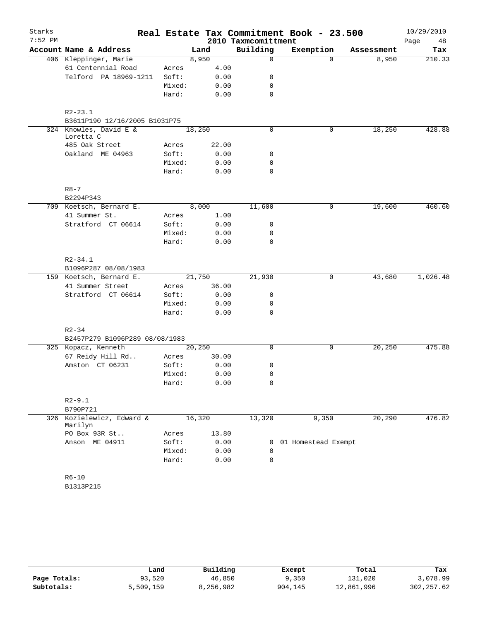| Starks<br>$7:52$ PM |                                     |        |        | 2010 Taxmcomittment | Real Estate Tax Commitment Book - 23.500 |            | 10/29/2010<br>Page<br>48 |
|---------------------|-------------------------------------|--------|--------|---------------------|------------------------------------------|------------|--------------------------|
|                     | Account Name & Address              |        | Land   | Building            | Exemption                                | Assessment | Tax                      |
|                     | 406 Kleppinger, Marie               |        | 8,950  | 0                   | $\Omega$                                 | 8,950      | 210.33                   |
|                     | 61 Centennial Road                  | Acres  | 4.00   |                     |                                          |            |                          |
|                     | Telford PA 18969-1211               | Soft:  | 0.00   | 0                   |                                          |            |                          |
|                     |                                     | Mixed: | 0.00   | 0                   |                                          |            |                          |
|                     |                                     | Hard:  | 0.00   | 0                   |                                          |            |                          |
|                     | $R2 - 23.1$                         |        |        |                     |                                          |            |                          |
|                     | B3611P190 12/16/2005 B1031P75       |        |        |                     |                                          |            |                          |
|                     | 324 Knowles, David E &<br>Loretta C |        | 18,250 | 0                   | 0                                        | 18, 250    | 428.88                   |
|                     | 485 Oak Street                      | Acres  | 22.00  |                     |                                          |            |                          |
|                     | Oakland ME 04963                    | Soft:  | 0.00   | 0                   |                                          |            |                          |
|                     |                                     | Mixed: | 0.00   | 0                   |                                          |            |                          |
|                     |                                     | Hard:  | 0.00   | 0                   |                                          |            |                          |
|                     | $R8 - 7$                            |        |        |                     |                                          |            |                          |
|                     | B2294P343                           |        |        |                     |                                          |            |                          |
|                     | 709 Koetsch, Bernard E.             |        | 8,000  | 11,600              | 0                                        | 19,600     | 460.60                   |
|                     | 41 Summer St.                       | Acres  | 1.00   |                     |                                          |            |                          |
|                     | Stratford CT 06614                  | Soft:  | 0.00   | 0                   |                                          |            |                          |
|                     |                                     | Mixed: | 0.00   | 0                   |                                          |            |                          |
|                     |                                     | Hard:  | 0.00   | $\Omega$            |                                          |            |                          |
|                     | $R2 - 34.1$                         |        |        |                     |                                          |            |                          |
|                     | B1096P287 08/08/1983                |        |        |                     |                                          |            |                          |
|                     | 159 Koetsch, Bernard E.             |        | 21,750 | 21,930              | $\mathbf 0$                              | 43,680     | 1,026.48                 |
|                     | 41 Summer Street                    | Acres  | 36.00  |                     |                                          |            |                          |
|                     | Stratford CT 06614                  | Soft:  | 0.00   | 0                   |                                          |            |                          |
|                     |                                     | Mixed: | 0.00   | 0                   |                                          |            |                          |
|                     |                                     | Hard:  | 0.00   | 0                   |                                          |            |                          |
|                     | $R2 - 34$                           |        |        |                     |                                          |            |                          |
|                     | B2457P279 B1096P289 08/08/1983      |        |        |                     |                                          |            |                          |
|                     | 325 Kopacz, Kenneth                 |        | 20,250 | 0                   | 0                                        | 20,250     | 475.88                   |
|                     | 67 Reidy Hill Rd                    | Acres  | 30.00  |                     |                                          |            |                          |
|                     | Amston CT 06231                     | Soft:  | 0.00   | 0                   |                                          |            |                          |
|                     |                                     | Mixed: | 0.00   | 0                   |                                          |            |                          |
|                     |                                     | Hard:  | 0.00   | 0                   |                                          |            |                          |
|                     | $R2 - 9.1$<br>B790P721              |        |        |                     |                                          |            |                          |
|                     | 326 Kozielewicz, Edward &           |        | 16,320 | 13,320              | 9,350                                    | 20,290     | 476.82                   |
|                     | Marilyn                             |        |        |                     |                                          |            |                          |
|                     | PO Box 93R St                       | Acres  | 13.80  |                     |                                          |            |                          |
|                     | Anson ME 04911                      | Soft:  | 0.00   | 0                   | 01 Homestead Exempt                      |            |                          |
|                     |                                     | Mixed: | 0.00   | 0                   |                                          |            |                          |
|                     |                                     | Hard:  | 0.00   | 0                   |                                          |            |                          |
|                     | $R6 - 10$                           |        |        |                     |                                          |            |                          |
|                     | B1313P215                           |        |        |                     |                                          |            |                          |

|              | Land      | Building  | Exempt  | Total      | Tax         |
|--------------|-----------|-----------|---------|------------|-------------|
| Page Totals: | 93,520    | 46,850    | 9,350   | 131,020    | 3,078.99    |
| Subtotals:   | 5,509,159 | 8,256,982 | 904,145 | 12,861,996 | 302, 257.62 |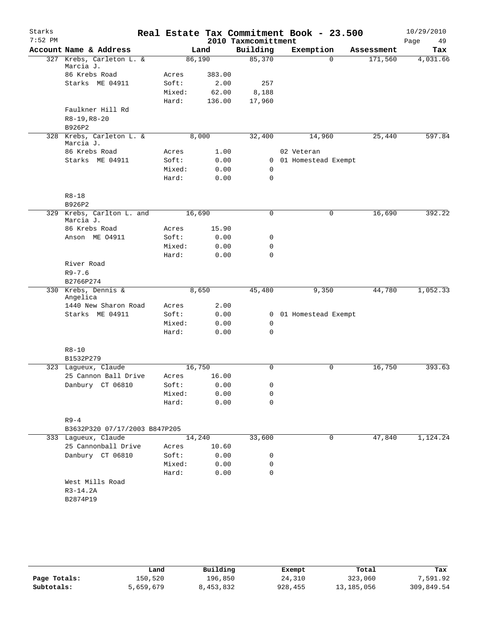| Starks<br>$7:52$ PM |                                 |                 |                 | 2010 Taxmcomittment | Real Estate Tax Commitment Book - 23.500 |            | 10/29/2010<br>49<br>Page |
|---------------------|---------------------------------|-----------------|-----------------|---------------------|------------------------------------------|------------|--------------------------|
|                     | Account Name & Address          | Land            |                 | Building            | Exemption                                | Assessment | Tax                      |
|                     | 327 Krebs, Carleton L. &        | 86,190          |                 | 85,370              | $\Omega$                                 | 171,560    | 4,031.66                 |
|                     | Marcia J.<br>86 Krebs Road      |                 |                 |                     |                                          |            |                          |
|                     | Starks ME 04911                 | Acres<br>Soft:  | 383.00          |                     |                                          |            |                          |
|                     |                                 |                 | 2.00            | 257                 |                                          |            |                          |
|                     |                                 | Mixed:<br>Hard: | 62.00<br>136.00 | 8,188<br>17,960     |                                          |            |                          |
|                     | Faulkner Hill Rd                |                 |                 |                     |                                          |            |                          |
|                     | $R8-19, R8-20$                  |                 |                 |                     |                                          |            |                          |
|                     | B926P2                          |                 |                 |                     |                                          |            |                          |
|                     | 328 Krebs, Carleton L. &        | 8,000           |                 | 32,400              | 14,960                                   | 25,440     | 597.84                   |
|                     | Marcia J.                       |                 |                 |                     |                                          |            |                          |
|                     | 86 Krebs Road                   | Acres           | 1.00            |                     | 02 Veteran                               |            |                          |
|                     | Starks ME 04911                 | Soft:           | 0.00            | $\overline{0}$      | 01 Homestead Exempt                      |            |                          |
|                     |                                 | Mixed:          | 0.00            | 0                   |                                          |            |                          |
|                     |                                 | Hard:           | 0.00            | 0                   |                                          |            |                          |
|                     |                                 |                 |                 |                     |                                          |            |                          |
|                     | $R8 - 18$<br>B926P2             |                 |                 |                     |                                          |            |                          |
|                     | 329 Krebs, Carlton L. and       | 16,690          |                 | 0                   | 0                                        | 16,690     | 392.22                   |
|                     | Marcia J.                       |                 |                 |                     |                                          |            |                          |
|                     | 86 Krebs Road                   | Acres           | 15.90           |                     |                                          |            |                          |
|                     | Anson ME 04911                  | Soft:           | 0.00            | 0                   |                                          |            |                          |
|                     |                                 | Mixed:          | 0.00            | 0                   |                                          |            |                          |
|                     |                                 | Hard:           | 0.00            | 0                   |                                          |            |                          |
|                     | River Road                      |                 |                 |                     |                                          |            |                          |
|                     | $R9 - 7.6$                      |                 |                 |                     |                                          |            |                          |
|                     | B2766P274                       |                 |                 |                     |                                          |            |                          |
|                     | 330 Krebs, Dennis &<br>Angelica | 8,650           |                 | 45,480              | 9,350                                    | 44,780     | 1,052.33                 |
|                     | 1440 New Sharon Road            | Acres           | 2.00            |                     |                                          |            |                          |
|                     | Starks ME 04911                 | Soft:           | 0.00            |                     | 0 01 Homestead Exempt                    |            |                          |
|                     |                                 | Mixed:          | 0.00            | 0                   |                                          |            |                          |
|                     |                                 | Hard:           | 0.00            | $\mathbf 0$         |                                          |            |                          |
|                     |                                 |                 |                 |                     |                                          |            |                          |
|                     | $R8 - 10$                       |                 |                 |                     |                                          |            |                          |
|                     | B1532P279                       |                 |                 |                     |                                          |            |                          |
|                     | 323 Laqueux, Claude             | 16,750          |                 | $\mathbf 0$         | 0                                        | 16,750     | 393.63                   |
|                     | 25 Cannon Ball Drive            | Acres           | 16.00           |                     |                                          |            |                          |
|                     | Danbury CT 06810                | Soft:<br>Mixed: | 0.00<br>0.00    | 0<br>0              |                                          |            |                          |
|                     |                                 | Hard:           | 0.00            | 0                   |                                          |            |                          |
|                     |                                 |                 |                 |                     |                                          |            |                          |
|                     | $R9 - 4$                        |                 |                 |                     |                                          |            |                          |
|                     | B3632P320 07/17/2003 B847P205   |                 |                 |                     |                                          |            |                          |
|                     | 333 Lagueux, Claude             | 14,240          |                 | 33,600              | 0                                        | 47,840     | 1,124.24                 |
|                     | 25 Cannonball Drive             | Acres           | 10.60           |                     |                                          |            |                          |
|                     | Danbury CT 06810                | Soft:           | 0.00            | 0                   |                                          |            |                          |
|                     |                                 | Mixed:          | 0.00            | 0                   |                                          |            |                          |
|                     |                                 | Hard:           | 0.00            | $\mathbf 0$         |                                          |            |                          |
|                     | West Mills Road                 |                 |                 |                     |                                          |            |                          |
|                     | $R3-14.2A$                      |                 |                 |                     |                                          |            |                          |
|                     | B2874P19                        |                 |                 |                     |                                          |            |                          |
|                     |                                 |                 |                 |                     |                                          |            |                          |
|                     |                                 |                 |                 |                     |                                          |            |                          |
|                     |                                 |                 |                 |                     |                                          |            |                          |

|              | Land      | Building  | Exempt  | Total      | Tax        |
|--------------|-----------|-----------|---------|------------|------------|
| Page Totals: | 150,520   | 196,850   | 24,310  | 323,060    | 7,591.92   |
| Subtotals:   | 5,659,679 | 8,453,832 | 928,455 | 13,185,056 | 309,849.54 |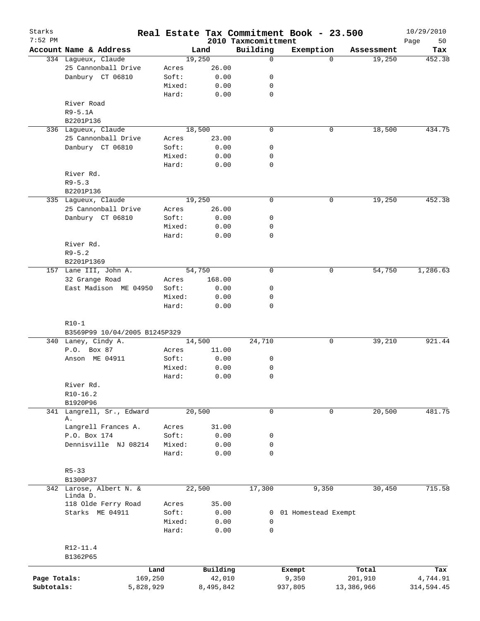| Starks<br>7:52 PM |                               |        |           | 2010 Taxmcomittment | Real Estate Tax Commitment Book - 23.500 |            | 10/29/2010<br>Page<br>50 |
|-------------------|-------------------------------|--------|-----------|---------------------|------------------------------------------|------------|--------------------------|
|                   | Account Name & Address        |        | Land      | Building            | Exemption                                | Assessment | Tax                      |
|                   | 334 Lagueux, Claude           |        | 19,250    | $\mathbf 0$         | $\Omega$                                 | 19,250     | 452.38                   |
|                   | 25 Cannonball Drive           | Acres  | 26.00     |                     |                                          |            |                          |
|                   | Danbury CT 06810              | Soft:  | 0.00      | 0                   |                                          |            |                          |
|                   |                               | Mixed: | 0.00      | 0                   |                                          |            |                          |
|                   |                               | Hard:  | 0.00      | 0                   |                                          |            |                          |
|                   | River Road                    |        |           |                     |                                          |            |                          |
|                   |                               |        |           |                     |                                          |            |                          |
|                   | $R9 - 5.1A$                   |        |           |                     |                                          |            |                          |
|                   | B2201P136                     |        |           |                     |                                          |            |                          |
|                   | 336 Lagueux, Claude           |        | 18,500    | $\mathbf 0$         | 0                                        | 18,500     | 434.75                   |
|                   | 25 Cannonball Drive           | Acres  | 23.00     |                     |                                          |            |                          |
|                   | Danbury CT 06810              | Soft:  | 0.00      | 0                   |                                          |            |                          |
|                   |                               | Mixed: | 0.00      | 0                   |                                          |            |                          |
|                   |                               | Hard:  | 0.00      | $\mathbf 0$         |                                          |            |                          |
|                   | River Rd.                     |        |           |                     |                                          |            |                          |
|                   | $R9 - 5.3$                    |        |           |                     |                                          |            |                          |
|                   | B2201P136                     |        |           |                     |                                          |            |                          |
|                   | 335 Lagueux, Claude           |        | 19,250    | $\mathbf 0$         | 0                                        | 19,250     | 452.38                   |
|                   | 25 Cannonball Drive           | Acres  | 26.00     |                     |                                          |            |                          |
|                   | Danbury CT 06810              | Soft:  | 0.00      | 0                   |                                          |            |                          |
|                   |                               | Mixed: | 0.00      | 0                   |                                          |            |                          |
|                   |                               |        |           |                     |                                          |            |                          |
|                   |                               | Hard:  | 0.00      | 0                   |                                          |            |                          |
|                   | River Rd.                     |        |           |                     |                                          |            |                          |
|                   | $R9 - 5.2$                    |        |           |                     |                                          |            |                          |
|                   | B2201P1369                    |        |           |                     |                                          |            |                          |
|                   | 157 Lane III, John A.         |        | 54,750    | $\mathbf 0$         | 0                                        | 54,750     | 1,286.63                 |
|                   | 32 Grange Road                | Acres  | 168.00    |                     |                                          |            |                          |
|                   | East Madison ME 04950         | Soft:  | 0.00      | 0                   |                                          |            |                          |
|                   |                               | Mixed: | 0.00      | 0                   |                                          |            |                          |
|                   |                               | Hard:  | 0.00      | $\mathbf 0$         |                                          |            |                          |
|                   |                               |        |           |                     |                                          |            |                          |
|                   | $R10-1$                       |        |           |                     |                                          |            |                          |
|                   | B3569P99 10/04/2005 B1245P329 |        |           |                     |                                          |            |                          |
|                   | 340 Laney, Cindy A.           |        | 14,500    | 24,710              | 0                                        | 39,210     | 921.44                   |
|                   | P.O. Box 87                   | Acres  | 11.00     |                     |                                          |            |                          |
|                   | Anson ME 04911                | Soft:  | 0.00      | 0                   |                                          |            |                          |
|                   |                               | Mixed: | 0.00      | 0                   |                                          |            |                          |
|                   |                               | Hard:  | 0.00      | $\mathbf 0$         |                                          |            |                          |
|                   | River Rd.                     |        |           |                     |                                          |            |                          |
|                   | $R10-16.2$                    |        |           |                     |                                          |            |                          |
|                   | B1920P96                      |        |           |                     |                                          |            |                          |
| 341               | Langrell, Sr., Edward         |        | 20,500    | 0                   | 0                                        | 20,500     | 481.75                   |
|                   | Α.                            |        |           |                     |                                          |            |                          |
|                   | Langrell Frances A.           | Acres  | 31.00     |                     |                                          |            |                          |
|                   | P.O. Box 174                  | Soft:  | 0.00      | 0                   |                                          |            |                          |
|                   | Dennisville NJ 08214          | Mixed: | 0.00      | 0                   |                                          |            |                          |
|                   |                               | Hard:  | 0.00      | $\mathbf 0$         |                                          |            |                          |
|                   |                               |        |           |                     |                                          |            |                          |
|                   | $R5 - 33$                     |        |           |                     |                                          |            |                          |
|                   | B1300P37                      |        |           |                     |                                          |            |                          |
|                   | 342 Larose, Albert N. &       |        | 22,500    | 17,300              | 9,350                                    | 30,450     | 715.58                   |
|                   | Linda D.                      |        |           |                     |                                          |            |                          |
|                   | 118 Olde Ferry Road           | Acres  | 35.00     |                     |                                          |            |                          |
|                   | Starks ME 04911               | Soft:  | 0.00      |                     | 0 01 Homestead Exempt                    |            |                          |
|                   |                               | Mixed: | 0.00      | 0                   |                                          |            |                          |
|                   |                               | Hard:  | 0.00      | $\mathbf 0$         |                                          |            |                          |
|                   |                               |        |           |                     |                                          |            |                          |
|                   | R12-11.4                      |        |           |                     |                                          |            |                          |
|                   | B1362P65                      |        |           |                     |                                          |            |                          |
|                   |                               |        |           |                     |                                          |            |                          |
|                   | Land                          |        | Building  |                     | Exempt                                   | Total      | Tax                      |
| Page Totals:      | 169,250                       |        | 42,010    |                     | 9,350                                    | 201,910    | 4,744.91                 |
| Subtotals:        | 5,828,929                     |        | 8,495,842 |                     | 937,805                                  | 13,386,966 | 314,594.45               |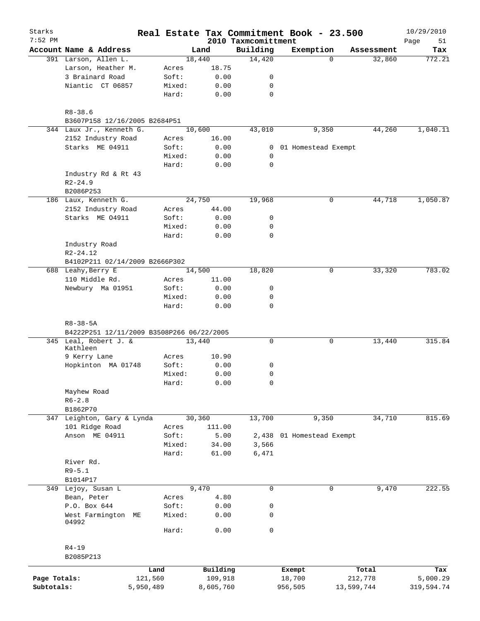| Starks<br>$7:52$ PM |                                                             |        |           | 2010 Taxmcomittment | Real Estate Tax Commitment Book - 23.500 |            | 10/29/2010<br>51<br>Page |
|---------------------|-------------------------------------------------------------|--------|-----------|---------------------|------------------------------------------|------------|--------------------------|
|                     | Account Name & Address                                      |        | Land      | Building            | Exemption                                | Assessment | Tax                      |
|                     | 391 Larson, Allen L.                                        |        | 18,440    | 14,420              | $\Omega$                                 | 32,860     | 772.21                   |
|                     | Larson, Heather M.                                          | Acres  | 18.75     |                     |                                          |            |                          |
|                     | 3 Brainard Road                                             | Soft:  | 0.00      | $\mathsf{O}$        |                                          |            |                          |
|                     | Niantic CT 06857                                            | Mixed: | 0.00      | 0                   |                                          |            |                          |
|                     |                                                             | Hard:  | 0.00      | $\mathbf 0$         |                                          |            |                          |
|                     | $R8 - 38.6$                                                 |        |           |                     |                                          |            |                          |
|                     | B3607P158 12/16/2005 B2684P51                               |        |           |                     |                                          |            |                          |
|                     | 344 Laux Jr., Kenneth G.                                    |        | 10,600    | 43,010              | 9,350                                    | 44,260     | 1,040.11                 |
|                     | 2152 Industry Road                                          | Acres  | 16.00     |                     |                                          |            |                          |
|                     | Starks ME 04911                                             | Soft:  | 0.00      |                     | 0 01 Homestead Exempt                    |            |                          |
|                     |                                                             | Mixed: | 0.00      | 0                   |                                          |            |                          |
|                     |                                                             | Hard:  | 0.00      | 0                   |                                          |            |                          |
|                     | Industry Rd & Rt 43                                         |        |           |                     |                                          |            |                          |
|                     | $R2 - 24.9$                                                 |        |           |                     |                                          |            |                          |
|                     | B2086P253                                                   |        |           |                     |                                          |            |                          |
|                     | 186 Laux, Kenneth G.                                        |        | 24,750    | 19,968              | $\mathbf 0$                              | 44,718     | 1,050.87                 |
|                     | 2152 Industry Road                                          | Acres  | 44.00     |                     |                                          |            |                          |
|                     | Starks ME 04911                                             | Soft:  | 0.00      | 0                   |                                          |            |                          |
|                     |                                                             | Mixed: | 0.00      | 0                   |                                          |            |                          |
|                     |                                                             | Hard:  | 0.00      | $\mathbf 0$         |                                          |            |                          |
|                     | Industry Road                                               |        |           |                     |                                          |            |                          |
|                     | $R2 - 24.12$                                                |        |           |                     |                                          |            |                          |
|                     | B4102P211 02/14/2009 B2666P302                              |        |           |                     |                                          |            |                          |
|                     | 688 Leahy, Berry E                                          |        | 14,500    | 18,820              | 0                                        | 33,320     | 783.02                   |
|                     | 110 Middle Rd.                                              | Acres  | 11.00     |                     |                                          |            |                          |
|                     | Newbury Ma 01951                                            | Soft:  | 0.00      | 0                   |                                          |            |                          |
|                     |                                                             | Mixed: | 0.00      | 0                   |                                          |            |                          |
|                     |                                                             | Hard:  | 0.00      | 0                   |                                          |            |                          |
|                     | $R8 - 38 - 5A$<br>B4222P251 12/11/2009 B3508P266 06/22/2005 |        |           |                     |                                          |            | 315.84                   |
|                     | 345 Leal, Robert J. &<br>Kathleen                           |        | 13,440    | 0                   | 0                                        | 13,440     |                          |
|                     | 9 Kerry Lane                                                | Acres  | 10.90     |                     |                                          |            |                          |
|                     | Hopkinton MA 01748                                          | Soft:  | 0.00      | 0                   |                                          |            |                          |
|                     |                                                             | Mixed: | 0.00      | 0                   |                                          |            |                          |
|                     |                                                             | Hard:  | 0.00      | 0                   |                                          |            |                          |
|                     | Mayhew Road                                                 |        |           |                     |                                          |            |                          |
|                     | $R6 - 2.8$                                                  |        |           |                     |                                          |            |                          |
|                     | B1862P70                                                    |        |           |                     |                                          |            |                          |
|                     | 347 Leighton, Gary & Lynda                                  |        | 30,360    | 13,700              | 9,350                                    | 34,710     | 815.69                   |
|                     | 101 Ridge Road                                              | Acres  | 111.00    |                     |                                          |            |                          |
|                     | Anson ME 04911                                              | Soft:  | 5.00      | 2,438               | 01 Homestead Exempt                      |            |                          |
|                     |                                                             | Mixed: | 34.00     | 3,566               |                                          |            |                          |
|                     |                                                             | Hard:  | 61.00     | 6,471               |                                          |            |                          |
|                     | River Rd.                                                   |        |           |                     |                                          |            |                          |
|                     | $R9 - 5.1$                                                  |        |           |                     |                                          |            |                          |
|                     | B1014P17                                                    |        |           |                     |                                          |            |                          |
|                     | 349 Lejoy, Susan L                                          |        | 9,470     | 0                   | 0                                        | 9,470      | 222.55                   |
|                     | Bean, Peter                                                 | Acres  | 4.80      |                     |                                          |            |                          |
|                     | P.O. Box 644                                                | Soft:  | 0.00      | 0                   |                                          |            |                          |
|                     | West Farmington<br>МE                                       | Mixed: | 0.00      | 0                   |                                          |            |                          |
|                     | 04992                                                       |        |           |                     |                                          |            |                          |
|                     |                                                             | Hard:  | 0.00      | 0                   |                                          |            |                          |
|                     | $R4 - 19$                                                   |        |           |                     |                                          |            |                          |
|                     | B2085P213                                                   |        |           |                     |                                          |            |                          |
|                     | Land                                                        |        | Building  |                     | Exempt                                   | Total      | Tax                      |
| Page Totals:        | 121,560                                                     |        | 109,918   |                     | 18,700                                   | 212,778    | 5,000.29                 |
| Subtotals:          | 5,950,489                                                   |        | 8,605,760 |                     | 956,505                                  | 13,599,744 | 319,594.74               |
|                     |                                                             |        |           |                     |                                          |            |                          |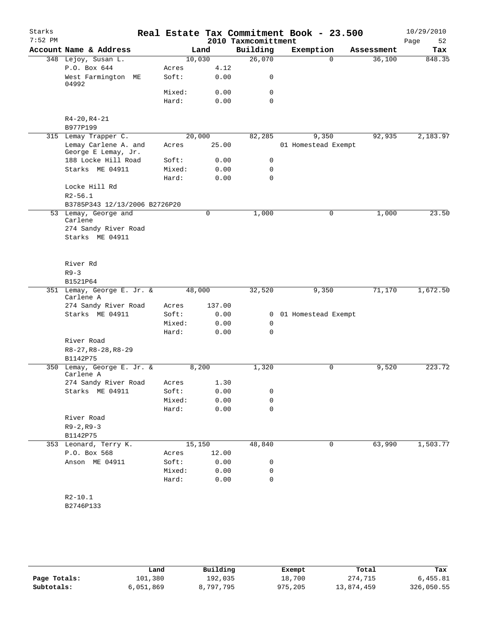| Starks    |                                                         |                 |              |                         | Real Estate Tax Commitment Book - 23.500 |            | 10/29/2010 |
|-----------|---------------------------------------------------------|-----------------|--------------|-------------------------|------------------------------------------|------------|------------|
| $7:52$ PM |                                                         |                 |              | 2010 Taxmcomittment     |                                          |            | 52<br>Page |
|           | Account Name & Address                                  |                 | Land         | Building                | Exemption                                | Assessment | Tax        |
|           | 348 Lejoy, Susan L.                                     | 10,030          |              | 26,070                  | $\Omega$                                 | 36,100     | 848.35     |
|           | P.O. Box 644                                            | Acres           | 4.12         |                         |                                          |            |            |
|           | West Farmington ME<br>04992                             | Soft:           | 0.00         | 0                       |                                          |            |            |
|           |                                                         | Mixed:          | 0.00         | 0                       |                                          |            |            |
|           |                                                         | Hard:           | 0.00         | 0                       |                                          |            |            |
|           | $R4 - 20, R4 - 21$<br>B977P199                          |                 |              |                         |                                          |            |            |
|           | 315 Lemay Trapper C.                                    | 20,000          |              | 82,285                  | 9,350                                    | 92,935     | 2,183.97   |
|           | Lemay Carlene A. and<br>George E Lemay, Jr.             | Acres           | 25.00        |                         | 01 Homestead Exempt                      |            |            |
|           | 188 Locke Hill Road                                     | Soft:           | 0.00         | 0                       |                                          |            |            |
|           | Starks ME 04911                                         | Mixed:          | 0.00         | 0                       |                                          |            |            |
|           |                                                         | Hard:           | 0.00         | $\Omega$                |                                          |            |            |
|           | Locke Hill Rd                                           |                 |              |                         |                                          |            |            |
|           | $R2 - 56.1$                                             |                 |              |                         |                                          |            |            |
|           | B3785P343 12/13/2006 B2726P20                           |                 | $\mathbf 0$  |                         | $\mathbf 0$                              |            | 23.50      |
|           | 53 Lemay, George and<br>Carlene<br>274 Sandy River Road |                 |              | 1,000                   |                                          | 1,000      |            |
|           | Starks ME 04911                                         |                 |              |                         |                                          |            |            |
|           |                                                         |                 |              |                         |                                          |            |            |
|           | River Rd                                                |                 |              |                         |                                          |            |            |
|           | $R9 - 3$                                                |                 |              |                         |                                          |            |            |
|           | B1521P64                                                |                 |              |                         |                                          |            |            |
|           | 351 Lemay, George E. Jr. &<br>Carlene A                 | 48,000          |              | 32,520                  | 9,350                                    | 71,170     | 1,672.50   |
|           | 274 Sandy River Road                                    | Acres           | 137.00       |                         |                                          |            |            |
|           | Starks ME 04911                                         | Soft:           | 0.00         | $\overline{0}$          | 01 Homestead Exempt                      |            |            |
|           |                                                         | Mixed:<br>Hard: | 0.00<br>0.00 | $\mathbf 0$<br>$\Omega$ |                                          |            |            |
|           | River Road                                              |                 |              |                         |                                          |            |            |
|           | $R8-27, R8-28, R8-29$                                   |                 |              |                         |                                          |            |            |
|           | B1142P75                                                |                 |              |                         |                                          |            |            |
| 350       | Lemay, George E. Jr. &<br>Carlene A                     |                 | 8,200        | 1,320                   | 0                                        | 9,520      | 223.72     |
|           | 274 Sandy River Road                                    | Acres           | 1.30         |                         |                                          |            |            |
|           | Starks ME 04911                                         | Soft:           | 0.00         | 0                       |                                          |            |            |
|           |                                                         | Mixed:          | 0.00         | 0                       |                                          |            |            |
|           |                                                         | Hard:           | 0.00         | 0                       |                                          |            |            |
|           | River Road<br>$R9 - 2, R9 - 3$                          |                 |              |                         |                                          |            |            |
|           | B1142P75                                                |                 |              |                         |                                          |            |            |
|           | 353 Leonard, Terry K.                                   | 15,150          |              | 48,840                  | 0                                        | 63,990     | 1,503.77   |
|           | P.O. Box 568                                            | Acres           | 12.00        |                         |                                          |            |            |
|           | Anson ME 04911                                          | Soft:           | 0.00         | 0                       |                                          |            |            |
|           |                                                         | Mixed:          | 0.00         | 0                       |                                          |            |            |
|           |                                                         | Hard:           | 0.00         | 0                       |                                          |            |            |
|           | $R2 - 10.1$                                             |                 |              |                         |                                          |            |            |
|           | B2746P133                                               |                 |              |                         |                                          |            |            |
|           |                                                         |                 |              |                         |                                          |            |            |

|              | Land      | Building  | Exempt  | Total      | Tax        |
|--------------|-----------|-----------|---------|------------|------------|
| Page Totals: | 101,380   | 192,035   | 18,700  | 274,715    | 6.455.81   |
| Subtotals:   | 6,051,869 | 8,797,795 | 975,205 | 13,874,459 | 326,050.55 |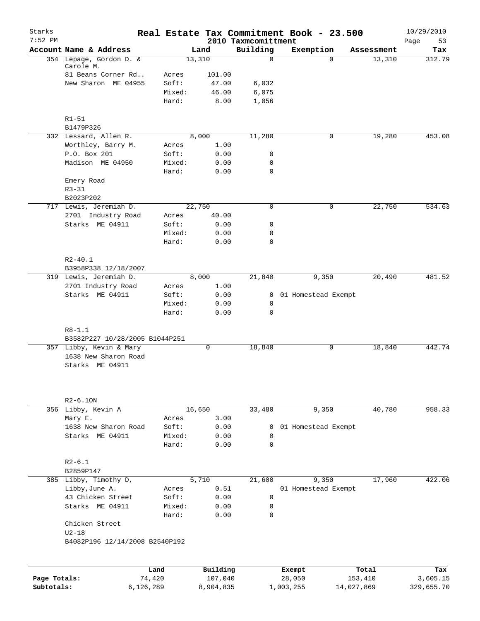| Starks<br>$7:52$ PM |                                                |        |          | 2010 Taxmcomittment | Real Estate Tax Commitment Book - 23.500 |            | 10/29/2010        |
|---------------------|------------------------------------------------|--------|----------|---------------------|------------------------------------------|------------|-------------------|
|                     | Account Name & Address                         |        | Land     | Building            | Exemption                                | Assessment | Page<br>53<br>Tax |
|                     | 354 Lepage, Gordon D. &                        |        | 13,310   | $\Omega$            | $\Omega$                                 | 13,310     | 312.79            |
|                     | Carole M.                                      |        |          |                     |                                          |            |                   |
|                     | 81 Beans Corner Rd                             | Acres  | 101.00   |                     |                                          |            |                   |
|                     | New Sharon ME 04955                            | Soft:  | 47.00    | 6,032               |                                          |            |                   |
|                     |                                                | Mixed: | 46.00    | 6,075               |                                          |            |                   |
|                     |                                                | Hard:  | 8.00     | 1,056               |                                          |            |                   |
|                     | $R1 - 51$                                      |        |          |                     |                                          |            |                   |
|                     | B1479P326                                      |        |          |                     |                                          |            |                   |
|                     | 332 Lessard, Allen R.                          |        | 8,000    | 11,280              | 0                                        | 19,280     | 453.08            |
|                     | Worthley, Barry M.                             | Acres  | 1.00     |                     |                                          |            |                   |
|                     | P.O. Box 201                                   | Soft:  | 0.00     | 0                   |                                          |            |                   |
|                     | Madison ME 04950                               | Mixed: | 0.00     | $\mathbf 0$         |                                          |            |                   |
|                     |                                                | Hard:  | 0.00     | $\mathbf 0$         |                                          |            |                   |
|                     | Emery Road                                     |        |          |                     |                                          |            |                   |
|                     | $R3 - 31$                                      |        |          |                     |                                          |            |                   |
|                     | B2023P202                                      |        |          |                     |                                          |            |                   |
|                     | 717 Lewis, Jeremiah D.                         |        | 22,750   | $\mathbf 0$         | 0                                        | 22,750     | 534.63            |
|                     | 2701 Industry Road                             | Acres  | 40.00    |                     |                                          |            |                   |
|                     | Starks ME 04911                                | Soft:  | 0.00     | 0                   |                                          |            |                   |
|                     |                                                | Mixed: | 0.00     | 0                   |                                          |            |                   |
|                     |                                                | Hard:  | 0.00     | 0                   |                                          |            |                   |
|                     |                                                |        |          |                     |                                          |            |                   |
|                     | $R2 - 40.1$                                    |        |          |                     |                                          |            |                   |
|                     | B3958P338 12/18/2007<br>319 Lewis, Jeremiah D. |        | 8,000    | 21,840              | 9,350                                    | 20,490     | 481.52            |
|                     | 2701 Industry Road                             | Acres  | 1.00     |                     |                                          |            |                   |
|                     | Starks ME 04911                                | Soft:  | 0.00     | $\mathbf{0}$        | 01 Homestead Exempt                      |            |                   |
|                     |                                                | Mixed: | 0.00     | 0                   |                                          |            |                   |
|                     |                                                | Hard:  | 0.00     | 0                   |                                          |            |                   |
|                     |                                                |        |          |                     |                                          |            |                   |
|                     | $R8 - 1.1$                                     |        |          |                     |                                          |            |                   |
|                     | B3582P227 10/28/2005 B1044P251                 |        |          |                     |                                          |            |                   |
|                     | 357 Libby, Kevin & Mary                        |        | 0        | 18,840              | 0                                        | 18,840     | 442.74            |
|                     | 1638 New Sharon Road                           |        |          |                     |                                          |            |                   |
|                     | Starks ME 04911                                |        |          |                     |                                          |            |                   |
|                     |                                                |        |          |                     |                                          |            |                   |
|                     |                                                |        |          |                     |                                          |            |                   |
|                     | $R2-6.10N$                                     |        |          |                     |                                          |            |                   |
|                     | 356 Libby, Kevin A                             |        | 16,650   | 33,480              | 9,350                                    | 40,780     | 958.33            |
|                     | Mary E.                                        | Acres  | 3.00     |                     |                                          |            |                   |
|                     | 1638 New Sharon Road                           | Soft:  | 0.00     | 0                   | 01 Homestead Exempt                      |            |                   |
|                     | Starks ME 04911                                | Mixed: | 0.00     | 0                   |                                          |            |                   |
|                     |                                                | Hard:  | 0.00     | $\mathbf 0$         |                                          |            |                   |
|                     |                                                |        |          |                     |                                          |            |                   |
|                     | $R2 - 6.1$                                     |        |          |                     |                                          |            |                   |
|                     | B2859P147                                      |        |          |                     |                                          |            |                   |
|                     | 385 Libby, Timothy D,                          |        | 5,710    | 21,600              | 9,350                                    | 17,960     | 422.06            |
|                     | Libby, June A.                                 | Acres  | 0.51     |                     | 01 Homestead Exempt                      |            |                   |
|                     | 43 Chicken Street                              | Soft:  | 0.00     | 0                   |                                          |            |                   |
|                     | Starks ME 04911                                | Mixed: | 0.00     | $\mathbf 0$         |                                          |            |                   |
|                     |                                                | Hard:  | 0.00     | $\mathbf 0$         |                                          |            |                   |
|                     | Chicken Street                                 |        |          |                     |                                          |            |                   |
|                     | $U2-18$<br>B4082P196 12/14/2008 B2540P192      |        |          |                     |                                          |            |                   |
|                     |                                                |        |          |                     |                                          |            |                   |
|                     |                                                |        |          |                     |                                          |            |                   |
|                     |                                                | Land   | Building |                     | Exempt                                   | Total      | Tax               |
| Page Totals:        |                                                | 74,420 | 107,040  |                     | 28,050                                   | 153,410    | 3,605.15          |

**Subtotals:** 6,126,289 8,904,835 1,003,255 14,027,869 329,655.70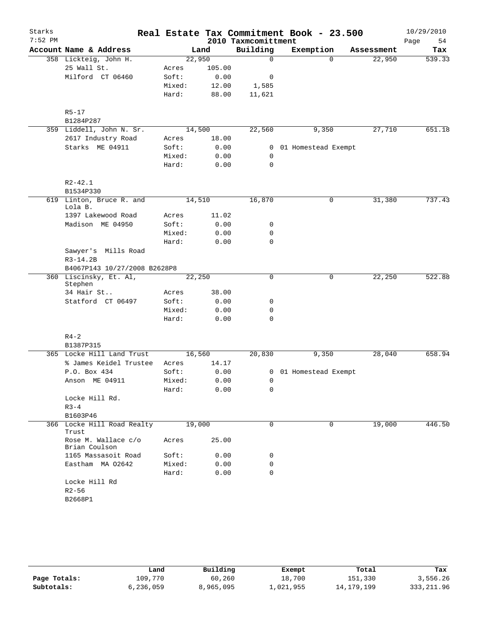| Starks    |                                      |        |        |                                 | Real Estate Tax Commitment Book - 23.500 |            | 10/29/2010        |
|-----------|--------------------------------------|--------|--------|---------------------------------|------------------------------------------|------------|-------------------|
| $7:52$ PM | Account Name & Address               |        | Land   | 2010 Taxmcomittment<br>Building | Exemption                                | Assessment | Page<br>54<br>Tax |
|           | 358 Lickteig, John H.                | 22,950 |        | $\mathbf 0$                     | $\Omega$                                 | 22,950     | 539.33            |
|           | 25 Wall St.                          | Acres  | 105.00 |                                 |                                          |            |                   |
|           | Milford CT 06460                     | Soft:  | 0.00   | 0                               |                                          |            |                   |
|           |                                      | Mixed: | 12.00  | 1,585                           |                                          |            |                   |
|           |                                      | Hard:  | 88.00  | 11,621                          |                                          |            |                   |
|           | $R5 - 17$                            |        |        |                                 |                                          |            |                   |
|           | B1284P287                            |        |        |                                 |                                          |            |                   |
|           | 359 Liddell, John N. Sr.             | 14,500 |        | 22,560                          | 9,350                                    | 27,710     | 651.18            |
|           | 2617 Industry Road                   | Acres  | 18.00  |                                 |                                          |            |                   |
|           | Starks ME 04911                      | Soft:  | 0.00   | $\mathbf{0}$                    | 01 Homestead Exempt                      |            |                   |
|           |                                      | Mixed: | 0.00   | 0                               |                                          |            |                   |
|           |                                      | Hard:  | 0.00   | 0                               |                                          |            |                   |
|           | $R2 - 42.1$                          |        |        |                                 |                                          |            |                   |
|           | B1534P330                            |        |        |                                 |                                          |            |                   |
|           | 619 Linton, Bruce R. and<br>Lola B.  | 14,510 |        | 16,870                          | 0                                        | 31,380     | 737.43            |
|           | 1397 Lakewood Road                   | Acres  | 11.02  |                                 |                                          |            |                   |
|           | Madison ME 04950                     | Soft:  | 0.00   | 0                               |                                          |            |                   |
|           |                                      | Mixed: | 0.00   | 0                               |                                          |            |                   |
|           |                                      | Hard:  | 0.00   | $\mathbf 0$                     |                                          |            |                   |
|           | Sawyer's Mills Road<br>$R3-14.2B$    |        |        |                                 |                                          |            |                   |
|           | B4067P143 10/27/2008 B2628P8         |        |        |                                 |                                          |            |                   |
|           | 360 Liscinsky, Et. Al,<br>Stephen    | 22,250 |        | $\Omega$                        | 0                                        | 22,250     | 522.88            |
|           | 34 Hair St                           | Acres  | 38.00  |                                 |                                          |            |                   |
|           | Statford CT 06497                    | Soft:  | 0.00   | 0                               |                                          |            |                   |
|           |                                      | Mixed: | 0.00   | 0                               |                                          |            |                   |
|           |                                      | Hard:  | 0.00   | 0                               |                                          |            |                   |
|           | $R4 - 2$                             |        |        |                                 |                                          |            |                   |
|           | B1387P315                            |        |        |                                 |                                          |            |                   |
|           | 365 Locke Hill Land Trust            | 16,560 |        | 20,830                          | 9,350                                    | 28,040     | 658.94            |
|           | % James Keidel Trustee               | Acres  | 14.17  |                                 |                                          |            |                   |
|           | P.O. Box 434                         | Soft:  | 0.00   |                                 | 0 01 Homestead Exempt                    |            |                   |
|           | Anson ME 04911                       | Mixed: | 0.00   | $\mathbf 0$                     |                                          |            |                   |
|           |                                      | Hard:  | 0.00   | 0                               |                                          |            |                   |
|           | Locke Hill Rd.                       |        |        |                                 |                                          |            |                   |
|           | $R3 - 4$                             |        |        |                                 |                                          |            |                   |
|           | B1603P46                             |        |        |                                 |                                          |            |                   |
|           | 366 Locke Hill Road Realty<br>Trust  | 19,000 |        | 0                               | 0                                        | 19,000     | 446.50            |
|           | Rose M. Wallace c/o<br>Brian Coulson | Acres  | 25.00  |                                 |                                          |            |                   |
|           | 1165 Massasoit Road                  | Soft:  | 0.00   | 0                               |                                          |            |                   |
|           | Eastham MA 02642                     | Mixed: | 0.00   | $\mathbf 0$                     |                                          |            |                   |
|           |                                      | Hard:  | 0.00   | 0                               |                                          |            |                   |
|           | Locke Hill Rd                        |        |        |                                 |                                          |            |                   |
|           | $R2 - 56$                            |        |        |                                 |                                          |            |                   |
|           | B2668P1                              |        |        |                                 |                                          |            |                   |

|              | Land      | Building  | Exempt    | Total      | Tax         |
|--------------|-----------|-----------|-----------|------------|-------------|
| Page Totals: | 109,770   | 60,260    | 18,700    | 151,330    | 3,556.26    |
| Subtotals:   | 6,236,059 | 8,965,095 | ⊥,021,955 | 14,179,199 | 333, 211.96 |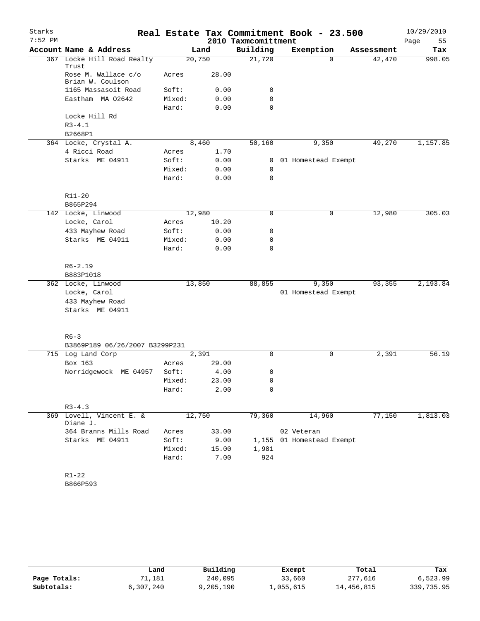| Starks    |                                         |                 |              |                     | Real Estate Tax Commitment Book - 23.500 |            | 10/29/2010 |
|-----------|-----------------------------------------|-----------------|--------------|---------------------|------------------------------------------|------------|------------|
| $7:52$ PM |                                         |                 |              | 2010 Taxmcomittment |                                          |            | Page<br>55 |
|           | Account Name & Address                  |                 | Land         | Building            | Exemption                                | Assessment | Tax        |
|           | 367 Locke Hill Road Realty<br>Trust     |                 | 20,750       | 21,720              | $\Omega$                                 | 42,470     | 998.05     |
|           | Rose M. Wallace c/o<br>Brian W. Coulson | Acres           | 28.00        |                     |                                          |            |            |
|           | 1165 Massasoit Road                     | Soft:           | 0.00         | 0                   |                                          |            |            |
|           | Eastham MA 02642                        | Mixed:<br>Hard: | 0.00<br>0.00 | 0<br>$\Omega$       |                                          |            |            |
|           | Locke Hill Rd                           |                 |              |                     |                                          |            |            |
|           | $R3 - 4.1$                              |                 |              |                     |                                          |            |            |
|           | B2668P1                                 |                 |              |                     |                                          |            |            |
|           | 364 Locke, Crystal A.                   |                 | 8,460        | 50,160              | 9,350                                    | 49,270     | 1,157.85   |
|           | 4 Ricci Road                            | Acres           | 1.70         |                     |                                          |            |            |
|           | Starks ME 04911                         | Soft:           | 0.00         |                     | 0 01 Homestead Exempt                    |            |            |
|           |                                         | Mixed:          | 0.00         | 0                   |                                          |            |            |
|           |                                         | Hard:           | 0.00         | $\mathbf 0$         |                                          |            |            |
|           | R11-20                                  |                 |              |                     |                                          |            |            |
|           | B865P294                                |                 |              |                     |                                          |            |            |
|           | 142 Locke, Linwood                      |                 | 12,980       | 0                   | 0                                        | 12,980     | 305.03     |
|           | Locke, Carol                            | Acres           | 10.20        |                     |                                          |            |            |
|           | 433 Mayhew Road                         | Soft:           | 0.00         | 0                   |                                          |            |            |
|           | Starks ME 04911                         | Mixed:          | 0.00         | 0                   |                                          |            |            |
|           |                                         | Hard:           | 0.00         | 0                   |                                          |            |            |
|           | $R6 - 2.19$<br>B883P1018                |                 |              |                     |                                          |            |            |
|           | 362 Locke, Linwood                      |                 | 13,850       | 88,855              | 9,350                                    | 93,355     | 2,193.84   |
|           | Locke, Carol                            |                 |              |                     | 01 Homestead Exempt                      |            |            |
|           | 433 Mayhew Road                         |                 |              |                     |                                          |            |            |
|           | Starks ME 04911                         |                 |              |                     |                                          |            |            |
|           | $R6 - 3$                                |                 |              |                     |                                          |            |            |
|           | B3869P189 06/26/2007 B3299P231          |                 |              |                     |                                          |            |            |
|           | 715 Log Land Corp                       |                 | 2,391        | 0                   | 0                                        | 2,391      | 56.19      |
|           | Box 163                                 | Acres           | 29.00        |                     |                                          |            |            |
|           | Norridgewock ME 04957                   | Soft:           | 4.00         | 0                   |                                          |            |            |
|           |                                         | Mixed:          | 23.00        | 0                   |                                          |            |            |
|           |                                         | Hard:           | 2.00         | 0                   |                                          |            |            |
|           | $R3 - 4.3$                              |                 |              |                     |                                          |            |            |
|           | 369 Lovell, Vincent E. &<br>Diane J.    |                 | 12,750       | 79,360              | 14,960                                   | 77,150     | 1,813.03   |
|           | 364 Branns Mills Road                   | Acres           | 33.00        |                     | 02 Veteran                               |            |            |
|           | Starks ME 04911                         | Soft:           | 9.00         |                     | 1,155 01 Homestead Exempt                |            |            |
|           |                                         | Mixed:          | 15.00        | 1,981               |                                          |            |            |
|           |                                         | Hard:           | 7.00         | 924                 |                                          |            |            |
|           | $R1 - 22$                               |                 |              |                     |                                          |            |            |
|           | B866P593                                |                 |              |                     |                                          |            |            |

|              | Land      | Building  | Exempt    | Total      | Tax        |
|--------------|-----------|-----------|-----------|------------|------------|
| Page Totals: | 11,181    | 240,095   | 33,660    | 277,616    | 6,523.99   |
| Subtotals:   | 6,307,240 | 9,205,190 | ⊥,055,615 | 14,456,815 | 339,735.95 |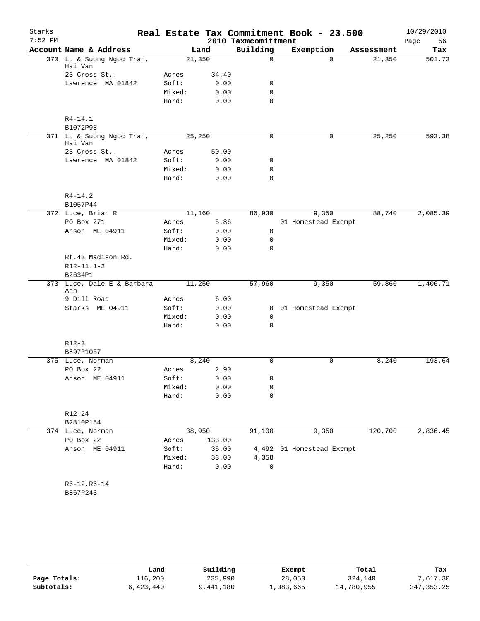| Starks<br>$7:52$ PM |                                                  |                 |              | 2010 Taxmcomittment | Real Estate Tax Commitment Book - 23.500 |            | 10/29/2010<br>Page<br>56 |
|---------------------|--------------------------------------------------|-----------------|--------------|---------------------|------------------------------------------|------------|--------------------------|
|                     | Account Name & Address                           |                 | Land         | Building            | Exemption                                | Assessment | Tax                      |
|                     | 370 Lu & Suong Ngoc Tran,<br>Hai Van             | 21,350          |              | 0                   | $\Omega$                                 | 21,350     | 501.73                   |
|                     | 23 Cross St                                      | Acres           | 34.40        |                     |                                          |            |                          |
|                     | Lawrence MA 01842                                | Soft:           | 0.00         | 0                   |                                          |            |                          |
|                     |                                                  | Mixed:          | 0.00         | $\mathbf 0$         |                                          |            |                          |
|                     |                                                  | Hard:           | 0.00         | 0                   |                                          |            |                          |
|                     | $R4 - 14.1$<br>B1072P98                          |                 |              |                     |                                          |            |                          |
|                     | 371 Lu & Suong Ngoc Tran,<br>Hai Van             | 25,250          |              | 0                   | 0                                        | 25,250     | 593.38                   |
|                     | 23 Cross St                                      | Acres           | 50.00        |                     |                                          |            |                          |
|                     | Lawrence MA 01842                                | Soft:           | 0.00         | 0                   |                                          |            |                          |
|                     |                                                  | Mixed:          | 0.00         | 0                   |                                          |            |                          |
|                     |                                                  | Hard:           | 0.00         | 0                   |                                          |            |                          |
|                     | $R4 - 14.2$<br>B1057P44                          |                 |              |                     |                                          |            |                          |
|                     | 372 Luce, Brian R                                | 11,160          |              | 86,930              | 9,350                                    | 88,740     | 2,085.39                 |
|                     | PO Box 271                                       | Acres           | 5.86         |                     | 01 Homestead Exempt                      |            |                          |
|                     | Anson ME 04911                                   | Soft:           | 0.00         | 0                   |                                          |            |                          |
|                     |                                                  | Mixed:          | 0.00         | 0                   |                                          |            |                          |
|                     |                                                  | Hard:           | 0.00         | 0                   |                                          |            |                          |
|                     | Rt.43 Madison Rd.<br>$R12 - 11.1 - 2$<br>B2634P1 |                 |              |                     |                                          |            |                          |
| 373                 | Luce, Dale E & Barbara<br>Ann                    | 11,250          |              | 57,960              | 9,350                                    | 59,860     | 1,406.71                 |
|                     | 9 Dill Road                                      | Acres           | 6.00         |                     |                                          |            |                          |
|                     | Starks ME 04911                                  | Soft:           | 0.00         | $\overline{0}$      | 01 Homestead Exempt                      |            |                          |
|                     |                                                  | Mixed:          | 0.00         | $\mathbf 0$         |                                          |            |                          |
|                     |                                                  | Hard:           | 0.00         | $\mathbf 0$         |                                          |            |                          |
|                     | $R12-3$                                          |                 |              |                     |                                          |            |                          |
|                     | B897P1057                                        |                 |              |                     |                                          |            |                          |
|                     | 375 Luce, Norman<br>PO Box 22                    |                 | 8,240        | 0                   | $\mathbf 0$                              | 8,240      | 193.64                   |
|                     |                                                  | Acres           | 2.90         |                     |                                          |            |                          |
|                     | Anson ME 04911                                   | Soft:<br>Mixed: | 0.00<br>0.00 | 0<br>0              |                                          |            |                          |
|                     |                                                  | Hard:           | 0.00         | 0                   |                                          |            |                          |
|                     | $R12 - 24$                                       |                 |              |                     |                                          |            |                          |
|                     | B2810P154                                        |                 |              |                     |                                          |            |                          |
|                     | 374 Luce, Norman                                 | 38,950          |              | 91,100              | 9,350                                    | 120,700    | 2,836.45                 |
|                     | PO Box 22                                        | Acres           | 133.00       |                     |                                          |            |                          |
|                     | Anson ME 04911                                   | Soft:           | 35.00        | 4,492               | 01 Homestead Exempt                      |            |                          |
|                     |                                                  | Mixed:          | 33.00        | 4,358               |                                          |            |                          |
|                     |                                                  | Hard:           | 0.00         | 0                   |                                          |            |                          |
|                     | $R6-12, R6-14$<br>B867P243                       |                 |              |                     |                                          |            |                          |

|              | Land      | Building  | Exempt    | Total      | Tax          |
|--------------|-----------|-----------|-----------|------------|--------------|
| Page Totals: | 116,200   | 235,990   | 28,050    | 324,140    | 7,617.30     |
| Subtotals:   | 6,423,440 | 9,441,180 | ⊥,083,665 | 14,780,955 | 347, 353. 25 |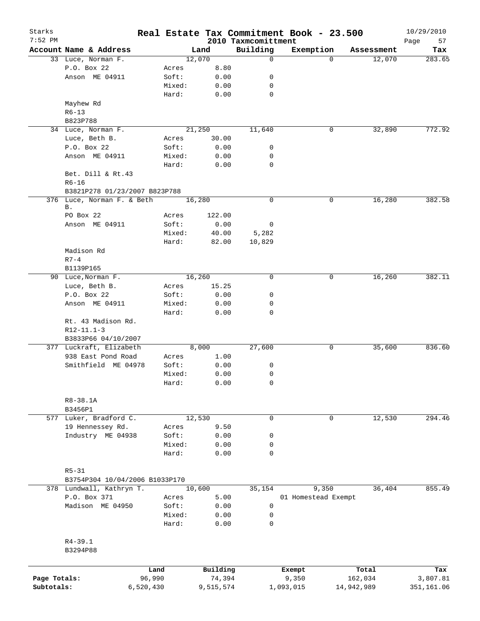| Starks<br>$7:52$ PM |                                |           |        |           |                                 | Real Estate Tax Commitment Book - 23.500 |                       | 10/29/2010        |
|---------------------|--------------------------------|-----------|--------|-----------|---------------------------------|------------------------------------------|-----------------------|-------------------|
|                     | Account Name & Address         |           |        | Land      | 2010 Taxmcomittment<br>Building | Exemption                                | Assessment            | Page<br>57<br>Tax |
|                     | 33 Luce, Norman F.             |           |        | 12,070    | 0                               |                                          | 12,070<br>$\Omega$    | 283.65            |
|                     | P.O. Box 22                    |           | Acres  | 8.80      |                                 |                                          |                       |                   |
|                     | Anson ME 04911                 |           | Soft:  | 0.00      | 0                               |                                          |                       |                   |
|                     |                                |           | Mixed: | 0.00      | 0                               |                                          |                       |                   |
|                     |                                |           | Hard:  | 0.00      | $\mathbf 0$                     |                                          |                       |                   |
|                     | Mayhew Rd                      |           |        |           |                                 |                                          |                       |                   |
|                     | $R6 - 13$                      |           |        |           |                                 |                                          |                       |                   |
|                     | B823P788                       |           |        |           |                                 |                                          |                       |                   |
|                     | 34 Luce, Norman F.             |           |        | 21,250    | 11,640                          |                                          | 0<br>32,890           | 772.92            |
|                     | Luce, Beth B.                  |           | Acres  | 30.00     |                                 |                                          |                       |                   |
|                     | P.O. Box 22                    |           | Soft:  | 0.00      | 0                               |                                          |                       |                   |
|                     | Anson ME 04911                 |           | Mixed: | 0.00      | 0                               |                                          |                       |                   |
|                     |                                |           | Hard:  | 0.00      | $\mathbf 0$                     |                                          |                       |                   |
|                     | Bet. Dill & Rt.43              |           |        |           |                                 |                                          |                       |                   |
|                     | $R6 - 16$                      |           |        |           |                                 |                                          |                       |                   |
|                     | B3821P278 01/23/2007 B823P788  |           |        |           |                                 |                                          |                       |                   |
|                     | 376 Luce, Norman F. & Beth     |           |        | 16,280    | 0                               |                                          | 16,280<br>0           | 382.58            |
|                     | Β.                             |           |        |           |                                 |                                          |                       |                   |
|                     | PO Box 22                      |           | Acres  | 122.00    |                                 |                                          |                       |                   |
|                     | Anson ME 04911                 |           | Soft:  | 0.00      | 0                               |                                          |                       |                   |
|                     |                                |           | Mixed: | 40.00     | 5,282                           |                                          |                       |                   |
|                     |                                |           | Hard:  | 82.00     | 10,829                          |                                          |                       |                   |
|                     | Madison Rd                     |           |        |           |                                 |                                          |                       |                   |
|                     | $R7 - 4$                       |           |        |           |                                 |                                          |                       |                   |
|                     | B1139P165                      |           |        |           |                                 |                                          |                       |                   |
|                     | 90 Luce, Norman F.             |           |        | 16,260    | $\mathbf 0$                     |                                          | 16,260<br>0           | 382.11            |
|                     | Luce, Beth B.                  |           |        | 15.25     |                                 |                                          |                       |                   |
|                     |                                |           | Acres  |           | 0                               |                                          |                       |                   |
|                     | P.O. Box 22                    |           | Soft:  | 0.00      |                                 |                                          |                       |                   |
|                     | Anson ME 04911                 |           | Mixed: | 0.00      | 0                               |                                          |                       |                   |
|                     |                                |           | Hard:  | 0.00      | 0                               |                                          |                       |                   |
|                     | Rt. 43 Madison Rd.             |           |        |           |                                 |                                          |                       |                   |
|                     | $R12 - 11.1 - 3$               |           |        |           |                                 |                                          |                       |                   |
|                     | B3833P66 04/10/2007            |           |        |           |                                 |                                          |                       |                   |
|                     | 377 Luckraft, Elizabeth        |           |        | 8,000     | 27,600                          |                                          | 35,600<br>0           | 836.60            |
|                     | 938 East Pond Road             |           | Acres  | 1.00      |                                 |                                          |                       |                   |
|                     | Smithfield ME 04978            |           | Soft:  | 0.00      | 0                               |                                          |                       |                   |
|                     |                                |           | Mixed: | 0.00      | 0                               |                                          |                       |                   |
|                     |                                |           | Hard:  | 0.00      | 0                               |                                          |                       |                   |
|                     |                                |           |        |           |                                 |                                          |                       |                   |
|                     | R8-38.1A                       |           |        |           |                                 |                                          |                       |                   |
|                     | B3456P1                        |           |        |           |                                 |                                          |                       |                   |
|                     | 577 Luker, Bradford C.         |           |        | 12,530    | $\mathbf 0$                     |                                          | $\mathbf 0$<br>12,530 | 294.46            |
|                     | 19 Hennessey Rd.               |           | Acres  | 9.50      |                                 |                                          |                       |                   |
|                     | Industry ME 04938              |           | Soft:  | 0.00      | 0                               |                                          |                       |                   |
|                     |                                |           | Mixed: | 0.00      | 0                               |                                          |                       |                   |
|                     |                                |           | Hard:  | 0.00      | $\mathbf 0$                     |                                          |                       |                   |
|                     |                                |           |        |           |                                 |                                          |                       |                   |
|                     | $R5 - 31$                      |           |        |           |                                 |                                          |                       |                   |
|                     | B3754P304 10/04/2006 B1033P170 |           |        |           |                                 |                                          |                       |                   |
|                     | 378 Lundwall, Kathryn T.       |           |        | 10,600    | 35,154                          | 9,350                                    | 36,404                | 855.49            |
|                     | P.O. Box 371                   |           | Acres  | 5.00      |                                 | 01 Homestead Exempt                      |                       |                   |
|                     | Madison ME 04950               |           | Soft:  | 0.00      | 0                               |                                          |                       |                   |
|                     |                                |           | Mixed: | 0.00      | 0                               |                                          |                       |                   |
|                     |                                |           | Hard:  | 0.00      | 0                               |                                          |                       |                   |
|                     |                                |           |        |           |                                 |                                          |                       |                   |
|                     | $R4 - 39.1$                    |           |        |           |                                 |                                          |                       |                   |
|                     | B3294P88                       |           |        |           |                                 |                                          |                       |                   |
|                     |                                |           |        |           |                                 |                                          |                       |                   |
|                     |                                | Land      |        | Building  |                                 | Exempt                                   | Total                 | Tax               |
| Page Totals:        |                                | 96,990    |        | 74,394    |                                 | 9,350                                    | 162,034               | 3,807.81          |
| Subtotals:          |                                | 6,520,430 |        | 9,515,574 |                                 | 1,093,015                                | 14,942,989            | 351,161.06        |
|                     |                                |           |        |           |                                 |                                          |                       |                   |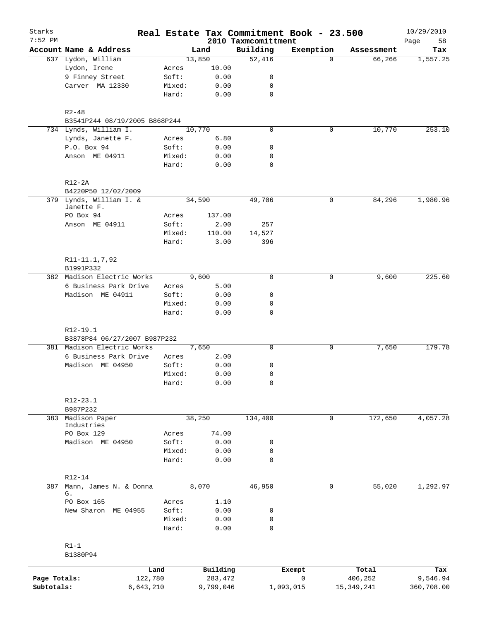| Starks       |                                       |           |                 |              | Real Estate Tax Commitment Book - 23.500 |             |             |              | 10/29/2010        |
|--------------|---------------------------------------|-----------|-----------------|--------------|------------------------------------------|-------------|-------------|--------------|-------------------|
| $7:52$ PM    | Account Name & Address                |           |                 | Land         | 2010 Taxmcomittment<br>Building          | Exemption   |             | Assessment   | Page<br>58<br>Tax |
|              | 637 Lydon, William                    |           |                 | 13,850       | 52,416                                   |             | $\Omega$    | 66, 266      | 1,557.25          |
|              | Lydon, Irene                          |           | Acres           | 10.00        |                                          |             |             |              |                   |
|              | 9 Finney Street                       |           | Soft:           | 0.00         | 0                                        |             |             |              |                   |
|              | Carver MA 12330                       |           | Mixed:          | 0.00         | 0                                        |             |             |              |                   |
|              |                                       |           | Hard:           | 0.00         | $\mathbf 0$                              |             |             |              |                   |
|              | $R2 - 48$                             |           |                 |              |                                          |             |             |              |                   |
|              | B3541P244 08/19/2005 B868P244         |           |                 |              |                                          |             |             |              |                   |
|              | 734 Lynds, William I.                 |           |                 | 10,770       | $\mathbf 0$                              |             | 0           | 10,770       | 253.10            |
|              | Lynds, Janette F.                     |           | Acres           | 6.80         |                                          |             |             |              |                   |
|              | P.O. Box 94                           |           | Soft:           | 0.00         | 0                                        |             |             |              |                   |
|              | Anson ME 04911                        |           | Mixed:<br>Hard: | 0.00<br>0.00 | 0<br>$\mathbf 0$                         |             |             |              |                   |
|              | $R12-2A$                              |           |                 |              |                                          |             |             |              |                   |
|              | B4220P50 12/02/2009                   |           |                 |              |                                          |             |             |              |                   |
|              | 379 Lynds, William I. &<br>Janette F. |           |                 | 34,590       | 49,706                                   |             | 0           | 84,296       | 1,980.96          |
|              | PO Box 94                             |           | Acres           | 137.00       |                                          |             |             |              |                   |
|              | Anson ME 04911                        |           | Soft:           | 2.00         | 257                                      |             |             |              |                   |
|              |                                       |           | Mixed:          | 110.00       | 14,527                                   |             |             |              |                   |
|              |                                       |           | Hard:           | 3.00         | 396                                      |             |             |              |                   |
|              | R11-11.1,7,92<br>B1991P332            |           |                 |              |                                          |             |             |              |                   |
|              | 382 Madison Electric Works            |           |                 | 9,600        | $\mathbf 0$                              |             | 0           | 9,600        | 225.60            |
|              | 6 Business Park Drive                 |           | Acres           | 5.00         |                                          |             |             |              |                   |
|              | Madison ME 04911                      |           | Soft:           | 0.00         | 0                                        |             |             |              |                   |
|              |                                       |           | Mixed:          | 0.00         | 0                                        |             |             |              |                   |
|              |                                       |           | Hard:           | 0.00         | 0                                        |             |             |              |                   |
|              | R12-19.1                              |           |                 |              |                                          |             |             |              |                   |
|              | B3878P84 06/27/2007 B987P232          |           |                 |              |                                          |             |             |              |                   |
|              | 381 Madison Electric Works            |           |                 | 7,650        | 0                                        |             | 0           | 7,650        | 179.78            |
|              | 6 Business Park Drive                 |           | Acres           | 2.00         |                                          |             |             |              |                   |
|              | Madison ME 04950                      |           | Soft:           | 0.00         | 0                                        |             |             |              |                   |
|              |                                       |           | Mixed:<br>Hard: | 0.00<br>0.00 | $\mathbf 0$<br>0                         |             |             |              |                   |
|              | $R12 - 23.1$                          |           |                 |              |                                          |             |             |              |                   |
|              | B987P232                              |           |                 |              |                                          |             |             |              |                   |
| 383          | Madison Paper<br>Industries           |           |                 | 38,250       | 134,400                                  |             | $\mathbf 0$ | 172,650      | 4,057.28          |
|              | PO Box 129                            |           | Acres           | 74.00        |                                          |             |             |              |                   |
|              | Madison ME 04950                      |           | Soft:           | 0.00         | 0                                        |             |             |              |                   |
|              |                                       |           | Mixed:          | 0.00         | $\mathbf 0$                              |             |             |              |                   |
|              |                                       |           | Hard:           | 0.00         | $\mathbf 0$                              |             |             |              |                   |
| 387          | $R12 - 14$<br>Mann, James N. & Donna  |           |                 | 8,070        | 46,950                                   |             | 0           | 55,020       | 1,292.97          |
|              | G.                                    |           |                 |              |                                          |             |             |              |                   |
|              | PO Box 165                            |           | Acres           | 1.10         |                                          |             |             |              |                   |
|              | New Sharon ME 04955                   |           | Soft:           | 0.00         | 0                                        |             |             |              |                   |
|              |                                       |           | Mixed:<br>Hard: | 0.00<br>0.00 | 0<br>$\mathbf 0$                         |             |             |              |                   |
|              |                                       |           |                 |              |                                          |             |             |              |                   |
|              | $R1-1$<br>B1380P94                    |           |                 |              |                                          |             |             |              |                   |
|              |                                       | Land      |                 | Building     |                                          | Exempt      |             | Total        | Tax               |
| Page Totals: |                                       | 122,780   |                 | 283,472      |                                          | $\mathbf 0$ |             | 406,252      | 9,546.94          |
| Subtotals:   |                                       | 6,643,210 |                 | 9,799,046    |                                          | 1,093,015   |             | 15, 349, 241 | 360,708.00        |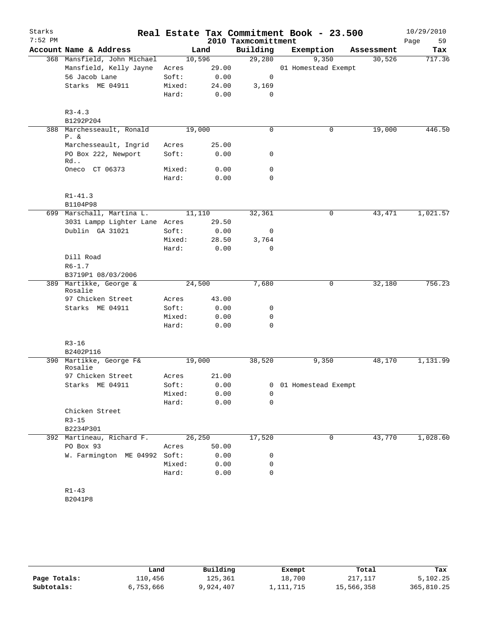| Starks<br>$7:52$ PM |                                   |                 |               | 2010 Taxmcomittment  | Real Estate Tax Commitment Book - 23.500 |   |            | 10/29/2010<br>59<br>Page |
|---------------------|-----------------------------------|-----------------|---------------|----------------------|------------------------------------------|---|------------|--------------------------|
|                     | Account Name & Address            | Land            |               | Building             | Exemption                                |   | Assessment | Tax                      |
|                     | 368 Mansfield, John Michael       | 10,596          |               | 29,280               | 9,350                                    |   | 30,526     | 717.36                   |
|                     | Mansfield, Kelly Jayne            | Acres           | 29.00         |                      | 01 Homestead Exempt                      |   |            |                          |
|                     | 56 Jacob Lane                     | Soft:           | 0.00          | 0                    |                                          |   |            |                          |
|                     | Starks ME 04911                   | Mixed:          | 24.00         | 3,169                |                                          |   |            |                          |
|                     |                                   | Hard:           | 0.00          | 0                    |                                          |   |            |                          |
|                     | $R3 - 4.3$<br>B1292P204           |                 |               |                      |                                          |   |            |                          |
| 388                 | Marchesseault, Ronald             | 19,000          |               | $\mathbf 0$          |                                          | 0 | 19,000     | 446.50                   |
|                     | $P. \&$                           |                 |               |                      |                                          |   |            |                          |
|                     | Marchesseault, Ingrid             | Acres           | 25.00         |                      |                                          |   |            |                          |
|                     | PO Box 222, Newport<br>Rd         | Soft:           | 0.00          | 0                    |                                          |   |            |                          |
|                     | Oneco CT 06373                    | Mixed:          | 0.00          | $\mathbf 0$          |                                          |   |            |                          |
|                     |                                   | Hard:           | 0.00          | $\mathbf 0$          |                                          |   |            |                          |
|                     | $R1 - 41.3$                       |                 |               |                      |                                          |   |            |                          |
|                     | B1104P98                          |                 |               |                      |                                          |   |            |                          |
|                     | 699 Marschall, Martina L.         | 11,110          |               | 32,361               |                                          | 0 | 43, 471    | 1,021.57                 |
|                     | 3031 Lampp Lighter Lane Acres     |                 | 29.50         |                      |                                          |   |            |                          |
|                     | Dublin GA 31021                   | Soft:           | 0.00          | 0                    |                                          |   |            |                          |
|                     |                                   | Mixed:<br>Hard: | 28.50<br>0.00 | 3,764<br>$\mathbf 0$ |                                          |   |            |                          |
|                     | Dill Road                         |                 |               |                      |                                          |   |            |                          |
|                     | $R6 - 1.7$                        |                 |               |                      |                                          |   |            |                          |
|                     | B3719P1 08/03/2006                |                 |               |                      |                                          |   |            |                          |
|                     | 389 Martikke, George &<br>Rosalie | 24,500          |               | 7,680                |                                          | 0 | 32,180     | 756.23                   |
|                     | 97 Chicken Street                 | Acres           | 43.00         |                      |                                          |   |            |                          |
|                     | Starks ME 04911                   | Soft:           | 0.00          | 0                    |                                          |   |            |                          |
|                     |                                   | Mixed:          | 0.00          | 0                    |                                          |   |            |                          |
|                     |                                   | Hard:           | 0.00          | $\mathbf 0$          |                                          |   |            |                          |
|                     | $R3 - 16$                         |                 |               |                      |                                          |   |            |                          |
|                     | B2402P116                         |                 |               |                      |                                          |   |            |                          |
| 390                 | Martikke, George F&<br>Rosalie    | 19,000          |               | 38,520               | 9,350                                    |   | 48,170     | 1,131.99                 |
|                     | 97 Chicken Street                 | Acres           | 21.00         |                      |                                          |   |            |                          |
|                     | Starks ME 04911                   | Soft:           | 0.00          | 0                    | 01 Homestead Exempt                      |   |            |                          |
|                     |                                   | Mixed:          | 0.00          | 0                    |                                          |   |            |                          |
|                     |                                   | Hard:           | 0.00          | $\mathbf 0$          |                                          |   |            |                          |
|                     | Chicken Street                    |                 |               |                      |                                          |   |            |                          |
|                     | $R3 - 15$                         |                 |               |                      |                                          |   |            |                          |
|                     | B2234P301                         |                 |               |                      |                                          |   |            |                          |
|                     | 392 Martineau, Richard F.         | 26,250          |               | 17,520               |                                          | 0 | 43,770     | 1,028.60                 |
|                     | PO Box 93                         | Acres           | 50.00         |                      |                                          |   |            |                          |
|                     | W. Farmington ME 04992 Soft:      |                 | 0.00          | 0                    |                                          |   |            |                          |
|                     |                                   | Mixed:          | 0.00          | 0                    |                                          |   |            |                          |
|                     |                                   | Hard:           | 0.00          | $\mathbf 0$          |                                          |   |            |                          |
|                     | $R1 - 43$                         |                 |               |                      |                                          |   |            |                          |
|                     | B2041P8                           |                 |               |                      |                                          |   |            |                          |

|              | Land      | Building  | Exempt    | Total      | Tax        |
|--------------|-----------|-----------|-----------|------------|------------|
| Page Totals: | ⊥10,456   | 125,361   | 18,700    | 217,117    | 5,102.25   |
| Subtotals:   | 6,753,666 | 9,924,407 | ⊥,111,715 | 15,566,358 | 365,810.25 |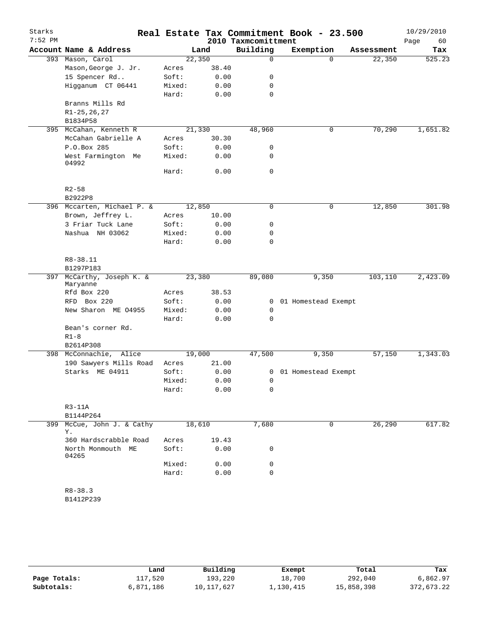| Starks<br>$7:52$ PM |                                       |        |       | 2010 Taxmcomittment | Real Estate Tax Commitment Book - 23.500 |            | 10/29/2010<br>Page<br>60 |
|---------------------|---------------------------------------|--------|-------|---------------------|------------------------------------------|------------|--------------------------|
|                     | Account Name & Address                |        | Land  | Building            | Exemption                                | Assessment | Tax                      |
|                     | 393 Mason, Carol                      | 22,350 |       | $\mathbf 0$         | $\Omega$                                 | 22,350     | 525.23                   |
|                     | Mason, George J. Jr.                  | Acres  | 38.40 |                     |                                          |            |                          |
|                     | 15 Spencer Rd                         | Soft:  | 0.00  | 0                   |                                          |            |                          |
|                     | Higganum CT 06441                     | Mixed: | 0.00  | 0                   |                                          |            |                          |
|                     |                                       | Hard:  | 0.00  | $\mathbf 0$         |                                          |            |                          |
|                     | Branns Mills Rd                       |        |       |                     |                                          |            |                          |
|                     | $R1 - 25, 26, 27$                     |        |       |                     |                                          |            |                          |
|                     | B1834P58                              |        |       |                     |                                          |            |                          |
| 395                 | McCahan, Kenneth R                    | 21,330 |       | 48,960              | 0                                        | 70,290     | 1,651.82                 |
|                     | McCahan Gabrielle A                   | Acres  | 30.30 |                     |                                          |            |                          |
|                     | P.O.Box 285                           | Soft:  | 0.00  | 0                   |                                          |            |                          |
|                     | West Farmington Me<br>04992           | Mixed: | 0.00  | 0                   |                                          |            |                          |
|                     |                                       | Hard:  | 0.00  | $\mathbf 0$         |                                          |            |                          |
|                     | $R2 - 58$                             |        |       |                     |                                          |            |                          |
|                     | B2922P8                               |        |       |                     |                                          |            |                          |
|                     | 396 Mccarten, Michael P. &            | 12,850 |       | 0                   | 0                                        | 12,850     | 301.98                   |
|                     | Brown, Jeffrey L.                     | Acres  | 10.00 |                     |                                          |            |                          |
|                     | 3 Friar Tuck Lane                     | Soft:  | 0.00  | 0                   |                                          |            |                          |
|                     | Nashua NH 03062                       | Mixed: | 0.00  | 0                   |                                          |            |                          |
|                     |                                       | Hard:  | 0.00  | 0                   |                                          |            |                          |
|                     | R8-38.11                              |        |       |                     |                                          |            |                          |
|                     | B1297P183                             |        |       |                     |                                          |            |                          |
|                     | 397 McCarthy, Joseph K. &<br>Maryanne | 23,380 |       | 89,080              | 9,350                                    | 103,110    | 2,423.09                 |
|                     | Rfd Box 220                           | Acres  | 38.53 |                     |                                          |            |                          |
|                     | Box 220<br>RFD                        | Soft:  | 0.00  | $\mathbf{0}$        | 01 Homestead Exempt                      |            |                          |
|                     | New Sharon ME 04955                   | Mixed: | 0.00  | 0                   |                                          |            |                          |
|                     |                                       | Hard:  | 0.00  | 0                   |                                          |            |                          |
|                     | Bean's corner Rd.                     |        |       |                     |                                          |            |                          |
|                     | $R1 - 8$                              |        |       |                     |                                          |            |                          |
|                     | B2614P308                             |        |       |                     |                                          |            |                          |
|                     | 398 McConnachie, Alice                | 19,000 |       | 47,500              | 9,350                                    | 57,150     | 1,343.03                 |
|                     | 190 Sawyers Mills Road                | Acres  | 21.00 |                     |                                          |            |                          |
|                     | Starks ME 04911                       | Soft:  | 0.00  |                     | 0 01 Homestead Exempt                    |            |                          |
|                     |                                       | Mixed: | 0.00  | 0                   |                                          |            |                          |
|                     |                                       | Hard:  | 0.00  | 0                   |                                          |            |                          |
|                     | $R3-11A$                              |        |       |                     |                                          |            |                          |
|                     | B1144P264                             |        |       |                     |                                          |            |                          |
|                     | 399 McCue, John J. & Cathy<br>Υ.      | 18,610 |       | 7,680               | $\mathbf 0$                              | 26,290     | 617.82                   |
|                     | 360 Hardscrabble Road                 | Acres  | 19.43 |                     |                                          |            |                          |
|                     | North Monmouth ME<br>04265            | Soft:  | 0.00  | 0                   |                                          |            |                          |
|                     |                                       | Mixed: | 0.00  | 0                   |                                          |            |                          |
|                     |                                       | Hard:  | 0.00  | $\Omega$            |                                          |            |                          |
|                     | $R8 - 38.3$                           |        |       |                     |                                          |            |                          |
|                     | B1412P239                             |        |       |                     |                                          |            |                          |
|                     |                                       |        |       |                     |                                          |            |                          |

|              | Land      | Building   | Exempt    | Total      | Tax        |
|--------------|-----------|------------|-----------|------------|------------|
| Page Totals: | 117,520   | 193,220    | 18,700    | 292,040    | 6,862.97   |
| Subtotals:   | 6,871,186 | 10,117,627 | 1,130,415 | 15,858,398 | 372,673.22 |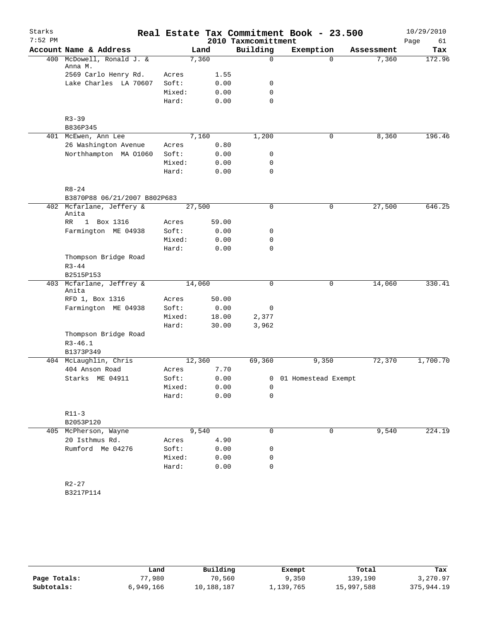| Starks<br>$7:52$ PM |                                           |        |        | 2010 Taxmcomittment | Real Estate Tax Commitment Book - 23.500 |            | 10/29/2010        |
|---------------------|-------------------------------------------|--------|--------|---------------------|------------------------------------------|------------|-------------------|
|                     | Account Name & Address                    |        | Land   | Building            | Exemption                                | Assessment | Page<br>61<br>Tax |
| 400                 | McDowell, Ronald J. &                     |        | 7,360  | 0                   | $\Omega$                                 | 7,360      | 172.96            |
|                     | Anna M.                                   |        |        |                     |                                          |            |                   |
|                     | 2569 Carlo Henry Rd.                      | Acres  | 1.55   |                     |                                          |            |                   |
|                     | Lake Charles LA 70607                     | Soft:  | 0.00   | 0                   |                                          |            |                   |
|                     |                                           | Mixed: | 0.00   | $\mathbf 0$         |                                          |            |                   |
|                     |                                           | Hard:  | 0.00   | 0                   |                                          |            |                   |
|                     | $R3 - 39$                                 |        |        |                     |                                          |            |                   |
|                     | B836P345                                  |        |        |                     |                                          |            |                   |
|                     | 401 McEwen, Ann Lee                       |        | 7,160  | 1,200               | 0                                        | 8,360      | 196.46            |
|                     | 26 Washington Avenue                      | Acres  | 0.80   |                     |                                          |            |                   |
|                     | Northhampton MA 01060                     | Soft:  | 0.00   | 0                   |                                          |            |                   |
|                     |                                           | Mixed: | 0.00   | 0                   |                                          |            |                   |
|                     |                                           | Hard:  | 0.00   | 0                   |                                          |            |                   |
|                     | $R8 - 24$<br>B3870P88 06/21/2007 B802P683 |        |        |                     |                                          |            |                   |
|                     | 402 Mcfarlane, Jeffery &                  |        | 27,500 | 0                   | $\mathsf{O}$                             | 27,500     | 646.25            |
|                     | Anita                                     |        |        |                     |                                          |            |                   |
|                     | RR<br>1 Box 1316                          | Acres  | 59.00  |                     |                                          |            |                   |
|                     | Farmington ME 04938                       | Soft:  | 0.00   | 0                   |                                          |            |                   |
|                     |                                           | Mixed: | 0.00   | 0                   |                                          |            |                   |
|                     |                                           | Hard:  | 0.00   | $\mathbf 0$         |                                          |            |                   |
|                     | Thompson Bridge Road<br>$R3 - 44$         |        |        |                     |                                          |            |                   |
|                     | B2515P153                                 |        |        |                     |                                          |            |                   |
|                     | 403 Mcfarlane, Jeffrey &<br>Anita         |        | 14,060 | 0                   | 0                                        | 14,060     | 330.41            |
|                     | RFD 1, Box 1316                           | Acres  | 50.00  |                     |                                          |            |                   |
|                     | Farmington ME 04938                       | Soft:  | 0.00   | 0                   |                                          |            |                   |
|                     |                                           | Mixed: | 18.00  | 2,377               |                                          |            |                   |
|                     |                                           | Hard:  | 30.00  | 3,962               |                                          |            |                   |
|                     | Thompson Bridge Road                      |        |        |                     |                                          |            |                   |
|                     | $R3 - 46.1$                               |        |        |                     |                                          |            |                   |
|                     | B1373P349                                 |        |        |                     |                                          |            |                   |
|                     | 404 McLaughlin, Chris                     |        | 12,360 | 69,360              | 9,350                                    | 72,370     | 1,700.70          |
|                     | 404 Anson Road                            | Acres  | 7.70   |                     |                                          |            |                   |
|                     | Starks ME 04911                           | Soft:  | 0.00   |                     | 0 01 Homestead Exempt                    |            |                   |
|                     |                                           | Mixed: | 0.00   | 0                   |                                          |            |                   |
|                     |                                           | Hard:  | 0.00   | 0                   |                                          |            |                   |
|                     | $R11-3$                                   |        |        |                     |                                          |            |                   |
|                     | B2053P120                                 |        |        |                     |                                          |            |                   |
|                     | 405 McPherson, Wayne                      |        | 9,540  | 0                   | $\mathbf 0$                              | 9,540      | 224.19            |
|                     | 20 Isthmus Rd.                            | Acres  | 4.90   |                     |                                          |            |                   |
|                     | Rumford Me 04276                          | Soft:  | 0.00   | 0                   |                                          |            |                   |
|                     |                                           | Mixed: | 0.00   | 0                   |                                          |            |                   |
|                     |                                           | Hard:  | 0.00   | $\mathbf 0$         |                                          |            |                   |
|                     | $R2 - 27$                                 |        |        |                     |                                          |            |                   |
|                     | B3217P114                                 |        |        |                     |                                          |            |                   |
|                     |                                           |        |        |                     |                                          |            |                   |

|              | Land      | Building   | Exempt    | Total      | Tax        |
|--------------|-----------|------------|-----------|------------|------------|
| Page Totals: | 77,980    | 70,560     | 9,350     | 139,190    | 3,270.97   |
| Subtotals:   | 6,949,166 | 10,188,187 | 1,139,765 | 15,997,588 | 375,944.19 |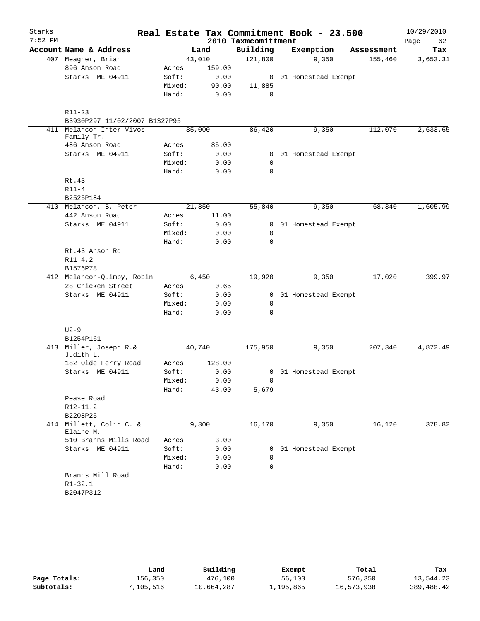| Starks    |                                        |        |        |                     | Real Estate Tax Commitment Book - 23.500 |            | 10/29/2010 |
|-----------|----------------------------------------|--------|--------|---------------------|------------------------------------------|------------|------------|
| $7:52$ PM |                                        |        |        | 2010 Taxmcomittment |                                          |            | 62<br>Page |
|           | Account Name & Address                 | Land   |        | Building            | Exemption                                | Assessment | Tax        |
|           | 407 Meagher, Brian                     | 43,010 |        | 121,800             | 9,350                                    | 155,460    | 3,653.31   |
|           | 896 Anson Road                         | Acres  | 159.00 |                     |                                          |            |            |
|           | Starks ME 04911                        | Soft:  | 0.00   |                     | 0 01 Homestead Exempt                    |            |            |
|           |                                        | Mixed: | 90.00  | 11,885              |                                          |            |            |
|           |                                        | Hard:  | 0.00   | $\mathbf 0$         |                                          |            |            |
|           | $R11 - 23$                             |        |        |                     |                                          |            |            |
|           | B3930P297 11/02/2007 B1327P95          |        |        |                     |                                          |            |            |
|           | 411 Melancon Inter Vivos<br>Family Tr. | 35,000 |        | 86,420              | 9,350                                    | 112,070    | 2,633.65   |
|           | 486 Anson Road                         | Acres  | 85.00  |                     |                                          |            |            |
|           | Starks ME 04911                        | Soft:  | 0.00   |                     | 0 01 Homestead Exempt                    |            |            |
|           |                                        | Mixed: | 0.00   | $\mathbf 0$         |                                          |            |            |
|           |                                        | Hard:  | 0.00   | $\Omega$            |                                          |            |            |
|           | Rt.43                                  |        |        |                     |                                          |            |            |
|           | $R11-4$                                |        |        |                     |                                          |            |            |
|           | B2525P184                              |        |        |                     |                                          |            |            |
|           | 410 Melancon, B. Peter                 | 21,850 |        | 55,840              | 9,350                                    | 68,340     | 1,605.99   |
|           | 442 Anson Road                         | Acres  | 11.00  |                     |                                          |            |            |
|           | Starks ME 04911                        | Soft:  | 0.00   |                     | 0 01 Homestead Exempt                    |            |            |
|           |                                        | Mixed: | 0.00   | 0                   |                                          |            |            |
|           |                                        | Hard:  | 0.00   | $\mathbf 0$         |                                          |            |            |
|           | Rt.43 Anson Rd                         |        |        |                     |                                          |            |            |
|           | $R11 - 4.2$                            |        |        |                     |                                          |            |            |
|           | B1576P78                               |        |        |                     |                                          |            |            |
|           | 412 Melancon-Quimby, Robin             | 6,450  |        | 19,920              | 9,350                                    | 17,020     | 399.97     |
|           | 28 Chicken Street                      | Acres  | 0.65   |                     |                                          |            |            |
|           | Starks ME 04911                        | Soft:  | 0.00   |                     | 0 01 Homestead Exempt                    |            |            |
|           |                                        | Mixed: | 0.00   | $\mathbf 0$         |                                          |            |            |
|           |                                        | Hard:  | 0.00   | 0                   |                                          |            |            |
|           | $U2-9$                                 |        |        |                     |                                          |            |            |
|           | B1254P161                              |        |        |                     |                                          |            |            |
|           | 413 Miller, Joseph R.&<br>Judith L.    | 40,740 |        | 175,950             | 9,350                                    | 207,340    | 4,872.49   |
|           | 182 Olde Ferry Road                    | Acres  | 128.00 |                     |                                          |            |            |
|           | Starks ME 04911                        | Soft:  | 0.00   |                     | 0 01 Homestead Exempt                    |            |            |
|           |                                        | Mixed: | 0.00   |                     |                                          |            |            |
|           |                                        | Hard:  | 43.00  | 5,679               |                                          |            |            |
|           | Pease Road                             |        |        |                     |                                          |            |            |
|           | R12-11.2                               |        |        |                     |                                          |            |            |
|           | B2208P25                               |        |        |                     |                                          |            |            |
| 414       | Millett, Colin C. &<br>Elaine M.       | 9,300  |        | 16,170              | 9,350                                    | 16,120     | 378.82     |
|           | 510 Branns Mills Road                  | Acres  | 3.00   |                     |                                          |            |            |
|           | Starks ME 04911                        | Soft:  | 0.00   |                     | 0 01 Homestead Exempt                    |            |            |
|           |                                        | Mixed: | 0.00   | 0                   |                                          |            |            |
|           |                                        | Hard:  | 0.00   | 0                   |                                          |            |            |
|           | Branns Mill Road                       |        |        |                     |                                          |            |            |
|           | $R1 - 32.1$                            |        |        |                     |                                          |            |            |
|           | B2047P312                              |        |        |                     |                                          |            |            |

|              | Land      | Building   | Exempt    | Total      | Tax          |
|--------------|-----------|------------|-----------|------------|--------------|
| Page Totals: | 156,350   | 476,100    | 56,100    | 576,350    | 13,544.23    |
| Subtotals:   | 7,105,516 | 10,664,287 | ⊥,195,865 | 16,573,938 | 389, 488, 42 |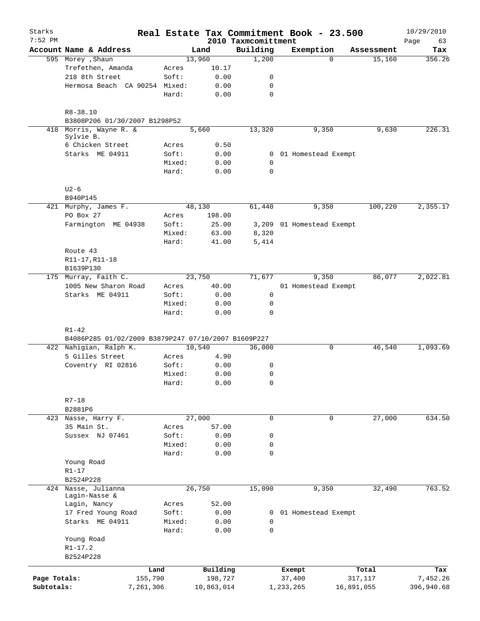| Starks<br>$7:52$ PM |                                                                  |                 |              | 2010 Taxmcomittment     | Real Estate Tax Commitment Book - 23.500 |            | 10/29/2010<br>63<br>Page |
|---------------------|------------------------------------------------------------------|-----------------|--------------|-------------------------|------------------------------------------|------------|--------------------------|
|                     | Account Name & Address                                           |                 | Land         | Building                | Exemption                                | Assessment | Tax                      |
|                     | 595 Morey , Shaun                                                |                 | 13,960       | 1,200                   | $\Omega$                                 | 15,160     | 356.26                   |
|                     | Trefethen, Amanda                                                | Acres           | 10.17        |                         |                                          |            |                          |
|                     | 218 8th Street                                                   | Soft:           | 0.00         | 0                       |                                          |            |                          |
|                     | Hermosa Beach CA 90254 Mixed:                                    |                 | 0.00         | 0                       |                                          |            |                          |
|                     |                                                                  | Hard:           | 0.00         | $\mathbf 0$             |                                          |            |                          |
|                     | $R8 - 38.10$                                                     |                 |              |                         |                                          |            |                          |
|                     | B3808P206 01/30/2007 B1298P52                                    |                 |              |                         |                                          |            |                          |
|                     | 418 Morris, Wayne R. &<br>Sylvie B.                              |                 | 5,660        | 13,320                  | 9,350                                    | 9,630      | 226.31                   |
|                     | 6 Chicken Street                                                 | Acres           | 0.50         |                         |                                          |            |                          |
|                     | Starks ME 04911                                                  | Soft:           | 0.00         |                         | 0 01 Homestead Exempt                    |            |                          |
|                     |                                                                  | Mixed:<br>Hard: | 0.00<br>0.00 | $\mathbf 0$<br>$\Omega$ |                                          |            |                          |
|                     | $U2-6$                                                           |                 |              |                         |                                          |            |                          |
|                     | B940P145                                                         |                 |              |                         |                                          |            |                          |
|                     | 421 Murphy, James F.                                             |                 | 48,130       | 61,440                  | 9,350                                    | 100,220    | 2,355.17                 |
|                     | PO Box 27                                                        | Acres           | 198.00       |                         |                                          |            |                          |
|                     | Farmington ME 04938                                              | Soft:           | 25.00        |                         | 3,209 01 Homestead Exempt                |            |                          |
|                     |                                                                  | Mixed:          | 63.00        | 8,320                   |                                          |            |                          |
|                     |                                                                  | Hard:           | 41.00        | 5,414                   |                                          |            |                          |
|                     | Route 43                                                         |                 |              |                         |                                          |            |                          |
|                     | R11-17, R11-18                                                   |                 |              |                         |                                          |            |                          |
|                     | B1639P130                                                        |                 |              |                         |                                          |            |                          |
|                     | 175 Murray, Faith C.                                             |                 | 23,750       | 71,677                  | 9,350                                    | 86,077     | 2,022.81                 |
|                     | 1005 New Sharon Road                                             | Acres           | 40.00        |                         | 01 Homestead Exempt                      |            |                          |
|                     | Starks ME 04911                                                  | Soft:           | 0.00         | $\mathbf 0$             |                                          |            |                          |
|                     |                                                                  | Mixed:          | 0.00         | $\mathbf 0$             |                                          |            |                          |
|                     |                                                                  | Hard:           | 0.00         | $\Omega$                |                                          |            |                          |
|                     |                                                                  |                 |              |                         |                                          |            |                          |
|                     | $R1 - 42$<br>B4086P285 01/02/2009 B3879P247 07/10/2007 B1609P227 |                 |              |                         |                                          |            |                          |
|                     | 422 Nahigian, Ralph K.                                           |                 | 10,540       | 36,000                  | 0                                        | 46,540     | 1,093.69                 |
|                     | 5 Gilles Street                                                  | Acres           | 4.90         |                         |                                          |            |                          |
|                     | Coventry RI 02816                                                | Soft:           | 0.00         | 0                       |                                          |            |                          |
|                     |                                                                  | Mixed:          | 0.00         | $\mathbf 0$             |                                          |            |                          |
|                     |                                                                  | Hard:           | 0.00         | $\mathsf{O}$            |                                          |            |                          |
|                     |                                                                  |                 |              |                         |                                          |            |                          |
|                     | $R7 - 18$<br>B2881P6                                             |                 |              |                         |                                          |            |                          |
|                     | 423 Nasse, Harry F.                                              |                 | 27,000       | $\mathsf{O}$            | 0                                        | 27,000     | 634.50                   |
|                     | 35 Main St.                                                      | Acres           | 57.00        |                         |                                          |            |                          |
|                     | Sussex NJ 07461                                                  | Soft:           | 0.00         | 0                       |                                          |            |                          |
|                     |                                                                  | Mixed:          | 0.00         | $\mathsf{O}$            |                                          |            |                          |
|                     |                                                                  | Hard:           | 0.00         | $\mathbf 0$             |                                          |            |                          |
|                     | Young Road                                                       |                 |              |                         |                                          |            |                          |
|                     | $R1-17$                                                          |                 |              |                         |                                          |            |                          |
|                     | B2524P228                                                        |                 |              |                         |                                          |            |                          |
|                     | 424 Nasse, Julianna                                              |                 | 26,750       | 15,090                  | 9,350                                    | 32,490     | 763.52                   |
|                     | Lagin-Nasse &                                                    |                 |              |                         |                                          |            |                          |
|                     | Lagin, Nancy                                                     | Acres           | 52.00        |                         |                                          |            |                          |
|                     | 17 Fred Young Road                                               | Soft:           | 0.00         | 0                       | 01 Homestead Exempt                      |            |                          |
|                     | Starks ME 04911                                                  | Mixed:          | 0.00         | 0                       |                                          |            |                          |
|                     |                                                                  | Hard:           | 0.00         | $\mathsf{O}$            |                                          |            |                          |
|                     | Young Road                                                       |                 |              |                         |                                          |            |                          |
|                     | $R1 - 17.2$                                                      |                 |              |                         |                                          |            |                          |
|                     | B2524P228                                                        |                 |              |                         |                                          |            |                          |
|                     | Land                                                             |                 | Building     |                         | Exempt                                   | Total      | Tax                      |
| Page Totals:        | 155,790                                                          |                 | 198,727      |                         | 37,400                                   | 317,117    | 7,452.26                 |
| Subtotals:          | 7,261,306                                                        |                 | 10,863,014   |                         | 1,233,265                                | 16,891,055 | 396,940.68               |
|                     |                                                                  |                 |              |                         |                                          |            |                          |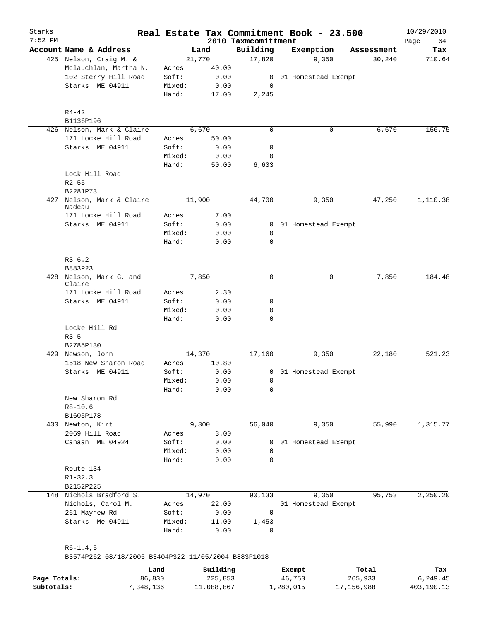| Starks<br>$7:52$ PM |                                                     |        |          | 2010 Taxmcomittment | Real Estate Tax Commitment Book - 23.500 |            | 10/29/2010        |
|---------------------|-----------------------------------------------------|--------|----------|---------------------|------------------------------------------|------------|-------------------|
|                     | Account Name & Address                              |        | Land     | Building            | Exemption                                | Assessment | Page<br>64<br>Tax |
|                     | 425 Nelson, Craig M. &                              |        | 21,770   | 17,820              | 9,350                                    | 30,240     | 710.64            |
|                     | Mclauchlan, Martha N.                               | Acres  | 40.00    |                     |                                          |            |                   |
|                     | 102 Sterry Hill Road                                | Soft:  | 0.00     | 0                   | 01 Homestead Exempt                      |            |                   |
|                     | Starks ME 04911                                     | Mixed: | 0.00     | 0                   |                                          |            |                   |
|                     |                                                     | Hard:  | 17.00    | 2,245               |                                          |            |                   |
|                     | $R4 - 42$                                           |        |          |                     |                                          |            |                   |
|                     | B1136P196                                           |        |          |                     |                                          |            |                   |
|                     | 426 Nelson, Mark & Claire                           |        | 6,670    | $\Omega$            | 0                                        | 6,670      | 156.75            |
|                     | 171 Locke Hill Road                                 | Acres  | 50.00    |                     |                                          |            |                   |
|                     | Starks ME 04911                                     | Soft:  | 0.00     | 0                   |                                          |            |                   |
|                     |                                                     | Mixed: | 0.00     | 0                   |                                          |            |                   |
|                     |                                                     | Hard:  | 50.00    | 6,603               |                                          |            |                   |
|                     | Lock Hill Road                                      |        |          |                     |                                          |            |                   |
|                     | $R2 - 55$                                           |        |          |                     |                                          |            |                   |
|                     | B2281P73                                            |        |          |                     |                                          |            |                   |
| 427                 | Nelson, Mark & Claire<br>Nadeau                     |        | 11,900   | 44,700              | 9,350                                    | 47,250     | 1,110.38          |
|                     | 171 Locke Hill Road                                 | Acres  | 7.00     |                     |                                          |            |                   |
|                     | Starks ME 04911                                     | Soft:  | 0.00     | 0                   | 01 Homestead Exempt                      |            |                   |
|                     |                                                     | Mixed: | 0.00     | 0                   |                                          |            |                   |
|                     |                                                     | Hard:  | 0.00     | 0                   |                                          |            |                   |
|                     | $R3-6.2$                                            |        |          |                     |                                          |            |                   |
|                     | B883P23                                             |        |          |                     |                                          |            |                   |
|                     | 428 Nelson, Mark G. and<br>Claire                   |        | 7,850    | $\mathbf 0$         | 0                                        | 7,850      | 184.48            |
|                     | 171 Locke Hill Road                                 | Acres  | 2.30     |                     |                                          |            |                   |
|                     | Starks ME 04911                                     | Soft:  | 0.00     | 0                   |                                          |            |                   |
|                     |                                                     | Mixed: | 0.00     | 0                   |                                          |            |                   |
|                     |                                                     | Hard:  | 0.00     | 0                   |                                          |            |                   |
|                     | Locke Hill Rd                                       |        |          |                     |                                          |            |                   |
|                     | $R3 - 5$                                            |        |          |                     |                                          |            |                   |
|                     | B2785P130                                           |        |          |                     |                                          |            |                   |
|                     | 429 Newson, John                                    |        | 14,370   | 17,160              | 9,350                                    | 22,180     | 521.23            |
|                     | 1518 New Sharon Road                                | Acres  | 10.80    |                     |                                          |            |                   |
|                     | Starks ME 04911                                     | Soft:  | 0.00     |                     | 0 01 Homestead Exempt                    |            |                   |
|                     |                                                     | Mixed: | 0.00     | $\overline{0}$      |                                          |            |                   |
|                     |                                                     | Hard:  | 0.00     | 0                   |                                          |            |                   |
|                     | New Sharon Rd                                       |        |          |                     |                                          |            |                   |
|                     | $R8 - 10.6$                                         |        |          |                     |                                          |            |                   |
|                     | B1605P178                                           |        |          |                     |                                          |            |                   |
|                     | 430 Newton, Kirt                                    |        | 9,300    | 56,040              | 9,350                                    | 55,990     | 1,315.77          |
|                     | 2069 Hill Road                                      | Acres  | 3.00     |                     |                                          |            |                   |
|                     | Canaan ME 04924                                     | Soft:  | 0.00     | 0                   | 01 Homestead Exempt                      |            |                   |
|                     |                                                     | Mixed: | 0.00     | 0                   |                                          |            |                   |
|                     |                                                     | Hard:  | 0.00     | $\mathbf 0$         |                                          |            |                   |
|                     | Route 134                                           |        |          |                     |                                          |            |                   |
|                     | $R1 - 32.3$                                         |        |          |                     |                                          |            |                   |
|                     | B2152P225                                           |        |          |                     |                                          |            |                   |
|                     | 148 Nichols Bradford S.                             |        | 14,970   | 90,133              | 9,350                                    | 95,753     | 2,250.20          |
|                     | Nichols, Carol M.                                   | Acres  | 22.00    |                     | 01 Homestead Exempt                      |            |                   |
|                     | 261 Mayhew Rd                                       | Soft:  | 0.00     | 0                   |                                          |            |                   |
|                     | Starks Me 04911                                     | Mixed: | 11.00    | 1,453               |                                          |            |                   |
|                     |                                                     | Hard:  | 0.00     | 0                   |                                          |            |                   |
|                     | $R6-1.4, 5$                                         |        |          |                     |                                          |            |                   |
|                     | B3574P262 08/18/2005 B3404P322 11/05/2004 B883P1018 |        |          |                     |                                          |            |                   |
|                     |                                                     | Land   | Building |                     | Exempt                                   | Total      | Tax               |

|              | nand      | Building   | Exempt    | Total      | тах        |
|--------------|-----------|------------|-----------|------------|------------|
| Page Totals: | 86,830    | 225,853    | 46,750    | 265,933    | 6,249.45   |
| Subtotals:   | 7,348,136 | 11,088,867 | 1,280,015 | 17,156,988 | 403,190.13 |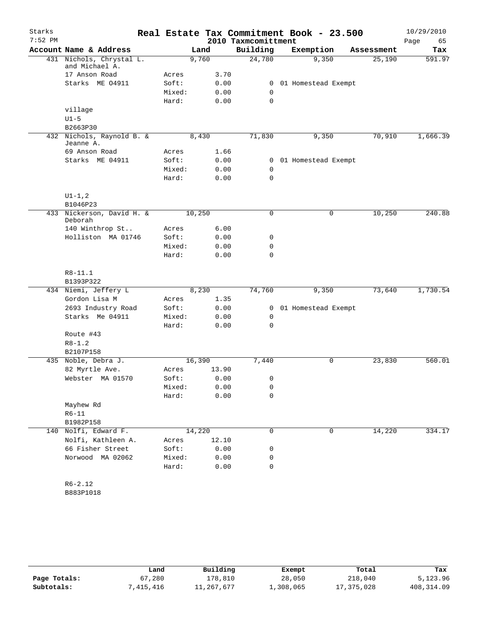| Starks    |                                            |        |        |       |                     | Real Estate Tax Commitment Book - 23.500 |            | 10/29/2010 |
|-----------|--------------------------------------------|--------|--------|-------|---------------------|------------------------------------------|------------|------------|
| $7:52$ PM |                                            |        |        |       | 2010 Taxmcomittment |                                          |            | Page<br>65 |
|           | Account Name & Address                     |        | Land   |       | Building            | Exemption                                | Assessment | Tax        |
|           | 431 Nichols, Chrystal L.<br>and Michael A. |        | 9,760  |       | 24,780              | 9,350                                    | 25,190     | 591.97     |
|           | 17 Anson Road                              | Acres  |        | 3.70  |                     |                                          |            |            |
|           | Starks ME 04911                            | Soft:  |        | 0.00  | 0                   | 01 Homestead Exempt                      |            |            |
|           |                                            | Mixed: |        | 0.00  | 0                   |                                          |            |            |
|           |                                            | Hard:  |        | 0.00  | $\mathbf 0$         |                                          |            |            |
|           | village                                    |        |        |       |                     |                                          |            |            |
|           | $U1-5$                                     |        |        |       |                     |                                          |            |            |
|           | B2663P30                                   |        |        |       |                     |                                          |            |            |
|           | 432 Nichols, Raynold B. &<br>Jeanne A.     |        | 8,430  |       | 71,830              | 9,350                                    | 70,910     | 1,666.39   |
|           | 69 Anson Road                              | Acres  |        | 1.66  |                     |                                          |            |            |
|           | Starks ME 04911                            | Soft:  |        | 0.00  | 0                   | 01 Homestead Exempt                      |            |            |
|           |                                            | Mixed: |        | 0.00  | 0                   |                                          |            |            |
|           |                                            | Hard:  |        | 0.00  | 0                   |                                          |            |            |
|           | $UI - 1, 2$                                |        |        |       |                     |                                          |            |            |
|           | B1046P23                                   |        |        |       |                     |                                          |            |            |
|           | 433 Nickerson, David H. &<br>Deborah       |        | 10,250 |       | $\mathbf 0$         | 0                                        | 10,250     | 240.88     |
|           | 140 Winthrop St                            | Acres  |        | 6.00  |                     |                                          |            |            |
|           | Holliston MA 01746                         | Soft:  |        | 0.00  | 0                   |                                          |            |            |
|           |                                            | Mixed: |        | 0.00  | 0                   |                                          |            |            |
|           |                                            | Hard:  |        | 0.00  | $\mathbf 0$         |                                          |            |            |
|           | $R8 - 11.1$                                |        |        |       |                     |                                          |            |            |
|           | B1393P322                                  |        |        |       |                     |                                          |            |            |
|           | 434 Niemi, Jeffery L                       |        | 8,230  |       | 74,760              | 9,350                                    | 73,640     | 1,730.54   |
|           | Gordon Lisa M                              | Acres  |        | 1.35  |                     |                                          |            |            |
|           | 2693 Industry Road                         | Soft:  |        | 0.00  | 0                   | 01 Homestead Exempt                      |            |            |
|           | Starks Me 04911                            | Mixed: |        | 0.00  | 0                   |                                          |            |            |
|           |                                            | Hard:  |        | 0.00  | 0                   |                                          |            |            |
|           | Route #43                                  |        |        |       |                     |                                          |            |            |
|           | $R8 - 1.2$                                 |        |        |       |                     |                                          |            |            |
|           | B2107P158                                  |        |        |       |                     |                                          |            |            |
|           | 435 Noble, Debra J.                        |        | 16,390 |       | 7,440               | $\mathbf 0$                              | 23,830     | 560.01     |
|           | 82 Myrtle Ave.                             | Acres  |        | 13.90 |                     |                                          |            |            |
|           | Webster MA 01570                           | Soft:  |        | 0.00  | 0                   |                                          |            |            |
|           |                                            | Mixed: |        | 0.00  | 0                   |                                          |            |            |
|           |                                            | Hard:  |        | 0.00  | 0                   |                                          |            |            |
|           | Mayhew Rd<br>R6-11                         |        |        |       |                     |                                          |            |            |
|           | B1982P158                                  |        |        |       |                     |                                          |            |            |
| 140       | Nolfi, Edward F.                           |        | 14,220 |       | 0                   | $\mathbf 0$                              | 14,220     | 334.17     |
|           | Nolfi, Kathleen A.                         | Acres  |        | 12.10 |                     |                                          |            |            |
|           | 66 Fisher Street                           | Soft:  |        | 0.00  | 0                   |                                          |            |            |
|           | Norwood MA 02062                           | Mixed: |        | 0.00  | 0                   |                                          |            |            |
|           |                                            | Hard:  |        | 0.00  | 0                   |                                          |            |            |
|           |                                            |        |        |       |                     |                                          |            |            |
|           | $R6 - 2.12$                                |        |        |       |                     |                                          |            |            |

B883P1018

|              | Land      | Building   | Exempt    | Total      | Tax          |
|--------------|-----------|------------|-----------|------------|--------------|
| Page Totals: | 67,280    | 178,810    | 28,050    | 218,040    | 5,123.96     |
| Subtotals:   | 1,415,416 | 11,267,677 | 1,308,065 | 17,375,028 | 408, 314, 09 |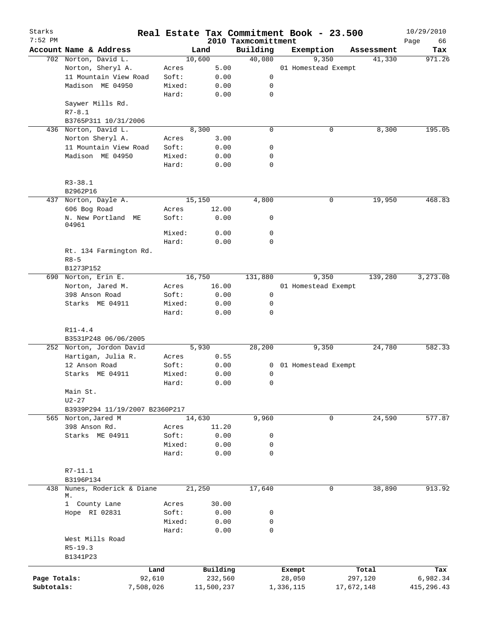| Starks       |                                |           |            |                                 | Real Estate Tax Commitment Book - 23.500 |            | 10/29/2010        |
|--------------|--------------------------------|-----------|------------|---------------------------------|------------------------------------------|------------|-------------------|
| $7:52$ PM    | Account Name & Address         |           | Land       | 2010 Taxmcomittment<br>Building | Exemption                                | Assessment | Page<br>66<br>Tax |
|              | 702 Norton, David L.           |           | 10,600     | 40,080                          | 9,350                                    | 41,330     | 971.26            |
|              | Norton, Sheryl A.              | Acres     | 5.00       |                                 | 01 Homestead Exempt                      |            |                   |
|              | 11 Mountain View Road          | Soft:     | 0.00       | 0                               |                                          |            |                   |
|              | Madison ME 04950               | Mixed:    | 0.00       | 0                               |                                          |            |                   |
|              |                                | Hard:     | 0.00       | $\mathbf 0$                     |                                          |            |                   |
|              | Saywer Mills Rd.               |           |            |                                 |                                          |            |                   |
|              | $R7 - 8.1$                     |           |            |                                 |                                          |            |                   |
|              | B3765P311 10/31/2006           |           |            |                                 |                                          |            |                   |
|              | 436 Norton, David L.           |           | 8,300      | $\mathbf 0$                     | 0                                        | 8,300      | 195.05            |
|              | Norton Sheryl A.               | Acres     | 3.00       |                                 |                                          |            |                   |
|              | 11 Mountain View Road          | Soft:     | 0.00       | 0                               |                                          |            |                   |
|              | Madison ME 04950               | Mixed:    | 0.00       | 0                               |                                          |            |                   |
|              |                                | Hard:     | 0.00       | $\mathbf 0$                     |                                          |            |                   |
|              | $R3 - 38.1$                    |           |            |                                 |                                          |            |                   |
|              | B2962P16                       |           |            |                                 |                                          |            |                   |
|              | 437 Norton, Dayle A.           |           | 15,150     | 4,800                           | 0                                        | 19,950     | 468.83            |
|              | 606 Bog Road                   | Acres     | 12.00      |                                 |                                          |            |                   |
|              | N. New Portland ME<br>04961    | Soft:     | 0.00       | 0                               |                                          |            |                   |
|              |                                | Mixed:    | 0.00       | $\mathbf 0$                     |                                          |            |                   |
|              |                                | Hard:     | 0.00       | $\mathbf 0$                     |                                          |            |                   |
|              | Rt. 134 Farmington Rd.         |           |            |                                 |                                          |            |                   |
|              | $R8 - 5$                       |           |            |                                 |                                          |            |                   |
|              | B1273P152                      |           |            |                                 |                                          |            |                   |
|              | 690 Norton, Erin E.            |           | 16,750     | 131,880                         | 9,350                                    | 139,280    | 3,273.08          |
|              | Norton, Jared M.               | Acres     | 16.00      |                                 | 01 Homestead Exempt                      |            |                   |
|              | 398 Anson Road                 | Soft:     | 0.00       | 0                               |                                          |            |                   |
|              | Starks ME 04911                | Mixed:    | 0.00       | 0                               |                                          |            |                   |
|              |                                | Hard:     | 0.00       | $\mathbf 0$                     |                                          |            |                   |
|              | $R11 - 4.4$                    |           |            |                                 |                                          |            |                   |
|              | B3531P248 06/06/2005           |           |            |                                 |                                          |            |                   |
|              | 252 Norton, Jordon David       |           | 5,930      | 28,200                          | 9,350                                    | 24,780     | 582.33            |
|              | Hartigan, Julia R.             | Acres     | 0.55       |                                 |                                          |            |                   |
|              | 12 Anson Road                  | Soft:     | 0.00       | 0                               | 01 Homestead Exempt                      |            |                   |
|              | Starks ME 04911                | Mixed:    | 0.00       | 0                               |                                          |            |                   |
|              |                                | Hard:     | 0.00       | 0                               |                                          |            |                   |
|              | Main St.                       |           |            |                                 |                                          |            |                   |
|              | $U2 - 27$                      |           |            |                                 |                                          |            |                   |
|              | B3939P294 11/19/2007 B2360P217 |           |            |                                 |                                          |            |                   |
|              | 565 Norton, Jared M            |           | 14,630     | 9,960                           | 0                                        | 24,590     | 577.87            |
|              | 398 Anson Rd.                  | Acres     | 11.20      |                                 |                                          |            |                   |
|              | Starks ME 04911                | Soft:     | 0.00       | 0                               |                                          |            |                   |
|              |                                | Mixed:    | 0.00       | 0                               |                                          |            |                   |
|              |                                | Hard:     | 0.00       | $\mathbf 0$                     |                                          |            |                   |
|              | $R7 - 11.1$                    |           |            |                                 |                                          |            |                   |
|              | B3196P134                      |           |            |                                 |                                          |            |                   |
| 438          | Nunes, Roderick & Diane<br>М.  |           | 21,250     | 17,640                          | $\mathbf 0$                              | 38,890     | 913.92            |
|              | 1 County Lane                  | Acres     | 30.00      |                                 |                                          |            |                   |
|              | Hope RI 02831                  | Soft:     | 0.00       | 0                               |                                          |            |                   |
|              |                                | Mixed:    | 0.00       | $\mathbf 0$                     |                                          |            |                   |
|              |                                | Hard:     | 0.00       | $\mathbf 0$                     |                                          |            |                   |
|              | West Mills Road                |           |            |                                 |                                          |            |                   |
|              | $R5 - 19.3$                    |           |            |                                 |                                          |            |                   |
|              | B1341P23                       |           |            |                                 |                                          |            |                   |
|              |                                | Land      | Building   |                                 | Exempt                                   | Total      | Tax               |
| Page Totals: |                                | 92,610    | 232,560    |                                 | 28,050                                   | 297,120    | 6,982.34          |
| Subtotals:   |                                | 7,508,026 | 11,500,237 |                                 | 1,336,115                                | 17,672,148 | 415,296.43        |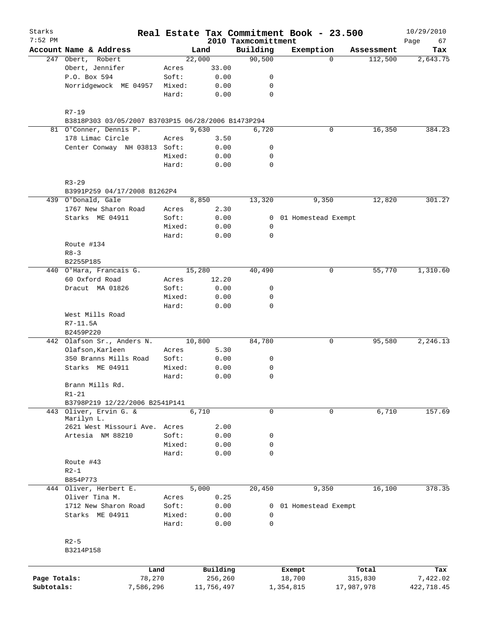| Starks       |                                                    |                 |                |                     | Real Estate Tax Commitment Book - 23.500 |            | 10/29/2010 |
|--------------|----------------------------------------------------|-----------------|----------------|---------------------|------------------------------------------|------------|------------|
| $7:52$ PM    |                                                    |                 |                | 2010 Taxmcomittment |                                          |            | Page<br>67 |
|              | Account Name & Address                             |                 | Land<br>22,000 | Building<br>90,500  | Exemption<br>$\Omega$                    | Assessment | Tax        |
|              | 247 Obert, Robert<br>Obert, Jennifer               | Acres           | 33.00          |                     |                                          | 112,500    | 2,643.75   |
|              | P.O. Box 594                                       | Soft:           | 0.00           | 0                   |                                          |            |            |
|              | Norridgewock ME 04957                              | Mixed:          | 0.00           | 0                   |                                          |            |            |
|              |                                                    | Hard:           | 0.00           | $\mathbf 0$         |                                          |            |            |
|              |                                                    |                 |                |                     |                                          |            |            |
|              | $R7 - 19$                                          |                 |                |                     |                                          |            |            |
|              | B3818P303 03/05/2007 B3703P15 06/28/2006 B1473P294 |                 |                |                     |                                          |            |            |
|              | 81 O'Conner, Dennis P.                             |                 | 9,630          | 6,720               | 0                                        | 16, 350    | 384.23     |
|              | 178 Limac Circle                                   | Acres           | 3.50           |                     |                                          |            |            |
|              | Center Conway NH 03813 Soft:                       |                 | 0.00           | 0                   |                                          |            |            |
|              |                                                    | Mixed:          | 0.00           | 0                   |                                          |            |            |
|              |                                                    | Hard:           | 0.00           | $\mathbf 0$         |                                          |            |            |
|              | $R3 - 29$                                          |                 |                |                     |                                          |            |            |
|              | B3991P259 04/17/2008 B1262P4                       |                 |                |                     |                                          |            |            |
|              | 439 O'Donald, Gale                                 |                 | 8,850          | 13,320              | 9,350                                    | 12,820     | 301.27     |
|              | 1767 New Sharon Road                               | Acres           | 2.30           |                     |                                          |            |            |
|              | Starks ME 04911                                    | Soft:           | 0.00           | 0                   | 01 Homestead Exempt                      |            |            |
|              |                                                    | Mixed:          | 0.00           | 0                   |                                          |            |            |
|              |                                                    | Hard:           | 0.00           | $\mathbf 0$         |                                          |            |            |
|              | Route #134                                         |                 |                |                     |                                          |            |            |
|              | $R8 - 3$                                           |                 |                |                     |                                          |            |            |
|              | B2255P185                                          |                 |                |                     |                                          |            |            |
|              | 440 O'Hara, Francais G.                            |                 | 15,280         | 40,490              | 0                                        | 55,770     | 1,310.60   |
|              | 60 Oxford Road                                     | Acres           | 12.20          |                     |                                          |            |            |
|              | Dracut MA 01826                                    | Soft:           | 0.00           | 0                   |                                          |            |            |
|              |                                                    | Mixed:          | 0.00           | 0                   |                                          |            |            |
|              |                                                    | Hard:           | 0.00           | $\Omega$            |                                          |            |            |
|              | West Mills Road                                    |                 |                |                     |                                          |            |            |
|              | R7-11.5A                                           |                 |                |                     |                                          |            |            |
|              | B2459P220                                          |                 |                |                     |                                          |            |            |
| 442          | Olafson Sr., Anders N.                             |                 | 10,800         | 84,780              | 0                                        | 95,580     | 2, 246.13  |
|              | Olafson, Karleen                                   | Acres           | 5.30           |                     |                                          |            |            |
|              | 350 Branns Mills Road                              | Soft:           | 0.00           | 0                   |                                          |            |            |
|              | Starks ME 04911                                    | Mixed:          | 0.00           | 0                   |                                          |            |            |
|              |                                                    | Hard:           | 0.00           | 0                   |                                          |            |            |
|              | Brann Mills Rd.                                    |                 |                |                     |                                          |            |            |
|              | $R1-21$                                            |                 |                |                     |                                          |            |            |
|              | B3798P219 12/22/2006 B2541P141                     |                 |                |                     |                                          |            |            |
|              | 443 Oliver, Ervin G. &                             |                 | 6,710          | 0                   | 0                                        | 6,710      | 157.69     |
|              | Marilyn L.                                         |                 |                |                     |                                          |            |            |
|              | 2621 West Missouri Ave.                            | Acres           | 2.00           |                     |                                          |            |            |
|              | Artesia NM 88210                                   | Soft:           | 0.00           | 0                   |                                          |            |            |
|              |                                                    | Mixed:          | 0.00           | 0                   |                                          |            |            |
|              |                                                    | Hard:           | 0.00           | $\mathbf 0$         |                                          |            |            |
|              | Route #43                                          |                 |                |                     |                                          |            |            |
|              | $R2-1$                                             |                 |                |                     |                                          |            |            |
|              | B854P773                                           |                 |                |                     |                                          |            |            |
|              | 444 Oliver, Herbert E.                             |                 | 5,000          | 20,450              | 9,350                                    | 16,100     | 378.35     |
|              | Oliver Tina M.                                     | Acres           | 0.25           |                     |                                          |            |            |
|              | 1712 New Sharon Road                               | Soft:           | 0.00           | 0                   | 01 Homestead Exempt                      |            |            |
|              | Starks ME 04911                                    | Mixed:<br>Hard: | 0.00<br>0.00   | 0<br>0              |                                          |            |            |
|              |                                                    |                 |                |                     |                                          |            |            |
|              | $R2-5$                                             |                 |                |                     |                                          |            |            |
|              | B3214P158                                          |                 |                |                     |                                          |            |            |
|              |                                                    |                 |                |                     |                                          |            |            |
|              |                                                    | Land            | Building       |                     | Exempt                                   | Total      | Tax        |
| Page Totals: |                                                    | 78,270          | 256,260        |                     | 18,700<br>1,354,815                      | 315,830    | 7,422.02   |
| Subtotals:   | 7,586,296                                          |                 | 11,756,497     |                     |                                          | 17,987,978 | 422,718.45 |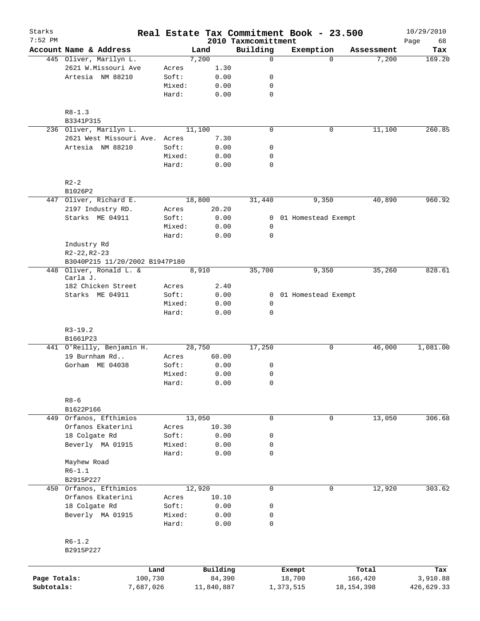| Starks       |                                     |                 |              |                                 | Real Estate Tax Commitment Book - 23.500 |                       | 10/29/2010        |
|--------------|-------------------------------------|-----------------|--------------|---------------------------------|------------------------------------------|-----------------------|-------------------|
| $7:52$ PM    | Account Name & Address              |                 | Land         | 2010 Taxmcomittment<br>Building | Exemption                                | Assessment            | Page<br>68<br>Tax |
|              | 445 Oliver, Marilyn L.              |                 | 7,200        | 0                               |                                          | 7,200<br>$\Omega$     | 169.20            |
|              | 2621 W.Missouri Ave                 | Acres           | 1.30         |                                 |                                          |                       |                   |
|              | Artesia NM 88210                    | Soft:           | 0.00         | 0                               |                                          |                       |                   |
|              |                                     | Mixed:          | 0.00         | 0                               |                                          |                       |                   |
|              |                                     | Hard:           | 0.00         | 0                               |                                          |                       |                   |
|              | $R8 - 1.3$                          |                 |              |                                 |                                          |                       |                   |
|              | B3341P315                           |                 |              |                                 |                                          |                       |                   |
|              | 236 Oliver, Marilyn L.              |                 | 11,100       | $\mathbf 0$                     |                                          | 11,100<br>0           | 260.85            |
|              | 2621 West Missouri Ave. Acres       |                 | 7.30         |                                 |                                          |                       |                   |
|              | Artesia NM 88210                    | Soft:           | 0.00         | 0                               |                                          |                       |                   |
|              |                                     | Mixed:<br>Hard: | 0.00<br>0.00 | 0<br>$\mathbf 0$                |                                          |                       |                   |
|              | $R2-2$                              |                 |              |                                 |                                          |                       |                   |
|              | B1026P2                             |                 |              |                                 |                                          |                       |                   |
|              | 447 Oliver, Richard E.              |                 | 18,800       | 31,440                          | 9,350                                    | 40,890                | 960.92            |
|              | 2197 Industry RD.                   | Acres           | 20.20        |                                 |                                          |                       |                   |
|              | Starks ME 04911                     | Soft:           | 0.00         | 0                               | 01 Homestead Exempt                      |                       |                   |
|              |                                     | Mixed:          | 0.00         | 0                               |                                          |                       |                   |
|              |                                     | Hard:           | 0.00         | $\mathbf 0$                     |                                          |                       |                   |
|              | Industry Rd                         |                 |              |                                 |                                          |                       |                   |
|              | $R2 - 22, R2 - 23$                  |                 |              |                                 |                                          |                       |                   |
|              | B3040P215 11/20/2002 B1947P180      |                 |              |                                 |                                          |                       |                   |
|              | 448 Oliver, Ronald L. &<br>Carla J. |                 | 8,910        | 35,700                          | 9,350                                    | 35,260                | 828.61            |
|              | 182 Chicken Street                  | Acres           | 2.40         |                                 |                                          |                       |                   |
|              | Starks ME 04911                     | Soft:           | 0.00         |                                 | 0 01 Homestead Exempt                    |                       |                   |
|              |                                     | Mixed:<br>Hard: | 0.00<br>0.00 | 0<br>0                          |                                          |                       |                   |
|              |                                     |                 |              |                                 |                                          |                       |                   |
|              | $R3-19.2$<br>B1661P23               |                 |              |                                 |                                          |                       |                   |
|              | 441 O'Reilly, Benjamin H.           |                 | 28,750       | 17,250                          |                                          | 46,000<br>0           | 1,081.00          |
|              | 19 Burnham Rd                       | Acres           | 60.00        |                                 |                                          |                       |                   |
|              | Gorham ME 04038                     | Soft:           | 0.00         | 0                               |                                          |                       |                   |
|              |                                     | Mixed:          | 0.00         | 0                               |                                          |                       |                   |
|              |                                     | Hard:           | 0.00         | 0                               |                                          |                       |                   |
|              | $R8 - 6$                            |                 |              |                                 |                                          |                       |                   |
|              | B1622P166                           |                 |              |                                 |                                          |                       |                   |
|              | 449 Orfanos, Efthimios              |                 | 13,050       | $\mathbf 0$                     |                                          | $\mathbf 0$<br>13,050 | 306.68            |
|              | Orfanos Ekaterini                   | Acres           | 10.30        |                                 |                                          |                       |                   |
|              | 18 Colgate Rd                       | Soft:           | 0.00         | 0                               |                                          |                       |                   |
|              | Beverly MA 01915                    | Mixed:          | 0.00         | 0                               |                                          |                       |                   |
|              |                                     | Hard:           | 0.00         | 0                               |                                          |                       |                   |
|              | Mayhew Road                         |                 |              |                                 |                                          |                       |                   |
|              | $R6 - 1.1$                          |                 |              |                                 |                                          |                       |                   |
|              | B2915P227                           |                 |              |                                 |                                          |                       |                   |
|              | 450 Orfanos, Efthimios              |                 | 12,920       | 0                               |                                          | 0<br>12,920           | 303.62            |
|              | Orfanos Ekaterini                   | Acres           | 10.10        |                                 |                                          |                       |                   |
|              | 18 Colgate Rd                       | Soft:           | 0.00         | 0                               |                                          |                       |                   |
|              | Beverly MA 01915                    | Mixed:<br>Hard: | 0.00<br>0.00 | 0<br>0                          |                                          |                       |                   |
|              | $R6-1.2$                            |                 |              |                                 |                                          |                       |                   |
|              | B2915P227                           |                 |              |                                 |                                          |                       |                   |
|              | Land                                |                 | Building     |                                 | Exempt                                   | Total                 | Tax               |
| Page Totals: | 100,730                             |                 | 84,390       |                                 | 18,700                                   | 166,420               | 3,910.88          |
| Subtotals:   | 7,687,026                           |                 | 11,840,887   |                                 | 1,373,515                                | 18, 154, 398          | 426,629.33        |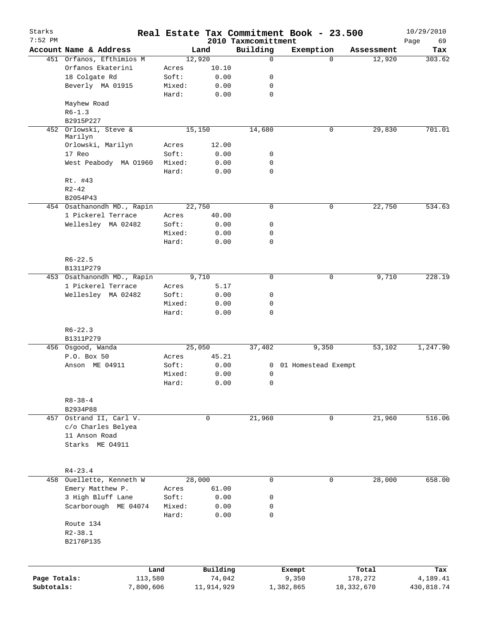| Starks       |                                  |        |            |                                 | Real Estate Tax Commitment Book - 23.500 |              | 10/29/2010        |
|--------------|----------------------------------|--------|------------|---------------------------------|------------------------------------------|--------------|-------------------|
| $7:52$ PM    | Account Name & Address           |        | Land       | 2010 Taxmcomittment<br>Building | Exemption                                | Assessment   | Page<br>69<br>Tax |
|              | 451 Orfanos, Efthimios M         |        | 12,920     | $\mathbf 0$                     | $\Omega$                                 | 12,920       | 303.62            |
|              | Orfanos Ekaterini                | Acres  | 10.10      |                                 |                                          |              |                   |
|              | 18 Colgate Rd                    | Soft:  | 0.00       | 0                               |                                          |              |                   |
|              | Beverly MA 01915                 | Mixed: | 0.00       | 0                               |                                          |              |                   |
|              |                                  | Hard:  | 0.00       | $\mathbf 0$                     |                                          |              |                   |
|              | Mayhew Road                      |        |            |                                 |                                          |              |                   |
|              | $R6 - 1.3$                       |        |            |                                 |                                          |              |                   |
|              | B2915P227                        |        |            |                                 |                                          |              |                   |
|              | 452 Orlowski, Steve &            |        | 15,150     | 14,680                          | 0                                        | 29,830       | 701.01            |
|              | Marilyn                          |        |            |                                 |                                          |              |                   |
|              | Orlowski, Marilyn                | Acres  | 12.00      |                                 |                                          |              |                   |
|              | 17 Reo                           | Soft:  | 0.00       | 0                               |                                          |              |                   |
|              | West Peabody MA 01960            | Mixed: | 0.00       | $\mathbf 0$<br>$\mathbf 0$      |                                          |              |                   |
|              |                                  | Hard:  | 0.00       |                                 |                                          |              |                   |
|              | Rt. #43<br>$R2 - 42$             |        |            |                                 |                                          |              |                   |
|              | B2054P43                         |        |            |                                 |                                          |              |                   |
|              | 454 Osathanondh MD., Rapin       |        | 22,750     | $\mathbf 0$                     | 0                                        | 22,750       | 534.63            |
|              | 1 Pickerel Terrace               | Acres  | 40.00      |                                 |                                          |              |                   |
|              | Wellesley MA 02482               | Soft:  | 0.00       | 0                               |                                          |              |                   |
|              |                                  | Mixed: | 0.00       | 0                               |                                          |              |                   |
|              |                                  | Hard:  | 0.00       | 0                               |                                          |              |                   |
|              |                                  |        |            |                                 |                                          |              |                   |
|              | $R6 - 22.5$                      |        |            |                                 |                                          |              |                   |
|              | B1311P279                        |        |            |                                 |                                          |              |                   |
|              | 453 Osathanondh MD., Rapin       |        | 9,710      | $\mathbf 0$                     | 0                                        | 9,710        | 228.19            |
|              | 1 Pickerel Terrace               | Acres  | 5.17       |                                 |                                          |              |                   |
|              | Wellesley MA 02482               | Soft:  | 0.00       | 0                               |                                          |              |                   |
|              |                                  | Mixed: | 0.00       | 0                               |                                          |              |                   |
|              |                                  | Hard:  | 0.00       | 0                               |                                          |              |                   |
|              |                                  |        |            |                                 |                                          |              |                   |
|              | $R6 - 22.3$                      |        |            |                                 |                                          |              |                   |
|              | B1311P279                        |        |            |                                 |                                          |              |                   |
|              | 456 Osgood, Wanda                |        | 25,050     | 37,402                          | 9,350                                    | 53,102       | 1,247.90          |
|              | P.O. Box 50                      | Acres  | 45.21      |                                 |                                          |              |                   |
|              | Anson ME 04911                   | Soft:  | 0.00       |                                 | 0 01 Homestead Exempt                    |              |                   |
|              |                                  | Mixed: | 0.00       | $\mathbf 0$                     |                                          |              |                   |
|              |                                  | Hard:  | 0.00       | 0                               |                                          |              |                   |
|              |                                  |        |            |                                 |                                          |              |                   |
|              | $R8 - 38 - 4$                    |        |            |                                 |                                          |              |                   |
|              | B2934P88                         |        |            |                                 |                                          |              |                   |
| 457          | Ostrand II, Carl V.              |        | 0          | 21,960                          | 0                                        | 21,960       | 516.06            |
|              | c/o Charles Belyea               |        |            |                                 |                                          |              |                   |
|              | 11 Anson Road<br>Starks ME 04911 |        |            |                                 |                                          |              |                   |
|              |                                  |        |            |                                 |                                          |              |                   |
|              |                                  |        |            |                                 |                                          |              |                   |
|              | $R4 - 23.4$                      |        |            |                                 |                                          |              |                   |
|              | 458 Ouellette, Kenneth W         |        | 28,000     | $\mathbf 0$                     | 0                                        | 28,000       | 658.00            |
|              | Emery Matthew P.                 | Acres  | 61.00      |                                 |                                          |              |                   |
|              | 3 High Bluff Lane                | Soft:  | 0.00       | 0                               |                                          |              |                   |
|              | Scarborough ME 04074             | Mixed: | 0.00       | 0                               |                                          |              |                   |
|              |                                  | Hard:  | 0.00       | 0                               |                                          |              |                   |
|              | Route 134                        |        |            |                                 |                                          |              |                   |
|              | $R2 - 38.1$                      |        |            |                                 |                                          |              |                   |
|              | B2176P135                        |        |            |                                 |                                          |              |                   |
|              |                                  |        |            |                                 |                                          |              |                   |
|              |                                  |        |            |                                 |                                          |              |                   |
|              |                                  | Land   | Building   |                                 | Exempt                                   | Total        | Tax               |
| Page Totals: | 113,580                          |        | 74,042     |                                 | 9,350                                    | 178,272      | 4,189.41          |
| Subtotals:   | 7,800,606                        |        | 11,914,929 |                                 | 1,382,865                                | 18, 332, 670 | 430,818.74        |
|              |                                  |        |            |                                 |                                          |              |                   |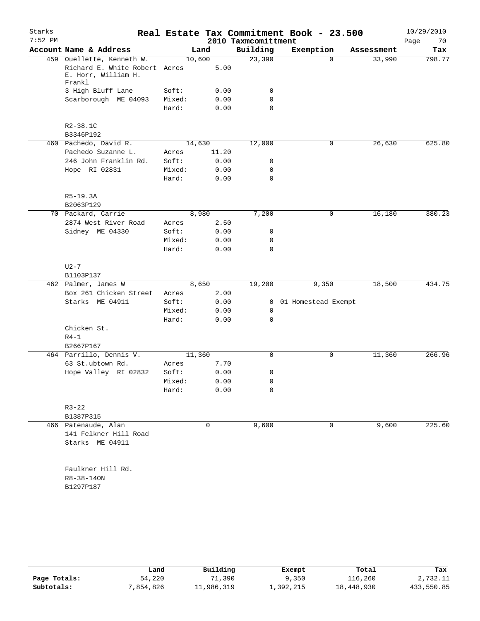| Starks<br>$7:52$ PM |                                                                                             |                 |              | 2010 Taxmcomittment | Real Estate Tax Commitment Book - 23.500 |            | 10/29/2010<br>Page<br>70 |
|---------------------|---------------------------------------------------------------------------------------------|-----------------|--------------|---------------------|------------------------------------------|------------|--------------------------|
|                     | Account Name & Address                                                                      |                 | Land         | Building            | Exemption                                | Assessment | Tax                      |
|                     | 459 Ouellette, Kenneth W.<br>Richard E. White Robert Acres<br>E. Horr, William H.<br>Frankl | 10,600          | 5.00         | 23,390              | $\Omega$                                 | 33,990     | 798.77                   |
|                     | 3 High Bluff Lane                                                                           | Soft:           | 0.00         | 0                   |                                          |            |                          |
|                     | Scarborough ME 04093                                                                        | Mixed:          | 0.00         | 0                   |                                          |            |                          |
|                     |                                                                                             | Hard:           | 0.00         | $\mathbf 0$         |                                          |            |                          |
|                     | R2-38.1C                                                                                    |                 |              |                     |                                          |            |                          |
|                     | B3346P192                                                                                   |                 |              |                     |                                          |            |                          |
|                     | 460 Pachedo, David R.                                                                       | 14,630          |              | 12,000              | 0                                        | 26,630     | 625.80                   |
|                     | Pachedo Suzanne L.                                                                          | Acres           | 11.20        |                     |                                          |            |                          |
|                     | 246 John Franklin Rd.                                                                       | Soft:           | 0.00         | 0                   |                                          |            |                          |
|                     | Hope RI 02831                                                                               | Mixed:          | 0.00         | 0                   |                                          |            |                          |
|                     |                                                                                             | Hard:           | 0.00         | $\mathbf 0$         |                                          |            |                          |
|                     | $R5-19.3A$                                                                                  |                 |              |                     |                                          |            |                          |
|                     | B2063P129                                                                                   |                 | 8,980        |                     | 0                                        |            | 380.23                   |
|                     | 70 Packard, Carrie<br>2874 West River Road                                                  |                 |              | 7,200               |                                          | 16,180     |                          |
|                     |                                                                                             | Acres           | 2.50         |                     |                                          |            |                          |
|                     | Sidney ME 04330                                                                             | Soft:           | 0.00         | 0                   |                                          |            |                          |
|                     |                                                                                             | Mixed:<br>Hard: | 0.00<br>0.00 | 0<br>$\mathbf 0$    |                                          |            |                          |
|                     | $U2-7$<br>B1103P137                                                                         |                 |              |                     |                                          |            |                          |
|                     | 462 Palmer, James W                                                                         |                 | 8,650        | 19,200              | 9,350                                    | 18,500     | 434.75                   |
|                     | Box 261 Chicken Street                                                                      | Acres           | 2.00         |                     |                                          |            |                          |
|                     | Starks ME 04911                                                                             | Soft:           | 0.00         | $\mathbf{0}$        | 01 Homestead Exempt                      |            |                          |
|                     |                                                                                             | Mixed:          | 0.00         | 0                   |                                          |            |                          |
|                     | Chicken St.                                                                                 | Hard:           | 0.00         | $\mathbf 0$         |                                          |            |                          |
|                     | $R4-1$                                                                                      |                 |              |                     |                                          |            |                          |
|                     | B2667P167                                                                                   |                 |              |                     |                                          |            |                          |
|                     | 464 Parrillo, Dennis V.                                                                     | 11,360          |              | 0                   | 0                                        | 11,360     | 266.96                   |
|                     | 63 St.ubtown Rd.                                                                            | Acres           | 7.70         |                     |                                          |            |                          |
|                     | Hope Valley RI 02832                                                                        | Soft:           | 0.00         | 0                   |                                          |            |                          |
|                     |                                                                                             | Mixed:          | 0.00         | 0                   |                                          |            |                          |
|                     |                                                                                             | Hard:           | 0.00         | 0                   |                                          |            |                          |
|                     | $R3 - 22$<br>B1387P315                                                                      |                 |              |                     |                                          |            |                          |
|                     | 466 Patenaude, Alan                                                                         |                 | 0            | 9,600               | 0                                        | 9,600      | 225.60                   |
|                     | 141 Felkner Hill Road<br>Starks ME 04911                                                    |                 |              |                     |                                          |            |                          |
|                     | Faulkner Hill Rd.<br>$R8 - 38 - 140N$<br>B1297P187                                          |                 |              |                     |                                          |            |                          |

|              | Land     | Building   | Exempt    | Total      | Tax        |
|--------------|----------|------------|-----------|------------|------------|
| Page Totals: | 54,220   | 1,390      | 9,350     | 116,260    | 2,732.11   |
| Subtotals:   | ,854,826 | 11,986,319 | 1,392,215 | 18,448,930 | 433,550.85 |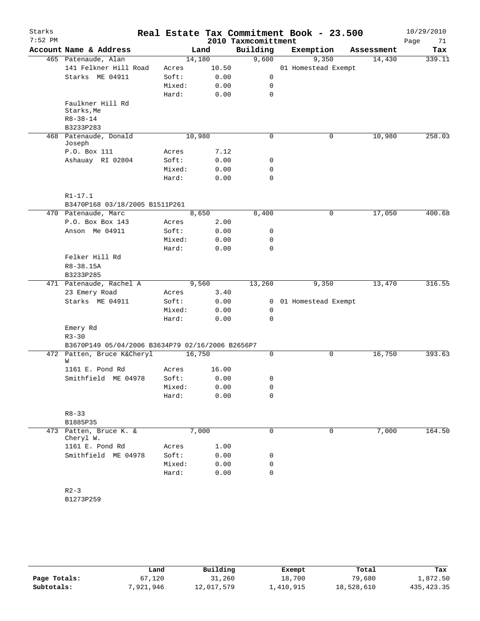| Starks<br>$7:52$ PM |                                                               |  |        |       | Real Estate Tax Commitment Book - 23.500<br>2010 Taxmcomittment |                     |             |            | 10/29/2010<br>71<br>Page |
|---------------------|---------------------------------------------------------------|--|--------|-------|-----------------------------------------------------------------|---------------------|-------------|------------|--------------------------|
|                     | Account Name & Address                                        |  | Land   |       | Building                                                        | Exemption           |             | Assessment | Tax                      |
|                     | 465 Patenaude, Alan                                           |  | 14,180 |       | 9,600                                                           |                     | 9,350       | 14,430     | 339.11                   |
|                     | 141 Felkner Hill Road                                         |  | Acres  | 10.50 |                                                                 | 01 Homestead Exempt |             |            |                          |
|                     | Starks ME 04911                                               |  | Soft:  | 0.00  | $\mathsf{O}$                                                    |                     |             |            |                          |
|                     |                                                               |  | Mixed: | 0.00  | 0                                                               |                     |             |            |                          |
|                     |                                                               |  | Hard:  | 0.00  | $\mathbf 0$                                                     |                     |             |            |                          |
|                     | Faulkner Hill Rd<br>Starks, Me<br>$R8 - 38 - 14$<br>B3233P283 |  |        |       |                                                                 |                     |             |            |                          |
|                     | 468 Patenaude, Donald                                         |  | 10,980 |       | $\mathbf 0$                                                     |                     | $\mathbf 0$ | 10,980     | 258.03                   |
|                     | Joseph                                                        |  |        |       |                                                                 |                     |             |            |                          |
|                     | P.O. Box 111                                                  |  | Acres  | 7.12  |                                                                 |                     |             |            |                          |
|                     | Ashauay RI 02804                                              |  | Soft:  | 0.00  | 0                                                               |                     |             |            |                          |
|                     |                                                               |  | Mixed: | 0.00  | 0                                                               |                     |             |            |                          |
|                     |                                                               |  | Hard:  | 0.00  | $\mathbf 0$                                                     |                     |             |            |                          |
|                     |                                                               |  |        |       |                                                                 |                     |             |            |                          |
|                     | $R1 - 17.1$<br>B3470P168 03/18/2005 B1511P261                 |  |        |       |                                                                 |                     |             |            |                          |
|                     | 470 Patenaude, Marc                                           |  | 8,650  |       | 8,400                                                           |                     | 0           | 17,050     | 400.68                   |
|                     | P.O. Box Box 143                                              |  | Acres  | 2.00  |                                                                 |                     |             |            |                          |
|                     | Anson Me 04911                                                |  | Soft:  | 0.00  | 0                                                               |                     |             |            |                          |
|                     |                                                               |  | Mixed: | 0.00  | 0                                                               |                     |             |            |                          |
|                     |                                                               |  | Hard:  | 0.00  | $\Omega$                                                        |                     |             |            |                          |
|                     | Felker Hill Rd<br>R8-38.15A                                   |  |        |       |                                                                 |                     |             |            |                          |
|                     | B3233P285<br>471 Patenaude, Rachel A                          |  | 9,560  |       | 13,260                                                          |                     | 9,350       | 13,470     | 316.55                   |
|                     | 23 Emery Road                                                 |  | Acres  | 3.40  |                                                                 |                     |             |            |                          |
|                     | Starks ME 04911                                               |  | Soft:  | 0.00  | $\overline{0}$                                                  | 01 Homestead Exempt |             |            |                          |
|                     |                                                               |  | Mixed: | 0.00  | 0                                                               |                     |             |            |                          |
|                     |                                                               |  | Hard:  | 0.00  | $\mathbf 0$                                                     |                     |             |            |                          |
|                     | Emery Rd<br>$R3 - 30$                                         |  |        |       |                                                                 |                     |             |            |                          |
|                     | B3670P149 05/04/2006 B3634P79 02/16/2006 B2656P7              |  |        |       |                                                                 |                     |             |            |                          |
|                     | 472 Patten, Bruce K&Cheryl                                    |  | 16,750 |       | 0                                                               |                     | 0           | 16,750     | 393.63                   |
|                     | W                                                             |  |        |       |                                                                 |                     |             |            |                          |
|                     | 1161 E. Pond Rd                                               |  | Acres  | 16.00 |                                                                 |                     |             |            |                          |
|                     | Smithfield ME 04978                                           |  | Soft:  | 0.00  | 0                                                               |                     |             |            |                          |
|                     |                                                               |  | Mixed: | 0.00  | 0                                                               |                     |             |            |                          |
|                     |                                                               |  | Hard:  | 0.00  | $\mathbf 0$                                                     |                     |             |            |                          |
|                     | $R8 - 33$                                                     |  |        |       |                                                                 |                     |             |            |                          |
|                     | B1885P35                                                      |  |        |       |                                                                 |                     |             |            |                          |
| 473                 | Patten, Bruce K. &<br>Cheryl W.                               |  | 7,000  |       | $\mathbf 0$                                                     |                     | $\mathbf 0$ | 7,000      | 164.50                   |
|                     | 1161 E. Pond Rd                                               |  | Acres  | 1.00  |                                                                 |                     |             |            |                          |
|                     | Smithfield ME 04978                                           |  | Soft:  | 0.00  | 0                                                               |                     |             |            |                          |
|                     |                                                               |  | Mixed: | 0.00  | 0                                                               |                     |             |            |                          |
|                     |                                                               |  | Hard:  | 0.00  | $\mathbf 0$                                                     |                     |             |            |                          |
|                     | $R2 - 3$<br>B1273P259                                         |  |        |       |                                                                 |                     |             |            |                          |

|              | Land      | Building   | Exempt    | Total      | Tax         |  |
|--------------|-----------|------------|-----------|------------|-------------|--|
| Page Totals: | 67,120    | 31,260     | 18,700    | 79,680     | 1,872.50    |  |
| Subtotals:   | 7,921,946 | 12,017,579 | 1,410,915 | 18,528,610 | 435, 423.35 |  |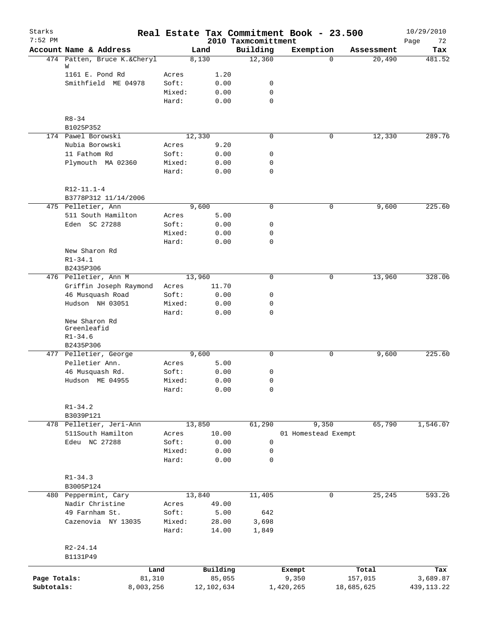| Starks<br>$7:52$ PM |                                             |                 |                | 2010 Taxmcomittment | Real Estate Tax Commitment Book - 23.500 |            |            | 10/29/2010<br>72<br>Page |
|---------------------|---------------------------------------------|-----------------|----------------|---------------------|------------------------------------------|------------|------------|--------------------------|
|                     | Account Name & Address                      |                 | Land           | Building            | Exemption                                |            | Assessment | Tax                      |
|                     | 474 Patten, Bruce K.&Cheryl                 |                 | 8,130          | 12,360              |                                          | $\Omega$   | 20,490     | 481.52                   |
|                     | W                                           |                 |                |                     |                                          |            |            |                          |
|                     | 1161 E. Pond Rd                             | Acres           | 1.20           |                     |                                          |            |            |                          |
|                     | Smithfield ME 04978                         | Soft:           | 0.00           | 0<br>0              |                                          |            |            |                          |
|                     |                                             | Mixed:<br>Hard: | 0.00<br>0.00   | $\mathbf 0$         |                                          |            |            |                          |
|                     |                                             |                 |                |                     |                                          |            |            |                          |
|                     | $R8 - 34$                                   |                 |                |                     |                                          |            |            |                          |
|                     | B1025P352                                   |                 |                |                     |                                          |            |            |                          |
|                     | 174 Pawel Borowski                          |                 | 12,330         | $\mathbf 0$         |                                          | 0          | 12,330     | 289.76                   |
|                     | Nubia Borowski                              | Acres           | 9.20           |                     |                                          |            |            |                          |
|                     | 11 Fathom Rd<br>Plymouth MA 02360           | Soft:<br>Mixed: | 0.00<br>0.00   | 0<br>$\mathbf 0$    |                                          |            |            |                          |
|                     |                                             | Hard:           | 0.00           | $\mathbf 0$         |                                          |            |            |                          |
|                     |                                             |                 |                |                     |                                          |            |            |                          |
|                     | $R12-11.1-4$                                |                 |                |                     |                                          |            |            |                          |
|                     | B3778P312 11/14/2006<br>475 Pelletier, Ann  |                 | 9,600          | 0                   |                                          | 0          | 9,600      | 225.60                   |
|                     | 511 South Hamilton                          | Acres           | 5.00           |                     |                                          |            |            |                          |
|                     | Eden SC 27288                               | Soft:           | 0.00           | 0                   |                                          |            |            |                          |
|                     |                                             | Mixed:          | 0.00           | 0                   |                                          |            |            |                          |
|                     |                                             | Hard:           | 0.00           | $\mathbf 0$         |                                          |            |            |                          |
|                     | New Sharon Rd                               |                 |                |                     |                                          |            |            |                          |
|                     | $R1 - 34.1$                                 |                 |                |                     |                                          |            |            |                          |
|                     | B2435P306                                   |                 |                |                     |                                          |            |            |                          |
|                     | 476 Pelletier, Ann M                        |                 | 13,960         | $\mathbf 0$         |                                          | 0          | 13,960     | 328.06                   |
|                     | Griffin Joseph Raymond                      | Acres           | 11.70          |                     |                                          |            |            |                          |
|                     | 46 Musquash Road                            | Soft:           | 0.00           | 0                   |                                          |            |            |                          |
|                     | Hudson NH 03051                             | Mixed:<br>Hard: | 0.00           | 0<br>$\mathbf 0$    |                                          |            |            |                          |
|                     | New Sharon Rd<br>Greenleafid<br>$R1 - 34.6$ |                 | 0.00           |                     |                                          |            |            |                          |
|                     | B2435P306                                   |                 |                |                     |                                          |            |            |                          |
|                     | 477 Pelletier, George                       |                 | 9,600          | 0                   |                                          | 0          | 9,600      | 225.60                   |
|                     | Pelletier Ann.                              | Acres           | 5.00           |                     |                                          |            |            |                          |
|                     | 46 Musquash Rd.                             | Soft:           | 0.00           | 0                   |                                          |            |            |                          |
|                     | Hudson ME 04955                             | Mixed:          | 0.00           | 0                   |                                          |            |            |                          |
|                     |                                             | Hard:           | 0.00           | 0                   |                                          |            |            |                          |
|                     | $R1 - 34.2$                                 |                 |                |                     |                                          |            |            |                          |
|                     | B3039P121                                   |                 |                |                     |                                          |            |            |                          |
|                     | 478 Pelletier, Jeri-Ann                     |                 | 13,850         | 61,290              | 9,350                                    |            | 65,790     | 1,546.07                 |
|                     | 511South Hamilton                           | Acres           | 10.00          |                     | 01 Homestead Exempt                      |            |            |                          |
|                     | Edeu NC 27288                               | Soft:           | 0.00           | 0                   |                                          |            |            |                          |
|                     |                                             | Mixed:<br>Hard: | 0.00<br>0.00   | 0<br>$\mathbf 0$    |                                          |            |            |                          |
|                     |                                             |                 |                |                     |                                          |            |            |                          |
|                     | $R1 - 34.3$                                 |                 |                |                     |                                          |            |            |                          |
|                     | B3005P124                                   |                 |                |                     |                                          |            |            |                          |
|                     | 480 Peppermint, Cary                        |                 | 13,840         | 11,405              |                                          | 0          | 25,245     | 593.26                   |
|                     | Nadir Christine                             | Acres           | 49.00          |                     |                                          |            |            |                          |
|                     | 49 Farnham St.                              | Soft:           | 5.00           | 642                 |                                          |            |            |                          |
|                     | Cazenovia NY 13035                          | Mixed:<br>Hard: | 28.00<br>14.00 | 3,698<br>1,849      |                                          |            |            |                          |
|                     |                                             |                 |                |                     |                                          |            |            |                          |
|                     | $R2 - 24.14$                                |                 |                |                     |                                          |            |            |                          |
|                     | B1131P49                                    |                 |                |                     |                                          |            |            |                          |
|                     | Land                                        |                 | Building       |                     | Exempt                                   |            | Total      | Tax                      |
| Page Totals:        | 81,310                                      |                 | 85,055         |                     | 9,350                                    | 157,015    |            | 3,689.87                 |
| Subtotals:          | 8,003,256                                   |                 | 12,102,634     |                     | 1,420,265                                | 18,685,625 |            | 439, 113. 22             |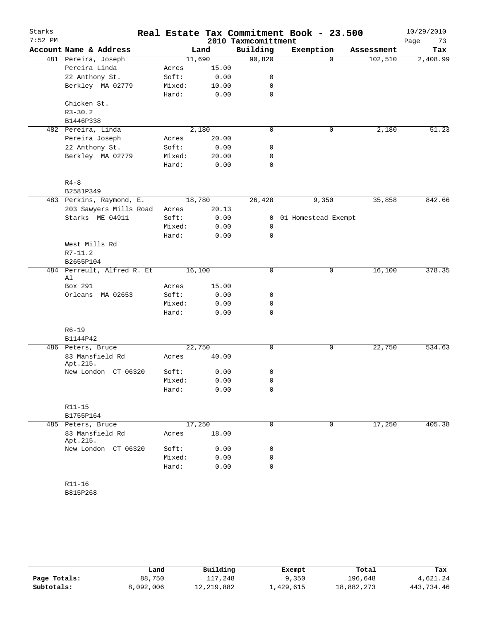| Starks<br>$7:52$ PM |                                      |                |       | 2010 Taxmcomittment | Real Estate Tax Commitment Book - 23.500 |             |            | 10/29/2010<br>Page<br>73 |
|---------------------|--------------------------------------|----------------|-------|---------------------|------------------------------------------|-------------|------------|--------------------------|
|                     | Account Name & Address               |                | Land  | Building            | Exemption                                |             | Assessment | Tax                      |
|                     | 481 Pereira, Joseph                  | 11,690         |       | 90,820              |                                          | $\Omega$    | 102,510    | 2,408.99                 |
|                     | Pereira Linda                        | Acres          | 15.00 |                     |                                          |             |            |                          |
|                     | 22 Anthony St.                       | Soft:          | 0.00  | 0                   |                                          |             |            |                          |
|                     | Berkley MA 02779                     | Mixed:         | 10.00 | 0                   |                                          |             |            |                          |
|                     |                                      | Hard:          | 0.00  | $\mathbf 0$         |                                          |             |            |                          |
|                     | Chicken St.                          |                |       |                     |                                          |             |            |                          |
|                     | $R3 - 30.2$                          |                |       |                     |                                          |             |            |                          |
|                     | B1446P338                            |                |       | 0                   |                                          |             |            | 51.23                    |
|                     | 482 Pereira, Linda<br>Pereira Joseph | 2,180<br>Acres | 20.00 |                     |                                          | 0           | 2,180      |                          |
|                     | 22 Anthony St.                       | Soft:          | 0.00  | 0                   |                                          |             |            |                          |
|                     | Berkley MA 02779                     | Mixed:         | 20.00 | 0                   |                                          |             |            |                          |
|                     |                                      | Hard:          | 0.00  | $\mathbf 0$         |                                          |             |            |                          |
|                     | $R4 - 8$                             |                |       |                     |                                          |             |            |                          |
|                     | B2581P349                            |                |       |                     |                                          |             |            |                          |
|                     | 483 Perkins, Raymond, E.             | 18,780         |       | 26,428              | 9,350                                    |             | 35,858     | 842.66                   |
|                     | 203 Sawyers Mills Road               | Acres          | 20.13 |                     |                                          |             |            |                          |
|                     | Starks ME 04911                      | Soft:          | 0.00  | $\mathbf{0}$        | 01 Homestead Exempt                      |             |            |                          |
|                     |                                      | Mixed:         | 0.00  | 0                   |                                          |             |            |                          |
|                     |                                      | Hard:          | 0.00  | $\mathbf 0$         |                                          |             |            |                          |
|                     | West Mills Rd                        |                |       |                     |                                          |             |            |                          |
|                     | $R7 - 11.2$                          |                |       |                     |                                          |             |            |                          |
|                     | B2655P104                            |                |       |                     |                                          |             |            |                          |
|                     | 484 Perreult, Alfred R. Et<br>Al     | 16,100         |       | 0                   |                                          | 0           | 16,100     | 378.35                   |
|                     | Box 291                              | Acres          | 15.00 |                     |                                          |             |            |                          |
|                     | Orleans<br>MA 02653                  | Soft:          | 0.00  | 0                   |                                          |             |            |                          |
|                     |                                      | Mixed:         | 0.00  | 0                   |                                          |             |            |                          |
|                     |                                      | Hard:          | 0.00  | 0                   |                                          |             |            |                          |
|                     | $R6 - 19$                            |                |       |                     |                                          |             |            |                          |
|                     | B1144P42                             |                |       |                     |                                          |             |            |                          |
|                     | 486 Peters, Bruce                    | 22,750         |       | 0                   |                                          | $\mathsf 0$ | 22,750     | 534.63                   |
|                     | 83 Mansfield Rd<br>Apt.215.          | Acres          | 40.00 |                     |                                          |             |            |                          |
|                     | New London CT 06320                  | Soft:          | 0.00  | 0                   |                                          |             |            |                          |
|                     |                                      | Mixed:         | 0.00  | 0                   |                                          |             |            |                          |
|                     |                                      | Hard:          | 0.00  | 0                   |                                          |             |            |                          |
|                     | R11-15                               |                |       |                     |                                          |             |            |                          |
|                     | B1755P164                            |                |       |                     |                                          |             |            |                          |
|                     | 485 Peters, Bruce                    | 17,250         |       | $\mathbf 0$         |                                          | $\mathbf 0$ | 17,250     | 405.38                   |
|                     | 83 Mansfield Rd<br>Apt.215.          | Acres          | 18.00 |                     |                                          |             |            |                          |
|                     | New London CT 06320                  | Soft:          | 0.00  | 0                   |                                          |             |            |                          |
|                     |                                      | Mixed:         | 0.00  | 0                   |                                          |             |            |                          |
|                     |                                      | Hard:          | 0.00  | 0                   |                                          |             |            |                          |
|                     | R11-16<br>B815P268                   |                |       |                     |                                          |             |            |                          |
|                     |                                      |                |       |                     |                                          |             |            |                          |

|              | Land      | Building   | Exempt    | Total      | Tax        |
|--------------|-----------|------------|-----------|------------|------------|
| Page Totals: | 88,750    | 117,248    | 9,350     | 196,648    | 4,621.24   |
| Subtotals:   | 8,092,006 | 12,219,882 | ⊥,429,615 | 18,882,273 | 443,734.46 |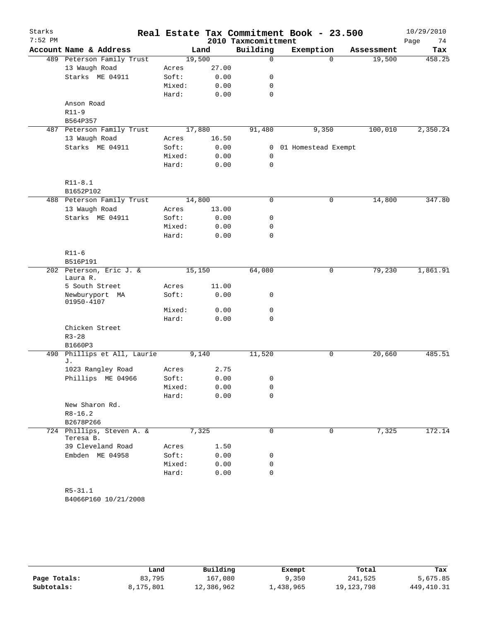| Starks    |                                        |                 |              |                     | Real Estate Tax Commitment Book - 23.500 |            | 10/29/2010 |
|-----------|----------------------------------------|-----------------|--------------|---------------------|------------------------------------------|------------|------------|
| $7:52$ PM |                                        |                 |              | 2010 Taxmcomittment |                                          |            | 74<br>Page |
|           | Account Name & Address                 |                 | Land         | Building            | Exemption                                | Assessment | Tax        |
|           | 489 Peterson Family Trust              |                 | 19,500       | 0                   | $\Omega$                                 | 19,500     | 458.25     |
|           | 13 Waugh Road                          | Acres           | 27.00        |                     |                                          |            |            |
|           | Starks ME 04911                        | Soft:<br>Mixed: | 0.00         | 0<br>$\mathbf 0$    |                                          |            |            |
|           |                                        | Hard:           | 0.00<br>0.00 | $\mathbf 0$         |                                          |            |            |
|           | Anson Road                             |                 |              |                     |                                          |            |            |
|           | $R11-9$                                |                 |              |                     |                                          |            |            |
|           | B564P357                               |                 |              |                     |                                          |            |            |
|           | 487 Peterson Family Trust              |                 | 17,880       | 91,480              | 9,350                                    | 100,010    | 2,350.24   |
|           | 13 Waugh Road                          | Acres           | 16.50        |                     |                                          |            |            |
|           | Starks ME 04911                        | Soft:           | 0.00         | 0                   | 01 Homestead Exempt                      |            |            |
|           |                                        | Mixed:          | 0.00         | 0                   |                                          |            |            |
|           |                                        | Hard:           | 0.00         | $\mathbf 0$         |                                          |            |            |
|           | $R11 - 8.1$                            |                 |              |                     |                                          |            |            |
|           | B1652P102                              |                 |              |                     |                                          |            |            |
|           | 488 Peterson Family Trust              |                 | 14,800       | 0                   | $\mathbf 0$                              | 14,800     | 347.80     |
|           | 13 Waugh Road                          | Acres           | 13.00        |                     |                                          |            |            |
|           | Starks ME 04911                        | Soft:           | 0.00         | 0                   |                                          |            |            |
|           |                                        | Mixed:          | 0.00         | 0                   |                                          |            |            |
|           |                                        | Hard:           | 0.00         | $\mathbf 0$         |                                          |            |            |
|           | $R11-6$                                |                 |              |                     |                                          |            |            |
|           | B516P191                               |                 |              |                     |                                          |            |            |
|           | 202 Peterson, Eric J. &<br>Laura R.    |                 | 15,150       | 64,080              | $\mathsf{O}$                             | 79,230     | 1,861.91   |
|           | 5 South Street                         | Acres           | 11.00        |                     |                                          |            |            |
|           | Newburyport MA<br>01950-4107           | Soft:           | 0.00         | 0                   |                                          |            |            |
|           |                                        | Mixed:          | 0.00         | 0                   |                                          |            |            |
|           |                                        | Hard:           | 0.00         | 0                   |                                          |            |            |
|           | Chicken Street<br>$R3 - 28$            |                 |              |                     |                                          |            |            |
|           | B1660P3                                |                 |              |                     |                                          |            |            |
| 490       | Phillips et All, Laurie<br>J.          |                 | 9,140        | 11,520              | 0                                        | 20,660     | 485.51     |
|           | 1023 Rangley Road                      | Acres           | 2.75         |                     |                                          |            |            |
|           | Phillips ME 04966                      | Soft:           | 0.00         | 0                   |                                          |            |            |
|           |                                        | Mixed:          | 0.00         | 0                   |                                          |            |            |
|           |                                        | Hard:           | 0.00         | 0                   |                                          |            |            |
|           | New Sharon Rd.                         |                 |              |                     |                                          |            |            |
|           | $R8 - 16.2$                            |                 |              |                     |                                          |            |            |
|           | B2678P266                              |                 |              |                     |                                          |            |            |
|           | 724 Phillips, Steven A. &<br>Teresa B. |                 | 7,325        | 0                   | $\mathbf 0$                              | 7,325      | 172.14     |
|           | 39 Cleveland Road                      | Acres           | 1.50         |                     |                                          |            |            |
|           | Embden ME 04958                        | Soft:           | 0.00         | 0                   |                                          |            |            |
|           |                                        | Mixed:          | 0.00         | 0                   |                                          |            |            |
|           |                                        | Hard:           | 0.00         | 0                   |                                          |            |            |
|           | $R5 - 31.1$                            |                 |              |                     |                                          |            |            |

B4066P160 10/21/2008

|              | Land      | Building   | Exempt    | Total      | Tax        |
|--------------|-----------|------------|-----------|------------|------------|
| Page Totals: | 83,795    | 167,080    | 9,350     | 241,525    | 5,675.85   |
| Subtotals:   | 8,175,801 | 12,386,962 | ⊥,438,965 | 19,123,798 | 449,410.31 |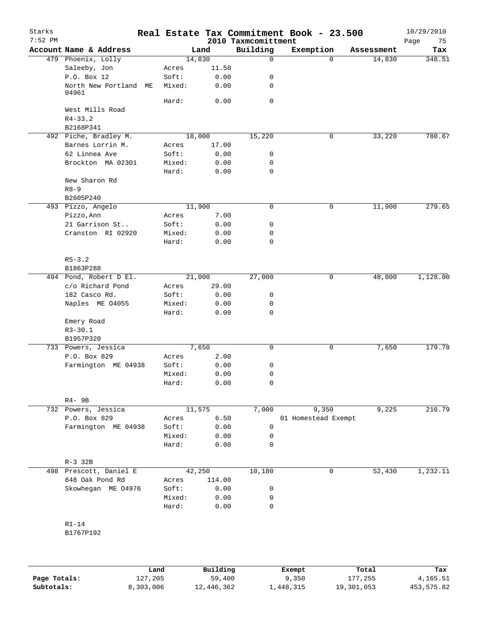| Starks<br>$7:52$ PM |                                  |    |        |        | 2010 Taxmcomittment | Real Estate Tax Commitment Book - 23.500 |            | 10/29/2010<br>Page<br>75 |
|---------------------|----------------------------------|----|--------|--------|---------------------|------------------------------------------|------------|--------------------------|
|                     | Account Name & Address           |    |        | Land   | Building            | Exemption                                | Assessment | Tax                      |
|                     | 479 Phoenix, Lolly               |    |        | 14,830 | $\mathbf 0$         | $\Omega$                                 |            | 14,830<br>348.51         |
|                     | Saleeby, Jon                     |    | Acres  | 11.50  |                     |                                          |            |                          |
|                     | P.O. Box 12                      |    | Soft:  | 0.00   | 0                   |                                          |            |                          |
|                     | North New Portland<br>04961      | ME | Mixed: | 0.00   | 0                   |                                          |            |                          |
|                     |                                  |    | Hard:  | 0.00   | $\mathbf 0$         |                                          |            |                          |
|                     | West Mills Road                  |    |        |        |                     |                                          |            |                          |
|                     | $R4 - 33.2$                      |    |        |        |                     |                                          |            |                          |
|                     | B2168P341                        |    |        |        |                     |                                          |            |                          |
|                     | 492 Piche, Bradley M.            |    |        | 18,000 | 15,220              | 0                                        |            | 33,220<br>780.67         |
|                     | Barnes Lorrin M.                 |    | Acres  | 17.00  |                     |                                          |            |                          |
|                     | 62 Linnea Ave                    |    | Soft:  | 0.00   | 0                   |                                          |            |                          |
|                     | Brockton MA 02301                |    | Mixed: | 0.00   | 0                   |                                          |            |                          |
|                     |                                  |    | Hard:  | 0.00   | 0                   |                                          |            |                          |
|                     | New Sharon Rd<br>$R8 - 9$        |    |        |        |                     |                                          |            |                          |
|                     | B2605P240                        |    |        |        |                     |                                          |            |                          |
|                     | 493 Pizzo, Angelo                |    |        | 11,900 | $\mathbf 0$         | 0                                        |            | 11,900<br>279.65         |
|                     | Pizzo, Ann                       |    | Acres  | 7.00   |                     |                                          |            |                          |
|                     | 21 Garrison St                   |    | Soft:  | 0.00   | 0                   |                                          |            |                          |
|                     | Cranston RI 02920                |    | Mixed: | 0.00   | 0                   |                                          |            |                          |
|                     |                                  |    | Hard:  | 0.00   | 0                   |                                          |            |                          |
|                     | $R5 - 3.2$                       |    |        |        |                     |                                          |            |                          |
|                     | B1863P288                        |    |        |        |                     |                                          |            |                          |
|                     | 494 Pond, Robert D El.           |    |        | 21,000 | 27,000              | $\mathbf 0$                              |            | 48,000<br>1,128.00       |
|                     | c/o Richard Pond                 |    | Acres  | 29.00  |                     |                                          |            |                          |
|                     | 182 Casco Rd.                    |    | Soft:  | 0.00   | 0                   |                                          |            |                          |
|                     | Naples ME 04055                  |    | Mixed: | 0.00   | 0                   |                                          |            |                          |
|                     |                                  |    | Hard:  | 0.00   | 0                   |                                          |            |                          |
|                     | Emery Road                       |    |        |        |                     |                                          |            |                          |
|                     | $R3 - 30.1$                      |    |        |        |                     |                                          |            |                          |
|                     | B1957P320                        |    |        |        |                     |                                          |            |                          |
|                     | 733 Powers, Jessica              |    |        | 7,650  | 0                   | 0                                        |            | 7,650<br>179.78          |
|                     | P.O. Box 829                     |    | Acres  | 2.00   |                     |                                          |            |                          |
|                     | Farmington ME 04938              |    | Soft:  | 0.00   | 0                   |                                          |            |                          |
|                     |                                  |    | Mixed: | 0.00   | 0                   |                                          |            |                          |
|                     |                                  |    | Hard:  | 0.00   | 0                   |                                          |            |                          |
|                     |                                  |    |        |        |                     |                                          |            |                          |
|                     | $R4 - 9B$<br>732 Powers, Jessica |    |        | 11,575 | 7,000               | 9,350                                    |            | 9,225<br>216.79          |
|                     | P.O. Box 829                     |    | Acres  | 6.50   |                     | 01 Homestead Exempt                      |            |                          |
|                     | Farmington ME 04938              |    | Soft:  | 0.00   | 0                   |                                          |            |                          |
|                     |                                  |    | Mixed: | 0.00   | 0                   |                                          |            |                          |
|                     |                                  |    | Hard:  | 0.00   | 0                   |                                          |            |                          |
|                     | $R-3$ 32B                        |    |        |        |                     |                                          |            |                          |
|                     | 498 Prescott, Daniel E           |    |        | 42,250 | 10,180              |                                          | 0          | 52,430<br>1,232.11       |
|                     | 848 Oak Pond Rd                  |    | Acres  | 114.00 |                     |                                          |            |                          |
|                     | Skowhegan ME 04976               |    | Soft:  | 0.00   | 0                   |                                          |            |                          |
|                     |                                  |    | Mixed: | 0.00   | 0                   |                                          |            |                          |
|                     |                                  |    | Hard:  | 0.00   | 0                   |                                          |            |                          |
|                     |                                  |    |        |        |                     |                                          |            |                          |
|                     | $R1-14$                          |    |        |        |                     |                                          |            |                          |
|                     | B1767P192                        |    |        |        |                     |                                          |            |                          |
|                     |                                  |    |        |        |                     |                                          |            |                          |
|                     |                                  |    |        |        |                     |                                          |            |                          |

|              | Land      | Building   | Exempt    | Total      | Tax        |
|--------------|-----------|------------|-----------|------------|------------|
| Page Totals: | 127,205   | 59,400     | 9,350     | 177,255    | 4,165.51   |
| Subtotals:   | 8,303,006 | 12,446,362 | 1,448,315 | 19,301,053 | 453,575.82 |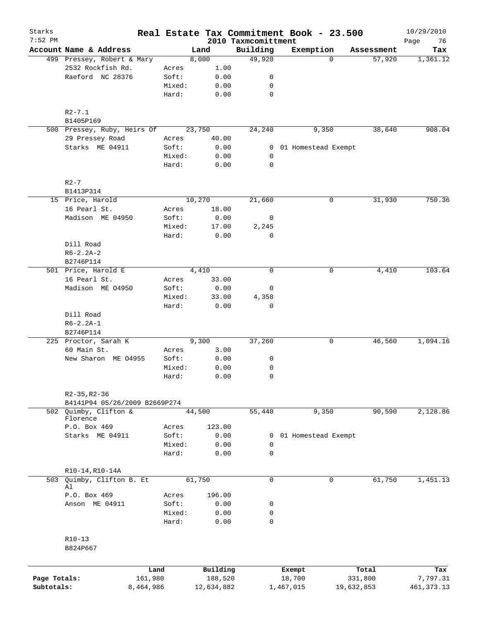| Starks<br>$7:52$ PM |                                           |                 |        |              | 2010 Taxmcomittment | Real Estate Tax Commitment Book - 23.500 |             |            | 10/29/2010<br>76<br>Page |
|---------------------|-------------------------------------------|-----------------|--------|--------------|---------------------|------------------------------------------|-------------|------------|--------------------------|
|                     | Account Name & Address                    |                 | Land   |              | Building            | Exemption                                |             | Assessment | Tax                      |
|                     | 499 Pressey, Robert & Mary                |                 | 8,000  |              | 49,920              |                                          | $\Omega$    | 57,920     | 1,361.12                 |
|                     | 2532 Rockfish Rd.                         | Acres           |        | 1.00         |                     |                                          |             |            |                          |
|                     | Raeford NC 28376                          | Soft:           |        | 0.00         | 0                   |                                          |             |            |                          |
|                     |                                           | Mixed:          |        | 0.00         | 0                   |                                          |             |            |                          |
|                     |                                           | Hard:           |        | 0.00         | 0                   |                                          |             |            |                          |
|                     | $R2 - 7.1$                                |                 |        |              |                     |                                          |             |            |                          |
|                     | B1405P169                                 |                 |        |              |                     |                                          |             |            |                          |
|                     | 500 Pressey, Ruby, Heirs Of               |                 | 23,750 |              | 24,240              | 9,350                                    |             | 38,640     | 908.04                   |
|                     | 29 Pressey Road                           | Acres           |        | 40.00        |                     |                                          |             |            |                          |
|                     | Starks ME 04911                           | Soft:           |        | 0.00         |                     | 0 01 Homestead Exempt                    |             |            |                          |
|                     |                                           | Mixed:          |        | 0.00         | 0                   |                                          |             |            |                          |
|                     |                                           | Hard:           |        | 0.00         | 0                   |                                          |             |            |                          |
|                     | $R2-7$                                    |                 |        |              |                     |                                          |             |            |                          |
|                     | B1413P314                                 |                 |        |              |                     |                                          |             |            |                          |
|                     | 15 Price, Harold                          |                 | 10,270 |              | 21,660              |                                          | $\mathbf 0$ | 31,930     | 750.36                   |
|                     | 16 Pearl St.                              | Acres           |        | 18.00        |                     |                                          |             |            |                          |
|                     | Madison ME 04950                          | Soft:           |        | 0.00         | 0                   |                                          |             |            |                          |
|                     |                                           | Mixed:          |        | 17.00        | 2,245               |                                          |             |            |                          |
|                     |                                           | Hard:           |        | 0.00         | 0                   |                                          |             |            |                          |
|                     | Dill Road                                 |                 |        |              |                     |                                          |             |            |                          |
|                     | $R6 - 2.2A - 2$                           |                 |        |              |                     |                                          |             |            |                          |
|                     | B2746P114                                 |                 |        |              |                     |                                          |             |            |                          |
|                     | 501 Price, Harold E                       |                 | 4,410  |              | $\mathbf 0$         |                                          | 0           | 4,410      | 103.64                   |
|                     | 16 Pearl St.                              | Acres           |        | 33.00        |                     |                                          |             |            |                          |
|                     | Madison ME 04950                          | Soft:           |        | 0.00         | 0                   |                                          |             |            |                          |
|                     |                                           | Mixed:          |        | 33.00        | 4,358               |                                          |             |            |                          |
|                     |                                           | Hard:           |        | 0.00         | 0                   |                                          |             |            |                          |
|                     | Dill Road<br>$R6 - 2.2A - 1$<br>B2746P114 |                 |        |              |                     |                                          |             |            |                          |
|                     | 225 Proctor, Sarah K                      |                 | 9,300  |              | 37,260              |                                          | 0           | 46,560     | 1,094.16                 |
|                     | 60 Main St.                               | Acres           |        | 3.00         |                     |                                          |             |            |                          |
|                     | New Sharon ME 04955                       | Soft:           |        | 0.00         | 0                   |                                          |             |            |                          |
|                     |                                           | Mixed:          |        | 0.00         | 0                   |                                          |             |            |                          |
|                     |                                           | Hard:           |        | 0.00         | $\mathbf 0$         |                                          |             |            |                          |
|                     | $R2 - 35, R2 - 36$                        |                 |        |              |                     |                                          |             |            |                          |
|                     | B4141P94 05/26/2009 B2669P274             |                 |        |              |                     |                                          |             |            |                          |
| 502                 | Ouimby, Clifton &                         |                 | 44,500 |              | 55,440              | 9,350                                    |             | 90,590     | 2,128.86                 |
|                     | Florence                                  |                 |        |              |                     |                                          |             |            |                          |
|                     | P.O. Box 469                              | Acres           |        | 123.00       |                     |                                          |             |            |                          |
|                     | Starks ME 04911                           | Soft:           |        | 0.00         | 0                   | 01 Homestead Exempt                      |             |            |                          |
|                     |                                           | Mixed:<br>Hard: |        | 0.00<br>0.00 | 0<br>$\mathbf 0$    |                                          |             |            |                          |
|                     |                                           |                 |        |              |                     |                                          |             |            |                          |
|                     | $R10-14, R10-14A$                         |                 |        |              |                     |                                          |             |            |                          |
| 503                 | Quimby, Clifton B. Et<br>Al               |                 | 61,750 |              | $\mathbf 0$         |                                          | $\mathbf 0$ | 61,750     | 1,451.13                 |
|                     | P.O. Box 469                              | Acres           |        | 196.00       |                     |                                          |             |            |                          |
|                     | Anson ME 04911                            | Soft:           |        | 0.00         | 0                   |                                          |             |            |                          |
|                     |                                           | Mixed:          |        | 0.00         | 0                   |                                          |             |            |                          |
|                     |                                           | Hard:           |        | 0.00         | 0                   |                                          |             |            |                          |
|                     |                                           |                 |        |              |                     |                                          |             |            |                          |
|                     | $R10-13$<br>B824P667                      |                 |        |              |                     |                                          |             |            |                          |
|                     |                                           |                 |        |              |                     |                                          |             |            |                          |
|                     |                                           | Land            |        | Building     |                     | Exempt                                   |             | Total      | Tax                      |
| Page Totals:        |                                           | 161,980         |        | 188,520      |                     | 18,700                                   |             | 331,800    | 7,797.31                 |
| Subtotals:          |                                           | 8,464,986       |        | 12,634,882   |                     | 1,467,015                                | 19,632,853  |            | 461, 373. 13             |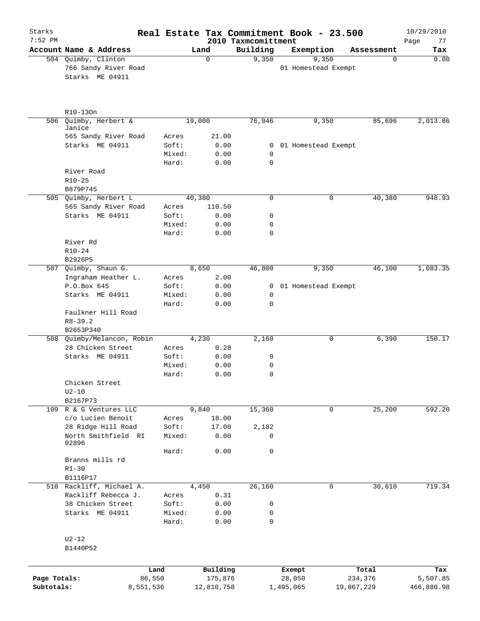| Starks<br>$7:52$ PM |                                          |                 |              |                                 | Real Estate Tax Commitment Book - 23.500 |             | 10/29/2010        |
|---------------------|------------------------------------------|-----------------|--------------|---------------------------------|------------------------------------------|-------------|-------------------|
|                     | Account Name & Address                   |                 | Land         | 2010 Taxmcomittment<br>Building | Exemption                                | Assessment  | 77<br>Page<br>Tax |
|                     | 504 Quimby, Clinton                      |                 | 0            | 9,350                           | 9,350                                    | $\mathbf 0$ | 0.00              |
|                     | 766 Sandy River Road<br>Starks ME 04911  |                 |              |                                 | 01 Homestead Exempt                      |             |                   |
|                     | R10-130n                                 |                 |              |                                 |                                          |             |                   |
| 506                 | Quimby, Herbert &<br>Janice              |                 | 19,000       | 76,046                          | 9,350                                    | 85,696      | 2,013.86          |
|                     | 565 Sandy River Road                     | Acres           | 21.00        |                                 |                                          |             |                   |
|                     | Starks ME 04911                          | Soft:           | 0.00         |                                 | 0 01 Homestead Exempt                    |             |                   |
|                     |                                          | Mixed:          | 0.00         | 0<br>$\mathbf 0$                |                                          |             |                   |
|                     | River Road                               | Hard:           | 0.00         |                                 |                                          |             |                   |
|                     | $R10 - 25$                               |                 |              |                                 |                                          |             |                   |
|                     | B879P745                                 |                 |              |                                 |                                          |             |                   |
|                     | 505 Quimby, Herbert L                    |                 | 40,380       | 0                               | 0                                        | 40,380      | 948.93            |
|                     | 565 Sandy River Road                     | Acres           | 110.50       |                                 |                                          |             |                   |
|                     | Starks ME 04911                          | Soft:           | 0.00         | 0                               |                                          |             |                   |
|                     |                                          | Mixed:          | 0.00         | 0                               |                                          |             |                   |
|                     |                                          | Hard:           | 0.00         | 0                               |                                          |             |                   |
|                     | River Rd                                 |                 |              |                                 |                                          |             |                   |
|                     | $R10 - 24$                               |                 |              |                                 |                                          |             |                   |
|                     | B2926P5                                  |                 |              |                                 |                                          |             |                   |
|                     | 507 Quimby, Shaun G.                     |                 | 8,650        | 46,800                          | 9,350                                    | 46,100      | 1,083.35          |
|                     | Ingraham Heather L.                      | Acres           | 2.00         |                                 |                                          |             |                   |
|                     | P.O.Box 645                              | Soft:           | 0.00         | 0                               | 01 Homestead Exempt                      |             |                   |
|                     | Starks ME 04911                          | Mixed:<br>Hard: | 0.00<br>0.00 | $\mathbf 0$<br>0                |                                          |             |                   |
|                     | Faulkner Hill Road                       |                 |              |                                 |                                          |             |                   |
|                     | $R8 - 39.2$                              |                 |              |                                 |                                          |             |                   |
|                     | B2653P340                                |                 |              |                                 |                                          |             |                   |
|                     | 508 Quimby/Melancon, Robin               |                 | 4,230        | 2,160                           | 0                                        | 6,390       | 150.17            |
|                     | 28 Chicken Street                        | Acres           | 0.28         |                                 |                                          |             |                   |
|                     | Starks ME 04911                          | Soft:           | 0.00         | 0                               |                                          |             |                   |
|                     |                                          | Mixed:          | 0.00         | 0                               |                                          |             |                   |
|                     |                                          | Hard:           | 0.00         | $\mathbf 0$                     |                                          |             |                   |
|                     | Chicken Street                           |                 |              |                                 |                                          |             |                   |
|                     | $U2-10$<br>B2167P73                      |                 |              |                                 |                                          |             |                   |
|                     | 109 R & G Ventures LLC                   |                 | 9,840        | 15,360                          | 0                                        | 25,200      | 592.20            |
|                     | c/o Lucien Benoit                        | Acres           | 18.00        |                                 |                                          |             |                   |
|                     | 28 Ridge Hill Road                       | Soft:           | 17.00        | 2,182                           |                                          |             |                   |
|                     | North Smithfield RI                      | Mixed:          | 0.00         | 0                               |                                          |             |                   |
|                     | 02896                                    |                 |              |                                 |                                          |             |                   |
|                     |                                          | Hard:           | 0.00         | $\mathsf{O}$                    |                                          |             |                   |
|                     | Branns mills rd                          |                 |              |                                 |                                          |             |                   |
|                     | $R1 - 30$                                |                 |              |                                 |                                          |             |                   |
|                     | B1116P17                                 |                 |              |                                 |                                          |             |                   |
|                     | 510 Rackliff, Michael A.                 |                 | 4,450        | 26,160                          | 0                                        | 30,610      | 719.34            |
|                     | Rackliff Rebecca J.<br>38 Chicken Street | Acres<br>Soft:  | 0.31<br>0.00 | 0                               |                                          |             |                   |
|                     | Starks ME 04911                          | Mixed:          | 0.00         | 0                               |                                          |             |                   |
|                     |                                          | Hard:           | 0.00         | $\mathbf 0$                     |                                          |             |                   |
|                     |                                          |                 |              |                                 |                                          |             |                   |
|                     | $U2-12$                                  |                 |              |                                 |                                          |             |                   |
|                     | B1440P52                                 |                 |              |                                 |                                          |             |                   |
|                     |                                          |                 |              |                                 |                                          |             |                   |
|                     |                                          | Land            | Building     |                                 | Exempt                                   | Total       | Tax               |
| Page Totals:        | 86,550                                   |                 | 175,876      |                                 | 28,050                                   | 234,376     | 5,507.85          |
| Subtotals:          | 8,551,536                                |                 | 12,810,758   |                                 | 1,495,065                                | 19,867,229  | 466,880.98        |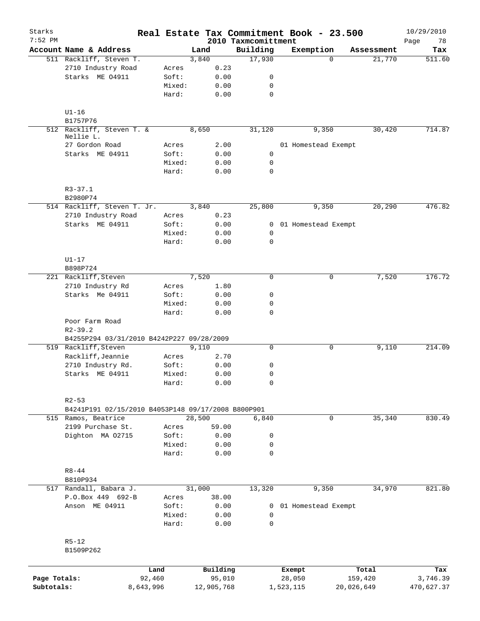| Starks<br>$7:52$ PM |                                                    |                 |        |              | 2010 Taxmcomittment         | Real Estate Tax Commitment Book - 23.500 |            | 10/29/2010<br>78<br>Page |
|---------------------|----------------------------------------------------|-----------------|--------|--------------|-----------------------------|------------------------------------------|------------|--------------------------|
|                     | Account Name & Address                             |                 | Land   |              | Building                    | Exemption                                | Assessment | Tax                      |
|                     | 511 Rackliff, Steven T.                            |                 | 3,840  |              | 17,930                      | $\Omega$                                 | 21,770     | 511.60                   |
|                     | 2710 Industry Road                                 | Acres           |        | 0.23         |                             |                                          |            |                          |
|                     | Starks ME 04911                                    | Soft:           |        | 0.00         | 0                           |                                          |            |                          |
|                     |                                                    | Mixed:          |        | 0.00         | 0                           |                                          |            |                          |
|                     |                                                    | Hard:           |        | 0.00         | $\mathbf 0$                 |                                          |            |                          |
|                     | $U1-16$                                            |                 |        |              |                             |                                          |            |                          |
|                     | B1757P76                                           |                 |        |              |                             |                                          |            |                          |
|                     | 512 Rackliff, Steven T. &<br>Nellie L.             |                 | 8,650  |              | 31,120                      | 9,350                                    | 30,420     | 714.87                   |
|                     | 27 Gordon Road                                     | Acres           |        | 2.00         |                             | 01 Homestead Exempt                      |            |                          |
|                     | Starks ME 04911                                    | Soft:           |        | 0.00         | 0                           |                                          |            |                          |
|                     |                                                    | Mixed:<br>Hard: |        | 0.00<br>0.00 | $\mathbf 0$<br>$\mathbf 0$  |                                          |            |                          |
|                     | $R3 - 37.1$                                        |                 |        |              |                             |                                          |            |                          |
|                     | B2980P74                                           |                 |        |              |                             |                                          |            |                          |
|                     | 514 Rackliff, Steven T. Jr.                        |                 | 3,840  |              | 25,800                      | 9,350                                    | 20,290     | 476.82                   |
|                     | 2710 Industry Road                                 | Acres           |        | 0.23         |                             |                                          |            |                          |
|                     | Starks ME 04911                                    | Soft:           |        | 0.00         |                             | 0 01 Homestead Exempt                    |            |                          |
|                     |                                                    | Mixed:          |        | 0.00         | 0                           |                                          |            |                          |
|                     |                                                    | Hard:           |        | 0.00         | $\mathbf 0$                 |                                          |            |                          |
|                     | $U1-17$                                            |                 |        |              |                             |                                          |            |                          |
|                     | B898P724                                           |                 |        |              | $\Omega$                    | $\mathbf 0$                              | 7,520      | 176.72                   |
|                     | 221 Rackliff, Steven                               |                 | 7,520  |              |                             |                                          |            |                          |
|                     | 2710 Industry Rd                                   | Acres           |        | 1.80         |                             |                                          |            |                          |
|                     | Starks Me 04911                                    | Soft:           |        | 0.00         | 0                           |                                          |            |                          |
|                     |                                                    | Mixed:<br>Hard: |        | 0.00<br>0.00 | $\mathbf 0$<br>$\mathbf 0$  |                                          |            |                          |
|                     | Poor Farm Road                                     |                 |        |              |                             |                                          |            |                          |
|                     | $R2 - 39.2$                                        |                 |        |              |                             |                                          |            |                          |
|                     | B4255P294 03/31/2010 B4242P227 09/28/2009          |                 |        |              |                             |                                          |            |                          |
|                     | 519 Rackliff, Steven                               |                 | 9,110  |              | 0                           | 0                                        | 9,110      | 214.09                   |
|                     | Rackliff, Jeannie                                  | Acres           |        | 2.70         |                             |                                          |            |                          |
|                     | 2710 Industry Rd.                                  | Soft:           |        | 0.00         | 0                           |                                          |            |                          |
|                     | Starks ME 04911                                    | Mixed:          |        | 0.00         | $\mathbf 0$                 |                                          |            |                          |
|                     |                                                    | Hard:           |        | 0.00         | $\mathsf{O}$                |                                          |            |                          |
|                     | $R2 - 53$                                          |                 |        |              |                             |                                          |            |                          |
|                     | B4241P191 02/15/2010 B4053P148 09/17/2008 B800P901 |                 |        |              |                             |                                          |            |                          |
|                     | 515 Ramos, Beatrice                                |                 | 28,500 |              | 6,840                       | 0                                        | 35,340     | 830.49                   |
|                     | 2199 Purchase St.                                  | Acres           |        | 59.00        |                             |                                          |            |                          |
|                     | Dighton MA 02715                                   | Soft:           |        | 0.00         | $\mathsf{O}$                |                                          |            |                          |
|                     |                                                    | Mixed:          |        | 0.00         | $\mathsf{O}$                |                                          |            |                          |
|                     |                                                    | Hard:           |        | 0.00         | $\mathbf 0$                 |                                          |            |                          |
|                     | $R8 - 44$                                          |                 |        |              |                             |                                          |            |                          |
|                     | B810P934                                           |                 |        |              |                             |                                          |            |                          |
|                     | 517 Randall, Babara J.                             |                 | 31,000 |              | 13,320                      | 9,350                                    | 34,970     | 821.80                   |
|                     | P.O.Box 449 692-B                                  | Acres           |        | 38.00        |                             |                                          |            |                          |
|                     | Anson ME 04911                                     | Soft:           |        | 0.00         | 0                           | 01 Homestead Exempt                      |            |                          |
|                     |                                                    | Mixed:<br>Hard: |        | 0.00<br>0.00 | $\mathsf{O}$<br>$\mathbf 0$ |                                          |            |                          |
|                     | $R5 - 12$                                          |                 |        |              |                             |                                          |            |                          |
|                     | B1509P262                                          |                 |        |              |                             |                                          |            |                          |
|                     |                                                    | Land            |        | Building     |                             | Exempt                                   | Total      | Tax                      |
| Page Totals:        | 92,460                                             |                 |        | 95,010       |                             | 28,050                                   | 159,420    | 3,746.39                 |
| Subtotals:          | 8,643,996                                          |                 |        | 12,905,768   |                             | 1,523,115                                | 20,026,649 | 470,627.37               |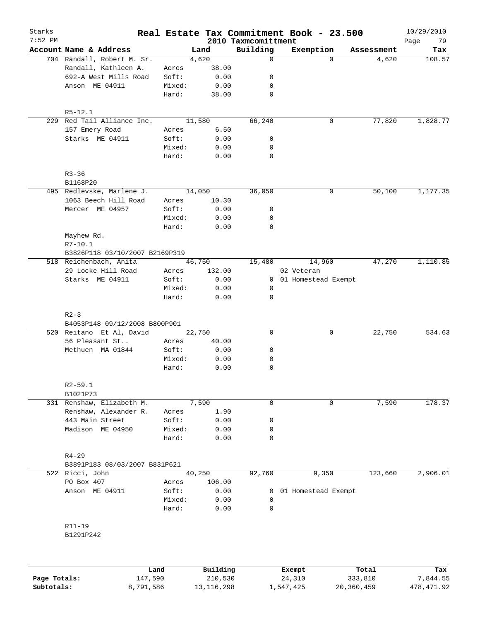| Starks<br>$7:52$ PM |                                |        |        | 2010 Taxmcomittment | Real Estate Tax Commitment Book - 23.500 |                   | 10/29/2010<br>Page<br>79 |
|---------------------|--------------------------------|--------|--------|---------------------|------------------------------------------|-------------------|--------------------------|
|                     | Account Name & Address         |        | Land   | Building            | Exemption                                | Assessment        | Tax                      |
|                     | 704 Randall, Robert M. Sr.     |        | 4,620  | $\mathbf 0$         |                                          | 4,620<br>$\Omega$ | 108.57                   |
|                     | Randall, Kathleen A.           | Acres  | 38.00  |                     |                                          |                   |                          |
|                     | 692-A West Mills Road          | Soft:  | 0.00   | 0                   |                                          |                   |                          |
|                     | Anson ME 04911                 | Mixed: | 0.00   | 0                   |                                          |                   |                          |
|                     |                                | Hard:  | 38.00  | 0                   |                                          |                   |                          |
|                     | $R5 - 12.1$                    |        |        |                     |                                          |                   |                          |
|                     | 229 Red Tail Alliance Inc.     |        | 11,580 | 66,240              | 0                                        | 77,820            | 1,828.77                 |
|                     | 157 Emery Road                 | Acres  | 6.50   |                     |                                          |                   |                          |
|                     | Starks ME 04911                | Soft:  | 0.00   | 0                   |                                          |                   |                          |
|                     |                                | Mixed: | 0.00   | 0                   |                                          |                   |                          |
|                     |                                | Hard:  | 0.00   | 0                   |                                          |                   |                          |
|                     | $R3 - 36$                      |        |        |                     |                                          |                   |                          |
|                     | B1168P20                       |        |        |                     |                                          |                   |                          |
|                     | 495 Redlevske, Marlene J.      |        | 14,050 | 36,050              | 0                                        | 50,100            | 1,177.35                 |
|                     | 1063 Beech Hill Road           | Acres  | 10.30  |                     |                                          |                   |                          |
|                     | Mercer ME 04957                | Soft:  | 0.00   | 0                   |                                          |                   |                          |
|                     |                                | Mixed: | 0.00   | 0                   |                                          |                   |                          |
|                     |                                | Hard:  | 0.00   | 0                   |                                          |                   |                          |
|                     | Mayhew Rd.                     |        |        |                     |                                          |                   |                          |
|                     | $R7 - 10.1$                    |        |        |                     |                                          |                   |                          |
|                     | B3826P118 03/10/2007 B2169P319 |        |        |                     |                                          |                   |                          |
|                     | 518 Reichenbach, Anita         |        | 46,750 | 15,480              | 14,960                                   | 47,270            | 1,110.85                 |
|                     | 29 Locke Hill Road             | Acres  | 132.00 |                     | 02 Veteran                               |                   |                          |
|                     | Starks ME 04911                | Soft:  | 0.00   |                     | 0 01 Homestead Exempt                    |                   |                          |
|                     |                                | Mixed: | 0.00   | 0                   |                                          |                   |                          |
|                     |                                | Hard:  | 0.00   | 0                   |                                          |                   |                          |
|                     | $R2 - 3$                       |        |        |                     |                                          |                   |                          |
|                     | B4053P148 09/12/2008 B800P901  |        |        |                     |                                          |                   |                          |
|                     | 520 Reitano Et Al, David       |        | 22,750 | $\mathbf 0$         | $\mathbf 0$                              | 22,750            | 534.63                   |
|                     | 56 Pleasant St                 | Acres  | 40.00  |                     |                                          |                   |                          |
|                     | Methuen MA 01844               | Soft:  | 0.00   | 0                   |                                          |                   |                          |
|                     |                                | Mixed: | 0.00   | 0                   |                                          |                   |                          |
|                     |                                | Hard:  | 0.00   | 0                   |                                          |                   |                          |
|                     | $R2 - 59.1$                    |        |        |                     |                                          |                   |                          |
|                     | B1021P73                       |        |        |                     |                                          |                   |                          |
|                     | 331 Renshaw, Elizabeth M.      |        | 7,590  | 0                   | $\mathbf 0$                              | 7,590             | 178.37                   |
|                     | Renshaw, Alexander R.          | Acres  | 1.90   |                     |                                          |                   |                          |
|                     | 443 Main Street                | Soft:  | 0.00   | 0                   |                                          |                   |                          |
|                     | Madison ME 04950               | Mixed: | 0.00   | 0                   |                                          |                   |                          |
|                     |                                | Hard:  | 0.00   | 0                   |                                          |                   |                          |
|                     | $R4 - 29$                      |        |        |                     |                                          |                   |                          |
|                     | B3891P183 08/03/2007 B831P621  |        |        |                     |                                          |                   |                          |
|                     | 522 Ricci, John                |        | 40,250 | 92,760              | 9,350                                    | 123,660           | 2,906.01                 |
|                     | PO Box 407                     | Acres  | 106.00 |                     |                                          |                   |                          |
|                     | Anson ME 04911                 | Soft:  | 0.00   | $\mathbf{0}$        | 01 Homestead Exempt                      |                   |                          |
|                     |                                | Mixed: | 0.00   | 0                   |                                          |                   |                          |
|                     |                                | Hard:  | 0.00   | 0                   |                                          |                   |                          |
|                     | R11-19                         |        |        |                     |                                          |                   |                          |
|                     | B1291P242                      |        |        |                     |                                          |                   |                          |
|                     |                                |        |        |                     |                                          |                   |                          |
|                     |                                |        |        |                     |                                          |                   |                          |
|                     |                                |        |        |                     |                                          |                   |                          |

|              | Land      | Building   | Exempt    | Total      | Tax        |
|--------------|-----------|------------|-----------|------------|------------|
| Page Totals: | 147,590   | 210,530    | 24,310    | 333,810    | 7,844.55   |
| Subtotals:   | 8,791,586 | 13,116,298 | 1,547,425 | 20,360,459 | 478,471.92 |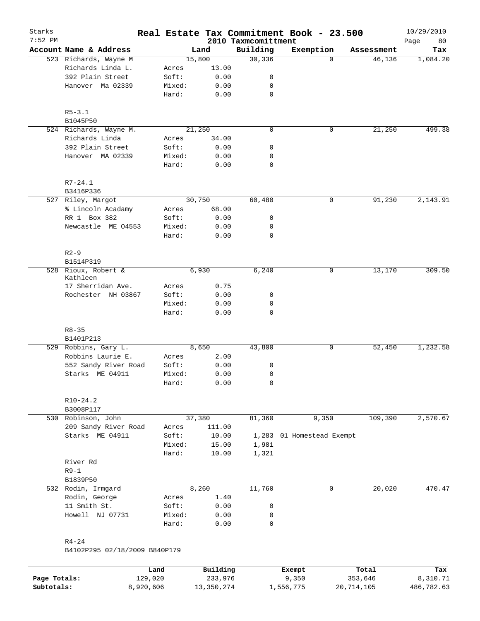| Starks<br>$7:52$ PM |                                 |        |        | 2010 Taxmcomittment | Real Estate Tax Commitment Book - 23.500 |            | 10/29/2010<br>80<br>Page |
|---------------------|---------------------------------|--------|--------|---------------------|------------------------------------------|------------|--------------------------|
|                     | Account Name & Address          |        | Land   | Building            | Exemption                                | Assessment | Tax                      |
|                     | 523 Richards, Wayne M           |        | 15,800 | 30, 336             | $\Omega$                                 | 46,136     | 1,084.20                 |
|                     | Richards Linda L.               | Acres  | 13.00  |                     |                                          |            |                          |
|                     | 392 Plain Street                | Soft:  | 0.00   | 0                   |                                          |            |                          |
|                     | Hanover Ma 02339                | Mixed: | 0.00   | 0                   |                                          |            |                          |
|                     |                                 | Hard:  | 0.00   | $\mathbf 0$         |                                          |            |                          |
|                     | $R5 - 3.1$                      |        |        |                     |                                          |            |                          |
|                     | B1045P50                        |        |        |                     |                                          |            |                          |
|                     | 524 Richards, Wayne M.          |        | 21,250 | $\mathbf 0$         | 0                                        | 21,250     | 499.38                   |
|                     | Richards Linda                  | Acres  | 34.00  |                     |                                          |            |                          |
|                     | 392 Plain Street                | Soft:  | 0.00   | 0                   |                                          |            |                          |
|                     | Hanover MA 02339                | Mixed: | 0.00   | 0                   |                                          |            |                          |
|                     |                                 | Hard:  | 0.00   | $\mathbf 0$         |                                          |            |                          |
|                     | $R7 - 24.1$                     |        |        |                     |                                          |            |                          |
|                     | B3416P336                       |        |        |                     |                                          |            |                          |
|                     | 527 Riley, Margot               |        | 30,750 | 60,480              | 0                                        | 91,230     | 2,143.91                 |
|                     | % Lincoln Acadamy               | Acres  | 68.00  |                     |                                          |            |                          |
|                     | RR 1 Box 382                    | Soft:  | 0.00   | 0                   |                                          |            |                          |
|                     | Newcastle ME 04553              | Mixed: | 0.00   | 0                   |                                          |            |                          |
|                     |                                 | Hard:  | 0.00   | 0                   |                                          |            |                          |
|                     | $R2-9$                          |        |        |                     |                                          |            |                          |
|                     | B1514P319                       |        |        |                     |                                          |            |                          |
|                     | 528 Rioux, Robert &<br>Kathleen |        | 6,930  | 6,240               | 0                                        | 13,170     | 309.50                   |
|                     | 17 Sherridan Ave.               | Acres  | 0.75   |                     |                                          |            |                          |
|                     | Rochester NH 03867              | Soft:  | 0.00   | 0                   |                                          |            |                          |
|                     |                                 | Mixed: | 0.00   | 0                   |                                          |            |                          |
|                     |                                 | Hard:  | 0.00   | $\mathbf 0$         |                                          |            |                          |
|                     | $R8 - 35$                       |        |        |                     |                                          |            |                          |
|                     | B1401P213                       |        |        |                     |                                          |            |                          |
|                     | 529 Robbins, Gary L.            |        | 8,650  | 43,800              | 0                                        | 52,450     | 1,232.58                 |
|                     | Robbins Laurie E.               | Acres  | 2.00   |                     |                                          |            |                          |
|                     | 552 Sandy River Road            | Soft:  | 0.00   | 0                   |                                          |            |                          |
|                     | Starks ME 04911                 | Mixed: | 0.00   | 0                   |                                          |            |                          |
|                     |                                 | Hard:  | 0.00   | 0                   |                                          |            |                          |
|                     | $R10-24.2$                      |        |        |                     |                                          |            |                          |
|                     | B3008P117                       |        |        |                     |                                          |            |                          |
|                     | 530 Robinson, John              |        | 37,380 | 81,360              | 9,350                                    | 109,390    | 2,570.67                 |
|                     | 209 Sandy River Road            | Acres  | 111.00 |                     |                                          |            |                          |
|                     | Starks ME 04911                 | Soft:  | 10.00  | 1,283               | 01 Homestead Exempt                      |            |                          |
|                     |                                 | Mixed: | 15.00  | 1,981               |                                          |            |                          |
|                     |                                 | Hard:  | 10.00  | 1,321               |                                          |            |                          |
|                     | River Rd                        |        |        |                     |                                          |            |                          |
|                     | $R9-1$                          |        |        |                     |                                          |            |                          |
|                     | B1839P50                        |        |        |                     |                                          |            |                          |
|                     | 532 Rodin, Irmgard              |        | 8,260  | 11,760              | $\mathbf 0$                              | 20,020     | 470.47                   |
|                     | Rodin, George                   | Acres  | 1.40   |                     |                                          |            |                          |
|                     | 11 Smith St.                    | Soft:  | 0.00   | 0                   |                                          |            |                          |
|                     | Howell NJ 07731                 | Mixed: | 0.00   | 0                   |                                          |            |                          |
|                     |                                 | Hard:  | 0.00   | 0                   |                                          |            |                          |
|                     | $R4 - 24$                       |        |        |                     |                                          |            |                          |
|                     | B4102P295 02/18/2009 B840P179   |        |        |                     |                                          |            |                          |
|                     |                                 |        |        |                     |                                          |            |                          |

|              | Land      | Building   | Exempt    | Total      | Tax        |
|--------------|-----------|------------|-----------|------------|------------|
| Page Totals: | 129,020   | 233,976    | 9,350     | 353,646    | 8,310.71   |
| Subtotals:   | 8,920,606 | 13,350,274 | 1,556,775 | 20,714,105 | 486,782.63 |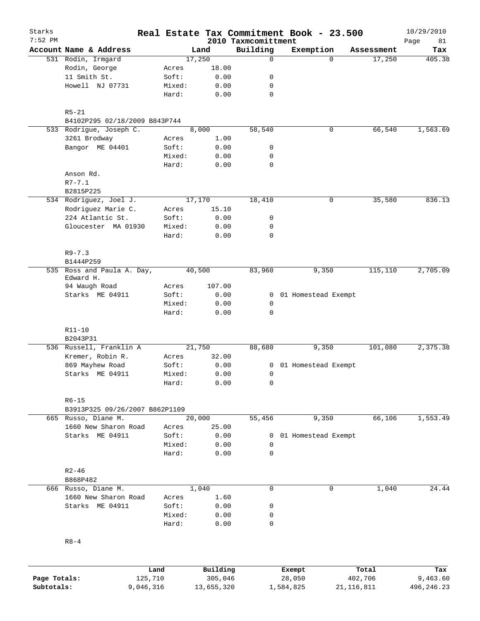| Starks                     |                                |                      |                 |                       |                                 | Real Estate Tax Commitment Book - 23.500 |                         | 10/29/2010              |
|----------------------------|--------------------------------|----------------------|-----------------|-----------------------|---------------------------------|------------------------------------------|-------------------------|-------------------------|
| $7:52$ PM                  | Account Name & Address         |                      |                 | Land                  | 2010 Taxmcomittment<br>Building | Exemption                                | Assessment              | Page<br>81<br>Tax       |
|                            | 531 Rodin, Irmgard             |                      |                 | 17,250                | $\mathbf 0$                     | $\Omega$                                 | 17,250                  | 405.38                  |
|                            | Rodin, George                  |                      | Acres           | 18.00                 |                                 |                                          |                         |                         |
|                            | 11 Smith St.                   |                      | Soft:           | 0.00                  | 0                               |                                          |                         |                         |
|                            | Howell NJ 07731                |                      | Mixed:          | 0.00                  | 0                               |                                          |                         |                         |
|                            |                                |                      | Hard:           | 0.00                  | $\mathbf 0$                     |                                          |                         |                         |
|                            | $R5 - 21$                      |                      |                 |                       |                                 |                                          |                         |                         |
|                            | B4102P295 02/18/2009 B843P744  |                      |                 |                       |                                 |                                          |                         |                         |
|                            | 533 Rodrigue, Joseph C.        |                      |                 | 8,000                 | 58,540                          | 0                                        | 66,540                  | 1,563.69                |
|                            | 3261 Brodway                   |                      | Acres           | 1.00                  |                                 |                                          |                         |                         |
|                            | Bangor ME 04401                |                      | Soft:           | 0.00                  | 0                               |                                          |                         |                         |
|                            |                                |                      | Mixed:          | 0.00                  | 0                               |                                          |                         |                         |
|                            |                                |                      | Hard:           | 0.00                  | 0                               |                                          |                         |                         |
|                            | Anson Rd.                      |                      |                 |                       |                                 |                                          |                         |                         |
|                            | $R7 - 7.1$                     |                      |                 |                       |                                 |                                          |                         |                         |
|                            | B2815P225                      |                      |                 |                       |                                 |                                          |                         |                         |
|                            | 534 Rodriguez, Joel J.         |                      |                 | 17,170                | 18,410                          | 0                                        | 35,580                  | 836.13                  |
|                            | Rodriguez Marie C.             |                      | Acres           | 15.10                 |                                 |                                          |                         |                         |
|                            | 224 Atlantic St.               |                      | Soft:           | 0.00                  | 0                               |                                          |                         |                         |
|                            | Gloucester MA 01930            |                      | Mixed:          | 0.00                  | 0                               |                                          |                         |                         |
|                            |                                |                      | Hard:           | 0.00                  | 0                               |                                          |                         |                         |
|                            | $R9 - 7.3$                     |                      |                 |                       |                                 |                                          |                         |                         |
|                            | B1444P259                      |                      |                 |                       |                                 |                                          |                         |                         |
| 535                        | Ross and Paula A. Day,         |                      |                 | 40,500                | 83,960                          | 9,350                                    | 115,110                 | 2,705.09                |
|                            | Edward H.<br>94 Waugh Road     |                      |                 | 107.00                |                                 |                                          |                         |                         |
|                            |                                |                      | Acres           |                       |                                 |                                          |                         |                         |
|                            | Starks ME 04911                |                      | Soft:           | 0.00                  | 0<br>0                          | 01 Homestead Exempt                      |                         |                         |
|                            |                                |                      | Mixed:<br>Hard: | 0.00<br>0.00          | 0                               |                                          |                         |                         |
|                            | $R11 - 10$                     |                      |                 |                       |                                 |                                          |                         |                         |
|                            | B2043P31                       |                      |                 |                       |                                 |                                          |                         |                         |
|                            | 536 Russell, Franklin A        |                      |                 | 21,750                | 88,680                          | 9,350                                    | 101,080                 | 2,375.38                |
|                            | Kremer, Robin R.               |                      | Acres           | 32.00                 |                                 |                                          |                         |                         |
|                            | 869 Mayhew Road                |                      | Soft:           | 0.00                  | 0                               | 01 Homestead Exempt                      |                         |                         |
|                            | Starks ME 04911                |                      | Mixed:          | 0.00                  | 0                               |                                          |                         |                         |
|                            |                                |                      | Hard:           | 0.00                  | 0                               |                                          |                         |                         |
|                            | $R6 - 15$                      |                      |                 |                       |                                 |                                          |                         |                         |
|                            | B3913P325 09/26/2007 B862P1109 |                      |                 |                       |                                 |                                          |                         |                         |
|                            | 665 Russo, Diane M.            |                      |                 | 20,000                | 55,456                          | 9,350                                    | 66,106                  | 1,553.49                |
|                            | 1660 New Sharon Road           |                      | Acres           | 25.00                 |                                 |                                          |                         |                         |
|                            | Starks ME 04911                |                      | Soft:           | 0.00                  | 0                               | 01 Homestead Exempt                      |                         |                         |
|                            |                                |                      | Mixed:          | 0.00                  | $\mathbf 0$                     |                                          |                         |                         |
|                            |                                |                      | Hard:           | 0.00                  | 0                               |                                          |                         |                         |
|                            | $R2 - 46$                      |                      |                 |                       |                                 |                                          |                         |                         |
|                            | B868P482                       |                      |                 |                       |                                 |                                          |                         |                         |
|                            | 666 Russo, Diane M.            |                      |                 | 1,040                 | 0                               | 0                                        | 1,040                   | 24.44                   |
|                            | 1660 New Sharon Road           |                      | Acres           | 1.60                  |                                 |                                          |                         |                         |
|                            | Starks ME 04911                |                      | Soft:           | 0.00                  | 0                               |                                          |                         |                         |
|                            |                                |                      | Mixed:          | 0.00                  | 0                               |                                          |                         |                         |
|                            |                                |                      | Hard:           | 0.00                  | 0                               |                                          |                         |                         |
|                            | $R8 - 4$                       |                      |                 |                       |                                 |                                          |                         |                         |
|                            |                                |                      |                 |                       |                                 |                                          |                         |                         |
|                            |                                | Land                 |                 | Building              |                                 | Exempt                                   | Total                   | Tax                     |
| Page Totals:<br>Subtotals: |                                | 125,710<br>9,046,316 |                 | 305,046<br>13,655,320 |                                 | 28,050<br>1,584,825                      | 402,706<br>21, 116, 811 | 9,463.60<br>496, 246.23 |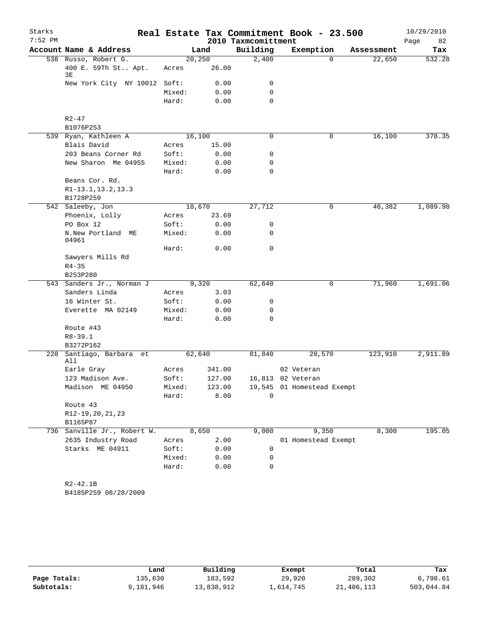| Starks    |                                                    |                |                  |                     | Real Estate Tax Commitment Book - 23.500 |            | 10/29/2010 |
|-----------|----------------------------------------------------|----------------|------------------|---------------------|------------------------------------------|------------|------------|
| $7:52$ PM |                                                    |                |                  | 2010 Taxmcomittment |                                          |            | Page<br>82 |
|           | Account Name & Address                             |                | Land             | Building            | Exemption                                | Assessment | Tax        |
|           | 538 Russo, Robert G.<br>400 E. 59Th St Apt.<br>3Е  | Acres          | 20, 250<br>26.00 | 2,400               | $\Omega$                                 | 22,650     | 532.28     |
|           | New York City NY 10012 Soft:                       |                | 0.00             | 0                   |                                          |            |            |
|           |                                                    | Mixed:         | 0.00             | 0                   |                                          |            |            |
|           |                                                    | Hard:          | 0.00             | $\mathbf 0$         |                                          |            |            |
|           | $R2 - 47$                                          |                |                  |                     |                                          |            |            |
|           | B1076P253                                          |                |                  |                     |                                          |            |            |
|           | 539 Ryan, Kathleen A                               |                | 16,100           | 0                   | 0                                        | 16,100     | 378.35     |
|           | Blais David                                        | Acres          | 15.00            |                     |                                          |            |            |
|           | 203 Beans Corner Rd                                | Soft:          | 0.00             | 0                   |                                          |            |            |
|           | New Sharon Me 04955                                | Mixed:         | 0.00             | 0                   |                                          |            |            |
|           |                                                    | Hard:          | 0.00             | $\mathbf 0$         |                                          |            |            |
|           | Beans Cor. Rd.<br>R1-13.1, 13.2, 13.3<br>B1728P259 |                |                  |                     |                                          |            |            |
|           | 542 Saleeby, Jon                                   |                | 18,670           | 27,712              | 0                                        | 46,382     | 1,089.98   |
|           | Phoenix, Lolly                                     | Acres          | 23.69            |                     |                                          |            |            |
|           | PO Box 12                                          | Soft:          | 0.00             | 0                   |                                          |            |            |
|           | N.New Portland ME<br>04961                         | Mixed:         | 0.00             | 0                   |                                          |            |            |
|           |                                                    | Hard:          | 0.00             | $\mathbf 0$         |                                          |            |            |
|           | Sawyers Mills Rd<br>$R4 - 35$                      |                |                  |                     |                                          |            |            |
|           | B253P280                                           |                |                  |                     |                                          |            |            |
|           | 543 Sanders Jr., Norman J<br>Sanders Linda         |                | 9,320            | 62,640              | 0                                        | 71,960     | 1,691.06   |
|           | 16 Winter St.                                      | Acres<br>Soft: | 3.03<br>0.00     | 0                   |                                          |            |            |
|           | Everette MA 02149                                  | Mixed:         | 0.00             | 0                   |                                          |            |            |
|           |                                                    | Hard:          | 0.00             | 0                   |                                          |            |            |
|           | Route #43                                          |                |                  |                     |                                          |            |            |
|           | $R8 - 39.1$                                        |                |                  |                     |                                          |            |            |
|           | B3272P162                                          |                |                  |                     |                                          |            |            |
| 228       | Santiago, Barbara et<br>All                        |                | 62,640           | 81,840              | 20,570                                   | 123,910    | 2,911.89   |
|           | Earle Gray                                         | Acres          | 341.00           |                     | 02 Veteran                               |            |            |
|           | 123 Madison Ave.                                   | Soft:          | 127.00           |                     | 16,813 02 Veteran                        |            |            |
|           | Madison ME 04950                                   | Mixed:         | 123.00           |                     | 19,545 01 Homestead Exempt               |            |            |
|           |                                                    | Hard:          | 8.00             | $\mathbf 0$         |                                          |            |            |
|           | Route 43                                           |                |                  |                     |                                          |            |            |
|           | R12-19, 20, 21, 23                                 |                |                  |                     |                                          |            |            |
|           | B1165P87                                           |                |                  |                     |                                          |            |            |
|           | 736 Sanville Jr., Robert W.                        |                | 8,650            | 9,000               | 9,350                                    | 8,300      | 195.05     |
|           | 2635 Industry Road                                 | Acres          | 2.00             |                     | 01 Homestead Exempt                      |            |            |
|           | Starks ME 04911                                    | Soft:          | 0.00             | 0                   |                                          |            |            |
|           |                                                    | Mixed:         | 0.00             | 0                   |                                          |            |            |
|           |                                                    | Hard:          | 0.00             | 0                   |                                          |            |            |
|           | $R2 - 42.1B$<br>B4185P259 08/28/2009               |                |                  |                     |                                          |            |            |

|              | Land      | Building   | Exempt    | Total      | Tax        |
|--------------|-----------|------------|-----------|------------|------------|
| Page Totals: | 135,630   | 183,592    | 29,920    | 289,302    | 6,798.61   |
| Subtotals:   | 9,181,946 | 13,838,912 | 1,614,745 | 21,406,113 | 503,044.84 |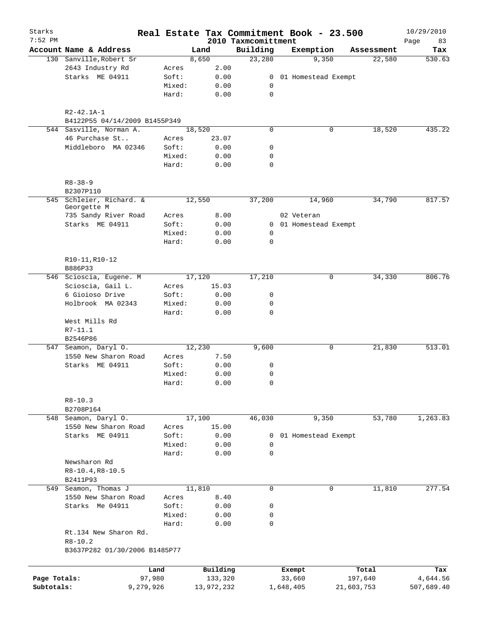| Starks<br>$7:52$ PM |                                         |                 |              | 2010 Taxmcomittment        | Real Estate Tax Commitment Book - 23.500 |            | 10/29/2010        |
|---------------------|-----------------------------------------|-----------------|--------------|----------------------------|------------------------------------------|------------|-------------------|
|                     | Account Name & Address                  |                 | Land         | Building                   | Exemption                                | Assessment | 83<br>Page<br>Tax |
|                     | 130 Sanville, Robert Sr                 |                 | 8,650        | 23,280                     | 9,350                                    | 22,580     | 530.63            |
|                     | 2643 Industry Rd                        | Acres           | 2.00         |                            |                                          |            |                   |
|                     | Starks ME 04911                         | Soft:           | 0.00         |                            | 0 01 Homestead Exempt                    |            |                   |
|                     |                                         | Mixed:          | 0.00         | 0                          |                                          |            |                   |
|                     |                                         | Hard:           | 0.00         | $\mathbf 0$                |                                          |            |                   |
|                     | $R2 - 42.1A - 1$                        |                 |              |                            |                                          |            |                   |
|                     | B4122P55 04/14/2009 B1455P349           |                 |              |                            |                                          |            |                   |
|                     | 544 Sasville, Norman A.                 |                 | 18,520       | $\mathbf 0$                | 0                                        | 18,520     | 435.22            |
|                     | 46 Purchase St                          | Acres           | 23.07        |                            |                                          |            |                   |
|                     | Middleboro MA 02346                     | Soft:           | 0.00         | 0                          |                                          |            |                   |
|                     |                                         | Mixed:          | 0.00         | 0                          |                                          |            |                   |
|                     |                                         | Hard:           | 0.00         | 0                          |                                          |            |                   |
|                     | $R8 - 38 - 9$                           |                 |              |                            |                                          |            |                   |
|                     | B2307P110                               |                 |              |                            |                                          |            |                   |
|                     | 545 Schleier, Richard. &<br>Georgette M |                 | 12,550       | 37,200                     | 14,960                                   | 34,790     | 817.57            |
|                     | 735 Sandy River Road                    | Acres           | 8.00         |                            | 02 Veteran                               |            |                   |
|                     | Starks ME 04911                         | Soft:           | 0.00         |                            | 0 01 Homestead Exempt                    |            |                   |
|                     |                                         | Mixed:          | 0.00         | 0                          |                                          |            |                   |
|                     |                                         | Hard:           | 0.00         | $\mathbf 0$                |                                          |            |                   |
|                     | R10-11, R10-12                          |                 |              |                            |                                          |            |                   |
|                     | B886P33                                 |                 |              |                            |                                          |            |                   |
|                     | 546 Scioscia, Eugene. M                 |                 | 17,120       | 17,210                     | 0                                        | 34,330     | 806.76            |
|                     | Scioscia, Gail L.                       | Acres           | 15.03        |                            |                                          |            |                   |
|                     | 6 Gioioso Drive                         | Soft:           | 0.00         | $\mathsf{O}$               |                                          |            |                   |
|                     | Holbrook MA 02343                       | Mixed:<br>Hard: | 0.00<br>0.00 | $\mathbf 0$<br>$\mathbf 0$ |                                          |            |                   |
|                     | West Mills Rd                           |                 |              |                            |                                          |            |                   |
|                     | R7-11.1<br>B2546P86                     |                 |              |                            |                                          |            |                   |
|                     | 547 Seamon, Daryl O.                    |                 | 12,230       | 9,600                      | 0                                        | 21,830     | 513.01            |
|                     | 1550 New Sharon Road                    | Acres           | 7.50         |                            |                                          |            |                   |
|                     | Starks ME 04911                         | Soft:           | 0.00         | 0                          |                                          |            |                   |
|                     |                                         | Mixed:          | 0.00         | 0                          |                                          |            |                   |
|                     |                                         | Hard:           | 0.00         | 0                          |                                          |            |                   |
|                     | $R8 - 10.3$                             |                 |              |                            |                                          |            |                   |
|                     | B2708P164                               |                 |              |                            |                                          |            |                   |
|                     | 548 Seamon, Daryl O.                    |                 | 17,100       | 46,030                     | 9,350                                    | 53,780     | 1,263.83          |
|                     | 1550 New Sharon Road                    | Acres           | 15.00        |                            |                                          |            |                   |
|                     | Starks ME 04911                         | Soft:           | 0.00         | 0                          | 01 Homestead Exempt                      |            |                   |
|                     |                                         | Mixed:          | 0.00         | 0                          |                                          |            |                   |
|                     |                                         | Hard:           | 0.00         | $\mathbf 0$                |                                          |            |                   |
|                     | Newsharon Rd                            |                 |              |                            |                                          |            |                   |
|                     | $R8-10.4, R8-10.5$<br>B2411P93          |                 |              |                            |                                          |            |                   |
|                     | 549 Seamon, Thomas J                    |                 | 11,810       | $\mathbf 0$                | $\mathbf 0$                              | 11,810     | 277.54            |
|                     | 1550 New Sharon Road                    | Acres           | 8.40         |                            |                                          |            |                   |
|                     | Starks Me 04911                         | Soft:           | 0.00         | 0                          |                                          |            |                   |
|                     |                                         | Mixed:          | 0.00         | 0                          |                                          |            |                   |
|                     |                                         | Hard:           | 0.00         | 0                          |                                          |            |                   |
|                     | Rt.134 New Sharon Rd.<br>$R8 - 10.2$    |                 |              |                            |                                          |            |                   |
|                     | B3637P282 01/30/2006 B1485P77           |                 |              |                            |                                          |            |                   |
|                     | Land                                    |                 | Building     |                            | Exempt                                   | Total      | Tax               |
| Page Totals:        | 97,980                                  |                 | 133,320      |                            | 33,660                                   | 197,640    | 4,644.56          |
| Subtotals:          | 9,279,926                               |                 | 13,972,232   |                            | 1,648,405                                | 21,603,753 | 507,689.40        |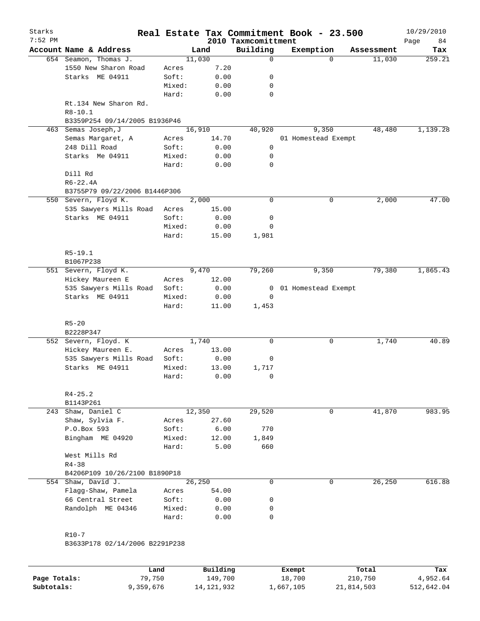| Starks<br>$7:52$ PM |                                                                       |        |                    | 2010 Taxmcomittment | Real Estate Tax Commitment Book - 23.500 |            | 10/29/2010<br>Page<br>84 |
|---------------------|-----------------------------------------------------------------------|--------|--------------------|---------------------|------------------------------------------|------------|--------------------------|
|                     | Account Name & Address                                                |        | Land               | Building            | Exemption                                | Assessment | Tax                      |
|                     | 654 Seamon, Thomas J.                                                 |        | 11,030             | 0                   | $\Omega$                                 | 11,030     | 259.21                   |
|                     | 1550 New Sharon Road                                                  | Acres  | 7.20               |                     |                                          |            |                          |
|                     | Starks ME 04911                                                       | Soft:  | 0.00               | 0                   |                                          |            |                          |
|                     |                                                                       | Mixed: | 0.00               | 0                   |                                          |            |                          |
|                     |                                                                       | Hard:  | 0.00               | 0                   |                                          |            |                          |
|                     | Rt.134 New Sharon Rd.<br>$R8 - 10.1$<br>B3359P254 09/14/2005 B1936P46 |        |                    |                     |                                          |            |                          |
| 463                 | Semas Joseph, J                                                       |        | 16,910             | 40,920              | 9,350                                    | 48,480     | 1,139.28                 |
|                     | Semas Margaret, A                                                     | Acres  | 14.70              |                     | 01 Homestead Exempt                      |            |                          |
|                     | 248 Dill Road                                                         | Soft:  | 0.00               | 0                   |                                          |            |                          |
|                     | Starks Me 04911                                                       | Mixed: | 0.00               | 0                   |                                          |            |                          |
|                     |                                                                       | Hard:  | 0.00               | 0                   |                                          |            |                          |
|                     | Dill Rd                                                               |        |                    |                     |                                          |            |                          |
|                     | $R6 - 22.4A$                                                          |        |                    |                     |                                          |            |                          |
|                     | B3755P79 09/22/2006 B1446P306                                         |        |                    |                     |                                          |            |                          |
|                     | 550 Severn, Floyd K.                                                  |        | $\overline{2,000}$ | 0                   | 0                                        | 2,000      | 47.00                    |
|                     | 535 Sawyers Mills Road                                                | Acres  | 15.00              |                     |                                          |            |                          |
|                     | Starks ME 04911                                                       | Soft:  | 0.00               | 0                   |                                          |            |                          |
|                     |                                                                       | Mixed: | 0.00               | 0                   |                                          |            |                          |
|                     |                                                                       | Hard:  | 15.00              | 1,981               |                                          |            |                          |
|                     |                                                                       |        |                    |                     |                                          |            |                          |
|                     | $R5 - 19.1$                                                           |        |                    |                     |                                          |            |                          |
|                     | B1067P238                                                             |        |                    |                     |                                          |            |                          |
|                     | 551 Severn, Floyd K.                                                  |        | 9,470              | 79,260              | 9,350                                    | 79,380     | 1,865.43                 |
|                     | Hickey Maureen E                                                      | Acres  | 12.00              |                     |                                          |            |                          |
|                     | 535 Sawyers Mills Road                                                | Soft:  | 0.00               | 0                   | 01 Homestead Exempt                      |            |                          |
|                     | Starks ME 04911                                                       | Mixed: | 0.00               | $\mathbf 0$         |                                          |            |                          |
|                     |                                                                       | Hard:  | 11.00              | 1,453               |                                          |            |                          |
|                     |                                                                       |        |                    |                     |                                          |            |                          |
|                     | $R5 - 20$                                                             |        |                    |                     |                                          |            |                          |
|                     | B2228P347                                                             |        |                    |                     |                                          |            |                          |
|                     | 552 Severn, Floyd. K                                                  |        | 1,740              | 0                   | 0                                        | 1,740      | 40.89                    |
|                     | Hickey Maureen E.                                                     | Acres  | 13.00              |                     |                                          |            |                          |
|                     | 535 Sawyers Mills Road                                                | Soft:  | 0.00               | 0                   |                                          |            |                          |
|                     | Starks ME 04911                                                       | Mixed: | 13.00              | 1,717               |                                          |            |                          |
|                     |                                                                       | Hard:  | 0.00               | $\mathbf 0$         |                                          |            |                          |
|                     |                                                                       |        |                    |                     |                                          |            |                          |
|                     | $R4 - 25.2$                                                           |        |                    |                     |                                          |            |                          |
|                     | B1143P261                                                             |        |                    |                     |                                          |            |                          |
| 243                 | Shaw, Daniel C                                                        |        | 12,350             | 29,520              | 0                                        | 41,870     | 983.95                   |
|                     | Shaw, Sylvia F.                                                       | Acres  | 27.60              |                     |                                          |            |                          |
|                     | P.O.Box 593                                                           | Soft:  | 6.00               | 770                 |                                          |            |                          |
|                     | Bingham ME 04920                                                      | Mixed: | 12.00              | 1,849               |                                          |            |                          |
|                     |                                                                       | Hard:  | 5.00               | 660                 |                                          |            |                          |
|                     | West Mills Rd                                                         |        |                    |                     |                                          |            |                          |
|                     | $R4 - 38$                                                             |        |                    |                     |                                          |            |                          |
|                     | B4206P109 10/26/2100 B1890P18                                         |        |                    |                     |                                          |            |                          |
|                     | 554 Shaw, David J.                                                    |        | 26,250             | 0                   | 0                                        | 26,250     | 616.88                   |
|                     | Flagg-Shaw, Pamela                                                    | Acres  | 54.00              |                     |                                          |            |                          |
|                     | 66 Central Street                                                     | Soft:  | 0.00               | 0                   |                                          |            |                          |
|                     | Randolph ME 04346                                                     | Mixed: | 0.00               | 0                   |                                          |            |                          |
|                     |                                                                       | Hard:  | 0.00               | 0                   |                                          |            |                          |
|                     |                                                                       |        |                    |                     |                                          |            |                          |
|                     | $R10 - 7$                                                             |        |                    |                     |                                          |            |                          |
|                     | B3633P178 02/14/2006 B2291P238                                        |        |                    |                     |                                          |            |                          |
|                     |                                                                       |        |                    |                     |                                          |            |                          |

|              | Land      | Building     | Exempt    | Total      | Tax        |
|--------------|-----------|--------------|-----------|------------|------------|
| Page Totals: | 79.750    | 149,700      | 18,700    | 210,750    | 4,952.64   |
| Subtotals:   | 9,359,676 | 14, 121, 932 | ⊥,667,105 | 21,814,503 | 512,642.04 |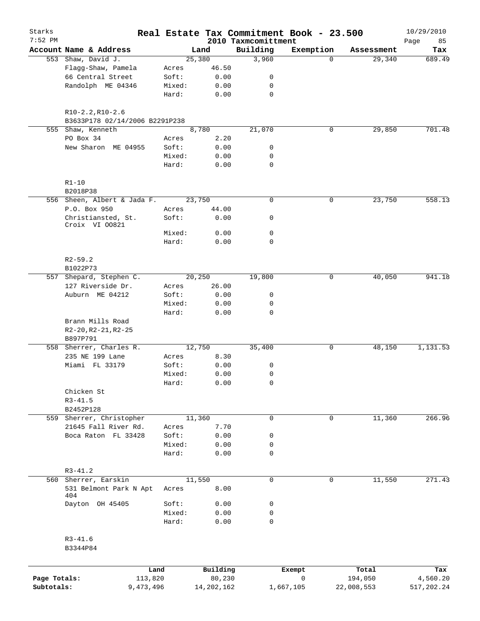| Starks                     |                                      |                 |                        | Real Estate Tax Commitment Book - 23.500 |                |                       | 10/29/2010             |
|----------------------------|--------------------------------------|-----------------|------------------------|------------------------------------------|----------------|-----------------------|------------------------|
| $7:52$ PM                  | Account Name & Address               |                 | Land                   | 2010 Taxmcomittment<br>Building          | Exemption      | Assessment            | Page<br>85<br>Tax      |
|                            | 553 Shaw, David J.                   |                 | 25,380                 | 3,960                                    | $\Omega$       | 29,340                | 689.49                 |
|                            | Flagg-Shaw, Pamela                   | Acres           | 46.50                  |                                          |                |                       |                        |
|                            | 66 Central Street                    | Soft:           | 0.00                   | 0                                        |                |                       |                        |
|                            | Randolph ME 04346                    | Mixed:          | 0.00                   | 0                                        |                |                       |                        |
|                            |                                      | Hard:           | 0.00                   | $\mathbf 0$                              |                |                       |                        |
|                            | $R10-2.2, R10-2.6$                   |                 |                        |                                          |                |                       |                        |
|                            | B3633P178 02/14/2006 B2291P238       |                 |                        |                                          |                |                       |                        |
|                            | 555 Shaw, Kenneth                    |                 | 8,780                  | 21,070                                   | 0              | 29,850                | 701.48                 |
|                            | PO Box 34                            | Acres           | 2.20                   |                                          |                |                       |                        |
|                            | New Sharon ME 04955                  | Soft:           | 0.00                   | 0                                        |                |                       |                        |
|                            |                                      | Mixed:<br>Hard: | 0.00<br>0.00           | 0<br>$\mathbf 0$                         |                |                       |                        |
|                            |                                      |                 |                        |                                          |                |                       |                        |
|                            | $R1 - 10$<br>B2018P38                |                 |                        |                                          |                |                       |                        |
|                            | 556 Sheen, Albert & Jada F.          |                 | 23,750                 | $\mathbf 0$                              | 0              | 23,750                | 558.13                 |
|                            | P.O. Box 950                         | Acres           | 44.00                  |                                          |                |                       |                        |
|                            | Christiansted, St.<br>Croix VI 00821 | Soft:           | 0.00                   | 0                                        |                |                       |                        |
|                            |                                      | Mixed:          | 0.00                   | $\mathbf 0$                              |                |                       |                        |
|                            |                                      | Hard:           | 0.00                   | $\mathbf 0$                              |                |                       |                        |
|                            | $R2 - 59.2$                          |                 |                        |                                          |                |                       |                        |
|                            | B1022P73                             |                 |                        |                                          |                |                       |                        |
|                            | 557 Shepard, Stephen C.              |                 | 20,250                 | 19,800                                   | 0              | 40,050                | 941.18                 |
|                            | 127 Riverside Dr.                    | Acres           | 26.00                  |                                          |                |                       |                        |
|                            | Auburn ME 04212                      | Soft:           | 0.00                   | 0                                        |                |                       |                        |
|                            |                                      | Mixed:          | 0.00                   | 0<br>$\mathbf 0$                         |                |                       |                        |
|                            | Brann Mills Road                     | Hard:           | 0.00                   |                                          |                |                       |                        |
|                            | $R2-20, R2-21, R2-25$<br>B897P791    |                 |                        |                                          |                |                       |                        |
|                            | 558 Sherrer, Charles R.              |                 | 12,750                 | 35,400                                   | 0              | 48,150                | 1,131.53               |
|                            | 235 NE 199 Lane                      | Acres           | 8.30                   |                                          |                |                       |                        |
|                            | Miami FL 33179                       | Soft:           | 0.00                   | 0                                        |                |                       |                        |
|                            |                                      | Mixed:          | 0.00                   | $\mathbf 0$                              |                |                       |                        |
|                            |                                      | Hard:           | 0.00                   | 0                                        |                |                       |                        |
|                            | Chicken St                           |                 |                        |                                          |                |                       |                        |
|                            | $R3 - 41.5$                          |                 |                        |                                          |                |                       |                        |
|                            | B2452P128                            |                 |                        |                                          |                |                       |                        |
|                            | 559 Sherrer, Christopher             |                 | 11,360                 | $\mathbf 0$                              | $\mathbf 0$    | 11,360                | 266.96                 |
|                            | 21645 Fall River Rd.                 | Acres           | 7.70                   |                                          |                |                       |                        |
|                            | Boca Raton FL 33428                  | Soft:           | 0.00                   | 0                                        |                |                       |                        |
|                            |                                      | Mixed:          | 0.00                   | 0                                        |                |                       |                        |
|                            |                                      | Hard:           | 0.00                   | $\mathbf 0$                              |                |                       |                        |
|                            | $R3 - 41.2$                          |                 |                        |                                          |                |                       |                        |
|                            | 560 Sherrer, Earskin                 |                 | 11,550                 | $\mathbf 0$                              | 0              | 11,550                | 271.43                 |
|                            | 531 Belmont Park N Apt<br>404        | Acres           | 8.00                   |                                          |                |                       |                        |
|                            | Dayton OH 45405                      | Soft:           | 0.00                   | 0                                        |                |                       |                        |
|                            |                                      | Mixed:<br>Hard: | 0.00<br>0.00           | $\mathbf 0$<br>$\mathbf 0$               |                |                       |                        |
|                            | $R3 - 41.6$<br>B3344P84              |                 |                        |                                          |                |                       |                        |
|                            |                                      |                 |                        |                                          |                |                       |                        |
|                            |                                      | Land            | Building               |                                          | Exempt         | Total                 | Tax                    |
| Page Totals:<br>Subtotals: | 113,820<br>9,473,496                 |                 | 80,230<br>14, 202, 162 |                                          | 0<br>1,667,105 | 194,050<br>22,008,553 | 4,560.20<br>517,202.24 |
|                            |                                      |                 |                        |                                          |                |                       |                        |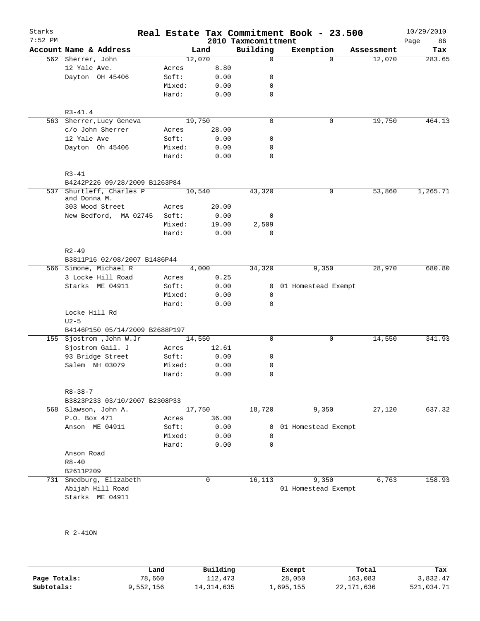| Starks    |                                            |                |             |                     | Real Estate Tax Commitment Book - 23.500 |                      | 10/29/2010    |
|-----------|--------------------------------------------|----------------|-------------|---------------------|------------------------------------------|----------------------|---------------|
| $7:52$ PM | Account Name & Address                     |                |             | 2010 Taxmcomittment |                                          |                      | 86<br>Page    |
|           |                                            | Land<br>12,070 |             | Building<br>0       | Exemption<br>$\Omega$                    | Assessment<br>12,070 | Tax<br>283.65 |
|           | 562 Sherrer, John<br>12 Yale Ave.          | Acres          | 8.80        |                     |                                          |                      |               |
|           | Dayton OH 45406                            | Soft:          | 0.00        | 0                   |                                          |                      |               |
|           |                                            | Mixed:         | 0.00        | 0                   |                                          |                      |               |
|           |                                            | Hard:          | 0.00        | $\mathbf 0$         |                                          |                      |               |
|           |                                            |                |             |                     |                                          |                      |               |
|           | $R3 - 41.4$                                |                |             |                     |                                          |                      |               |
|           | 563 Sherrer, Lucy Geneva                   | 19,750         |             | $\mathbf 0$         | 0                                        | 19,750               | 464.13        |
|           | c/o John Sherrer                           | Acres          | 28.00       |                     |                                          |                      |               |
|           | 12 Yale Ave                                | Soft:          | 0.00        | 0                   |                                          |                      |               |
|           | Dayton Oh 45406                            | Mixed:         | 0.00        | 0                   |                                          |                      |               |
|           |                                            | Hard:          | 0.00        | 0                   |                                          |                      |               |
|           | $R3 - 41$<br>B4242P226 09/28/2009 B1263P84 |                |             |                     |                                          |                      |               |
|           | 537 Shurtleff, Charles P                   | 10,540         |             | 43,320              | 0                                        | 53,860               | 1,265.71      |
|           | and Donna M.                               |                |             |                     |                                          |                      |               |
|           | 303 Wood Street                            | Acres          | 20.00       |                     |                                          |                      |               |
|           | New Bedford, MA 02745                      | Soft:          | 0.00        | 0                   |                                          |                      |               |
|           |                                            | Mixed:         | 19.00       | 2,509               |                                          |                      |               |
|           |                                            | Hard:          | 0.00        | 0                   |                                          |                      |               |
|           | $R2 - 49$<br>B3811P16 02/08/2007 B1486P44  |                |             |                     |                                          |                      |               |
|           | 566 Simone, Michael R                      | 4,000          |             | 34,320              | 9,350                                    | 28,970               | 680.80        |
|           | 3 Locke Hill Road                          | Acres          | 0.25        |                     |                                          |                      |               |
|           | Starks ME 04911                            | Soft:          | 0.00        | $\mathbf{0}$        | 01 Homestead Exempt                      |                      |               |
|           |                                            | Mixed:         | 0.00        | 0                   |                                          |                      |               |
|           |                                            | Hard:          | 0.00        | $\Omega$            |                                          |                      |               |
|           | Locke Hill Rd                              |                |             |                     |                                          |                      |               |
|           | $U2-5$                                     |                |             |                     |                                          |                      |               |
|           | B4146P150 05/14/2009 B2688P197             |                |             |                     |                                          |                      |               |
|           | 155 Sjostrom , John W.Jr                   | 14,550         |             | 0                   | 0                                        | 14,550               | 341.93        |
|           | Sjostrom Gail. J                           | Acres          | 12.61       |                     |                                          |                      |               |
|           | 93 Bridge Street                           | Soft:          | 0.00        | 0                   |                                          |                      |               |
|           | Salem NH 03079                             | Mixed:         | 0.00        | 0                   |                                          |                      |               |
|           |                                            | Hard:          | 0.00        | 0                   |                                          |                      |               |
|           | $R8 - 38 - 7$                              |                |             |                     |                                          |                      |               |
|           | B3823P233 03/10/2007 B2308P33              |                |             |                     |                                          |                      |               |
|           | 568 Slawson, John A.                       | 17,750         |             | 18,720              | 9,350                                    | 27,120               | 637.32        |
|           | P.O. Box 471                               | Acres          | 36.00       |                     |                                          |                      |               |
|           | Anson ME 04911                             | Soft:          | 0.00        | 0                   | 01 Homestead Exempt                      |                      |               |
|           |                                            | Mixed:         | 0.00        | 0                   |                                          |                      |               |
|           |                                            | Hard:          | 0.00        | 0                   |                                          |                      |               |
|           | Anson Road                                 |                |             |                     |                                          |                      |               |
|           | $R8 - 40$                                  |                |             |                     |                                          |                      |               |
|           | B2611P209                                  |                |             |                     |                                          |                      |               |
|           | 731 Smedburg, Elizabeth                    |                | $\mathbf 0$ | 16, 113             | 9,350                                    | 6,763                | 158.93        |
|           | Abijah Hill Road                           |                |             |                     | 01 Homestead Exempt                      |                      |               |
|           | Starks ME 04911                            |                |             |                     |                                          |                      |               |
|           |                                            |                |             |                     |                                          |                      |               |

R 2-41ON

|              | Land      | Building     | Exempt    | Total      | Tax        |
|--------------|-----------|--------------|-----------|------------|------------|
| Page Totals: | 78,660    | 112,473      | 28,050    | 163,083    | 3,832.47   |
| Subtotals:   | 9,552,156 | 14, 314, 635 | 1,695,155 | 22,171,636 | 521,034.71 |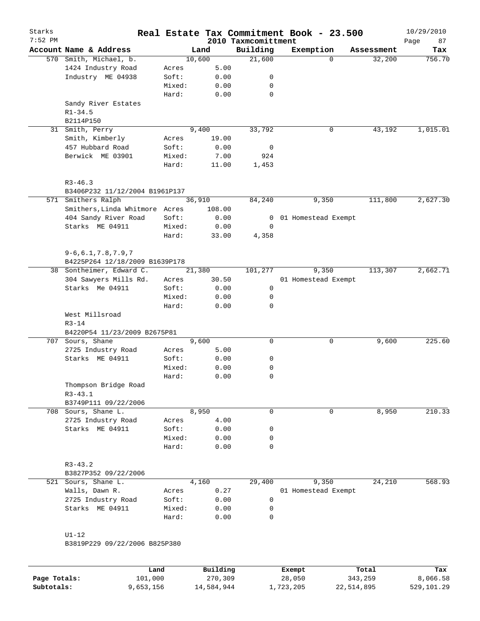| Starks<br>$7:52$ PM |                                |        |        | 2010 Taxmcomittment | Real Estate Tax Commitment Book - 23.500 |            | 10/29/2010        |
|---------------------|--------------------------------|--------|--------|---------------------|------------------------------------------|------------|-------------------|
|                     | Account Name & Address         |        | Land   | Building            | Exemption                                | Assessment | Page<br>87<br>Tax |
|                     | 570 Smith, Michael, b.         |        | 10,600 | 21,600              | $\Omega$                                 | 32,200     | 756.70            |
|                     | 1424 Industry Road             | Acres  | 5.00   |                     |                                          |            |                   |
|                     | Industry ME 04938              | Soft:  | 0.00   | 0                   |                                          |            |                   |
|                     |                                | Mixed: | 0.00   | 0                   |                                          |            |                   |
|                     |                                | Hard:  | 0.00   | $\mathbf 0$         |                                          |            |                   |
|                     | Sandy River Estates            |        |        |                     |                                          |            |                   |
|                     | $R1 - 34.5$                    |        |        |                     |                                          |            |                   |
|                     | B2114P150                      |        |        |                     |                                          |            |                   |
| 31                  | Smith, Perry                   |        | 9,400  | 33,792              | 0                                        | 43,192     | 1,015.01          |
|                     | Smith, Kimberly                | Acres  | 19.00  |                     |                                          |            |                   |
|                     | 457 Hubbard Road               | Soft:  | 0.00   | 0                   |                                          |            |                   |
|                     | Berwick ME 03901               | Mixed: | 7.00   | 924                 |                                          |            |                   |
|                     |                                | Hard:  | 11.00  | 1,453               |                                          |            |                   |
|                     | $R3 - 46.3$                    |        |        |                     |                                          |            |                   |
|                     | B3406P232 11/12/2004 B1961P137 |        |        |                     |                                          |            |                   |
|                     | 571 Smithers Ralph             |        | 36,910 | 84,240              | 9,350                                    | 111,800    | 2,627.30          |
|                     | Smithers, Linda Whitmore Acres |        | 108.00 |                     |                                          |            |                   |
|                     | 404 Sandy River Road           | Soft:  | 0.00   | 0                   | 01 Homestead Exempt                      |            |                   |
|                     | Starks ME 04911                | Mixed: | 0.00   | 0                   |                                          |            |                   |
|                     |                                | Hard:  | 33.00  | 4,358               |                                          |            |                   |
|                     | $9 - 6, 6.1, 7.8, 7.9, 7$      |        |        |                     |                                          |            |                   |
|                     | B4225P264 12/18/2009 B1639P178 |        |        |                     |                                          |            |                   |
|                     | 38 Sontheimer, Edward C.       |        | 21,380 | 101,277             | 9,350                                    | 113,307    | 2,662.71          |
|                     | 304 Sawyers Mills Rd.          | Acres  | 30.50  |                     | 01 Homestead Exempt                      |            |                   |
|                     | Starks Me 04911                | Soft:  | 0.00   | 0                   |                                          |            |                   |
|                     |                                | Mixed: | 0.00   | 0                   |                                          |            |                   |
|                     |                                | Hard:  | 0.00   | $\mathbf 0$         |                                          |            |                   |
|                     | West Millsroad                 |        |        |                     |                                          |            |                   |
|                     | $R3 - 14$                      |        |        |                     |                                          |            |                   |
|                     | B4220P54 11/23/2009 B2675P81   |        |        |                     |                                          |            |                   |
|                     | 707 Sours, Shane               |        | 9,600  | 0                   | 0                                        | 9,600      | 225.60            |
|                     | 2725 Industry Road             | Acres  | 5.00   |                     |                                          |            |                   |
|                     | Starks ME 04911                | Soft:  | 0.00   | 0                   |                                          |            |                   |
|                     |                                | Mixed: | 0.00   | 0                   |                                          |            |                   |
|                     |                                | Hard:  | 0.00   | $\mathbf 0$         |                                          |            |                   |
|                     | Thompson Bridge Road           |        |        |                     |                                          |            |                   |
|                     | $R3 - 43.1$                    |        |        |                     |                                          |            |                   |
|                     | B3749P111 09/22/2006           |        |        |                     |                                          |            |                   |
|                     | 708 Sours, Shane L.            |        | 8,950  | 0                   | 0                                        | 8,950      | 210.33            |
|                     | 2725 Industry Road             | Acres  | 4.00   |                     |                                          |            |                   |
|                     | Starks ME 04911                | Soft:  | 0.00   | 0                   |                                          |            |                   |
|                     |                                | Mixed: | 0.00   | 0                   |                                          |            |                   |
|                     |                                | Hard:  | 0.00   | $\mathbf 0$         |                                          |            |                   |
|                     | $R3 - 43.2$                    |        |        |                     |                                          |            |                   |
|                     | B3827P352 09/22/2006           |        |        |                     |                                          |            |                   |
|                     | 521 Sours, Shane L.            |        | 4,160  | 29,400              | 9,350                                    | 24,210     | 568.93            |
|                     | Walls, Dawn R.                 | Acres  | 0.27   |                     | 01 Homestead Exempt                      |            |                   |
|                     | 2725 Industry Road             | Soft:  | 0.00   | 0                   |                                          |            |                   |
|                     | Starks ME 04911                | Mixed: | 0.00   | 0                   |                                          |            |                   |
|                     |                                | Hard:  | 0.00   | 0                   |                                          |            |                   |
|                     | $UI-12$                        |        |        |                     |                                          |            |                   |
|                     | B3819P229 09/22/2006 B825P380  |        |        |                     |                                          |            |                   |
|                     |                                |        |        |                     |                                          |            |                   |
|                     |                                |        |        |                     |                                          |            |                   |

|              | Land      | Building   | Exempt    | Total      | Tax        |
|--------------|-----------|------------|-----------|------------|------------|
| Page Totals: | 101,000   | 270,309    | 28,050    | 343,259    | 8,066.58   |
| Subtotals:   | 9,653,156 | 14,584,944 | 1,723,205 | 22,514,895 | 529,101.29 |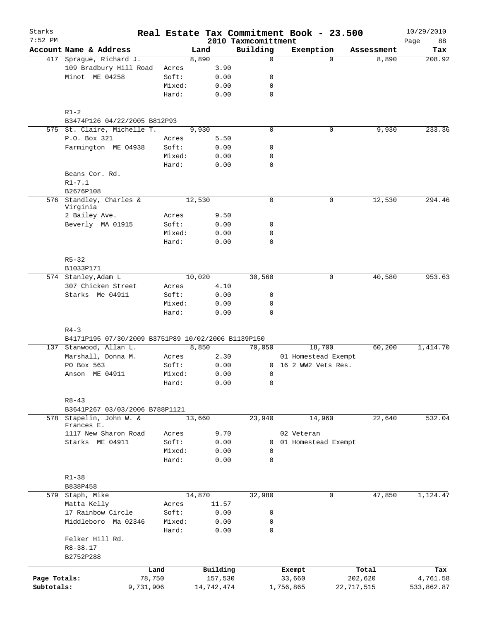| Starks<br>$7:52$ PM |                                                    |           |        |        |            |                                 | Real Estate Tax Commitment Book - 23.500 |             |            | 10/29/2010        |
|---------------------|----------------------------------------------------|-----------|--------|--------|------------|---------------------------------|------------------------------------------|-------------|------------|-------------------|
|                     | Account Name & Address                             |           |        | Land   |            | 2010 Taxmcomittment<br>Building | Exemption                                |             | Assessment | 88<br>Page<br>Tax |
|                     | 417 Sprague, Richard J.                            |           |        | 8,890  |            | $\mathbf 0$                     |                                          | $\Omega$    | 8,890      | 208.92            |
|                     | 109 Bradbury Hill Road                             |           | Acres  |        | 3.90       |                                 |                                          |             |            |                   |
|                     | Minot ME 04258                                     |           | Soft:  |        | 0.00       | 0                               |                                          |             |            |                   |
|                     |                                                    |           | Mixed: |        | 0.00       | 0                               |                                          |             |            |                   |
|                     |                                                    |           | Hard:  |        | 0.00       | $\mathbf 0$                     |                                          |             |            |                   |
|                     | $R1-2$                                             |           |        |        |            |                                 |                                          |             |            |                   |
|                     | B3474P126 04/22/2005 B812P93                       |           |        |        |            |                                 |                                          |             |            |                   |
|                     | 575 St. Claire, Michelle T.                        |           |        | 9,930  |            | $\mathbf 0$                     |                                          | 0           | 9,930      | 233.36            |
|                     | P.O. Box 321                                       |           | Acres  |        | 5.50       |                                 |                                          |             |            |                   |
|                     | Farmington ME 04938                                |           | Soft:  |        | 0.00       | 0                               |                                          |             |            |                   |
|                     |                                                    |           | Mixed: |        | 0.00       | 0                               |                                          |             |            |                   |
|                     |                                                    |           | Hard:  |        | 0.00       | $\mathbf 0$                     |                                          |             |            |                   |
|                     | Beans Cor. Rd.                                     |           |        |        |            |                                 |                                          |             |            |                   |
|                     | $R1 - 7.1$                                         |           |        |        |            |                                 |                                          |             |            |                   |
|                     | B2676P108                                          |           |        |        |            |                                 |                                          |             |            |                   |
|                     | 576 Standley, Charles &                            |           |        | 12,530 |            | $\mathbf 0$                     |                                          | 0           | 12,530     | 294.46            |
|                     | Virginia                                           |           |        |        |            |                                 |                                          |             |            |                   |
|                     | 2 Bailey Ave.                                      |           | Acres  |        | 9.50       |                                 |                                          |             |            |                   |
|                     | Beverly MA 01915                                   |           | Soft:  |        | 0.00       | 0                               |                                          |             |            |                   |
|                     |                                                    |           | Mixed: |        | 0.00       | 0                               |                                          |             |            |                   |
|                     |                                                    |           | Hard:  |        | 0.00       | $\mathbf 0$                     |                                          |             |            |                   |
|                     | $R5 - 32$                                          |           |        |        |            |                                 |                                          |             |            |                   |
|                     | B1033P171                                          |           |        |        |            |                                 |                                          |             |            |                   |
|                     | 574 Stanley, Adam L                                |           |        | 10,020 |            | 30,560                          |                                          | $\mathbf 0$ | 40,580     | 953.63            |
|                     | 307 Chicken Street                                 |           | Acres  |        | 4.10       |                                 |                                          |             |            |                   |
|                     | Starks Me 04911                                    |           | Soft:  |        | 0.00       | $\mathsf{O}$                    |                                          |             |            |                   |
|                     |                                                    |           | Mixed: |        | 0.00       | $\mathbf 0$                     |                                          |             |            |                   |
|                     |                                                    |           | Hard:  |        | 0.00       | $\Omega$                        |                                          |             |            |                   |
|                     | $R4 - 3$                                           |           |        |        |            |                                 |                                          |             |            |                   |
|                     | B4171P195 07/30/2009 B3751P89 10/02/2006 B1139P150 |           |        |        |            |                                 |                                          |             |            |                   |
|                     | 137 Stanwood, Allan L.                             |           |        | 8,850  |            | 70,050                          | 18,700                                   |             | 60,200     | 1,414.70          |
|                     | Marshall, Donna M.                                 |           | Acres  |        | 2.30       |                                 | 01 Homestead Exempt                      |             |            |                   |
|                     | PO Box 563                                         |           | Soft:  |        | 0.00       |                                 | 0 16 2 WW2 Vets Res.                     |             |            |                   |
|                     | Anson ME 04911                                     |           | Mixed: |        | 0.00       | 0                               |                                          |             |            |                   |
|                     |                                                    |           | Hard:  |        | 0.00       | 0                               |                                          |             |            |                   |
|                     | $R8 - 43$                                          |           |        |        |            |                                 |                                          |             |            |                   |
|                     | B3641P267 03/03/2006 B788P1121                     |           |        |        |            |                                 |                                          |             |            |                   |
|                     | 578 Stapelin, John W. &                            |           |        | 13,660 |            | 23,940                          | 14,960                                   |             | 22,640     | 532.04            |
|                     | Frances E.                                         |           |        |        |            |                                 |                                          |             |            |                   |
|                     | 1117 New Sharon Road                               |           | Acres  |        | 9.70       |                                 | 02 Veteran                               |             |            |                   |
|                     | Starks ME 04911                                    |           | Soft:  |        | 0.00       | 0                               | 01 Homestead Exempt                      |             |            |                   |
|                     |                                                    |           | Mixed: |        | 0.00       | 0                               |                                          |             |            |                   |
|                     |                                                    |           | Hard:  |        | 0.00       | $\mathbf 0$                     |                                          |             |            |                   |
|                     | $R1 - 38$                                          |           |        |        |            |                                 |                                          |             |            |                   |
|                     | B838P458                                           |           |        |        |            |                                 |                                          |             |            |                   |
|                     | 579 Staph, Mike                                    |           |        | 14,870 |            | 32,980                          |                                          | 0           | 47,850     | 1,124.47          |
|                     | Matta Kelly                                        |           | Acres  |        | 11.57      |                                 |                                          |             |            |                   |
|                     | 17 Rainbow Circle                                  |           | Soft:  |        | 0.00       | 0                               |                                          |             |            |                   |
|                     | Middleboro Ma 02346                                |           | Mixed: |        | 0.00       | 0                               |                                          |             |            |                   |
|                     |                                                    |           | Hard:  |        | 0.00       | 0                               |                                          |             |            |                   |
|                     | Felker Hill Rd.                                    |           |        |        |            |                                 |                                          |             |            |                   |
|                     | R8-38.17                                           |           |        |        |            |                                 |                                          |             |            |                   |
|                     | B2752P288                                          |           |        |        |            |                                 |                                          |             |            |                   |
|                     |                                                    | Land      |        |        | Building   |                                 | Exempt                                   |             | Total      | Tax               |
| Page Totals:        |                                                    | 78,750    |        |        | 157,530    |                                 | 33,660                                   |             | 202,620    | 4,761.58          |
| Subtotals:          |                                                    | 9,731,906 |        |        | 14,742,474 |                                 | 1,756,865                                |             | 22,717,515 | 533,862.87        |
|                     |                                                    |           |        |        |            |                                 |                                          |             |            |                   |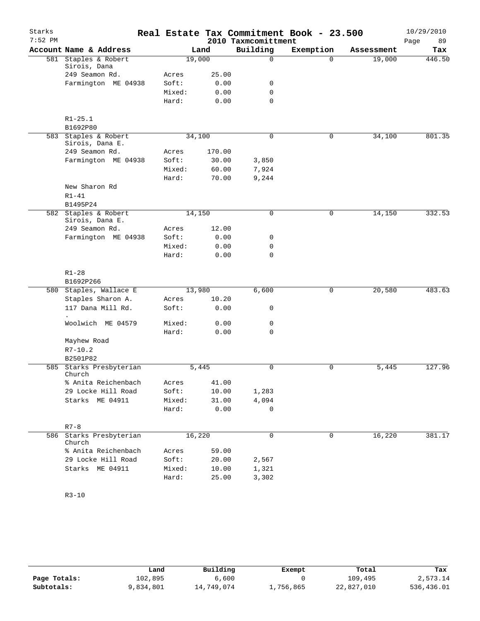| Starks<br>$7:52$ PM |                                         |        |        | 2010 Taxmcomittment | Real Estate Tax Commitment Book - 23.500 |                     | 10/29/2010<br>Page<br>89 |
|---------------------|-----------------------------------------|--------|--------|---------------------|------------------------------------------|---------------------|--------------------------|
|                     | Account Name & Address                  |        | Land   | Building            | Exemption                                | Assessment          | Tax                      |
|                     | 581 Staples & Robert<br>Sirois, Dana    | 19,000 |        | $\mathbf 0$         | $\Omega$                                 | 19,000              | 446.50                   |
|                     | 249 Seamon Rd.                          | Acres  | 25.00  |                     |                                          |                     |                          |
|                     | Farmington ME 04938                     | Soft:  | 0.00   | 0                   |                                          |                     |                          |
|                     |                                         | Mixed: | 0.00   | $\mathbf 0$         |                                          |                     |                          |
|                     |                                         | Hard:  | 0.00   | $\mathbf 0$         |                                          |                     |                          |
|                     | $R1 - 25.1$                             |        |        |                     |                                          |                     |                          |
|                     | B1692P80                                |        |        |                     |                                          |                     |                          |
|                     | 583 Staples & Robert<br>Sirois, Dana E. | 34,100 |        | $\mathbf 0$         | 0                                        | $3\overline{4,100}$ | 801.35                   |
|                     | 249 Seamon Rd.                          | Acres  | 170.00 |                     |                                          |                     |                          |
|                     | Farmington ME 04938                     | Soft:  | 30.00  | 3,850               |                                          |                     |                          |
|                     |                                         | Mixed: | 60.00  | 7,924               |                                          |                     |                          |
|                     |                                         | Hard:  | 70.00  | 9,244               |                                          |                     |                          |
|                     | New Sharon Rd                           |        |        |                     |                                          |                     |                          |
|                     | $R1 - 41$                               |        |        |                     |                                          |                     |                          |
|                     | B1495P24                                |        |        |                     |                                          |                     |                          |
|                     | 582 Staples & Robert<br>Sirois, Dana E. | 14,150 |        | $\mathbf 0$         | $\mathbf 0$                              | 14,150              | 332.53                   |
|                     | 249 Seamon Rd.                          | Acres  | 12.00  |                     |                                          |                     |                          |
|                     | Farmington ME 04938                     | Soft:  | 0.00   | 0                   |                                          |                     |                          |
|                     |                                         | Mixed: | 0.00   | 0                   |                                          |                     |                          |
|                     |                                         | Hard:  | 0.00   | $\mathbf 0$         |                                          |                     |                          |
|                     | $R1 - 28$                               |        |        |                     |                                          |                     |                          |
|                     | B1692P266                               |        |        |                     |                                          |                     |                          |
|                     | 580 Staples, Wallace E                  | 13,980 |        | 6,600               | 0                                        | 20,580              | 483.63                   |
|                     | Staples Sharon A.                       | Acres  | 10.20  |                     |                                          |                     |                          |
|                     | 117 Dana Mill Rd.                       | Soft:  | 0.00   | 0                   |                                          |                     |                          |
|                     | Woolwich ME 04579                       | Mixed: | 0.00   | 0                   |                                          |                     |                          |
|                     |                                         | Hard:  | 0.00   | $\mathbf 0$         |                                          |                     |                          |
|                     | Mayhew Road                             |        |        |                     |                                          |                     |                          |
|                     | $R7 - 10.2$                             |        |        |                     |                                          |                     |                          |
|                     | B2501P82                                |        |        |                     |                                          |                     |                          |
| 585                 | Starks Presbyterian<br>Church           |        | 5,445  | 0                   | 0                                        | 5,445               | 127.96                   |
|                     | % Anita Reichenbach                     | Acres  | 41.00  |                     |                                          |                     |                          |
|                     | 29 Locke Hill Road                      | Soft:  | 10.00  | 1,283               |                                          |                     |                          |
|                     | Starks ME 04911                         | Mixed: | 31.00  | 4,094               |                                          |                     |                          |
|                     |                                         | Hard:  | 0.00   | 0                   |                                          |                     |                          |
|                     | $R7 - 8$                                |        |        |                     |                                          |                     |                          |
|                     | 586 Starks Presbyterian<br>Church       | 16,220 |        | $\mathbf 0$         | $\mathbf 0$                              | 16,220              | 381.17                   |
|                     | % Anita Reichenbach                     | Acres  | 59.00  |                     |                                          |                     |                          |
|                     | 29 Locke Hill Road                      | Soft:  | 20.00  | 2,567               |                                          |                     |                          |
|                     | Starks ME 04911                         | Mixed: | 10.00  | 1,321               |                                          |                     |                          |
|                     |                                         | Hard:  | 25.00  | 3,302               |                                          |                     |                          |

R3-10

|              | Land      | Building   | Exempt    | Total      | Tax        |
|--------------|-----------|------------|-----------|------------|------------|
| Page Totals: | 102,895   | 6,600      |           | 109,495    | 2,573.14   |
| Subtotals:   | 9,834,801 | 14,749,074 | 1,756,865 | 22,827,010 | 536,436.01 |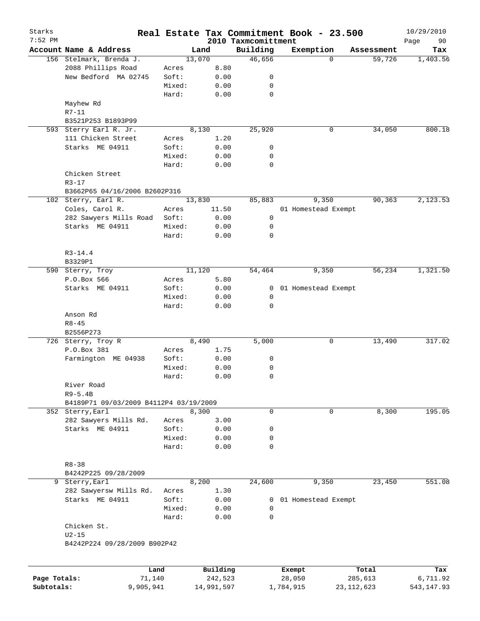| Starks       |                                        |        |          |                                 | Real Estate Tax Commitment Book - 23.500 |            | 10/29/2010        |
|--------------|----------------------------------------|--------|----------|---------------------------------|------------------------------------------|------------|-------------------|
| $7:52$ PM    | Account Name & Address                 |        | Land     | 2010 Taxmcomittment<br>Building | Exemption                                | Assessment | Page<br>90<br>Tax |
|              | 156 Stelmark, Brenda J.                |        | 13,070   | 46,656                          | $\Omega$                                 | 59,726     | 1,403.56          |
|              | 2088 Phillips Road                     | Acres  | 8.80     |                                 |                                          |            |                   |
|              | New Bedford MA 02745                   | Soft:  | 0.00     | 0                               |                                          |            |                   |
|              |                                        | Mixed: | 0.00     | 0                               |                                          |            |                   |
|              |                                        | Hard:  | 0.00     | $\mathbf 0$                     |                                          |            |                   |
|              | Mayhew Rd                              |        |          |                                 |                                          |            |                   |
|              | $R7 - 11$                              |        |          |                                 |                                          |            |                   |
|              | B3521P253 B1893P99                     |        |          |                                 |                                          |            |                   |
|              | 593 Sterry Earl R. Jr.                 |        | 8,130    | 25,920                          | 0                                        | 34,050     | 800.18            |
|              | 111 Chicken Street                     | Acres  | 1.20     |                                 |                                          |            |                   |
|              | Starks ME 04911                        | Soft:  | 0.00     | 0                               |                                          |            |                   |
|              |                                        | Mixed: | 0.00     | 0                               |                                          |            |                   |
|              |                                        | Hard:  | 0.00     | $\mathbf 0$                     |                                          |            |                   |
|              | Chicken Street                         |        |          |                                 |                                          |            |                   |
|              | $R3 - 17$                              |        |          |                                 |                                          |            |                   |
|              | B3662P65 04/16/2006 B2602P316          |        |          |                                 |                                          |            |                   |
|              | 102 Sterry, Earl R.                    |        | 13,830   | 85,883                          | 9,350                                    | 90,363     | 2,123.53          |
|              | Coles, Carol R.                        | Acres  | 11.50    |                                 | 01 Homestead Exempt                      |            |                   |
|              | 282 Sawyers Mills Road                 | Soft:  | 0.00     | 0                               |                                          |            |                   |
|              | Starks ME 04911                        | Mixed: | 0.00     | 0                               |                                          |            |                   |
|              |                                        | Hard:  | 0.00     | $\mathbf 0$                     |                                          |            |                   |
|              |                                        |        |          |                                 |                                          |            |                   |
|              | $R3-14.4$                              |        |          |                                 |                                          |            |                   |
|              | B3329P1                                |        |          |                                 |                                          |            |                   |
|              | 590 Sterry, Troy                       |        | 11,120   | 54,464                          | 9,350                                    | 56,234     | 1,321.50          |
|              | P.O.Box 566                            | Acres  | 5.80     |                                 |                                          |            |                   |
|              | Starks ME 04911                        | Soft:  | 0.00     | 0                               | 01 Homestead Exempt                      |            |                   |
|              |                                        | Mixed: | 0.00     | 0                               |                                          |            |                   |
|              |                                        | Hard:  | 0.00     | $\mathbf 0$                     |                                          |            |                   |
|              | Anson Rd                               |        |          |                                 |                                          |            |                   |
|              | $R8 - 45$                              |        |          |                                 |                                          |            |                   |
|              | B2556P273                              |        |          |                                 |                                          |            |                   |
|              | 726 Sterry, Troy R                     |        | 8,490    | 5,000                           | 0                                        | 13,490     | 317.02            |
|              | P.O.Box 381                            | Acres  | 1.75     |                                 |                                          |            |                   |
|              | Farmington ME 04938                    | Soft:  | 0.00     | 0                               |                                          |            |                   |
|              |                                        | Mixed: | 0.00     | 0                               |                                          |            |                   |
|              |                                        | Hard:  | 0.00     | 0                               |                                          |            |                   |
|              | River Road                             |        |          |                                 |                                          |            |                   |
|              | $R9-5.4B$                              |        |          |                                 |                                          |            |                   |
|              | B4189P71 09/03/2009 B4112P4 03/19/2009 |        |          |                                 |                                          |            |                   |
|              | 352 Sterry, Earl                       |        | 8,300    | 0                               | 0                                        | 8,300      | 195.05            |
|              | 282 Sawyers Mills Rd.                  | Acres  | 3.00     |                                 |                                          |            |                   |
|              | Starks ME 04911                        | Soft:  | 0.00     | 0                               |                                          |            |                   |
|              |                                        | Mixed: | 0.00     | 0                               |                                          |            |                   |
|              |                                        | Hard:  | 0.00     | $\mathbf 0$                     |                                          |            |                   |
|              |                                        |        |          |                                 |                                          |            |                   |
|              | $R8 - 38$                              |        |          |                                 |                                          |            |                   |
|              | B4242P225 09/28/2009                   |        |          |                                 |                                          |            |                   |
| 9            | Sterry, Earl                           |        | 8,200    | 24,600                          | 9,350                                    | 23,450     | 551.08            |
|              | 282 Sawyersw Mills Rd.                 | Acres  | 1.30     |                                 |                                          |            |                   |
|              | Starks ME 04911                        | Soft:  | 0.00     | 0                               | 01 Homestead Exempt                      |            |                   |
|              |                                        | Mixed: | 0.00     | 0                               |                                          |            |                   |
|              |                                        | Hard:  | 0.00     | $\Omega$                        |                                          |            |                   |
|              | Chicken St.                            |        |          |                                 |                                          |            |                   |
|              | $U2-15$                                |        |          |                                 |                                          |            |                   |
|              | B4242P224 09/28/2009 B902P42           |        |          |                                 |                                          |            |                   |
|              |                                        |        |          |                                 |                                          |            |                   |
|              |                                        |        |          |                                 |                                          |            |                   |
|              |                                        | Land   | Building |                                 | Exempt                                   | Total      | Tax               |
| Page Totals: |                                        | 71,140 | 242,523  |                                 | 28,050                                   | 285,613    | 6,711.92          |

**Subtotals:** 9,905,941 14,991,597 1,784,915 23,112,623 543,147.93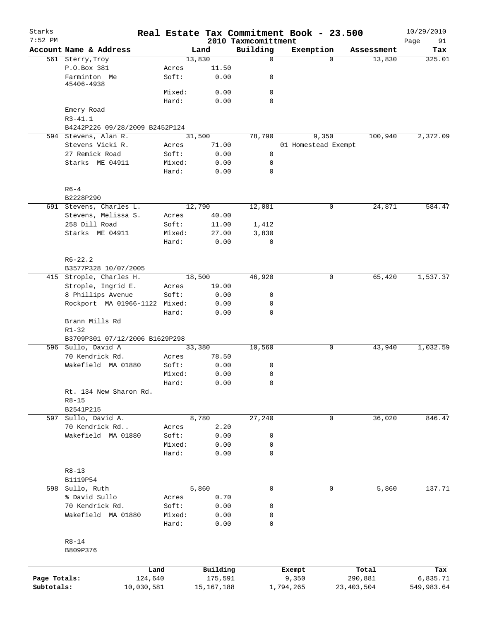| Starks<br>$7:52$ PM |                                     |                 |              | Real Estate Tax Commitment Book - 23.500 |                     |             |              | 10/29/2010        |
|---------------------|-------------------------------------|-----------------|--------------|------------------------------------------|---------------------|-------------|--------------|-------------------|
|                     | Account Name & Address              |                 | Land         | 2010 Taxmcomittment<br>Building          | Exemption           |             | Assessment   | Page<br>91<br>Tax |
|                     | 561 Sterry, Troy                    |                 | 13,830       | $\mathbf 0$                              |                     | $\Omega$    | 13,830       | 325.01            |
|                     | P.O.Box 381                         | Acres           | 11.50        |                                          |                     |             |              |                   |
|                     | Farminton Me<br>45406-4938          | Soft:           | 0.00         | 0                                        |                     |             |              |                   |
|                     |                                     | Mixed:          | 0.00         | 0                                        |                     |             |              |                   |
|                     |                                     | Hard:           | 0.00         | 0                                        |                     |             |              |                   |
|                     | Emery Road                          |                 |              |                                          |                     |             |              |                   |
|                     | $R3 - 41.1$                         |                 |              |                                          |                     |             |              |                   |
|                     | B4242P226 09/28/2009 B2452P124      |                 |              |                                          |                     |             |              |                   |
|                     | 594 Stevens, Alan R.                |                 | 31,500       | 78,790                                   |                     | 9,350       | 100,940      | 2,372.09          |
|                     | Stevens Vicki R.                    | Acres           | 71.00        |                                          | 01 Homestead Exempt |             |              |                   |
|                     | 27 Remick Road                      | Soft:           | 0.00         | 0                                        |                     |             |              |                   |
|                     | Starks ME 04911                     | Mixed:          | 0.00         | $\mathbf 0$                              |                     |             |              |                   |
|                     |                                     | Hard:           | 0.00         | 0                                        |                     |             |              |                   |
|                     | $R6-4$                              |                 |              |                                          |                     |             |              |                   |
|                     | B2228P290                           |                 |              |                                          |                     |             |              |                   |
|                     | 691 Stevens, Charles L.             |                 | 12,790       | 12,081                                   |                     | 0           | 24,871       | 584.47            |
|                     | Stevens, Melissa S.                 | Acres           | 40.00        |                                          |                     |             |              |                   |
|                     | 258 Dill Road                       | Soft:           | 11.00        | 1,412                                    |                     |             |              |                   |
|                     | Starks ME 04911                     | Mixed:          | 27.00        | 3,830                                    |                     |             |              |                   |
|                     |                                     | Hard:           | 0.00         | 0                                        |                     |             |              |                   |
|                     | $R6 - 22.2$<br>B3577P328 10/07/2005 |                 |              |                                          |                     |             |              |                   |
|                     | 415 Strople, Charles H.             |                 | 18,500       | 46,920                                   |                     | 0           | 65,420       | 1,537.37          |
|                     | Strople, Ingrid E.                  | Acres           | 19.00        |                                          |                     |             |              |                   |
|                     | 8 Phillips Avenue                   | Soft:           | 0.00         | 0                                        |                     |             |              |                   |
|                     | Rockport MA 01966-1122              | Mixed:          | 0.00         | 0                                        |                     |             |              |                   |
|                     |                                     | Hard:           | 0.00         | 0                                        |                     |             |              |                   |
|                     | Brann Mills Rd                      |                 |              |                                          |                     |             |              |                   |
|                     | $R1 - 32$                           |                 |              |                                          |                     |             |              |                   |
|                     | B3709P301 07/12/2006 B1629P298      |                 |              |                                          |                     |             |              |                   |
|                     | 596 Sullo, David A                  |                 | 33,380       | 10,560                                   |                     | 0           | 43,940       | 1,032.59          |
|                     | 70 Kendrick Rd.                     | Acres           | 78.50        |                                          |                     |             |              |                   |
|                     | Wakefield MA 01880                  | Soft:           | 0.00         | 0                                        |                     |             |              |                   |
|                     |                                     | Mixed:          | 0.00         | 0                                        |                     |             |              |                   |
|                     |                                     | Hard:           | 0.00         | 0                                        |                     |             |              |                   |
|                     | Rt. 134 New Sharon Rd.              |                 |              |                                          |                     |             |              |                   |
|                     | $R8 - 15$                           |                 |              |                                          |                     |             |              |                   |
|                     | B2541P215                           |                 |              |                                          |                     |             |              |                   |
| 597                 | Sullo, David A.                     |                 | 8,780        | 27,240                                   |                     | $\mathbf 0$ | 36,020       | 846.47            |
|                     | 70 Kendrick Rd                      | Acres           | 2.20         |                                          |                     |             |              |                   |
|                     | Wakefield MA 01880                  | Soft:           | 0.00         | 0                                        |                     |             |              |                   |
|                     |                                     | Mixed:          | 0.00         | 0                                        |                     |             |              |                   |
|                     |                                     | Hard:           | 0.00         | $\mathbf 0$                              |                     |             |              |                   |
|                     | $R8 - 13$                           |                 |              |                                          |                     |             |              |                   |
|                     | B1119P54                            |                 |              |                                          |                     |             |              |                   |
|                     | 598 Sullo, Ruth                     |                 | 5,860        | $\mathbf 0$                              |                     | 0           | 5,860        | 137.71            |
|                     | % David Sullo                       | Acres           | 0.70         |                                          |                     |             |              |                   |
|                     | 70 Kendrick Rd.                     | Soft:           | 0.00         | 0                                        |                     |             |              |                   |
|                     | Wakefield MA 01880                  | Mixed:<br>Hard: | 0.00<br>0.00 | 0<br>0                                   |                     |             |              |                   |
|                     | $R8 - 14$                           |                 |              |                                          |                     |             |              |                   |
|                     | B809P376                            |                 |              |                                          |                     |             |              |                   |
|                     |                                     | Land            | Building     |                                          | Exempt              |             | Total        | Tax               |
| Page Totals:        |                                     | 124,640         | 175,591      |                                          | 9,350               |             | 290,881      | 6,835.71          |
| Subtotals:          | 10,030,581                          |                 | 15, 167, 188 |                                          | 1,794,265           |             | 23, 403, 504 | 549,983.64        |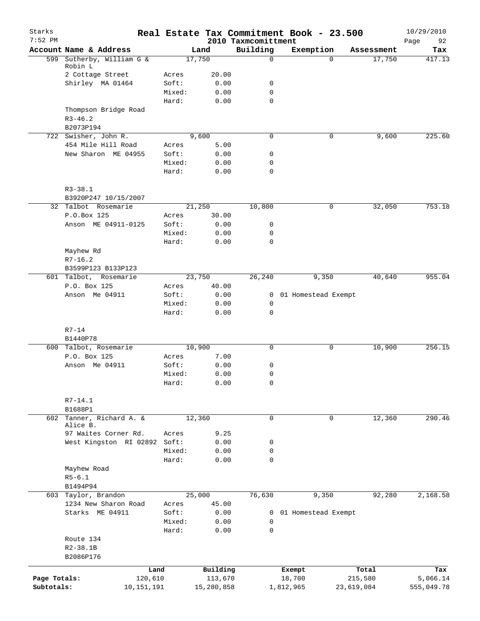| Starks<br>$7:52$ PM |                                      |                |               | 2010 Taxmcomittment | Real Estate Tax Commitment Book - 23.500 |            | 10/29/2010<br>92<br>Page |
|---------------------|--------------------------------------|----------------|---------------|---------------------|------------------------------------------|------------|--------------------------|
|                     | Account Name & Address               |                | Land          | Building            | Exemption                                | Assessment | Tax                      |
|                     | 599 Sutherby, William G &            |                | 17,750        | $\mathbf 0$         | $\Omega$                                 | 17,750     | 417.13                   |
|                     | Robin L                              |                |               |                     |                                          |            |                          |
|                     | 2 Cottage Street<br>Shirley MA 01464 | Acres<br>Soft: | 20.00<br>0.00 | 0                   |                                          |            |                          |
|                     |                                      | Mixed:         | 0.00          | $\mathbf 0$         |                                          |            |                          |
|                     |                                      | Hard:          | 0.00          | $\mathbf 0$         |                                          |            |                          |
|                     | Thompson Bridge Road                 |                |               |                     |                                          |            |                          |
|                     | $R3 - 46.2$                          |                |               |                     |                                          |            |                          |
|                     | B2073P194                            |                |               |                     |                                          |            |                          |
|                     | 722 Swisher, John R.                 |                | 9,600         | $\mathbf 0$         | 0                                        | 9,600      | 225.60                   |
|                     | 454 Mile Hill Road                   | Acres          | 5.00          |                     |                                          |            |                          |
|                     | New Sharon ME 04955                  | Soft:          | 0.00          | 0                   |                                          |            |                          |
|                     |                                      | Mixed:         | 0.00          | $\mathbf 0$         |                                          |            |                          |
|                     |                                      | Hard:          | 0.00          | $\mathbf 0$         |                                          |            |                          |
|                     | $R3 - 38.1$                          |                |               |                     |                                          |            |                          |
|                     | B3920P247 10/15/2007                 |                |               |                     |                                          |            |                          |
|                     | 32 Talbot Rosemarie                  |                | 21,250        | 10,800              | 0                                        | 32,050     | 753.18                   |
|                     | P.O.Box 125                          | Acres          | 30.00         |                     |                                          |            |                          |
|                     | Anson ME 04911-0125                  | Soft:          | 0.00          | 0                   |                                          |            |                          |
|                     |                                      | Mixed:         | 0.00          | 0                   |                                          |            |                          |
|                     |                                      | Hard:          | 0.00          | $\mathbf 0$         |                                          |            |                          |
|                     | Mayhew Rd                            |                |               |                     |                                          |            |                          |
|                     | $R7-16.2$                            |                |               |                     |                                          |            |                          |
|                     | B3599P123 B133P123                   |                |               |                     |                                          |            |                          |
|                     | 601 Talbot, Rosemarie                |                | 23,750        | 26,240              | 9,350                                    | 40,640     | 955.04                   |
|                     | P.O. Box 125                         | Acres          | 40.00         |                     |                                          |            |                          |
|                     | Anson Me 04911                       | Soft:          | 0.00          | 0                   | 01 Homestead Exempt                      |            |                          |
|                     |                                      | Mixed:         | 0.00          | 0                   |                                          |            |                          |
|                     |                                      | Hard:          | 0.00          | $\mathbf 0$         |                                          |            |                          |
|                     | $R7 - 14$                            |                |               |                     |                                          |            |                          |
|                     | B1440P78                             |                |               |                     |                                          |            |                          |
|                     | 600 Talbot, Rosemarie                |                | 10,900        | 0                   | 0                                        | 10,900     | 256.15                   |
|                     | P.O. Box 125                         | Acres          | 7.00          |                     |                                          |            |                          |
|                     | Anson Me 04911                       | Soft:          | 0.00          | 0                   |                                          |            |                          |
|                     |                                      | Mixed:         | 0.00          | 0                   |                                          |            |                          |
|                     |                                      | Hard:          | 0.00          | 0                   |                                          |            |                          |
|                     | $R7 - 14.1$                          |                |               |                     |                                          |            |                          |
|                     | B1688P1                              |                |               |                     |                                          |            |                          |
| 602                 | Tanner, Richard A. &                 |                | 12,360        | 0                   | 0                                        | 12,360     | 290.46                   |
|                     | Alice B.                             |                |               |                     |                                          |            |                          |
|                     | 97 Waites Corner Rd.                 | Acres          | 9.25          |                     |                                          |            |                          |
|                     | West Kingston RI 02892 Soft:         | Mixed:         | 0.00<br>0.00  | 0<br>0              |                                          |            |                          |
|                     |                                      | Hard:          | 0.00          | $\mathbf 0$         |                                          |            |                          |
|                     | Mayhew Road                          |                |               |                     |                                          |            |                          |
|                     | $R5 - 6.1$                           |                |               |                     |                                          |            |                          |
|                     | B1494P94                             |                |               |                     |                                          |            |                          |
|                     | 603 Taylor, Brandon                  |                | 25,000        | 76,630              | 9,350                                    | 92,280     | 2,168.58                 |
|                     | 1234 New Sharon Road                 | Acres          | 45.00         |                     |                                          |            |                          |
|                     | Starks ME 04911                      | Soft:          | 0.00          |                     | 0 01 Homestead Exempt                    |            |                          |
|                     |                                      | Mixed:         | 0.00          | 0                   |                                          |            |                          |
|                     |                                      | Hard:          | 0.00          | 0                   |                                          |            |                          |
|                     | Route 134                            |                |               |                     |                                          |            |                          |
|                     | $R2 - 38.1B$                         |                |               |                     |                                          |            |                          |
|                     | B2086P176                            |                |               |                     |                                          |            |                          |
|                     | Land                                 |                | Building      |                     | Exempt                                   | Total      | Tax                      |
| Page Totals:        | 120,610                              |                | 113,670       |                     | 18,700                                   | 215,580    | 5,066.14                 |
| Subtotals:          | 10,151,191                           |                | 15,280,858    |                     | 1,812,965                                | 23,619,084 | 555,049.78               |
|                     |                                      |                |               |                     |                                          |            |                          |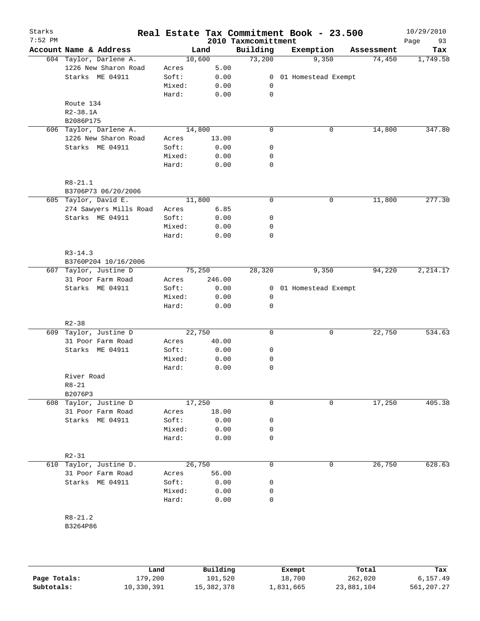| Starks<br>$7:52$ PM |                        |        |        | 2010 Taxmcomittment | Real Estate Tax Commitment Book - 23.500 |            | 10/29/2010<br>Page<br>93 |
|---------------------|------------------------|--------|--------|---------------------|------------------------------------------|------------|--------------------------|
|                     | Account Name & Address |        | Land   | Building            | Exemption                                | Assessment | Tax                      |
|                     | 604 Taylor, Darlene A. |        | 10,600 | 73,200              | 9,350                                    | 74,450     | 1,749.58                 |
|                     | 1226 New Sharon Road   | Acres  | 5.00   |                     |                                          |            |                          |
|                     | Starks ME 04911        | Soft:  | 0.00   | $\overline{0}$      | 01 Homestead Exempt                      |            |                          |
|                     |                        | Mixed: | 0.00   | 0                   |                                          |            |                          |
|                     |                        | Hard:  | 0.00   | $\mathbf 0$         |                                          |            |                          |
|                     | Route 134              |        |        |                     |                                          |            |                          |
|                     | $R2 - 38.1A$           |        |        |                     |                                          |            |                          |
|                     | B2086P175              |        |        |                     |                                          |            |                          |
|                     | 606 Taylor, Darlene A. |        | 14,800 | $\mathbf 0$         | $\mathsf{O}$                             | 14,800     | 347.80                   |
|                     | 1226 New Sharon Road   | Acres  | 13.00  |                     |                                          |            |                          |
|                     | Starks ME 04911        | Soft:  | 0.00   | $\mathsf{O}$        |                                          |            |                          |
|                     |                        | Mixed: | 0.00   | 0                   |                                          |            |                          |
|                     |                        | Hard:  | 0.00   | $\mathbf 0$         |                                          |            |                          |
|                     | $R8 - 21.1$            |        |        |                     |                                          |            |                          |
|                     | B3706P73 06/20/2006    |        |        |                     |                                          |            |                          |
|                     | 605 Taylor, David E.   |        | 11,800 | $\mathbf 0$         | $\mathsf{O}$                             | 11,800     | 277.30                   |
|                     | 274 Sawyers Mills Road | Acres  | 6.85   |                     |                                          |            |                          |
|                     | Starks ME 04911        | Soft:  | 0.00   | 0                   |                                          |            |                          |
|                     |                        | Mixed: | 0.00   | 0                   |                                          |            |                          |
|                     |                        | Hard:  | 0.00   | 0                   |                                          |            |                          |
|                     |                        |        |        |                     |                                          |            |                          |
|                     | $R3 - 14.3$            |        |        |                     |                                          |            |                          |
|                     | B3760P204 10/16/2006   |        |        |                     |                                          |            |                          |
|                     | 607 Taylor, Justine D  |        | 75,250 | 28,320              | 9,350                                    | 94,220     | 2, 214.17                |
|                     | 31 Poor Farm Road      | Acres  | 246.00 |                     |                                          |            |                          |
|                     | Starks ME 04911        | Soft:  | 0.00   | 0                   | 01 Homestead Exempt                      |            |                          |
|                     |                        | Mixed: | 0.00   | 0                   |                                          |            |                          |
|                     |                        | Hard:  | 0.00   | 0                   |                                          |            |                          |
|                     | $R2 - 38$              |        |        |                     |                                          |            |                          |
|                     | 609 Taylor, Justine D  |        | 22,750 | $\mathbf 0$         | $\mathbf 0$                              | 22,750     | 534.63                   |
|                     | 31 Poor Farm Road      | Acres  | 40.00  |                     |                                          |            |                          |
|                     | Starks ME 04911        | Soft:  | 0.00   | 0                   |                                          |            |                          |
|                     |                        | Mixed: | 0.00   | 0                   |                                          |            |                          |
|                     |                        | Hard:  | 0.00   | 0                   |                                          |            |                          |
|                     | River Road             |        |        |                     |                                          |            |                          |
|                     | $R8 - 21$              |        |        |                     |                                          |            |                          |
|                     | B2076P3                |        |        |                     |                                          |            |                          |
|                     | 608 Taylor, Justine D  |        | 17,250 | $\mathbf 0$         | $\mathbf 0$                              | 17,250     | 405.38                   |
|                     | 31 Poor Farm Road      | Acres  | 18.00  |                     |                                          |            |                          |
|                     | Starks ME 04911        | Soft:  | 0.00   | 0                   |                                          |            |                          |
|                     |                        | Mixed: | 0.00   | 0                   |                                          |            |                          |
|                     |                        | Hard:  | 0.00   | 0                   |                                          |            |                          |
|                     | $R2 - 31$              |        |        |                     |                                          |            |                          |
|                     | 610 Taylor, Justine D. |        | 26,750 | $\mathbf 0$         | 0                                        | 26,750     | 628.63                   |
|                     | 31 Poor Farm Road      | Acres  | 56.00  |                     |                                          |            |                          |
|                     | Starks ME 04911        | Soft:  | 0.00   | 0                   |                                          |            |                          |
|                     |                        | Mixed: | 0.00   | 0                   |                                          |            |                          |
|                     |                        | Hard:  | 0.00   | 0                   |                                          |            |                          |
|                     |                        |        |        |                     |                                          |            |                          |
|                     | $R8 - 21.2$            |        |        |                     |                                          |            |                          |
|                     | B3264P86               |        |        |                     |                                          |            |                          |
|                     |                        |        |        |                     |                                          |            |                          |

|              | Land       | Building   | Exempt    | Total      | Tax         |
|--------------|------------|------------|-----------|------------|-------------|
| Page Totals: | L79,200    | 101,520    | 18,700    | 262,020    | 6,157.49    |
| Subtotals:   | 10,330,391 | 15,382,378 | ⊥,831,665 | 23,881,104 | 561, 207.27 |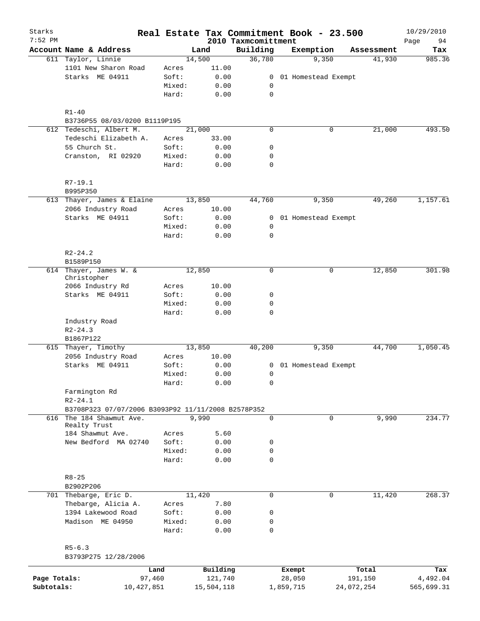| Starks<br>$7:52$ PM |                                                    |        |            | 2010 Taxmcomittment | Real Estate Tax Commitment Book - 23.500 |             |            | 10/29/2010<br>Page<br>94 |
|---------------------|----------------------------------------------------|--------|------------|---------------------|------------------------------------------|-------------|------------|--------------------------|
|                     | Account Name & Address                             |        | Land       | Building            | Exemption                                |             | Assessment | Tax                      |
|                     | 611 Taylor, Linnie                                 |        | 14,500     | 36,780              | 9,350                                    |             | 41,930     | 985.36                   |
|                     | 1101 New Sharon Road                               | Acres  | 11.00      |                     |                                          |             |            |                          |
|                     | Starks ME 04911                                    | Soft:  | 0.00       | 0                   | 01 Homestead Exempt                      |             |            |                          |
|                     |                                                    | Mixed: | 0.00       | 0                   |                                          |             |            |                          |
|                     |                                                    | Hard:  | 0.00       | $\mathbf 0$         |                                          |             |            |                          |
|                     | $R1 - 40$                                          |        |            |                     |                                          |             |            |                          |
|                     | B3736P55 08/03/0200 B1119P195                      |        |            |                     |                                          |             |            |                          |
|                     | 612 Tedeschi, Albert M.                            |        | 21,000     | $\mathbf 0$         |                                          | $\mathbf 0$ | 21,000     | 493.50                   |
|                     | Tedeschi Elizabeth A.                              | Acres  | 33.00      |                     |                                          |             |            |                          |
|                     | 55 Church St.                                      | Soft:  | 0.00       | 0                   |                                          |             |            |                          |
|                     | Cranston, RI 02920                                 | Mixed: | 0.00       | 0                   |                                          |             |            |                          |
|                     |                                                    | Hard:  | 0.00       | $\mathbf 0$         |                                          |             |            |                          |
|                     | $R7-19.1$                                          |        |            |                     |                                          |             |            |                          |
|                     | B995P350                                           |        |            |                     | 9,350                                    |             |            |                          |
|                     | 613 Thayer, James & Elaine                         |        | 13,850     | 44,760              |                                          |             | 49,260     | 1,157.61                 |
|                     | 2066 Industry Road                                 | Acres  | 10.00      |                     |                                          |             |            |                          |
|                     | Starks ME 04911                                    | Soft:  | 0.00       | 0                   | 01 Homestead Exempt                      |             |            |                          |
|                     |                                                    | Mixed: | 0.00       | 0                   |                                          |             |            |                          |
|                     |                                                    | Hard:  | 0.00       | $\mathbf 0$         |                                          |             |            |                          |
|                     | $R2 - 24.2$<br>B1589P150                           |        |            |                     |                                          |             |            |                          |
|                     | 614 Thayer, James W. &                             |        | 12,850     | 0                   |                                          | 0           | 12,850     | 301.98                   |
|                     | Christopher                                        |        |            |                     |                                          |             |            |                          |
|                     | 2066 Industry Rd                                   | Acres  | 10.00      |                     |                                          |             |            |                          |
|                     | Starks ME 04911                                    | Soft:  | 0.00       | 0                   |                                          |             |            |                          |
|                     |                                                    | Mixed: | 0.00       | $\mathbf 0$         |                                          |             |            |                          |
|                     |                                                    | Hard:  | 0.00       | $\mathbf 0$         |                                          |             |            |                          |
|                     | Industry Road                                      |        |            |                     |                                          |             |            |                          |
|                     | $R2 - 24.3$                                        |        |            |                     |                                          |             |            |                          |
|                     | B1867P122                                          |        |            |                     |                                          |             |            |                          |
|                     | 615 Thayer, Timothy                                |        | 13,850     | 40,200              | 9,350                                    |             | 44,700     | 1,050.45                 |
|                     | 2056 Industry Road                                 | Acres  | 10.00      |                     |                                          |             |            |                          |
|                     | Starks ME 04911                                    | Soft:  | 0.00       | 0                   | 01 Homestead Exempt                      |             |            |                          |
|                     |                                                    | Mixed: | 0.00       | 0                   |                                          |             |            |                          |
|                     |                                                    | Hard:  | 0.00       | 0                   |                                          |             |            |                          |
|                     | Farmington Rd                                      |        |            |                     |                                          |             |            |                          |
|                     | $R2 - 24.1$                                        |        |            |                     |                                          |             |            |                          |
|                     | B3708P323 07/07/2006 B3093P92 11/11/2008 B2578P352 |        |            |                     |                                          |             |            |                          |
|                     | 616 The 184 Shawmut Ave.                           |        | 9,990      | $\mathbf 0$         |                                          | 0           | 9,990      | 234.77                   |
|                     | Realty Trust                                       |        |            |                     |                                          |             |            |                          |
|                     | 184 Shawmut Ave.                                   | Acres  | 5.60       |                     |                                          |             |            |                          |
|                     | New Bedford MA 02740                               | Soft:  | 0.00       | 0                   |                                          |             |            |                          |
|                     |                                                    | Mixed: | 0.00       | 0                   |                                          |             |            |                          |
|                     |                                                    | Hard:  | 0.00       | $\mathbf 0$         |                                          |             |            |                          |
|                     | $R8 - 25$                                          |        |            |                     |                                          |             |            |                          |
|                     | B2902P206                                          |        |            |                     |                                          |             |            |                          |
| 701                 | Thebarge, Eric D.                                  |        | 11,420     | 0                   |                                          | 0           | 11,420     | 268.37                   |
|                     | Thebarge, Alicia A.                                | Acres  | 7.80       |                     |                                          |             |            |                          |
|                     | 1394 Lakewood Road                                 | Soft:  | 0.00       | 0                   |                                          |             |            |                          |
|                     | Madison ME 04950                                   | Mixed: | 0.00       | 0                   |                                          |             |            |                          |
|                     |                                                    | Hard:  | 0.00       | 0                   |                                          |             |            |                          |
|                     |                                                    |        |            |                     |                                          |             |            |                          |
|                     | $R5 - 6.3$<br>B3793P275 12/28/2006                 |        |            |                     |                                          |             |            |                          |
|                     |                                                    | Land   | Building   |                     | Exempt                                   |             | Total      | Tax                      |
| Page Totals:        | 97,460                                             |        | 121,740    |                     | 28,050                                   |             | 191,150    | 4,492.04                 |
| Subtotals:          | 10,427,851                                         |        | 15,504,118 |                     | 1,859,715                                | 24,072,254  |            | 565,699.31               |
|                     |                                                    |        |            |                     |                                          |             |            |                          |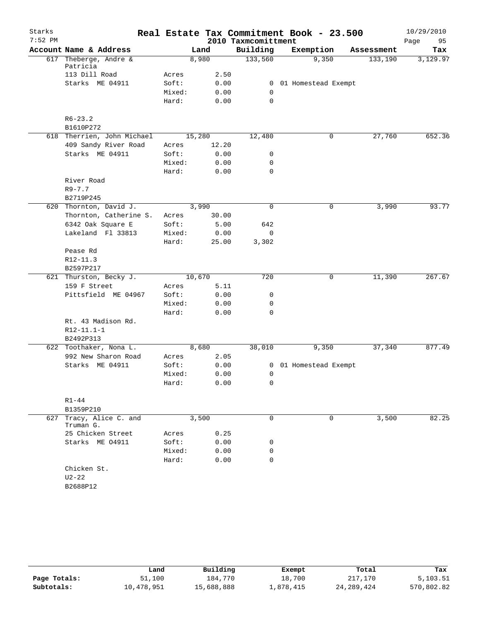| Starks    |                                        |                 |              |                     | Real Estate Tax Commitment Book - 23.500 |            | 10/29/2010 |
|-----------|----------------------------------------|-----------------|--------------|---------------------|------------------------------------------|------------|------------|
| $7:52$ PM |                                        |                 |              | 2010 Taxmcomittment |                                          |            | 95<br>Page |
|           | Account Name & Address                 |                 | Land         | Building            | Exemption                                | Assessment | Tax        |
|           | 617 Theberge, Andre &<br>Patricia      |                 | 8,980        | 133,560             | 9,350                                    | 133,190    | 3,129.97   |
|           | 113 Dill Road                          | Acres           | 2.50         |                     |                                          |            |            |
|           | Starks ME 04911                        | Soft:           | 0.00         | $\mathbf{0}$        | 01 Homestead Exempt                      |            |            |
|           |                                        | Mixed:          | 0.00         | 0                   |                                          |            |            |
|           |                                        | Hard:           | 0.00         | $\mathbf 0$         |                                          |            |            |
|           | $R6 - 23.2$                            |                 |              |                     |                                          |            |            |
|           | B1610P272                              |                 |              |                     |                                          |            |            |
|           | 618 Therrien, John Michael             |                 | 15,280       | 12,480              | 0                                        | 27,760     | 652.36     |
|           | 409 Sandy River Road                   | Acres           | 12.20        |                     |                                          |            |            |
|           | Starks ME 04911                        | Soft:           | 0.00         | 0                   |                                          |            |            |
|           |                                        | Mixed:          | 0.00         | $\mathbf 0$         |                                          |            |            |
|           |                                        | Hard:           | 0.00         | $\mathbf 0$         |                                          |            |            |
|           | River Road                             |                 |              |                     |                                          |            |            |
|           | $R9 - 7.7$                             |                 |              |                     |                                          |            |            |
|           | B2719P245                              |                 |              |                     |                                          |            |            |
|           | 620 Thornton, David J.                 |                 | 3,990        | 0                   | 0                                        | 3,990      | 93.77      |
|           | Thornton, Catherine S.                 | Acres           | 30.00        |                     |                                          |            |            |
|           | 6342 Oak Square E<br>Lakeland Fl 33813 | Soft:<br>Mixed: | 5.00<br>0.00 | 642<br>0            |                                          |            |            |
|           |                                        | Hard:           | 25.00        | 3,302               |                                          |            |            |
|           | Pease Rd                               |                 |              |                     |                                          |            |            |
|           | R12-11.3                               |                 |              |                     |                                          |            |            |
|           | B2597P217                              |                 |              |                     |                                          |            |            |
|           | 621 Thurston, Becky J.                 |                 | 10,670       | 720                 | 0                                        | 11,390     | 267.67     |
|           | 159 F Street                           | Acres           | 5.11         |                     |                                          |            |            |
|           | Pittsfield ME 04967                    | Soft:           | 0.00         | 0                   |                                          |            |            |
|           |                                        | Mixed:          | 0.00         | 0                   |                                          |            |            |
|           |                                        | Hard:           | 0.00         | 0                   |                                          |            |            |
|           | Rt. 43 Madison Rd.                     |                 |              |                     |                                          |            |            |
|           | R12-11.1-1                             |                 |              |                     |                                          |            |            |
|           | B2492P313                              |                 |              |                     |                                          |            |            |
|           | 622 Toothaker, Nona L.                 |                 | 8,680        | 38,010              | 9,350                                    | 37,340     | 877.49     |
|           | 992 New Sharon Road                    | Acres           | 2.05         |                     |                                          |            |            |
|           | Starks ME 04911                        | Soft:<br>Mixed: | 0.00<br>0.00 | 0<br>0              | 01 Homestead Exempt                      |            |            |
|           |                                        | Hard:           | 0.00         | 0                   |                                          |            |            |
|           |                                        |                 |              |                     |                                          |            |            |
|           | $R1 - 44$                              |                 |              |                     |                                          |            |            |
|           | B1359P210                              |                 |              |                     |                                          |            |            |
|           | 627 Tracy, Alice C. and<br>Truman G.   |                 | 3,500        | 0                   | 0                                        | 3,500      | 82.25      |
|           | 25 Chicken Street                      | Acres           | 0.25         |                     |                                          |            |            |
|           | Starks ME 04911                        | Soft:           | 0.00         | 0                   |                                          |            |            |
|           |                                        | Mixed:          | 0.00         | 0                   |                                          |            |            |
|           |                                        | Hard:           | 0.00         | 0                   |                                          |            |            |
|           | Chicken St.                            |                 |              |                     |                                          |            |            |
|           | $U2-22$                                |                 |              |                     |                                          |            |            |
|           | B2688P12                               |                 |              |                     |                                          |            |            |

|              | Land       | Building   | Exempt    | Total        | Tax        |
|--------------|------------|------------|-----------|--------------|------------|
| Page Totals: | 51,100     | 184,770    | 18,700    | 217,170      | 5,103.51   |
| Subtotals:   | 10,478,951 | 15,688,888 | 1,878,415 | 24, 289, 424 | 570,802.82 |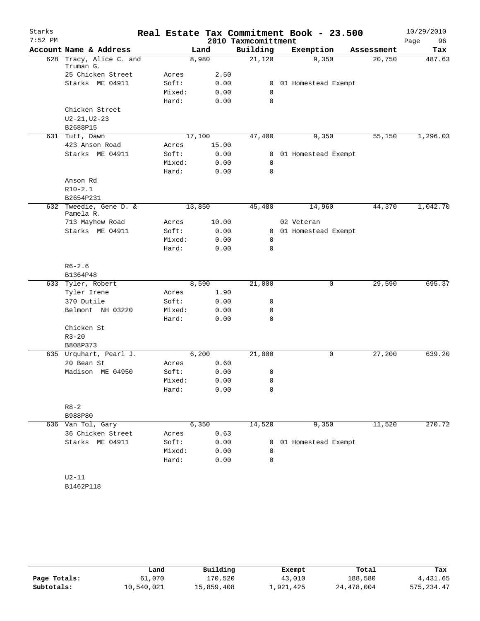| Starks    |                                      |        |        |                     | Real Estate Tax Commitment Book - 23.500 |            | 10/29/2010 |
|-----------|--------------------------------------|--------|--------|---------------------|------------------------------------------|------------|------------|
| $7:52$ PM |                                      |        |        | 2010 Taxmcomittment |                                          |            | Page<br>96 |
|           | Account Name & Address               |        | Land   | Building            | Exemption                                | Assessment | Tax        |
|           | 628 Tracy, Alice C. and<br>Truman G. |        | 8,980  | 21,120              | 9,350                                    | 20,750     | 487.63     |
|           | 25 Chicken Street                    | Acres  | 2.50   |                     |                                          |            |            |
|           | Starks ME 04911                      | Soft:  | 0.00   | $\mathbf{0}$        | 01 Homestead Exempt                      |            |            |
|           |                                      | Mixed: | 0.00   | 0                   |                                          |            |            |
|           |                                      | Hard:  | 0.00   | $\mathbf 0$         |                                          |            |            |
|           | Chicken Street                       |        |        |                     |                                          |            |            |
|           | $U2 - 21, U2 - 23$                   |        |        |                     |                                          |            |            |
|           | B2688P15                             |        |        |                     |                                          |            |            |
|           | 631 Tutt, Dawn                       |        | 17,100 | 47,400              | 9,350                                    | 55,150     | 1,296.03   |
|           | 423 Anson Road                       | Acres  | 15.00  |                     |                                          |            |            |
|           | Starks ME 04911                      | Soft:  | 0.00   | 0                   | 01 Homestead Exempt                      |            |            |
|           |                                      | Mixed: | 0.00   | 0                   |                                          |            |            |
|           |                                      | Hard:  | 0.00   | $\mathbf 0$         |                                          |            |            |
|           | Anson Rd                             |        |        |                     |                                          |            |            |
|           | $R10-2.1$                            |        |        |                     |                                          |            |            |
|           | B2654P231                            |        |        |                     |                                          |            |            |
|           | 632 Tweedie, Gene D. &<br>Pamela R.  |        | 13,850 | 45,480              | 14,960                                   | 44,370     | 1,042.70   |
|           | 713 Mayhew Road                      | Acres  | 10.00  |                     | 02 Veteran                               |            |            |
|           | Starks ME 04911                      | Soft:  | 0.00   | 0                   | 01 Homestead Exempt                      |            |            |
|           |                                      | Mixed: | 0.00   | 0                   |                                          |            |            |
|           |                                      | Hard:  | 0.00   | 0                   |                                          |            |            |
|           | $R6 - 2.6$                           |        |        |                     |                                          |            |            |
|           | B1364P48                             |        |        |                     |                                          |            |            |
|           | 633 Tyler, Robert                    |        | 8,590  | 21,000              | 0                                        | 29,590     | 695.37     |
|           | Tyler Irene                          | Acres  | 1.90   |                     |                                          |            |            |
|           | 370 Dutile                           | Soft:  | 0.00   | 0                   |                                          |            |            |
|           | Belmont NH 03220                     | Mixed: | 0.00   | 0                   |                                          |            |            |
|           |                                      | Hard:  | 0.00   | $\mathbf 0$         |                                          |            |            |
|           | Chicken St                           |        |        |                     |                                          |            |            |
|           | $R3 - 20$                            |        |        |                     |                                          |            |            |
|           | B808P373                             |        |        |                     |                                          |            |            |
|           | 635 Urquhart, Pearl J.               |        | 6,200  | 21,000              | 0                                        | 27,200     | 639.20     |
|           | 20 Bean St                           | Acres  | 0.60   |                     |                                          |            |            |
|           | Madison ME 04950                     | Soft:  | 0.00   | 0                   |                                          |            |            |
|           |                                      | Mixed: | 0.00   | 0                   |                                          |            |            |
|           |                                      | Hard:  | 0.00   | 0                   |                                          |            |            |
|           | $R8 - 2$                             |        |        |                     |                                          |            |            |
|           | B988P80                              |        |        |                     |                                          |            |            |
|           | 636 Van Tol, Gary                    |        | 6,350  | 14,520              | 9,350                                    | 11,520     | 270.72     |
|           | 36 Chicken Street                    | Acres  | 0.63   |                     |                                          |            |            |
|           | Starks ME 04911                      | Soft:  | 0.00   | 0                   | 01 Homestead Exempt                      |            |            |
|           |                                      | Mixed: | 0.00   | 0                   |                                          |            |            |
|           |                                      | Hard:  | 0.00   | $\mathbf 0$         |                                          |            |            |
|           | $U2-11$                              |        |        |                     |                                          |            |            |
|           | B1462P118                            |        |        |                     |                                          |            |            |

|              | Land       | Building   | Exempt    | Total      | Tax         |
|--------------|------------|------------|-----------|------------|-------------|
| Page Totals: | 61,070     | 170,520    | 43,010    | 188,580    | 4,431.65    |
| Subtotals:   | 10,540,021 | 15,859,408 | ⊥,921,425 | 24,478,004 | 575, 234.47 |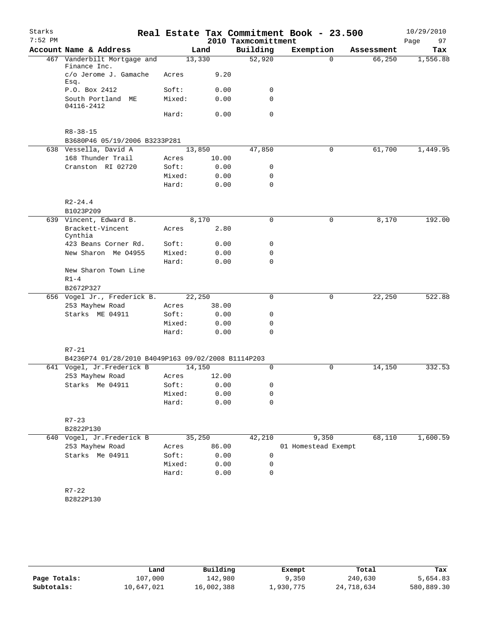| Starks<br>$7:52$ PM |                                                    |        |       | 2010 Taxmcomittment | Real Estate Tax Commitment Book - 23.500 |            | 10/29/2010<br>Page<br>97 |
|---------------------|----------------------------------------------------|--------|-------|---------------------|------------------------------------------|------------|--------------------------|
|                     | Account Name & Address                             |        | Land  | Building            | Exemption                                | Assessment | Tax                      |
|                     | 467 Vanderbilt Mortgage and<br>Finance Inc.        | 13,330 |       | 52,920              | $\Omega$                                 | 66,250     | 1,556.88                 |
|                     | c/o Jerome J. Gamache                              | Acres  | 9.20  |                     |                                          |            |                          |
|                     | Esq.<br>P.O. Box 2412                              | Soft:  | 0.00  | 0                   |                                          |            |                          |
|                     | South Portland ME                                  | Mixed: | 0.00  | $\Omega$            |                                          |            |                          |
|                     | 04116-2412                                         |        |       |                     |                                          |            |                          |
|                     |                                                    | Hard:  | 0.00  | $\mathbf 0$         |                                          |            |                          |
|                     | $R8 - 38 - 15$                                     |        |       |                     |                                          |            |                          |
|                     | B3680P46 05/19/2006 B3233P281                      |        |       |                     |                                          |            |                          |
|                     | 638 Vessella, David A                              | 13,850 |       | 47,850              | 0                                        | 61,700     | 1,449.95                 |
|                     | 168 Thunder Trail                                  | Acres  | 10.00 |                     |                                          |            |                          |
|                     | Cranston RI 02720                                  | Soft:  | 0.00  | 0                   |                                          |            |                          |
|                     |                                                    | Mixed: | 0.00  | $\mathbf 0$         |                                          |            |                          |
|                     |                                                    | Hard:  | 0.00  | 0                   |                                          |            |                          |
|                     | $R2 - 24.4$                                        |        |       |                     |                                          |            |                          |
|                     | B1023P209                                          |        |       |                     |                                          |            |                          |
|                     | 639 Vincent, Edward B.                             |        | 8,170 | 0                   | $\mathbf 0$                              | 8,170      | 192.00                   |
|                     | Brackett-Vincent<br>Cynthia                        | Acres  | 2.80  |                     |                                          |            |                          |
|                     | 423 Beans Corner Rd.                               | Soft:  | 0.00  | 0                   |                                          |            |                          |
|                     | New Sharon Me 04955                                | Mixed: | 0.00  | 0                   |                                          |            |                          |
|                     |                                                    | Hard:  | 0.00  | $\mathbf 0$         |                                          |            |                          |
|                     | New Sharon Town Line                               |        |       |                     |                                          |            |                          |
|                     | $R1-4$                                             |        |       |                     |                                          |            |                          |
|                     | B2672P327                                          |        |       |                     |                                          |            |                          |
|                     | 656 Vogel Jr., Frederick B.                        | 22,250 |       | $\mathbf 0$         | 0                                        | 22,250     | 522.88                   |
|                     | 253 Mayhew Road                                    | Acres  | 38.00 |                     |                                          |            |                          |
|                     | Starks ME 04911                                    | Soft:  | 0.00  | 0                   |                                          |            |                          |
|                     |                                                    | Mixed: | 0.00  | 0                   |                                          |            |                          |
|                     |                                                    | Hard:  | 0.00  | $\Omega$            |                                          |            |                          |
|                     | $R7 - 21$                                          |        |       |                     |                                          |            |                          |
|                     | B4236P74 01/28/2010 B4049P163 09/02/2008 B1114P203 |        |       |                     |                                          |            |                          |
|                     | 641 Vogel, Jr.Frederick B                          | 14,150 |       | 0                   | 0                                        | 14,150     | 332.53                   |
|                     | 253 Mayhew Road                                    | Acres  | 12.00 |                     |                                          |            |                          |
|                     | Starks Me 04911                                    | Soft:  | 0.00  | 0                   |                                          |            |                          |
|                     |                                                    | Mixed: | 0.00  | 0                   |                                          |            |                          |
|                     |                                                    | Hard:  | 0.00  | 0                   |                                          |            |                          |
|                     | $R7 - 23$                                          |        |       |                     |                                          |            |                          |
|                     | B2822P130                                          |        |       |                     |                                          |            |                          |
|                     | 640 Vogel, Jr.Frederick B                          | 35,250 |       | 42,210              | 9,350                                    | 68,110     | 1,600.59                 |
|                     | 253 Mayhew Road                                    | Acres  | 86.00 |                     | 01 Homestead Exempt                      |            |                          |
|                     | Starks Me 04911                                    | Soft:  | 0.00  | 0                   |                                          |            |                          |
|                     |                                                    | Mixed: | 0.00  | 0                   |                                          |            |                          |
|                     |                                                    | Hard:  | 0.00  | 0                   |                                          |            |                          |
|                     | $R7 - 22$                                          |        |       |                     |                                          |            |                          |
|                     |                                                    |        |       |                     |                                          |            |                          |
|                     | B2822P130                                          |        |       |                     |                                          |            |                          |
|                     |                                                    |        |       |                     |                                          |            |                          |
|                     |                                                    |        |       |                     |                                          |            |                          |

|              |            | Building   |           | Total      | Tax        |
|--------------|------------|------------|-----------|------------|------------|
|              | Land       |            | Exempt    |            |            |
| Page Totals: | 107,000    | 142,980    | 9,350     | 240,630    | 5,654.83   |
| Subtotals:   | 10,647,021 | 16,002,388 | ⊥,930,775 | 24,718,634 | 580,889.30 |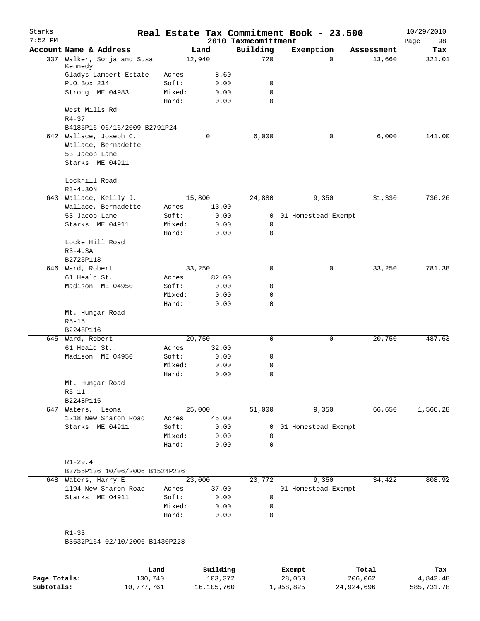| Starks<br>$7:52$ PM |                                    |        |             | 2010 Taxmcomittment | Real Estate Tax Commitment Book - 23.500 |            | 10/29/2010<br>Page<br>98 |
|---------------------|------------------------------------|--------|-------------|---------------------|------------------------------------------|------------|--------------------------|
|                     | Account Name & Address             |        | Land        | Building            | Exemption                                | Assessment | Tax                      |
| 337                 | Walker, Sonja and Susan<br>Kennedy |        | 12,940      | 720                 | $\Omega$                                 | 13,660     | 321.01                   |
|                     | Gladys Lambert Estate              | Acres  | 8.60        |                     |                                          |            |                          |
|                     | P.O.Box 234                        | Soft:  | 0.00        | 0                   |                                          |            |                          |
|                     | Strong ME 04983                    | Mixed: | 0.00        | 0                   |                                          |            |                          |
|                     |                                    | Hard:  | 0.00        | 0                   |                                          |            |                          |
|                     | West Mills Rd                      |        |             |                     |                                          |            |                          |
|                     | $R4 - 37$                          |        |             |                     |                                          |            |                          |
|                     | B4185P16 06/16/2009 B2791P24       |        |             |                     |                                          |            |                          |
|                     | 642 Wallace, Joseph C.             |        | $\mathbf 0$ | 6,000               | $\mathbf 0$                              | 6,000      | 141.00                   |
|                     | Wallace, Bernadette                |        |             |                     |                                          |            |                          |
|                     | 53 Jacob Lane                      |        |             |                     |                                          |            |                          |
|                     | Starks ME 04911                    |        |             |                     |                                          |            |                          |
|                     |                                    |        |             |                     |                                          |            |                          |
|                     | Lockhill Road                      |        |             |                     |                                          |            |                          |
|                     | $R3 - 4.30N$                       |        |             |                     |                                          |            |                          |
|                     | 643 Wallace, Kellly J.             |        | 15,800      | 24,880              | 9,350                                    | 31,330     | 736.26                   |
|                     | Wallace, Bernadette                | Acres  | 13.00       |                     |                                          |            |                          |
|                     | 53 Jacob Lane                      | Soft:  | 0.00        | 0                   | 01 Homestead Exempt                      |            |                          |
|                     | Starks ME 04911                    | Mixed: | 0.00        | $\mathbf 0$         |                                          |            |                          |
|                     |                                    | Hard:  | 0.00        | 0                   |                                          |            |                          |
|                     | Locke Hill Road                    |        |             |                     |                                          |            |                          |
|                     | $R3-4.3A$                          |        |             |                     |                                          |            |                          |
|                     | B2725P113                          |        |             |                     |                                          |            |                          |
|                     | 646 Ward, Robert                   |        | 33,250      | 0                   | 0                                        | 33,250     | 781.38                   |
|                     | 61 Heald St                        | Acres  | 82.00       |                     |                                          |            |                          |
|                     | Madison ME 04950                   | Soft:  | 0.00        | 0                   |                                          |            |                          |
|                     |                                    | Mixed: | 0.00        | 0                   |                                          |            |                          |
|                     |                                    | Hard:  | 0.00        | 0                   |                                          |            |                          |
|                     | Mt. Hungar Road                    |        |             |                     |                                          |            |                          |
|                     | $R5 - 15$                          |        |             |                     |                                          |            |                          |
|                     | B2248P116                          |        |             |                     |                                          |            |                          |
|                     | 645 Ward, Robert                   |        | 20,750      | 0                   | 0                                        | 20,750     | 487.63                   |
|                     | 61 Heald St                        | Acres  | 32.00       |                     |                                          |            |                          |
|                     | Madison ME 04950                   | Soft:  | 0.00        | 0                   |                                          |            |                          |
|                     |                                    | Mixed: | 0.00        | 0                   |                                          |            |                          |
|                     |                                    | Hard:  | 0.00        | 0                   |                                          |            |                          |
|                     | Mt. Hungar Road                    |        |             |                     |                                          |            |                          |
|                     | $R5 - 11$                          |        |             |                     |                                          |            |                          |
|                     | B2248P115                          |        |             |                     |                                          |            |                          |
|                     | 647 Waters, Leona                  |        | 25,000      | 51,000              | 9,350                                    | 66,650     | 1,566.28                 |
|                     | 1218 New Sharon Road               | Acres  | 45.00       |                     |                                          |            |                          |
|                     | Starks ME 04911                    | Soft:  | 0.00        | $\overline{0}$      | 01 Homestead Exempt                      |            |                          |
|                     |                                    | Mixed: | 0.00        | $\mathbf 0$         |                                          |            |                          |
|                     |                                    | Hard:  | 0.00        | 0                   |                                          |            |                          |
|                     | $R1 - 29.4$                        |        |             |                     |                                          |            |                          |
|                     | B3755P136 10/06/2006 B1524P236     |        |             |                     |                                          |            |                          |
|                     | 648 Waters, Harry E.               |        | 23,000      | 20,772              | 9,350                                    | 34,422     | 808.92                   |
|                     | 1194 New Sharon Road               | Acres  | 37.00       |                     | 01 Homestead Exempt                      |            |                          |
|                     | Starks ME 04911                    | Soft:  | 0.00        | $\mathbf 0$         |                                          |            |                          |
|                     |                                    | Mixed: | 0.00        | $\mathbf 0$         |                                          |            |                          |
|                     |                                    | Hard:  | 0.00        | 0                   |                                          |            |                          |
|                     |                                    |        |             |                     |                                          |            |                          |
|                     | $R1 - 33$                          |        |             |                     |                                          |            |                          |
|                     | B3632P164 02/10/2006 B1430P228     |        |             |                     |                                          |            |                          |
|                     |                                    |        |             |                     |                                          |            |                          |
|                     |                                    |        |             |                     |                                          |            |                          |
|                     |                                    |        |             |                     |                                          |            |                          |

|              | Land       | Building   | Exempt    | Total      | Tax        |
|--------------|------------|------------|-----------|------------|------------|
| Page Totals: | 130,740    | 103,372    | 28,050    | 206,062    | 4,842.48   |
| Subtotals:   | 10,777,761 | 16,105,760 | 1,958,825 | 24,924,696 | 585,731.78 |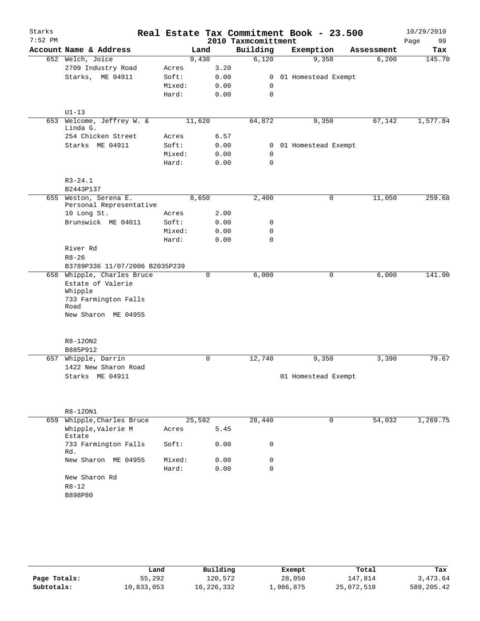| Starks    |                                    |        |        |                     | Real Estate Tax Commitment Book - 23.500 |             |        | 10/29/2010 |
|-----------|------------------------------------|--------|--------|---------------------|------------------------------------------|-------------|--------|------------|
| $7:52$ PM |                                    |        |        | 2010 Taxmcomittment |                                          |             |        | Page<br>99 |
|           | Account Name & Address             |        | Land   | Building            | Exemption                                | Assessment  |        | Tax        |
|           | 652 Welch, Joice                   |        | 9,430  | 6,120               | 9,350                                    |             | 6,200  | 145.70     |
|           | 2709 Industry Road                 | Acres  | 3.20   |                     |                                          |             |        |            |
|           | Starks, ME 04911                   | Soft:  | 0.00   | $\mathbf{0}$        | 01 Homestead Exempt                      |             |        |            |
|           |                                    | Mixed: | 0.00   | 0                   |                                          |             |        |            |
|           |                                    | Hard:  | 0.00   | $\mathbf 0$         |                                          |             |        |            |
|           | $U1-13$                            |        |        |                     |                                          |             |        |            |
| 653       | Welcome, Jeffrey W. &              |        | 11,620 | 64,872              | 9,350                                    |             | 67,142 | 1,577.84   |
|           | Linda G.                           |        |        |                     |                                          |             |        |            |
|           | 254 Chicken Street                 | Acres  | 6.57   |                     |                                          |             |        |            |
|           | Starks ME 04911                    | Soft:  | 0.00   |                     | 0 01 Homestead Exempt                    |             |        |            |
|           |                                    | Mixed: | 0.00   | 0                   |                                          |             |        |            |
|           |                                    | Hard:  | 0.00   | $\Omega$            |                                          |             |        |            |
|           |                                    |        |        |                     |                                          |             |        |            |
|           | $R3 - 24.1$<br>B2443P137           |        |        |                     |                                          |             |        |            |
|           | 655 Weston, Serena E.              |        | 8,650  | 2,400               |                                          | 0           | 11,050 | 259.68     |
|           | Personal Representative            |        |        |                     |                                          |             |        |            |
|           | 10 Long St.                        | Acres  | 2.00   |                     |                                          |             |        |            |
|           | Brunswick ME 04011                 | Soft:  | 0.00   | 0                   |                                          |             |        |            |
|           |                                    | Mixed: | 0.00   | $\mathbf 0$         |                                          |             |        |            |
|           |                                    | Hard:  | 0.00   | $\Omega$            |                                          |             |        |            |
|           | River Rd                           |        |        |                     |                                          |             |        |            |
|           | $R8 - 26$                          |        |        |                     |                                          |             |        |            |
|           | B3789P336 11/07/2006 B2035P239     |        |        |                     |                                          |             |        |            |
|           | 658 Whipple, Charles Bruce         |        | 0      | 6,000               |                                          | 0           | 6,000  | 141.00     |
|           | Estate of Valerie                  |        |        |                     |                                          |             |        |            |
|           | Whipple<br>733 Farmington Falls    |        |        |                     |                                          |             |        |            |
|           | Road                               |        |        |                     |                                          |             |        |            |
|           | New Sharon ME 04955                |        |        |                     |                                          |             |        |            |
|           |                                    |        |        |                     |                                          |             |        |            |
|           | R8-120N2                           |        |        |                     |                                          |             |        |            |
|           | B885P912                           |        |        |                     |                                          |             |        |            |
| 657       | Whipple, Darrin                    |        | 0      | 12,740              | 9,350                                    |             | 3,390  | 79.67      |
|           | 1422 New Sharon Road               |        |        |                     |                                          |             |        |            |
|           | Starks ME 04911                    |        |        |                     | 01 Homestead Exempt                      |             |        |            |
|           |                                    |        |        |                     |                                          |             |        |            |
|           |                                    |        |        |                     |                                          |             |        |            |
|           |                                    |        |        |                     |                                          |             |        |            |
| 659       | R8-120N1<br>Whipple, Charles Bruce |        | 25,592 | 28,440              |                                          | $\mathbf 0$ | 54,032 | 1,269.75   |
|           | Whipple, Valerie M                 | Acres  | 5.45   |                     |                                          |             |        |            |
|           | Estate                             |        |        |                     |                                          |             |        |            |
|           | 733 Farmington Falls               | Soft:  | 0.00   | 0                   |                                          |             |        |            |
|           | Rd.                                |        |        |                     |                                          |             |        |            |
|           | New Sharon ME 04955                | Mixed: | 0.00   | 0                   |                                          |             |        |            |
|           |                                    | Hard:  | 0.00   | $\Omega$            |                                          |             |        |            |
|           | New Sharon Rd                      |        |        |                     |                                          |             |        |            |
|           | $R8 - 12$                          |        |        |                     |                                          |             |        |            |
|           | B898P80                            |        |        |                     |                                          |             |        |            |
|           |                                    |        |        |                     |                                          |             |        |            |

|              | Land       | Building   | Exempt    | Total      | Tax        |
|--------------|------------|------------|-----------|------------|------------|
| Page Totals: | 55,292     | 120,572    | 28,050    | 147,814    | 3,473.64   |
| Subtotals:   | 10,833,053 | 16,226,332 | ⊥,986,875 | 25,072,510 | 589,205.42 |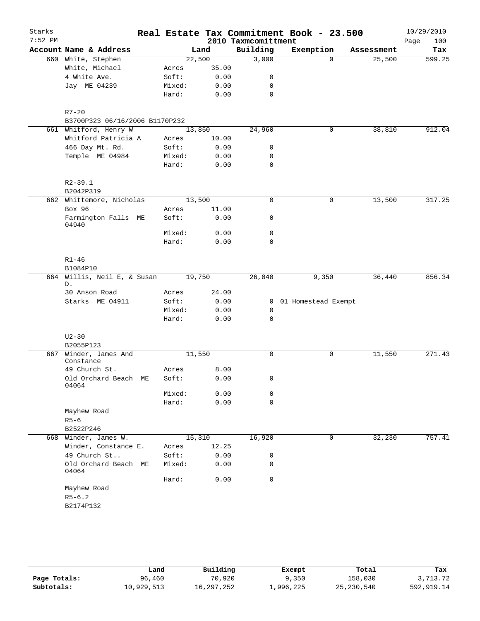| Building<br>Account Name & Address<br>Exemption<br>Land<br>Assessment<br>Tax<br>22,500<br>3,000<br>660 White, Stephen<br>$\Omega$<br>25,500<br>White, Michael<br>35.00<br>Acres<br>4 White Ave.<br>Soft:<br>0.00<br>0<br>0.00<br>Jay ME 04239<br>Mixed:<br>0<br>$\mathbf 0$<br>Hard:<br>0.00<br>$R7 - 20$<br>B3700P323 06/16/2006 B1170P232<br>661 Whitford, Henry W<br>13,850<br>24,960<br>0<br>38,810<br>Whitford Patricia A<br>10.00<br>Acres<br>466 Day Mt. Rd.<br>Soft:<br>0.00<br>0<br>Temple ME 04984<br>Mixed:<br>0.00<br>0<br>Hard:<br>0.00<br>0<br>$R2 - 39.1$<br>B2042P319<br>662 Whittemore, Nicholas<br>13,500<br>$\mathbf 0$<br>0<br>13,500<br>Box 96<br>11.00<br>Acres<br>Farmington Falls ME<br>Soft:<br>0.00<br>0<br>04940<br>0<br>Mixed:<br>0.00<br>Hard:<br>0.00<br>$\Omega$<br>$R1 - 46$<br>B1084P10<br>664 Willis, Neil E, & Susan<br>19,750<br>9,350<br>36,440<br>26,040<br>D.<br>24.00<br>30 Anson Road<br>Acres<br>Starks ME 04911<br>Soft:<br>0.00<br>0 01 Homestead Exempt<br>Mixed:<br>0.00<br>0<br>Hard:<br>0.00<br>0<br>$U2 - 30$<br>B2055P123<br>Winder, James And<br>11,550<br>$\mathbf 0$<br>0<br>11,550<br>667<br>Constance<br>49 Church St.<br>8.00<br>Acres<br>Old Orchard Beach ME<br>Soft:<br>0.00<br>0<br>04064<br>0.00<br>Mixed:<br>0<br>0.00<br>$\mathbf 0$<br>Hard:<br>Mayhew Road<br>$R5 - 6$<br>B2522P246<br>16,920<br>668 Winder, James W.<br>15,310<br>0<br>32,230<br>Winder, Constance E.<br>12.25<br>Acres<br>49 Church St<br>Soft:<br>0.00<br>0<br>Old Orchard Beach ME<br>Mixed:<br>0.00<br>0<br>04064<br>$\mathbf 0$<br>Hard:<br>0.00<br>Mayhew Road<br>$R5 - 6.2$<br>B2174P132 | Starks<br>$7:52$ PM |  |  | 2010 Taxmcomittment | Real Estate Tax Commitment Book - 23.500 |  | 10/29/2010<br>Page<br>100 |
|-----------------------------------------------------------------------------------------------------------------------------------------------------------------------------------------------------------------------------------------------------------------------------------------------------------------------------------------------------------------------------------------------------------------------------------------------------------------------------------------------------------------------------------------------------------------------------------------------------------------------------------------------------------------------------------------------------------------------------------------------------------------------------------------------------------------------------------------------------------------------------------------------------------------------------------------------------------------------------------------------------------------------------------------------------------------------------------------------------------------------------------------------------------------------------------------------------------------------------------------------------------------------------------------------------------------------------------------------------------------------------------------------------------------------------------------------------------------------------------------------------------------------------------------------------------------------------------------------------------------------------------|---------------------|--|--|---------------------|------------------------------------------|--|---------------------------|
|                                                                                                                                                                                                                                                                                                                                                                                                                                                                                                                                                                                                                                                                                                                                                                                                                                                                                                                                                                                                                                                                                                                                                                                                                                                                                                                                                                                                                                                                                                                                                                                                                                   |                     |  |  |                     |                                          |  |                           |
|                                                                                                                                                                                                                                                                                                                                                                                                                                                                                                                                                                                                                                                                                                                                                                                                                                                                                                                                                                                                                                                                                                                                                                                                                                                                                                                                                                                                                                                                                                                                                                                                                                   |                     |  |  |                     |                                          |  | 599.25                    |
|                                                                                                                                                                                                                                                                                                                                                                                                                                                                                                                                                                                                                                                                                                                                                                                                                                                                                                                                                                                                                                                                                                                                                                                                                                                                                                                                                                                                                                                                                                                                                                                                                                   |                     |  |  |                     |                                          |  |                           |
|                                                                                                                                                                                                                                                                                                                                                                                                                                                                                                                                                                                                                                                                                                                                                                                                                                                                                                                                                                                                                                                                                                                                                                                                                                                                                                                                                                                                                                                                                                                                                                                                                                   |                     |  |  |                     |                                          |  |                           |
|                                                                                                                                                                                                                                                                                                                                                                                                                                                                                                                                                                                                                                                                                                                                                                                                                                                                                                                                                                                                                                                                                                                                                                                                                                                                                                                                                                                                                                                                                                                                                                                                                                   |                     |  |  |                     |                                          |  |                           |
|                                                                                                                                                                                                                                                                                                                                                                                                                                                                                                                                                                                                                                                                                                                                                                                                                                                                                                                                                                                                                                                                                                                                                                                                                                                                                                                                                                                                                                                                                                                                                                                                                                   |                     |  |  |                     |                                          |  |                           |
| 912.04<br>317.25                                                                                                                                                                                                                                                                                                                                                                                                                                                                                                                                                                                                                                                                                                                                                                                                                                                                                                                                                                                                                                                                                                                                                                                                                                                                                                                                                                                                                                                                                                                                                                                                                  |                     |  |  |                     |                                          |  |                           |
|                                                                                                                                                                                                                                                                                                                                                                                                                                                                                                                                                                                                                                                                                                                                                                                                                                                                                                                                                                                                                                                                                                                                                                                                                                                                                                                                                                                                                                                                                                                                                                                                                                   |                     |  |  |                     |                                          |  |                           |
|                                                                                                                                                                                                                                                                                                                                                                                                                                                                                                                                                                                                                                                                                                                                                                                                                                                                                                                                                                                                                                                                                                                                                                                                                                                                                                                                                                                                                                                                                                                                                                                                                                   |                     |  |  |                     |                                          |  |                           |
|                                                                                                                                                                                                                                                                                                                                                                                                                                                                                                                                                                                                                                                                                                                                                                                                                                                                                                                                                                                                                                                                                                                                                                                                                                                                                                                                                                                                                                                                                                                                                                                                                                   |                     |  |  |                     |                                          |  |                           |
|                                                                                                                                                                                                                                                                                                                                                                                                                                                                                                                                                                                                                                                                                                                                                                                                                                                                                                                                                                                                                                                                                                                                                                                                                                                                                                                                                                                                                                                                                                                                                                                                                                   |                     |  |  |                     |                                          |  |                           |
|                                                                                                                                                                                                                                                                                                                                                                                                                                                                                                                                                                                                                                                                                                                                                                                                                                                                                                                                                                                                                                                                                                                                                                                                                                                                                                                                                                                                                                                                                                                                                                                                                                   |                     |  |  |                     |                                          |  |                           |
|                                                                                                                                                                                                                                                                                                                                                                                                                                                                                                                                                                                                                                                                                                                                                                                                                                                                                                                                                                                                                                                                                                                                                                                                                                                                                                                                                                                                                                                                                                                                                                                                                                   |                     |  |  |                     |                                          |  |                           |
|                                                                                                                                                                                                                                                                                                                                                                                                                                                                                                                                                                                                                                                                                                                                                                                                                                                                                                                                                                                                                                                                                                                                                                                                                                                                                                                                                                                                                                                                                                                                                                                                                                   |                     |  |  |                     |                                          |  |                           |
|                                                                                                                                                                                                                                                                                                                                                                                                                                                                                                                                                                                                                                                                                                                                                                                                                                                                                                                                                                                                                                                                                                                                                                                                                                                                                                                                                                                                                                                                                                                                                                                                                                   |                     |  |  |                     |                                          |  |                           |
|                                                                                                                                                                                                                                                                                                                                                                                                                                                                                                                                                                                                                                                                                                                                                                                                                                                                                                                                                                                                                                                                                                                                                                                                                                                                                                                                                                                                                                                                                                                                                                                                                                   |                     |  |  |                     |                                          |  |                           |
|                                                                                                                                                                                                                                                                                                                                                                                                                                                                                                                                                                                                                                                                                                                                                                                                                                                                                                                                                                                                                                                                                                                                                                                                                                                                                                                                                                                                                                                                                                                                                                                                                                   |                     |  |  |                     |                                          |  |                           |
|                                                                                                                                                                                                                                                                                                                                                                                                                                                                                                                                                                                                                                                                                                                                                                                                                                                                                                                                                                                                                                                                                                                                                                                                                                                                                                                                                                                                                                                                                                                                                                                                                                   |                     |  |  |                     |                                          |  |                           |
|                                                                                                                                                                                                                                                                                                                                                                                                                                                                                                                                                                                                                                                                                                                                                                                                                                                                                                                                                                                                                                                                                                                                                                                                                                                                                                                                                                                                                                                                                                                                                                                                                                   |                     |  |  |                     |                                          |  |                           |
|                                                                                                                                                                                                                                                                                                                                                                                                                                                                                                                                                                                                                                                                                                                                                                                                                                                                                                                                                                                                                                                                                                                                                                                                                                                                                                                                                                                                                                                                                                                                                                                                                                   |                     |  |  |                     |                                          |  |                           |
|                                                                                                                                                                                                                                                                                                                                                                                                                                                                                                                                                                                                                                                                                                                                                                                                                                                                                                                                                                                                                                                                                                                                                                                                                                                                                                                                                                                                                                                                                                                                                                                                                                   |                     |  |  |                     |                                          |  |                           |
| 856.34<br>271.43                                                                                                                                                                                                                                                                                                                                                                                                                                                                                                                                                                                                                                                                                                                                                                                                                                                                                                                                                                                                                                                                                                                                                                                                                                                                                                                                                                                                                                                                                                                                                                                                                  |                     |  |  |                     |                                          |  |                           |
|                                                                                                                                                                                                                                                                                                                                                                                                                                                                                                                                                                                                                                                                                                                                                                                                                                                                                                                                                                                                                                                                                                                                                                                                                                                                                                                                                                                                                                                                                                                                                                                                                                   |                     |  |  |                     |                                          |  |                           |
|                                                                                                                                                                                                                                                                                                                                                                                                                                                                                                                                                                                                                                                                                                                                                                                                                                                                                                                                                                                                                                                                                                                                                                                                                                                                                                                                                                                                                                                                                                                                                                                                                                   |                     |  |  |                     |                                          |  |                           |
|                                                                                                                                                                                                                                                                                                                                                                                                                                                                                                                                                                                                                                                                                                                                                                                                                                                                                                                                                                                                                                                                                                                                                                                                                                                                                                                                                                                                                                                                                                                                                                                                                                   |                     |  |  |                     |                                          |  |                           |
|                                                                                                                                                                                                                                                                                                                                                                                                                                                                                                                                                                                                                                                                                                                                                                                                                                                                                                                                                                                                                                                                                                                                                                                                                                                                                                                                                                                                                                                                                                                                                                                                                                   |                     |  |  |                     |                                          |  |                           |
|                                                                                                                                                                                                                                                                                                                                                                                                                                                                                                                                                                                                                                                                                                                                                                                                                                                                                                                                                                                                                                                                                                                                                                                                                                                                                                                                                                                                                                                                                                                                                                                                                                   |                     |  |  |                     |                                          |  |                           |
|                                                                                                                                                                                                                                                                                                                                                                                                                                                                                                                                                                                                                                                                                                                                                                                                                                                                                                                                                                                                                                                                                                                                                                                                                                                                                                                                                                                                                                                                                                                                                                                                                                   |                     |  |  |                     |                                          |  |                           |
|                                                                                                                                                                                                                                                                                                                                                                                                                                                                                                                                                                                                                                                                                                                                                                                                                                                                                                                                                                                                                                                                                                                                                                                                                                                                                                                                                                                                                                                                                                                                                                                                                                   |                     |  |  |                     |                                          |  |                           |
|                                                                                                                                                                                                                                                                                                                                                                                                                                                                                                                                                                                                                                                                                                                                                                                                                                                                                                                                                                                                                                                                                                                                                                                                                                                                                                                                                                                                                                                                                                                                                                                                                                   |                     |  |  |                     |                                          |  |                           |
|                                                                                                                                                                                                                                                                                                                                                                                                                                                                                                                                                                                                                                                                                                                                                                                                                                                                                                                                                                                                                                                                                                                                                                                                                                                                                                                                                                                                                                                                                                                                                                                                                                   |                     |  |  |                     |                                          |  |                           |
|                                                                                                                                                                                                                                                                                                                                                                                                                                                                                                                                                                                                                                                                                                                                                                                                                                                                                                                                                                                                                                                                                                                                                                                                                                                                                                                                                                                                                                                                                                                                                                                                                                   |                     |  |  |                     |                                          |  |                           |
|                                                                                                                                                                                                                                                                                                                                                                                                                                                                                                                                                                                                                                                                                                                                                                                                                                                                                                                                                                                                                                                                                                                                                                                                                                                                                                                                                                                                                                                                                                                                                                                                                                   |                     |  |  |                     |                                          |  |                           |
| 757.41                                                                                                                                                                                                                                                                                                                                                                                                                                                                                                                                                                                                                                                                                                                                                                                                                                                                                                                                                                                                                                                                                                                                                                                                                                                                                                                                                                                                                                                                                                                                                                                                                            |                     |  |  |                     |                                          |  |                           |
|                                                                                                                                                                                                                                                                                                                                                                                                                                                                                                                                                                                                                                                                                                                                                                                                                                                                                                                                                                                                                                                                                                                                                                                                                                                                                                                                                                                                                                                                                                                                                                                                                                   |                     |  |  |                     |                                          |  |                           |
|                                                                                                                                                                                                                                                                                                                                                                                                                                                                                                                                                                                                                                                                                                                                                                                                                                                                                                                                                                                                                                                                                                                                                                                                                                                                                                                                                                                                                                                                                                                                                                                                                                   |                     |  |  |                     |                                          |  |                           |
|                                                                                                                                                                                                                                                                                                                                                                                                                                                                                                                                                                                                                                                                                                                                                                                                                                                                                                                                                                                                                                                                                                                                                                                                                                                                                                                                                                                                                                                                                                                                                                                                                                   |                     |  |  |                     |                                          |  |                           |
|                                                                                                                                                                                                                                                                                                                                                                                                                                                                                                                                                                                                                                                                                                                                                                                                                                                                                                                                                                                                                                                                                                                                                                                                                                                                                                                                                                                                                                                                                                                                                                                                                                   |                     |  |  |                     |                                          |  |                           |
|                                                                                                                                                                                                                                                                                                                                                                                                                                                                                                                                                                                                                                                                                                                                                                                                                                                                                                                                                                                                                                                                                                                                                                                                                                                                                                                                                                                                                                                                                                                                                                                                                                   |                     |  |  |                     |                                          |  |                           |
|                                                                                                                                                                                                                                                                                                                                                                                                                                                                                                                                                                                                                                                                                                                                                                                                                                                                                                                                                                                                                                                                                                                                                                                                                                                                                                                                                                                                                                                                                                                                                                                                                                   |                     |  |  |                     |                                          |  |                           |
|                                                                                                                                                                                                                                                                                                                                                                                                                                                                                                                                                                                                                                                                                                                                                                                                                                                                                                                                                                                                                                                                                                                                                                                                                                                                                                                                                                                                                                                                                                                                                                                                                                   |                     |  |  |                     |                                          |  |                           |
|                                                                                                                                                                                                                                                                                                                                                                                                                                                                                                                                                                                                                                                                                                                                                                                                                                                                                                                                                                                                                                                                                                                                                                                                                                                                                                                                                                                                                                                                                                                                                                                                                                   |                     |  |  |                     |                                          |  |                           |
|                                                                                                                                                                                                                                                                                                                                                                                                                                                                                                                                                                                                                                                                                                                                                                                                                                                                                                                                                                                                                                                                                                                                                                                                                                                                                                                                                                                                                                                                                                                                                                                                                                   |                     |  |  |                     |                                          |  |                           |
|                                                                                                                                                                                                                                                                                                                                                                                                                                                                                                                                                                                                                                                                                                                                                                                                                                                                                                                                                                                                                                                                                                                                                                                                                                                                                                                                                                                                                                                                                                                                                                                                                                   |                     |  |  |                     |                                          |  |                           |
|                                                                                                                                                                                                                                                                                                                                                                                                                                                                                                                                                                                                                                                                                                                                                                                                                                                                                                                                                                                                                                                                                                                                                                                                                                                                                                                                                                                                                                                                                                                                                                                                                                   |                     |  |  |                     |                                          |  |                           |
|                                                                                                                                                                                                                                                                                                                                                                                                                                                                                                                                                                                                                                                                                                                                                                                                                                                                                                                                                                                                                                                                                                                                                                                                                                                                                                                                                                                                                                                                                                                                                                                                                                   |                     |  |  |                     |                                          |  |                           |
|                                                                                                                                                                                                                                                                                                                                                                                                                                                                                                                                                                                                                                                                                                                                                                                                                                                                                                                                                                                                                                                                                                                                                                                                                                                                                                                                                                                                                                                                                                                                                                                                                                   |                     |  |  |                     |                                          |  |                           |
|                                                                                                                                                                                                                                                                                                                                                                                                                                                                                                                                                                                                                                                                                                                                                                                                                                                                                                                                                                                                                                                                                                                                                                                                                                                                                                                                                                                                                                                                                                                                                                                                                                   |                     |  |  |                     |                                          |  |                           |

|              | Land       | Building   | Exempt    | Total        | Tax        |
|--------------|------------|------------|-----------|--------------|------------|
| Page Totals: | 96,460     | 70,920     | 9,350     | 158,030      | 3,713.72   |
| Subtotals:   | 10,929,513 | 16,297,252 | 1,996,225 | 25, 230, 540 | 592,919.14 |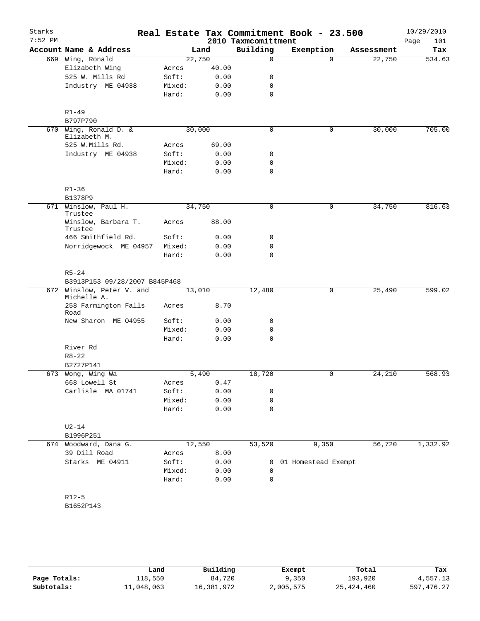| Starks<br>$7:52$ PM |                                          |        |        | 2010 Taxmcomittment | Real Estate Tax Commitment Book - 23.500 |            | 10/29/2010<br>101<br>Page |
|---------------------|------------------------------------------|--------|--------|---------------------|------------------------------------------|------------|---------------------------|
|                     | Account Name & Address                   |        | Land   | Building            | Exemption                                | Assessment | Tax                       |
|                     | 669 Wing, Ronald                         |        | 22,750 | 0                   | $\Omega$                                 | 22,750     | 534.63                    |
|                     | Elizabeth Wing                           | Acres  | 40.00  |                     |                                          |            |                           |
|                     | 525 W. Mills Rd                          | Soft:  | 0.00   | 0                   |                                          |            |                           |
|                     | Industry ME 04938                        | Mixed: | 0.00   | 0                   |                                          |            |                           |
|                     |                                          | Hard:  | 0.00   | 0                   |                                          |            |                           |
|                     | $R1 - 49$                                |        |        |                     |                                          |            |                           |
|                     | B797P790                                 |        |        |                     |                                          |            |                           |
|                     | 670 Wing, Ronald D. &                    |        | 30,000 | 0                   | $\mathbf 0$                              | 30,000     | 705.00                    |
|                     | Elizabeth M.                             |        |        |                     |                                          |            |                           |
|                     | 525 W.Mills Rd.                          | Acres  | 69.00  |                     |                                          |            |                           |
|                     | Industry ME 04938                        | Soft:  | 0.00   | 0                   |                                          |            |                           |
|                     |                                          | Mixed: | 0.00   | 0                   |                                          |            |                           |
|                     |                                          | Hard:  | 0.00   | 0                   |                                          |            |                           |
|                     | $R1 - 36$                                |        |        |                     |                                          |            |                           |
|                     | B1378P9                                  |        |        |                     |                                          |            |                           |
|                     | 671 Winslow, Paul H.<br>Trustee          |        | 34,750 | 0                   | 0                                        | 34,750     | 816.63                    |
|                     | Winslow, Barbara T.<br>Trustee           | Acres  | 88.00  |                     |                                          |            |                           |
|                     | 466 Smithfield Rd.                       | Soft:  | 0.00   | 0                   |                                          |            |                           |
|                     | Norridgewock ME 04957                    | Mixed: | 0.00   | 0                   |                                          |            |                           |
|                     |                                          | Hard:  | 0.00   | $\mathbf 0$         |                                          |            |                           |
|                     | $R5 - 24$                                |        |        |                     |                                          |            |                           |
|                     | B3913P153 09/28/2007 B845P468            |        |        |                     |                                          |            |                           |
|                     | 672 Winslow, Peter V. and<br>Michelle A. |        | 13,010 | 12,480              | $\mathsf{O}$                             | 25,490     | 599.02                    |
|                     | 258 Farmington Falls<br>Road             | Acres  | 8.70   |                     |                                          |            |                           |
|                     | New Sharon ME 04955                      | Soft:  | 0.00   | 0                   |                                          |            |                           |
|                     |                                          | Mixed: | 0.00   | 0                   |                                          |            |                           |
|                     |                                          | Hard:  | 0.00   | 0                   |                                          |            |                           |
|                     | River Rd                                 |        |        |                     |                                          |            |                           |
|                     | $R8 - 22$                                |        |        |                     |                                          |            |                           |
|                     | B2727P141                                |        |        |                     |                                          |            |                           |
|                     | 673 Wong, Wing Wa                        |        | 5,490  | 18,720              | 0                                        | 24,210     | 568.93                    |
|                     | 668 Lowell St                            | Acres  | 0.47   |                     |                                          |            |                           |
|                     | Carlisle MA 01741                        | Soft:  | 0.00   | 0                   |                                          |            |                           |
|                     |                                          | Mixed: | 0.00   | 0                   |                                          |            |                           |
|                     |                                          | Hard:  | 0.00   | 0                   |                                          |            |                           |
|                     | $U2-14$                                  |        |        |                     |                                          |            |                           |
|                     | B1996P251                                |        |        |                     |                                          |            |                           |
|                     | 674 Woodward, Dana G.                    |        | 12,550 | 53,520              | 9,350                                    | 56,720     | 1,332.92                  |
|                     | 39 Dill Road                             | Acres  | 8.00   |                     |                                          |            |                           |
|                     | Starks ME 04911                          | Soft:  | 0.00   | 0                   | 01 Homestead Exempt                      |            |                           |
|                     |                                          | Mixed: | 0.00   | 0                   |                                          |            |                           |
|                     |                                          | Hard:  | 0.00   | $\Omega$            |                                          |            |                           |
|                     | $R12-5$                                  |        |        |                     |                                          |            |                           |
|                     | B1652P143                                |        |        |                     |                                          |            |                           |
|                     |                                          |        |        |                     |                                          |            |                           |
|                     |                                          |        |        |                     |                                          |            |                           |

|              | Land       | Building   | Exempt    | Total        | Tax         |
|--------------|------------|------------|-----------|--------------|-------------|
| Page Totals: | 118,550    | 84,720     | 9,350     | 193,920      | 4,557.13    |
| Subtotals:   | 11,048,063 | 16,381,972 | 2,005,575 | 25, 424, 460 | 597, 476.27 |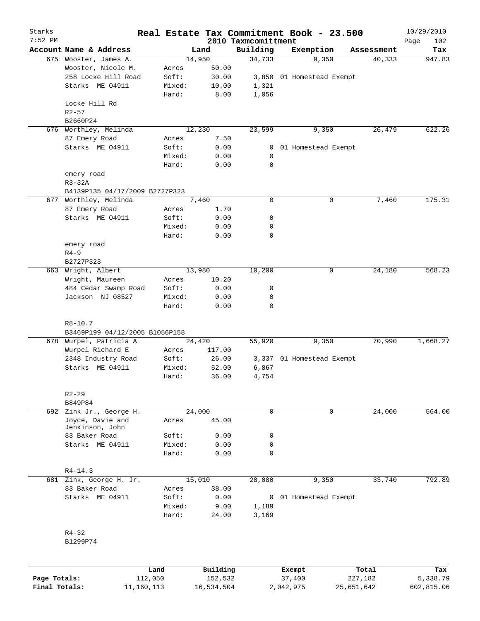| Starks<br>$7:52$ PM |                                     |        |          | 2010 Taxmcomittment | Real Estate Tax Commitment Book - 23.500 |            | 10/29/2010<br>Page<br>102 |
|---------------------|-------------------------------------|--------|----------|---------------------|------------------------------------------|------------|---------------------------|
|                     | Account Name & Address              |        | Land     | Building            | Exemption                                | Assessment | Tax                       |
|                     | 675 Wooster, James A.               |        | 14,950   | 34,733              | 9,350                                    | 40,333     | 947.83                    |
|                     | Wooster, Nicole M.                  | Acres  | 50.00    |                     |                                          |            |                           |
|                     | 258 Locke Hill Road                 | Soft:  | 30.00    |                     | 3,850 01 Homestead Exempt                |            |                           |
|                     | Starks ME 04911                     | Mixed: | 10.00    | 1,321               |                                          |            |                           |
|                     |                                     | Hard:  | 8.00     | 1,056               |                                          |            |                           |
|                     | Locke Hill Rd<br>$R2 - 57$          |        |          |                     |                                          |            |                           |
|                     | B2660P24                            |        |          |                     |                                          |            |                           |
|                     | 676 Worthley, Melinda               |        | 12, 230  | 23,599              | 9,350                                    | 26,479     | 622.26                    |
|                     | 87 Emery Road                       | Acres  | 7.50     |                     |                                          |            |                           |
|                     | Starks ME 04911                     | Soft:  | 0.00     | 0                   | 01 Homestead Exempt                      |            |                           |
|                     |                                     | Mixed: | 0.00     | 0                   |                                          |            |                           |
|                     |                                     | Hard:  | 0.00     | 0                   |                                          |            |                           |
|                     | emery road                          |        |          |                     |                                          |            |                           |
|                     | $R3-32A$                            |        |          |                     |                                          |            |                           |
|                     | B4139P135 04/17/2009 B2727P323      |        |          |                     |                                          |            |                           |
|                     | 677 Worthley, Melinda               |        | 7,460    | 0                   | 0                                        | 7,460      | 175.31                    |
|                     | 87 Emery Road                       | Acres  | 1.70     |                     |                                          |            |                           |
|                     | Starks ME 04911                     | Soft:  | 0.00     | 0                   |                                          |            |                           |
|                     |                                     | Mixed: | 0.00     | 0                   |                                          |            |                           |
|                     |                                     | Hard:  | 0.00     | 0                   |                                          |            |                           |
|                     | emery road                          |        |          |                     |                                          |            |                           |
|                     | $R4 - 9$                            |        |          |                     |                                          |            |                           |
|                     | B2727P323                           |        |          |                     |                                          |            |                           |
| 663                 | Wright, Albert                      |        | 13,980   | 10,200              | 0                                        | 24,180     | 568.23                    |
|                     | Wright, Maureen                     | Acres  | 10.20    |                     |                                          |            |                           |
|                     | 484 Cedar Swamp Road                | Soft:  | 0.00     | 0                   |                                          |            |                           |
|                     | Jackson NJ 08527                    | Mixed: | 0.00     | 0                   |                                          |            |                           |
|                     |                                     | Hard:  | 0.00     | $\mathbf 0$         |                                          |            |                           |
|                     |                                     |        |          |                     |                                          |            |                           |
|                     | $R8 - 10.7$                         |        |          |                     |                                          |            |                           |
|                     | B3469P199 04/12/2005 B1056P158      |        |          |                     |                                          |            |                           |
|                     | 678 Wurpel, Patricia A              |        | 24,420   | 55,920              | 9,350                                    | 70,990     | 1,668.27                  |
|                     | Wurpel Richard E                    | Acres  | 117.00   |                     |                                          |            |                           |
|                     | 2348 Industry Road                  | Soft:  | 26.00    |                     | 3,337 01 Homestead Exempt                |            |                           |
|                     | Starks ME 04911                     | Mixed: | 52.00    | 6,867               |                                          |            |                           |
|                     |                                     | Hard:  | 36.00    | 4,754               |                                          |            |                           |
|                     |                                     |        |          |                     |                                          |            |                           |
|                     |                                     |        |          |                     |                                          |            |                           |
|                     | $R2 - 29$                           |        |          |                     |                                          |            |                           |
|                     | B849P84                             |        |          |                     |                                          |            |                           |
|                     | 692 Zink Jr., George H.             |        | 24,000   | $\mathbf 0$         | 0                                        | 24,000     | 564.00                    |
|                     | Joyce, Davie and<br>Jenkinson, John | Acres  | 45.00    |                     |                                          |            |                           |
|                     | 83 Baker Road                       | Soft:  | 0.00     | 0                   |                                          |            |                           |
|                     | Starks ME 04911                     | Mixed: | 0.00     | $\mathbf 0$         |                                          |            |                           |
|                     |                                     |        |          | $\Omega$            |                                          |            |                           |
|                     |                                     | Hard:  | 0.00     |                     |                                          |            |                           |
|                     | $R4 - 14.3$                         |        |          |                     |                                          |            |                           |
|                     | 681 Zink, George H. Jr.             |        | 15,010   | 28,080              | 9,350                                    | 33,740     | 792.89                    |
|                     | 83 Baker Road                       |        | 38.00    |                     |                                          |            |                           |
|                     |                                     | Acres  |          |                     |                                          |            |                           |
|                     | Starks ME 04911                     | Soft:  | 0.00     | 0                   | 01 Homestead Exempt                      |            |                           |
|                     |                                     | Mixed: | 9.00     | 1,189               |                                          |            |                           |
|                     |                                     | Hard:  | 24.00    | 3,169               |                                          |            |                           |
|                     |                                     |        |          |                     |                                          |            |                           |
|                     | $R4 - 32$                           |        |          |                     |                                          |            |                           |
|                     | B1299P74                            |        |          |                     |                                          |            |                           |
|                     |                                     |        |          |                     |                                          |            |                           |
|                     |                                     |        |          |                     |                                          |            |                           |
|                     |                                     | Land   | Building |                     | Exempt                                   | Total      | Tax                       |

|               | Land       | Building   | Exempt    | Total      | Tax        |
|---------------|------------|------------|-----------|------------|------------|
| Page Totals:  | 112,050    | 152,532    | 37,400    | 227,182    | 5,338.79   |
| Final Totals: | 11,160,113 | 16,534,504 | 2,042,975 | 25,651,642 | 602,815.06 |